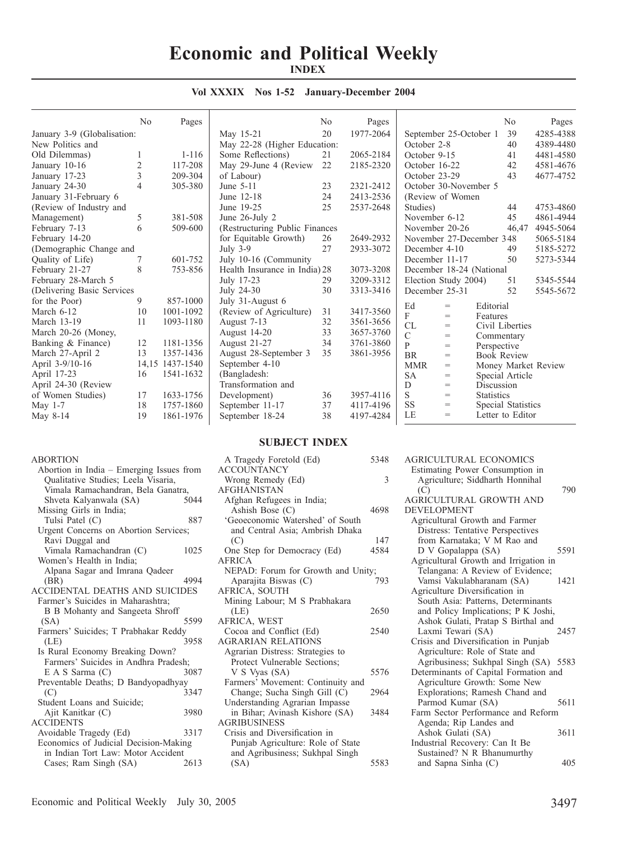## **Economic and Political Weekly INDEX**

|                             | N <sub>0</sub> | Pages           |                                 | N <sub>0</sub> | Pages     |                |                                   |                   | No                 | Pages               |
|-----------------------------|----------------|-----------------|---------------------------------|----------------|-----------|----------------|-----------------------------------|-------------------|--------------------|---------------------|
| January 3-9 (Globalisation: |                |                 | May 15-21                       | 20             | 1977-2064 |                | September 25-October 1            |                   | 39                 | 4285-4388           |
| New Politics and            |                |                 | May 22-28 (Higher Education:    |                |           | October 2-8    |                                   |                   | 40                 | 4389-4480           |
| Old Dilemmas)               |                | $1 - 116$       | Some Reflections)               | 21             | 2065-2184 | October 9-15   |                                   |                   | 41                 | 4481-4580           |
| January 10-16               | $\overline{c}$ | 117-208         | May 29-June 4 (Review)          | 22             | 2185-2320 | October 16-22  |                                   |                   | 42                 | 4581-4676           |
| January 17-23               | 3              | 209-304         | of Labour)                      |                |           | October 23-29  |                                   |                   | 43                 | 4677-4752           |
| January 24-30               | $\overline{4}$ | 305-380         | June 5-11                       | 23             | 2321-2412 |                | October 30-November 5             |                   |                    |                     |
| January 31-February 6       |                |                 | June 12-18                      | 24             | 2413-2536 |                | (Review of Women)                 |                   |                    |                     |
| (Review of Industry and     |                |                 | June 19-25                      | 25             | 2537-2648 | Studies)       |                                   |                   | 44                 | 4753-4860           |
| Management)                 | 5              | 381-508         | June 26-July 2                  |                |           | November 6-12  |                                   |                   | 45                 | 4861-4944           |
| February 7-13               | 6              | 509-600         | (Restructuring Public Finances) |                |           |                | November 20-26                    |                   | 46,47              | 4945-5064           |
| February 14-20              |                |                 | for Equitable Growth)           | 26             | 2649-2932 |                | November 27-December 348          |                   |                    | 5065-5184           |
| (Demographic Change and     |                |                 | July $3-9$                      | 27             | 2933-3072 | December 4-10  |                                   |                   | 49                 | 5185-5272           |
| Quality of Life)            | 7              | 601-752         | July 10-16 (Community           |                |           |                | December 11-17                    |                   | 50                 | 5273-5344           |
| February 21-27              | 8              | 753-856         | Health Insurance in India) 28   |                | 3073-3208 |                | December 18-24 (National          |                   |                    |                     |
| February 28-March 5         |                |                 | July 17-23                      | 29             | 3209-3312 |                | Election Study 2004)              |                   | 51                 | 5345-5544           |
| (Delivering Basic Services  |                |                 | July 24-30                      | 30             | 3313-3416 | December 25-31 |                                   |                   | 52                 | 5545-5672           |
| for the Poor)               | 9              | 857-1000        | July 31-August 6                |                |           | Ed             | $=$                               | Editorial         |                    |                     |
| March 6-12                  | 10             | 1001-1092       | (Review of Agriculture)         | 31             | 3417-3560 | F              | $=$                               | Features          |                    |                     |
| March 13-19                 | 11             | 1093-1180       | August 7-13                     | 32             | 3561-3656 | CL             | $=$                               |                   | Civil Liberties    |                     |
| March 20-26 (Money,         |                |                 | August 14-20                    | 33             | 3657-3760 | $\mathbf C$    | $\hspace{1.6cm} = \hspace{1.6cm}$ | Commentary        |                    |                     |
| Banking & Finance)          | 12             | 1181-1356       | August 21-27                    | 34             | 3761-3860 | $\mathbf{P}$   | $=$                               | Perspective       |                    |                     |
| March 27-April 2            | 13             | 1357-1436       | August 28-September 3           | 35             | 3861-3956 | <b>BR</b>      | $=$                               |                   | <b>Book Review</b> |                     |
| April 3-9/10-16             |                | 14,15 1437-1540 | September 4-10                  |                |           | <b>MMR</b>     | $\hspace{1.6cm} = \hspace{1.6cm}$ |                   |                    | Money Market Review |
| April 17-23                 | 16             | 1541-1632       | (Bangladesh:                    |                |           | <b>SA</b>      | $=$                               |                   | Special Article    |                     |
| April 24-30 (Review         |                |                 | Transformation and              |                |           | D              | $=$                               | Discussion        |                    |                     |
| of Women Studies)           | 17             | 1633-1756       | Development)                    | 36             | 3957-4116 | S              | $=$                               | <b>Statistics</b> |                    |                     |
| May $1-7$                   | 18             | 1757-1860       | September 11-17                 | 37             | 4117-4196 | <b>SS</b>      | $=$                               |                   | Special Statistics |                     |
| May 8-14                    | 19             | 1861-1976       | September 18-24                 | 38             | 4197-4284 | LE             | $=$                               |                   | Letter to Editor   |                     |
|                             |                |                 |                                 |                |           |                |                                   |                   |                    |                     |

## **Vol XXXIX Nos 1-52 January-December 2004**

## **SUBJECT INDEX**

| ABORTION                                                                        |      |
|---------------------------------------------------------------------------------|------|
| Abortion in India - Emerging Issues from<br>Qualitative Studies; Leela Visaria, |      |
|                                                                                 |      |
| Vimala Ramachandran, Bela Ganatra,                                              |      |
| Shveta Kalyanwala (SA)                                                          | 5044 |
| Missing Girls in India;                                                         |      |
| Tulsi Patel (C)                                                                 | 887  |
| Urgent Concerns on Abortion Services;                                           |      |
| Ravi Duggal and                                                                 |      |
| Vimala Ramachandran (C)                                                         | 1025 |
| Women's Health in India;                                                        |      |
| Alpana Sagar and Imrana Qadeer                                                  |      |
| (BR)                                                                            | 4994 |
| <b>ACCIDENTAL DEATHS AND SUICIDES</b>                                           |      |
| Farmer's Suicides in Maharashtra;                                               |      |
| B B Mohanty and Sangeeta Shroff                                                 |      |
| (SA)                                                                            | 5599 |
| Farmers' Suicides; T Prabhakar Reddy                                            |      |
| (LE)                                                                            | 3958 |
|                                                                                 |      |
| Is Rural Economy Breaking Down?                                                 |      |
| Farmers' Suicides in Andhra Pradesh;                                            |      |
| E A S Sarma (C)                                                                 | 3087 |
| Preventable Deaths; D Bandyopadhyay                                             |      |
| (C)                                                                             | 3347 |
| Student Loans and Suicide:                                                      |      |
| Ajit Kanitkar (C)                                                               | 3980 |
| <b>ACCIDENTS</b>                                                                |      |
| Avoidable Tragedy (Ed)                                                          | 3317 |
| Economics of Judicial Decision-Making                                           |      |
| in Indian Tort Law: Motor Accident                                              |      |
| Cases; Ram Singh (SA)                                                           | 2613 |
|                                                                                 |      |

| A Tragedy Foretold (Ed)<br><b>ACCOUNTANCY</b> | 5348 |
|-----------------------------------------------|------|
| Wrong Remedy (Ed)<br><b>AFGHANISTAN</b>       | 3    |
| Afghan Refugees in India;                     |      |
| Ashish Bose (C)                               | 4698 |
| 'Geoeconomic Watershed' of South              |      |
| and Central Asia; Ambrish Dhaka               |      |
| (C)                                           | 147  |
| One Step for Democracy (Ed)                   | 4584 |
| <b>AFRICA</b>                                 |      |
| NEPAD: Forum for Growth and Unity;            |      |
| Aparajita Biswas (C)                          | 793  |
| AFRICA, SOUTH                                 |      |
| Mining Labour; M S Prabhakara                 |      |
| (LE)                                          | 2650 |
| AFRICA, WEST                                  |      |
| Cocoa and Conflict (Ed)                       | 2540 |
| <b>AGRARIAN RELATIONS</b>                     |      |
| Agrarian Distress: Strategies to              |      |
| Protect Vulnerable Sections;                  |      |
| V S Vyas (SA)                                 | 5576 |
| Farmers' Movement: Continuity and             |      |
| Change; Sucha Singh Gill (C)                  | 2964 |
| Understanding Agrarian Impasse                |      |
| in Bihar; Avinash Kishore (SA)                | 3484 |
| <b>AGRIBUSINESS</b>                           |      |
| Crisis and Diversification in                 |      |
| Punjab Agriculture: Role of State             |      |
| and Agribusiness; Sukhpal Singh               |      |
| (SA)                                          | 5583 |

| <b>AGRICULTURAL ECONOMICS</b>         |      |
|---------------------------------------|------|
| Estimating Power Consumption in       |      |
| Agriculture; Siddharth Honnihal       |      |
| (C)                                   | 790  |
| <b>AGRICULTURAL GROWTH AND</b>        |      |
| <b>DEVELOPMENT</b>                    |      |
| Agricultural Growth and Farmer        |      |
| Distress: Tentative Perspectives      |      |
| from Karnataka; V M Rao and           |      |
| D V Gopalappa (SA)                    | 5591 |
| Agricultural Growth and Irrigation in |      |
| Telangana: A Review of Evidence;      |      |
| Vamsi Vakulabharanam (SA)             | 1421 |
| Agriculture Diversification in        |      |
| South Asia: Patterns, Determinants    |      |
| and Policy Implications; P K Joshi,   |      |
| Ashok Gulati, Pratap S Birthal and    |      |
| Laxmi Tewari (SA)                     | 2457 |
| Crisis and Diversification in Punjab  |      |
| Agriculture: Role of State and        |      |
| Agribusiness; Sukhpal Singh (SA) 5583 |      |
| Determinants of Capital Formation and |      |
| Agriculture Growth: Some New          |      |
| Explorations; Ramesh Chand and        |      |
| Parmod Kumar (SA)                     | 5611 |
| Farm Sector Performance and Reform    |      |
| Agenda; Rip Landes and                |      |
| Ashok Gulati (SA)                     | 3611 |
| Industrial Recovery: Can It Be        |      |
| Sustained? N R Bhanumurthy            |      |

and Sapna Sinha (C) 405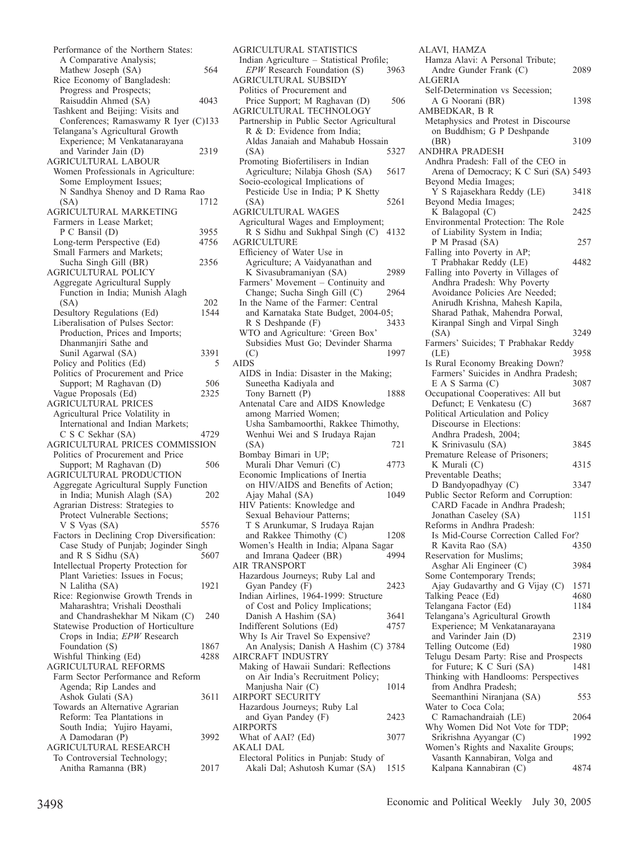Performance of the Northern States: A Comparative Analysis; Mathew Joseph (SA) 564 Rice Economy of Bangladesh: Progress and Prospects; Raisuddin Ahmed (SA) 4043 Tashkent and Beijing: Visits and Conferences; Ramaswamy R Iyer (C)133 Telangana's Agricultural Growth Experience; M Venkatanarayana and Varinder Jain (D) 2319 AGRICULTURAL LABOUR Women Professionals in Agriculture: Some Employment Issues; N Sandhya Shenoy and D Rama Rao (SA) 1712 AGRICULTURAL MARKETING Farmers in Lease Market; P C Bansil (D) 3955 Long-term Perspective (Ed) 4756 Small Farmers and Markets; Sucha Singh Gill (BR) 2356 AGRICULTURAL POLICY Aggregate Agricultural Supply Function in India; Munish Alagh (SA) 202 Desultory Regulations (Ed) 1544 Liberalisation of Pulses Sector: Production, Prices and Imports; Dhanmanjiri Sathe and Sunil Agarwal (SA) 3391 Policy and Politics (Ed) 5 Politics of Procurement and Price Support; M Raghavan (D) 506 Vague Proposals (Ed) 2325 AGRICULTURAL PRICES Agricultural Price Volatility in International and Indian Markets; C S C Sekhar (SA) 4729 AGRICULTURAL PRICES COMMISSION Politics of Procurement and Price Support; M Raghavan (D) 506 AGRICULTURAL PRODUCTION Aggregate Agricultural Supply Function in India; Munish Alagh (SA) 202 Agrarian Distress: Strategies to Protect Vulnerable Sections; V S Vyas (SA) 5576 Factors in Declining Crop Diversification: Case Study of Punjab; Joginder Singh<br>and R S Sidhu (SA) 5607 and R S Sidhu  $(SA)$ Intellectual Property Protection for Plant Varieties: Issues in Focus; N Lalitha (SA) 1921 Rice: Regionwise Growth Trends in Maharashtra; Vrishali Deosthali and Chandrashekhar M Nikam (C) 240 Statewise Production of Horticulture Crops in India; *EPW* Research Foundation (S) 1867<br>Vishful Thinking (Ed) 4288 Wishful Thinking (Ed) AGRICULTURAL REFORMS Farm Sector Performance and Reform Agenda; Rip Landes and Ashok Gulati (SA) 3611 Towards an Alternative Agrarian Reform: Tea Plantations in South India; Yujiro Hayami, A Damodaran (P) 3992 AGRICULTURAL RESEARCH To Controversial Technology; Anitha Ramanna (BR) 2017

AGRICULTURAL STATISTICS Indian Agriculture – Statistical Profile;<br>*EPW* Research Foundation (S) 3963 *EPW* Research Foundation (S) AGRICULTURAL SUBSIDY Politics of Procurement and Price Support; M Raghavan (D) 506 AGRICULTURAL TECHNOLOGY Partnership in Public Sector Agricultural R & D: Evidence from India; Aldas Janaiah and Mahabub Hossain<br>(SA) 5327 (SA) 5327 Promoting Biofertilisers in Indian Agriculture; Nilabja Ghosh (SA) 5617 Socio-ecological Implications of Pesticide Use in India; P K Shetty (SA) 5261 AGRICULTURAL WAGES Agricultural Wages and Employment; R S Sidhu and Sukhpal Singh (C) 4132 AGRICULTURE Efficiency of Water Use in Agriculture; A Vaidyanathan and K Sivasubramaniyan (SA) 2989 Farmers' Movement – Continuity and<br>Change: Sucha Singh Gill (C) 2964 Change; Sucha Singh Gill  $(C)$ In the Name of the Farmer: Central and Karnataka State Budget, 2004-05;<br>R S Deshpande (F) 3433 R S Deshpande (F) WTO and Agriculture: 'Green Box' Subsidies Must Go; Devinder Sharma<br>(C) 1997 (C) 1997 AIDS AIDS in India: Disaster in the Making; Suneetha Kadiyala and Tony Barnett (P) 1888 Antenatal Care and AIDS Knowledge among Married Women; Usha Sambamoorthi, Rakkee Thimothy, Wenhui Wei and S Irudaya Rajan (SA) 721 Bombay Bimari in UP; Murali Dhar Vemuri (C) 4773 Economic Implications of Inertia on HIV/AIDS and Benefits of Action;<br>Ajay Mahal (SA) 1049 Ajay Mahal (SA) HIV Patients: Knowledge and Sexual Behaviour Patterns; T S Arunkumar, S Irudaya Rajan and Rakkee Thimothy (C) 1208 Women's Health in India; Alpana Sagar and Imrana Qadeer (BR) AIR TRANSPORT Hazardous Journeys; Ruby Lal and Gyan Pandey (F) 2423 Indian Airlines, 1964-1999: Structure of Cost and Policy Implications; Danish A Hashim (SA) 3641 Indifferent Solutions (Ed) 4757 Why Is Air Travel So Expensive? An Analysis; Danish A Hashim (C) 3784 AIRCRAFT INDUSTRY Making of Hawaii Sundari: Reflections on Air India's Recruitment Policy; Manjusha Nair (C) 1014 AIRPORT SECURITY Hazardous Journeys; Ruby Lal and Gyan Pandey (F) 2423 AIRPORTS What of AAI? (Ed) 3077 AKALI DAL Electoral Politics in Punjab: Study of Akali Dal; Ashutosh Kumar (SA) 1515

ALAVI, HAMZA Hamza Alavi: A Personal Tribute; Andre Gunder Frank (C) 2089 ALGERIA Self-Determination vs Secession; A G Noorani (BR) 1398 AMBEDKAR, B R Metaphysics and Protest in Discourse on Buddhism; G P Deshpande (BR) 3109 ANDHRA PRADESH Andhra Pradesh: Fall of the CEO in Arena of Democracy; K C Suri (SA) 5493 Beyond Media Images; Y S Rajasekhara Reddy (LE) 3418 Beyond Media Images; K Balagopal (C) 2425 Environmental Protection: The Role of Liability System in India; P M Prasad (SA) 257 Falling into Poverty in AP; T Prabhakar Reddy (LE) 4482 Falling into Poverty in Villages of Andhra Pradesh: Why Poverty Avoidance Policies Are Needed; Anirudh Krishna, Mahesh Kapila, Sharad Pathak, Mahendra Porwal, Kiranpal Singh and Virpal Singh (SA) 3249 Farmers' Suicides; T Prabhakar Reddy (LE) 3958 Is Rural Economy Breaking Down? Farmers' Suicides in Andhra Pradesh; E A S Sarma (C) 3087 Occupational Cooperatives: All but Defunct; E Venkatesu (C) 3687 Political Articulation and Policy Discourse in Elections: Andhra Pradesh, 2004; K Srinivasulu (SA) 3845 Premature Release of Prisoners; K Murali (C) 4315 Preventable Deaths; D Bandyopadhyay (C) 3347 Public Sector Reform and Corruption: CARD Facade in Andhra Pradesh; Jonathan Caseley (SA) 1151 Reforms in Andhra Pradesh: Is Mid-Course Correction Called For? R Kavita Rao (SA) 4350 Reservation for Muslims; Asghar Ali Engineer (C) 3984 Some Contemporary Trends; Ajay Gudavarthy and G Vijay (C) 1571 Talking Peace (Ed)  $4680$ <br>Telangana Factor (Ed)  $1184$ Telangana Factor (Ed) Telangana's Agricultural Growth Experience; M Venkatanarayana and Varinder Jain (D) 2319 Telling Outcome (Ed) 1980 Telugu Desam Party: Rise and Prospects for Future; K C Suri (SA) 1481 Thinking with Handlooms: Perspectives from Andhra Pradesh; Seemanthini Niranjana (SA) 553 Water to Coca Cola; C Ramachandraiah (LE) 2064 Why Women Did Not Vote for TDP; Srikrishna Ayyangar (C) 1992 Women's Rights and Naxalite Groups; Vasanth Kannabiran, Volga and Kalpana Kannabiran (C) 4874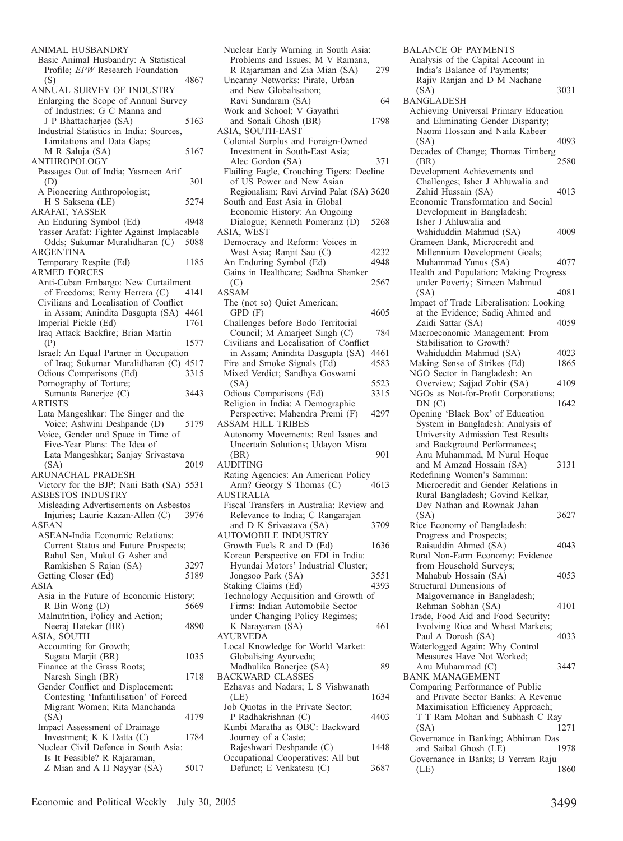| ANIMAL HUSBANDRY                                                           |              |
|----------------------------------------------------------------------------|--------------|
| Basic Animal Husbandry: A Statistical                                      |              |
| Profile; EPW Research Foundation<br>(S)                                    | 4867         |
| ANNUAL SURVEY OF INDUSTRY                                                  |              |
| Enlarging the Scope of Annual Survey                                       |              |
| of Industries; G C Manna and                                               |              |
| J P Bhattacharjee (SA)<br>Industrial Statistics in India: Sources,         | 5163         |
| Limitations and Data Gaps;                                                 |              |
| M R Saluja (SA)                                                            | 5167         |
| ANTHROPOLOGY                                                               |              |
| Passages Out of India; Yasmeen Arif                                        |              |
| (D)<br>A Pioneering Anthropologist;                                        | 301          |
| H S Saksena (LE)                                                           | 5274         |
| ARAFAT, YASSER                                                             |              |
| An Enduring Symbol (Ed)                                                    | 4948         |
| Yasser Arafat: Fighter Against Implacable                                  |              |
| Odds; Sukumar Muralidharan (C)<br>ARGENTINA                                | 5088         |
| Temporary Respite (Ed)                                                     | 1185         |
| <b>ARMED FORCES</b>                                                        |              |
| Anti-Cuban Embargo: New Curtailment                                        |              |
| of Freedoms; Remy Herrera (C)                                              | 4141         |
| Civilians and Localisation of Conflict<br>in Assam; Anindita Dasgupta (SA) | 4461         |
| Imperial Pickle (Ed)                                                       | 1761         |
| Iraq Attack Backfire; Brian Martin                                         |              |
| (P)                                                                        | 1577         |
| Israel: An Equal Partner in Occupation                                     |              |
| of Iraq; Sukumar Muralidharan (C) 4517                                     |              |
| Odious Comparisons (Ed)<br>Pornography of Torture;                         | 3315         |
| Sumanta Banerjee (C)                                                       | 3443         |
| ARTISTS                                                                    |              |
| Lata Mangeshkar: The Singer and the                                        |              |
| Voice; Ashwini Deshpande (D)<br>Voice, Gender and Space in Time of         | 5179         |
|                                                                            |              |
|                                                                            |              |
| Five-Year Plans: The Idea of                                               |              |
| Lata Mangeshkar; Sanjay Srivastava<br>(SA)                                 | 2019         |
| ARUNACHAL PRADESH                                                          |              |
| Victory for the BJP; Nani Bath (SA) 5531                                   |              |
| <b>ASBESTOS INDUSTRY</b>                                                   |              |
| Misleading Advertisements on Asbestos                                      |              |
| Injuries; Laurie Kazan-Allen (C)<br>ASEAN                                  | 3976         |
| ASEAN-India Economic Relations:                                            |              |
| Current Status and Future Prospects;                                       |              |
| Rahul Sen, Mukul G Asher and                                               |              |
| Ramkishen S Rajan (SA)                                                     | 3297<br>5189 |
| Getting Closer (Ed)<br>ASIA                                                |              |
| Asia in the Future of Economic History;                                    |              |
| R Bin Wong (D)                                                             | 5669         |
| Malnutrition, Policy and Action;                                           |              |
| Neeraj Hatekar (BR)                                                        | 4890         |
| ASIA, SOUTH<br>Accounting for Growth;                                      |              |
| Sugata Marjit (BR)                                                         | 1035         |
| Finance at the Grass Roots;                                                |              |
| Naresh Singh (BR)                                                          | 1718         |
| Gender Conflict and Displacement:                                          |              |
| Contesting 'Infantilisation' of Forced<br>Migrant Women; Rita Manchanda    |              |
| (SA)                                                                       | 4179         |
| Impact Assessment of Drainage                                              |              |
| Investment; K K Datta (C)                                                  | 1784         |
| Nuclear Civil Defence in South Asia:                                       |              |
| Is It Feasible? R Rajaraman,<br>Z Mian and A H Nayyar (SA)                 | 5017         |

| Nuclear Early Warning in South Asia:<br>Problems and Issues; M V Ramana,<br>R Rajaraman and Zia Mian (SA)<br>Uncanny Networks: Pirate, Urban<br>and New Globalisation; | 279  |
|------------------------------------------------------------------------------------------------------------------------------------------------------------------------|------|
| Ravi Sundaram (SA)                                                                                                                                                     | 64   |
| Work and School; V Gayathri<br>and Sonali Ghosh (BR)                                                                                                                   | 1798 |
| ASIA, SOUTH-EAST                                                                                                                                                       |      |
| Colonial Surplus and Foreign-Owned                                                                                                                                     |      |
| Investment in South-East Asia;<br>Alec Gordon (SA)                                                                                                                     | 371  |
| Flailing Eagle, Crouching Tigers: Decline                                                                                                                              |      |
| of US Power and New Asian<br>Regionalism; Ravi Arvind Palat (SA) 3620                                                                                                  |      |
| South and East Asia in Global                                                                                                                                          |      |
| Economic History: An Ongoing<br>Dialogue; Kenneth Pomeranz (D)                                                                                                         | 5268 |
| ASIA, WEST                                                                                                                                                             |      |
| Democracy and Reform: Voices in                                                                                                                                        |      |
| West Asia; Ranjit Sau (C)                                                                                                                                              | 4232 |
| An Enduring Symbol (Ed)                                                                                                                                                | 4948 |
| Gains in Healthcare; Sadhna Shanker                                                                                                                                    |      |
| (C)                                                                                                                                                                    | 2567 |
| ASSAM                                                                                                                                                                  |      |
| The (not so) Quiet American;                                                                                                                                           |      |
| GPD (F)<br>Challenges before Bodo Territorial                                                                                                                          | 4605 |
| Council; M Amarjeet Singh (C)                                                                                                                                          | 784  |
| Civilians and Localisation of Conflict                                                                                                                                 |      |
| in Assam; Anindita Dasgupta (SA)                                                                                                                                       | 4461 |
| Fire and Smoke Signals (Ed)                                                                                                                                            | 4583 |
| Mixed Verdict; Sandhya Goswami                                                                                                                                         |      |
| (SA)                                                                                                                                                                   | 5523 |
| Odious Comparisons (Ed)                                                                                                                                                | 3315 |
| Religion in India: A Demographic                                                                                                                                       |      |
|                                                                                                                                                                        |      |
| Perspective; Mahendra Premi (F)                                                                                                                                        | 4297 |
| <b>ASSAM HILL TRIBES</b>                                                                                                                                               |      |
| Autonomy Movements: Real Issues and                                                                                                                                    |      |
| Uncertain Solutions; Udayon Misra<br>(BR)                                                                                                                              | 901  |
| AUDITING                                                                                                                                                               |      |
| Rating Agencies: An American Policy<br>Arm? Georgy S Thomas (C)                                                                                                        | 4613 |
| <b>AUSTRALIA</b>                                                                                                                                                       |      |
| Fiscal Transfers in Australia: Review and                                                                                                                              |      |
| Relevance to India; C Rangarajan                                                                                                                                       |      |
| and D K Srivastava (SA)                                                                                                                                                | 3709 |
| <b>AUTOMOBILE INDUSTRY</b>                                                                                                                                             |      |
| Growth Fuels R and D (Ed)<br>Korean Perspective on FDI in India:                                                                                                       | 1636 |
| Hyundai Motors' Industrial Cluster;                                                                                                                                    |      |
| Jongsoo Park (SA)                                                                                                                                                      | 3551 |
| Staking Claims (Ed)                                                                                                                                                    | 4393 |
| Technology Acquisition and Growth of                                                                                                                                   |      |
| Firms: Indian Automobile Sector                                                                                                                                        |      |
| under Changing Policy Regimes;                                                                                                                                         |      |
| K Narayanan (SA)<br>AYURVEDA                                                                                                                                           | 461  |
|                                                                                                                                                                        |      |
| Local Knowledge for World Market:<br>Globalising Ayurveda;                                                                                                             |      |
| Madhulika Banerjee (SA)                                                                                                                                                | 89   |
| <b>BACKWARD CLASSES</b>                                                                                                                                                |      |
| Ezhavas and Nadars; L S Vishwanath                                                                                                                                     |      |
| (LE)                                                                                                                                                                   | 1634 |
| Job Quotas in the Private Sector;                                                                                                                                      | 4403 |
| P Radhakrishnan (C)<br>Kunbi Maratha as OBC: Backward                                                                                                                  |      |
| Journey of a Caste;                                                                                                                                                    |      |
| Rajeshwari Deshpande (C)                                                                                                                                               | 1448 |
| Occupational Cooperatives: All but<br>Defunct; E Venkatesu (C)                                                                                                         | 3687 |

| <b>BALANCE OF PAYMENTS</b><br>Analysis of the Capital Account in                                |      |
|-------------------------------------------------------------------------------------------------|------|
| India's Balance of Payments;                                                                    |      |
| Rajiv Ranjan and D M Nachane<br>(SA)                                                            | 3031 |
| <b>BANGLADESH</b><br>Achieving Universal Primary Education<br>and Eliminating Gender Disparity; |      |
| Naomi Hossain and Naila Kabeer<br>(SA)                                                          | 4093 |
| Decades of Change; Thomas Timberg<br>(BR)                                                       | 2580 |
| Development Achievements and<br>Challenges; Isher J Ahluwalia and<br>Zahid Hussain (SA)         | 4013 |
| Economic Transformation and Social<br>Development in Bangladesh;<br>Isher J Ahluwalia and       |      |
| Wahiduddin Mahmud (SA)<br>Grameen Bank, Microcredit and                                         | 4009 |
| Millennium Development Goals;                                                                   |      |
| Muhammad Yunus (SA)<br>Health and Population: Making Progress                                   | 4077 |
| under Poverty; Simeen Mahmud                                                                    |      |
| (SA)<br>Impact of Trade Liberalisation: Looking                                                 | 4081 |
| at the Evidence; Sadiq Ahmed and                                                                |      |
| Zaidi Sattar (SA)<br>Macroeconomic Management: From                                             | 4059 |
| Stabilisation to Growth?                                                                        |      |
| Wahiduddin Mahmud (SA)                                                                          | 4023 |
| Making Sense of Strikes (Ed)<br>NGO Sector in Bangladesh: An                                    | 1865 |
| Overview; Sajjad Zohir (SA)                                                                     | 4109 |
| NGOs as Not-for-Profit Corporations;<br>DN(C)                                                   | 1642 |
| Opening 'Black Box' of Education                                                                |      |
| System in Bangladesh: Analysis of<br>University Admission Test Results                          |      |
| and Background Performances;<br>Anu Muhammad, M Nurul Hoque                                     |      |
| and M Amzad Hossain (SA)<br>Redefining Women's Samman:                                          | 3131 |
| Microcredit and Gender Relations in                                                             |      |
| Rural Bangladesh; Govind Kelkar,                                                                |      |
| Dev Nathan and Rownak Jahan<br>(SA)                                                             | 3627 |
| Rice Economy of Bangladesh:                                                                     |      |
| Progress and Prospects;<br>Raisuddin Ahmed (SA)                                                 | 4043 |
| Rural Non-Farm Economy: Evidence                                                                |      |
| from Household Surveys;<br>Mahabub Hossain (SA)<br>Structural Dimensions of                     | 4053 |
| Malgovernance in Bangladesh;<br>Rehman Sobhan (SA)                                              | 4101 |
| Trade, Food Aid and Food Security:<br>Evolving Rice and Wheat Markets;                          |      |
| Paul A Dorosh (SA)                                                                              | 4033 |
| Waterlogged Again: Why Control<br>Measures Have Not Worked;                                     |      |
| Anu Muhammad (C)<br><b>BANK MANAGEMENT</b>                                                      | 3447 |
| Comparing Performance of Public                                                                 |      |
| and Private Sector Banks: A Revenue                                                             |      |
| Maximisation Efficiency Approach;<br>T T Ram Mohan and Subhash C Ray                            |      |
| (SA)<br>Governance in Banking; Abhiman Das                                                      | 1271 |
| and Saibal Ghosh (LE)<br>Governance in Banks; B Yerram Raju                                     | 1978 |
| (LE)                                                                                            | 1860 |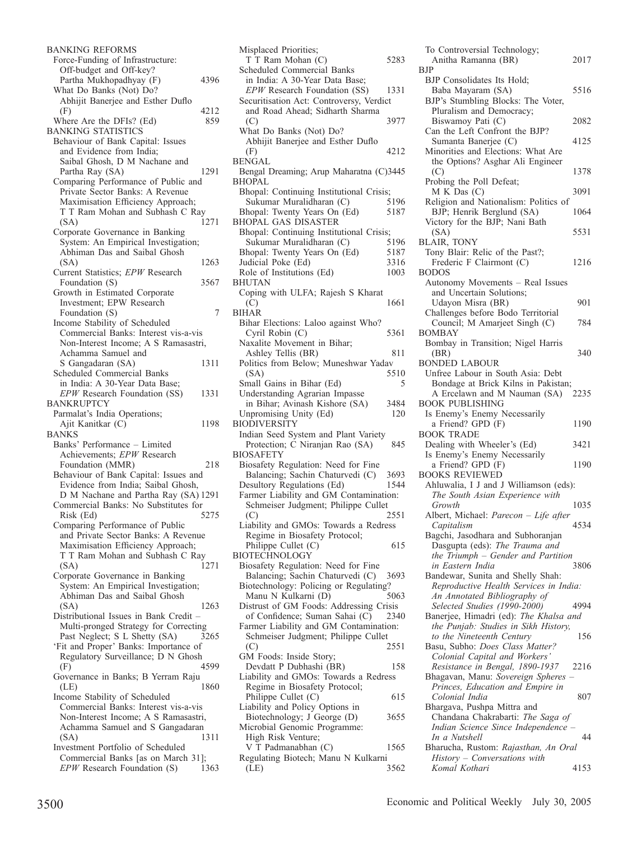BANKING REFORMS Force-Funding of Infrastructure: Off-budget and Off-key? Partha Mukhopadhyay (F) 4396 What Do Banks (Not) Do? Abhijit Banerjee and Esther Duflo  $(F)$  4212 Where Are the DFIs? (Ed) 859 BANKING STATISTICS Behaviour of Bank Capital: Issues and Evidence from India; Saibal Ghosh, D M Nachane and Partha Ray (SA) 1291 Comparing Performance of Public and Private Sector Banks: A Revenue Maximisation Efficiency Approach; T T Ram Mohan and Subhash C Ray (SA) 1271 Corporate Governance in Banking System: An Empirical Investigation; Abhiman Das and Saibal Ghosh (SA) 1263 Current Statistics; *EPW* Research Foundation (S) 3567 Growth in Estimated Corporate Investment; EPW Research Foundation (S) 7 Income Stability of Scheduled Commercial Banks: Interest vis-a-vis Non-Interest Income; A S Ramasastri, Achamma Samuel and S Gangadaran (SA) 1311 Scheduled Commercial Banks in India: A 30-Year Data Base; *EPW* Research Foundation (SS) 1331 BANKRUPTCY Parmalat's India Operations; Ajit Kanitkar (C) 1198 BANKS Banks' Performance – Limited Achievements; *EPW* Research Foundation (MMR) 218 Behaviour of Bank Capital: Issues and Evidence from India; Saibal Ghosh, D M Nachane and Partha Ray (SA) 1291 Commercial Banks: No Substitutes for Risk (Ed) 5275 Comparing Performance of Public and Private Sector Banks: A Revenue Maximisation Efficiency Approach; T T Ram Mohan and Subhash C Ray<br>(SA) 1271 (SA) 1271 Corporate Governance in Banking System: An Empirical Investigation; Abhiman Das and Saibal Ghosh (SA) 1263 Distributional Issues in Bank Credit – Multi-pronged Strategy for Correcting Past Neglect; S L Shetty (SA) 3265 'Fit and Proper' Banks: Importance of Regulatory Surveillance; D N Ghosh<br>(F) 4599 (F) 4599 Governance in Banks; B Yerram Raju<br>(LE) 1860 (LE) 1860 Income Stability of Scheduled Commercial Banks: Interest vis-a-vis Non-Interest Income; A S Ramasastri, Achamma Samuel and S Gangadaran (SA) 1311 Investment Portfolio of Scheduled Commercial Banks [as on March 31]; *EPW* Research Foundation (S) 1363

Misplaced Priorities; T T Ram Mohan (C) 5283 Scheduled Commercial Banks in India: A 30-Year Data Base; *EPW* Research Foundation (SS) 1331 Securitisation Act: Controversy, Verdict and Road Ahead; Sidharth Sharma (C) 3977 What Do Banks (Not) Do? Abhijit Banerjee and Esther Duflo (F) 4212 BENGAL Bengal Dreaming; Arup Maharatna (C)3445 BHOPAL Bhopal: Continuing Institutional Crisis;<br>Sukumar Muralidharan (C) 5196 Sukumar Muralidharan (C) Bhopal: Twenty Years On (Ed) 5187 BHOPAL GAS DISASTER Bhopal: Continuing Institutional Crisis;<br>Sukumar Muralidharan (C) 5196 Sukumar Muralidharan (C) 5196<br>hopal: Twenty Years On (Ed) 5187 Bhopal: Twenty Years On (Ed) 5187<br>Judicial Poke (Ed) 3316 Judicial Poke (Ed) 3316<br>Role of Institutions (Ed) 1003 Role of Institutions (Ed) BHUTAN Coping with ULFA; Rajesh S Kharat  $(C)$  1661 BIHAR Bihar Elections: Laloo against Who? Cyril Robin (C) 5361 Naxalite Movement in Bihar; Ashley Tellis (BR) 811 Politics from Below; Muneshwar Yadav<br>(SA) 5510 (SA) 5510 Small Gains in Bihar (Ed) 5 Understanding Agrarian Impasse in Bihar; Avinash Kishore (SA) 3484<br>Inpromising Unity (Ed) 120 Unpromising Unity (Ed) BIODIVERSITY Indian Seed System and Plant Variety Protection; C Niranjan Rao (SA) 845 BIOSAFETY Biosafety Regulation: Need for Fine Balancing; Sachin Chaturvedi (C) 3693<br>
Mesultory Regulations (Ed) 1544 Desultory Regulations (Ed) Farmer Liability and GM Contamination: Schmeiser Judgment; Philippe Cullet (C) 2551 Liability and GMOs: Towards a Redress Regime in Biosafety Protocol; Philippe Cullet (C) 615 **BIOTECHNOLOGY** Biosafety Regulation: Need for Fine Balancing; Sachin Chaturvedi (C) 3693 Biotechnology: Policing or Regulating?<br>Manu N Kulkarni (D) 5063 Manu N Kulkarni (D) Distrust of GM Foods: Addressing Crisis of Confidence; Suman Sahai (C) 2340 Farmer Liability and GM Contamination: Schmeiser Judgment; Philippe Cullet (C) 2551 GM Foods: Inside Story; Devdatt P Dubhashi (BR) 158 Liability and GMOs: Towards a Redress Regime in Biosafety Protocol; Philippe Cullet (C) 615 Liability and Policy Options in Biotechnology; J George (D) 3655 Microbial Genomic Programme: High Risk Venture; V T Padmanabhan (C) 1565 Regulating Biotech; Manu N Kulkarni (LE) 3562

To Controversial Technology; Anitha Ramanna (BR) 2017 **B<sub>IP</sub>** BJP Consolidates Its Hold; Baba Mayaram (SA) 5516 BJP's Stumbling Blocks: The Voter, Pluralism and Democracy; Biswamov Pati (C) 2082 Can the Left Confront the BJP? Sumanta Baneriee (C) 4125 Minorities and Elections: What Are the Options? Asghar Ali Engineer (C) 1378 Probing the Poll Defeat; M K Das (C) 3091 Religion and Nationalism: Politics of BJP; Henrik Berglund (SA) 1064 Victory for the BJP; Nani Bath (SA) 5531 BLAIR, TONY Tony Blair: Relic of the Past?; Frederic F Clairmont (C) 1216 BODOS Autonomy Movements – Real Issues and Uncertain Solutions; Udayon Misra (BR) 901 Challenges before Bodo Territorial Council; M Amarjeet Singh (C) 784 BOMBAY Bombay in Transition; Nigel Harris (BR) 340 BONDED LABOUR Unfree Labour in South Asia: Debt Bondage at Brick Kilns in Pakistan;<br>A Ercelawn and M Nauman (SA) 2235 A Ercelawn and M Nauman (SA) BOOK PUBLISHING Is Enemy's Enemy Necessarily a Friend? GPD (F) 1190 BOOK TRADE Dealing with Wheeler's (Ed) 3421 Is Enemy's Enemy Necessarily a Friend? GPD (F) 1190 BOOKS REVIEWED Ahluwalia, I J and J Williamson (eds): *The South Asian Experience with Growth* 1035 Albert, Michael: *Parecon – Life after*   $$ Bagchi, Jasodhara and Subhoranjan Dasgupta (eds): *The Trauma and the Triumph – Gender and Partition*   $in$  Eastern India Bandewar, Sunita and Shelly Shah: *Reproductive Health Services in India: An Annotated Bibliography of Selected Studies (1990-2000)* 4994 Banerjee, Himadri (ed): *The Khalsa and the Punjab: Studies in Sikh History, to the Nineteenth Century* 156 Basu, Subho: *Does Class Matter? Colonial Capital and Workers' Resistance in Bengal, 1890-1937* 2216 Bhagavan, Manu: *Sovereign Spheres – Princes, Education and Empire in Colonial India* 807 Bhargava, Pushpa Mittra and Chandana Chakrabarti: *The Saga of Indian Science Since Independence – In a Nutshell* 44 Bharucha, Rustom: *Rajasthan, An Oral History – Conversations with Komal Kothari* 4153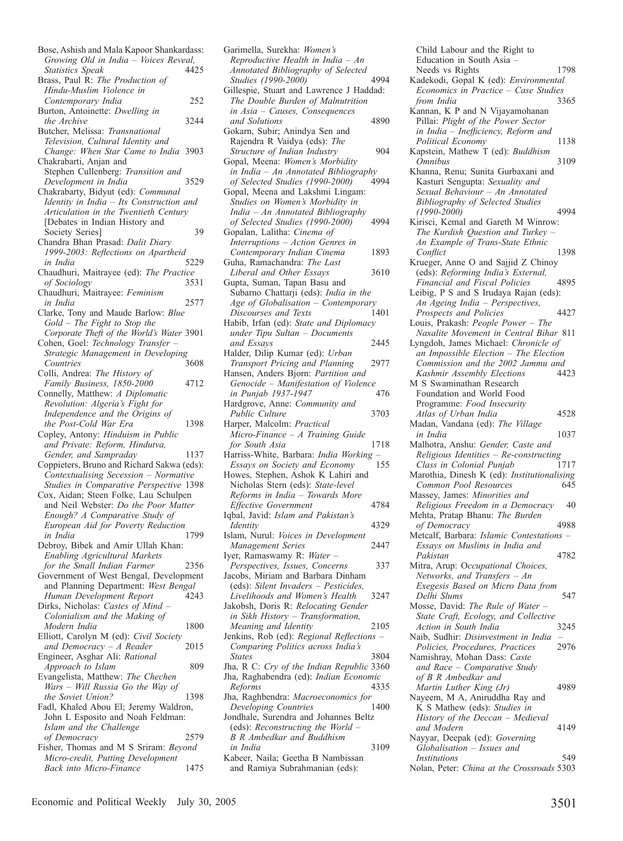| Bose, Ashish and Mala Kapoor Shankardass:  |      |
|--------------------------------------------|------|
| Growing Old in India - Voices Reveal,      |      |
| <b>Statistics Speak</b>                    | 4425 |
| Brass, Paul R: The Production of           |      |
| Hindu-Muslim Violence in                   |      |
| Contemporary India                         | 252  |
| Burton, Antoinette: Dwelling in            |      |
| the Archive                                | 3244 |
| Butcher, Melissa: Transnational            |      |
| Television, Cultural Identity and          |      |
| Change: When Star Came to India 3903       |      |
| Chakrabarti, Anjan and                     |      |
| Stephen Cullenberg: Transition and         |      |
| Development in India                       | 3529 |
|                                            |      |
| Chakrabarty, Bidyut (ed): Communal         |      |
| Identity in India - Its Construction and   |      |
| Articulation in the Twentieth Century      |      |
| [Debates in Indian History and             |      |
| Society Series]                            | 39   |
| Chandra Bhan Prasad: Dalit Diary           |      |
| 1999-2003: Reflections on Apartheid        |      |
| in India                                   | 5229 |
| Chaudhuri, Maitrayee (ed): The Practice    |      |
| of Sociology                               | 3531 |
| Chaudhuri, Maitrayee: Feminism             |      |
| in India                                   | 2577 |
| Clarke, Tony and Maude Barlow: Blue        |      |
|                                            |      |
| $Gold$ – The Fight to Stop the             |      |
| Corporate Theft of the World's Water 3901  |      |
| Cohen, Goel: Technology Transfer -         |      |
| Strategic Management in Developing         |      |
| Countries                                  | 3608 |
| Colli, Andrea: The History of              |      |
| Family Business, 1850-2000                 | 4712 |
| Connelly, Matthew: A Diplomatic            |      |
| Revolution: Algeria's Fight for            |      |
| Independence and the Origins of            |      |
| the Post-Cold War Era                      | 1398 |
| Copley, Antony: Hinduism in Public         |      |
|                                            |      |
| and Private: Reform, Hindutva,             |      |
| Gender, and Sampraday                      | 1137 |
| Coppieters, Bruno and Richard Sakwa (eds): |      |
| Contextualising Secession - Normative      |      |
| Studies in Comparative Perspective 1398    |      |
| Cox, Aidan; Steen Folke, Lau Schulpen      |      |
| and Neil Webster: Do the Poor Matter       |      |
| Enough? A Comparative Study of             |      |
| European Aid for Poverty Reduction         |      |
| in India                                   | 1799 |
| Debroy, Bibek and Amir Ullah Khan:         |      |
| <b>Enabling Agricultural Markets</b>       |      |
| for the Small Indian Farmer                | 2356 |
|                                            |      |
| Government of West Bengal, Development     |      |
| and Planning Department: West Bengal       |      |
| Human Development Report                   | 4243 |
| Dirks, Nicholas: Castes of Mind -          |      |
| Colonialism and the Making of              |      |
| Modern India                               | 1800 |
| Elliott, Carolyn M (ed): Civil Society     |      |
| and Democracy $-A$ Reader                  | 2015 |
| Engineer, Asghar Ali: Rational             |      |
| Approach to Islam                          | 809  |
| Evangelista, Matthew: The Chechen          |      |
|                                            |      |
| Wars – Will Russia Go the Way of           |      |
| the Soviet Union?                          | 1398 |
| Fadl, Khaled Abou El; Jeremy Waldron,      |      |
|                                            |      |
| John L Esposito and Noah Feldman:          |      |
| Islam and the Challenge                    |      |
| of Democracy                               | 2579 |
| Fisher, Thomas and M S Sriram: Beyond      |      |
| Micro-credit, Putting Development          |      |

Garimella, Surekha: *Women's Reproductive Health in India – An Annotated Bibliography of Selected Studies (1990-2000)* 4994 Gillespie, Stuart and Lawrence J Haddad: *The Double Burden of Malnutrition in Asia – Causes, Consequences and Solutions* 4890 Gokarn, Subir; Anindya Sen and Rajendra R Vaidya (eds): *The Structure of Indian Industry* 904 Gopal, Meena: *Women's Morbidity in India – An Annotated Bibliography of Selected Studies (1990-2000)* Gopal, Meena and Lakshmi Lingam: *Studies on Women's Morbidity in India – An Annotated Bibliography of Selected Studies (1990-2000)* 4994 Gopalan, Lalitha: *Cinema of Interruptions – Action Genres in Contemporary Indian Cinema* 1893 Guha, Ramachandra: *The Last Liberal and Other Essays* 3610 Gupta, Suman, Tapan Basu and Subarno Chattarji (eds): *India in the Age of Globalisation – Contemporary Discourses and Texts* 1401 Habib, Irfan (ed): *State and Diplomacy under Tipu Sultan – Documents and Essays* 2445 Halder, Dilip Kumar (ed): *Urban Transport Pricing and Planning* 2977 Hansen, Anders Bjorn: *Partition and Genocide – Manifestation of Violence in Punjab 1937-1947* Hardgrove, Anne: *Community and Public Culture* 3703 Harper, Malcolm: *Practical Micro-Finance – A Training Guide for South Asia* 1718 Harriss-White, Barbara: *India Working – Essays on Society and Economy* Howes, Stephen, Ashok K Lahiri and Nicholas Stern (eds): *State-level Reforms in India – Towards More Effective Government* 4784 Iqbal, Javid: *Islam and Pakistan's Identity* 4329 Islam, Nurul: *Voices in Development Management Series* 2447 Iyer, Ramaswamy R: *Water – Perspectives, Issues, Concerns* 337 Jacobs, Miriam and Barbara Dinham (eds): *Silent Invaders – Pesticides, Livelihoods and Women's Health* 3247 Jakobsh, Doris R: *Relocating Gender in Sikh History – Transformation, Meaning and Identity* 2105 Jenkins, Rob (ed): *Regional Reflections – Comparing Politics across India's States* 3804 Jha, R C: *Cry of the Indian Republic* 3360 Jha, Raghabendra (ed): *Indian Economic Reforms* 4335 Jha, Raghbendra: *Macroeconomics for*   $Developing$  *Countries* Jondhale, Surendra and Johannes Beltz (eds): *Reconstructing the World – B R Ambedkar and Buddhism in India* 3109 Kabeer, Naila; Geetha B Nambissan and Ramiya Subrahmanian (eds):

Child Labour and the Right to Education in South Asia – Needs vs Rights 1798 Kadekodi, Gopal K (ed): *Environmental Economics in Practice – Case Studies from India* Kannan, K P and N Vijayamohanan Pillai: *Plight of the Power Sector in India – Inefficiency, Reform and Political Economy* 1138 Kapstein, Mathew T (ed): *Buddhism Omnibus* 3109 Khanna, Renu; Sunita Gurbaxani and Kasturi Sengupta: *Sexuality and Sexual Behaviour – An Annotated Bibliography of Selected Studies (1990-2000)* 4994 Kirisci, Kemal and Gareth M Winrow: *The Kurdish Question and Turkey – An Example of Trans-State Ethnic Conflict* 1398 Krueger, Anne O and Sajjid Z Chinoy (eds): *Reforming India's External, Financial and Fiscal Policies* 4895 Leibig, P S and S Irudaya Rajan (eds): *An Ageing India – Perspectives, Prospects and Policies* 4427 Louis, Prakash: *People Power – The Naxalite Movement in Central Bihar* 811 Lyngdoh, James Michael: *Chronicle of an Impossible Election – The Election Commission and the 2002 Jammu and Kashmir Assembly Elections* M S Swaminathan Research Foundation and World Food Programme: *Food Insecurity Atlas of Urban India* 4528 Madan, Vandana (ed): *The Village in India* 1037 Malhotra, Anshu: *Gender, Caste and Religious Identities – Re-constructing Class in Colonial Punjab* Marothia, Dinesh K (ed): *Institutionalising* **Common Pool Resources** Massey, James: *Minorities and Religious Freedom in a Democracy* 40 Mehta, Pratap Bhanu: *The Burden of Democracy* 4988 Metcalf, Barbara: *Islamic Contestations – Essays on Muslims in India and Pakistan* 4782 Mitra, Arup: O*ccupational Choices, Networks, and Transfers – An Exegesis Based on Micro Data from Delhi Slums* 547 Mosse, David: *The Rule of Water – State Craft, Ecology, and Collective Action in South India* 3245 Naib, Sudhir: *Disinvestment in India – Policies, Procedures, Practices* 2976 Namishray, Mohan Dass: *Caste and Race – Comparative Study of B R Ambedkar and Martin Luther King (Jr)* 4989 Nayeem, M A, Aniruddha Ray and K S Mathew (eds): *Studies in History of the Deccan – Medieval and Modern* 4149 Nayyar, Deepak (ed): *Governing Globalisation – Issues and Institutions* 549

Nolan, Peter: *China at the Crossroads* 5303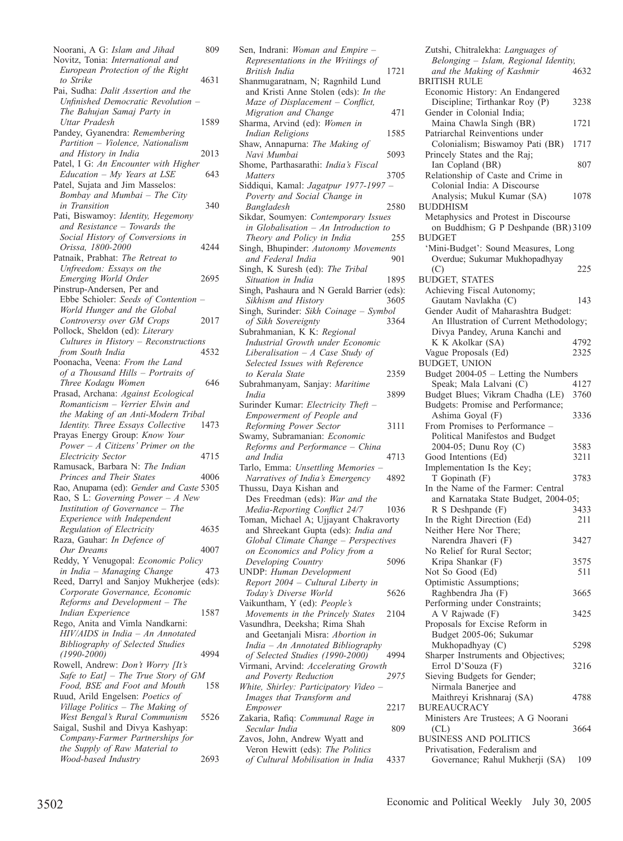Noorani, A G: *Islam and Jihad* 809 Novitz, Tonia: *International and European Protection of the Right to Strike* 4631 Pai, Sudha: *Dalit Assertion and the Unfinished Democratic Revolution – The Bahujan Samaj Party in Uttar Pradesh* 1589 Pandey, Gyanendra: *Remembering Partition – Violence, Nationalism and History in India* 2013 Patel, I G: *An Encounter with Higher Education – My Years at LSE* 643 Patel, Sujata and Jim Masselos: *Bombay and Mumbai – The City in Transition* 340 Pati, Biswamoy: *Identity, Hegemony and Resistance – Towards the Social History of Conversions in Orissa, 1800-2000* 4244 Patnaik, Prabhat: *The Retreat to Unfreedom: Essays on the Emerging World Order* 2695 Pinstrup-Andersen, Per and Ebbe Schioler: *Seeds of Contention – World Hunger and the Global Controversy over GM Crops* 2017 Pollock, Sheldon (ed): *Literary Cultures in History – Reconstructions from South India* 4532 Poonacha, Veena: *From the Land of a Thousand Hills – Portraits of Three Kodagu Women* 646 Prasad, Archana: *Against Ecological Romanticism – Verrier Elwin and the Making of an Anti-Modern Tribal Identity. Three Essays Collective* 1473 Prayas Energy Group: *Know Your Power – A Citizens' Primer on the Electricity Sector* 4715 Ramusack, Barbara N: *The Indian Princes and Their States* 4006 Rao, Anupama (ed): *Gender and Caste* 5305 Rao, S L: *Governing Power – A New Institution of Governance – The Experience with Independent Regulation of Electricity* 4635 Raza, Gauhar: *In Defence of Our Dreams* 4007 Reddy, Y Venugopal: *Economic Policy in India – Managing Change* 473 Reed, Darryl and Sanjoy Mukherjee (eds): *Corporate Governance, Economic Reforms and Development – The Indian Experience* 1587 Rego, Anita and Vimla Nandkarni: *HIV/AIDS in India – An Annotated Bibliography of Selected Studies (1990-2000)* 4994 Rowell, Andrew: *Don't Worry [It's Safe to Eat] – The True Story of GM*  Food, BSE and Foot and Mouth Ruud, Arild Engelsen: *Poetics of Village Politics – The Making of West Bengal's Rural Communism* 5526 Saigal, Sushil and Divya Kashyap: *Company-Farmer Partnerships for the Supply of Raw Material to Wood-based Industry* 2693 Sen, Indrani: *Woman and Empire – Representations in the Writings of British India* 1721 Shanmugaratnam, N; Ragnhild Lund and Kristi Anne Stolen (eds): *In the Maze of Displacement – Conflict, Migration and Change* 471 Sharma, Arvind (ed): *Women in Indian Religions* 1585 Shaw, Annapurna: *The Making of Navi Mumbai* 5093 Shome, Parthasarathi: *India's Fiscal Matters* 3705 Siddiqui, Kamal: *Jagatpur 1977-1997 – Poverty and Social Change in Bangladesh* 2580 Sikdar, Soumyen: *Contemporary Issues in Globalisation – An Introduction to*  **Theory and Policy in India** Singh, Bhupinder: *Autonomy Movements and Federal India* Singh, K Suresh (ed): *The Tribal Situation in India* 1895 Singh, Pashaura and N Gerald Barrier (eds): *Sikhism and History* 3605 Singh, Surinder: *Sikh Coinage – Symbol of Sikh Sovereignty* 3364 Subrahmanian, K K: *Regional Industrial Growth under Economic Liberalisation – A Case Study of Selected Issues with Reference to Kerala State* 2359 Subrahmanyam, Sanjay: *Maritime India* 3899 Surinder Kumar: *Electricity Theft – Empowerment of People and Reforming Power Sector* 3111 Swamy, Subramanian: *Economic Reforms and Performance – China and India* 4713 Tarlo, Emma: *Unsettling Memories – Narratives of India's Emergency* 4892 Thussu, Daya Kishan and Des Freedman (eds): *War and the Media-Reporting Conflict 24/7* 1036 Toman, Michael A; Ujjayant Chakravorty and Shreekant Gupta (eds): *India and Global Climate Change – Perspectives on Economics and Policy from a Developing Country* 5096 UNDP: *Human Development Report 2004 – Cultural Liberty in Today's Diverse World* 5626 Vaikuntham, Y (ed): *People's Movements in the Princely States* 2104 Vasundhra, Deeksha; Rima Shah and Geetanjali Misra: *Abortion in India – An Annotated Bibliography of Selected Studies (1990-2000)* 4994 Virmani, Arvind: *Accelerating Growth*   $and$  *Poverty Reduction White, Shirley: Participatory Video – Images that Transform and Empower* 2217 Zakaria, Rafiq: *Communal Rage in Secular India* 809 Zavos, John, Andrew Wyatt and Veron Hewitt (eds): *The Politics of Cultural Mobilisation in India* 4337

Zutshi, Chitralekha: *Languages of Belonging – Islam, Regional Identity, and the Making of Kashmir* BRITISH RULE Economic History: An Endangered Discipline; Tirthankar Roy (P) 3238 Gender in Colonial India; Maina Chawla Singh (BR) 1721 Patriarchal Reinventions under Colonialism; Biswamoy Pati (BR) 1717 Princely States and the Raj; Ian Copland (BR) 807 Relationship of Caste and Crime in Colonial India: A Discourse Analysis; Mukul Kumar (SA) 1078 BUDDHISM Metaphysics and Protest in Discourse on Buddhism; G P Deshpande (BR) 3109 **BUDGET** 'Mini-Budget': Sound Measures, Long Overdue; Sukumar Mukhopadhyay (C) 225 BUDGET, STATES Achieving Fiscal Autonomy; Gautam Navlakha (C) 143 Gender Audit of Maharashtra Budget: An Illustration of Current Methodology; Divya Pandey, Aruna Kanchi and K K Akolkar (SA)  $4792$ <br>
ague Proposals (Ed)  $2325$ Vague Proposals (Ed) BUDGET, UNION Budget 2004-05 – Letting the Numbers Speak; Mala Lalvani (C) 4127<br>udget Blues; Vikram Chadha (LE) 3760 Budget Blues; Vikram Chadha (LE) Budgets: Promise and Performance; Ashima Goyal (F) 3336 From Promises to Performance – Political Manifestos and Budget 2004-05; Dunu Roy (C) 3583<br>
3211 3211 Good Intentions (Ed) Implementation Is the Key; T Gopinath (F) 3783 In the Name of the Farmer: Central and Karnataka State Budget, 2004-05; R S Deshpande (F) 3433 In the Right Direction (Ed) 211 Neither Here Nor There; Narendra Jhaveri (F) 3427 No Relief for Rural Sector; Kripa Shankar (F) 3575 Not So Good (Ed) 511 Optimistic Assumptions; Raghbendra Jha (F) 3665 Performing under Constraints; A V Rajwade (F) 3425 Proposals for Excise Reform in Budget 2005-06; Sukumar Mukhopadhyay (C) 5298 Sharper Instruments and Objectives; Errol D'Souza (F) 3216 Sieving Budgets for Gender; Nirmala Banerjee and Maithreyi Krishnaraj (SA) 4788 BUREAUCRACY Ministers Are Trustees; A G Noorani (CL) 3664 BUSINESS AND POLITICS Privatisation, Federalism and Governance; Rahul Mukherji (SA) 109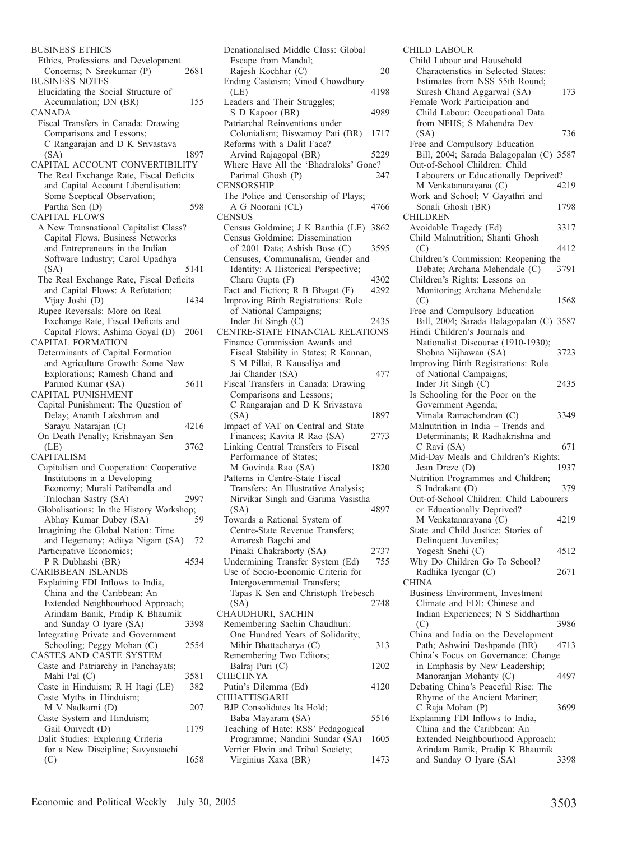| <b>BUSINESS ETHICS</b>                   |      |
|------------------------------------------|------|
| Ethics, Professions and Development      |      |
| Concerns; N Sreekumar (P)                | 2681 |
| <b>BUSINESS NOTES</b>                    |      |
|                                          |      |
| Elucidating the Social Structure of      |      |
| Accumulation; DN (BR)                    | 155  |
| CANADA                                   |      |
| Fiscal Transfers in Canada: Drawing      |      |
| Comparisons and Lessons;                 |      |
| C Rangarajan and D K Srivastava          |      |
| (SA)                                     | 1897 |
| CAPITAL ACCOUNT CONVERTIBILITY           |      |
| The Real Exchange Rate, Fiscal Deficits  |      |
| and Capital Account Liberalisation:      |      |
|                                          |      |
| Some Sceptical Observation;              |      |
| Partha Sen (D)                           | 598  |
| <b>CAPITAL FLOWS</b>                     |      |
| A New Transnational Capitalist Class?    |      |
| Capital Flows, Business Networks         |      |
| and Entrepreneurs in the Indian          |      |
| Software Industry; Carol Upadhya         |      |
| (SA)                                     | 5141 |
| The Real Exchange Rate, Fiscal Deficits  |      |
|                                          |      |
| and Capital Flows: A Refutation;         |      |
| Vijay Joshi (D)                          | 1434 |
| Rupee Reversals: More on Real            |      |
| Exchange Rate, Fiscal Deficits and       |      |
| Capital Flows; Ashima Goyal (D)          | 2061 |
| <b>CAPITAL FORMATION</b>                 |      |
| Determinants of Capital Formation        |      |
| and Agriculture Growth: Some New         |      |
|                                          |      |
| Explorations; Ramesh Chand and           |      |
| Parmod Kumar (SA)                        | 5611 |
| CAPITAL PUNISHMENT                       |      |
| Capital Punishment: The Question of      |      |
| Delay; Ananth Lakshman and               |      |
| Sarayu Natarajan (C)                     | 4216 |
| On Death Penalty; Krishnayan Sen         |      |
| (LE)                                     | 3762 |
| <b>CAPITALISM</b>                        |      |
|                                          |      |
| Capitalism and Cooperation: Cooperative  |      |
| Institutions in a Developing             |      |
| Economy; Murali Patibandla and           |      |
| Trilochan Sastry (SA)                    | 2997 |
| Globalisations: In the History Workshop; |      |
| Abhay Kumar Dubey (SA)                   | 59   |
| Imagining the Global Nation: Time        |      |
| and Hegemony; Aditya Nigam (SA)          | 72   |
| Participative Economics;                 |      |
| P R Dubhashi (BR)                        | 4534 |
|                                          |      |
| <b>CARIBBEAN ISLANDS</b>                 |      |
| Explaining FDI Inflows to India,         |      |
| China and the Caribbean: An              |      |
| Extended Neighbourhood Approach;         |      |
| Arindam Banik, Pradip K Bhaumik          |      |
| and Sunday O Iyare (SA)                  | 3398 |
| Integrating Private and Government       |      |
| Schooling; Peggy Mohan (C)               | 2554 |
| CASTES AND CASTE SYSTEM                  |      |
|                                          |      |
| Caste and Patriarchy in Panchayats;      |      |
| Mahi Pal (C)                             | 3581 |
| Caste in Hinduism; R H Itagi (LE)        | 382  |
| Caste Myths in Hinduism;                 |      |
| M V Nadkarni (D)                         | 207  |
| Caste System and Hinduism;               |      |
| Gail Omvedt (D)                          | 1179 |
| Dalit Studies: Exploring Criteria        |      |
| for a New Discipline; Savyasaachi        |      |
|                                          |      |
| (C)                                      | 1658 |

| Escape from Mandal;                                               |      |
|-------------------------------------------------------------------|------|
| Rajesh Kochhar (C)                                                | 20   |
| Ending Casteism; Vinod Chowdhury                                  |      |
| (LE)<br>Leaders and Their Struggles;                              | 4198 |
| S D Kapoor (BR)                                                   | 4989 |
| Patriarchal Reinventions under<br>Colonialism; Biswamoy Pati (BR) | 1717 |
| Reforms with a Dalit Face?                                        |      |
| Arvind Rajagopal (BR)                                             | 5229 |
| Where Have All the 'Bhadraloks' Gone?                             |      |
| Parimal Ghosh (P)                                                 | 247  |
| <b>CENSORSHIP</b>                                                 |      |
| The Police and Censorship of Plays;                               |      |
| A G Noorani (CL)                                                  | 4766 |
| <b>CENSUS</b>                                                     |      |
| Census Goldmine; J K Banthia (LE)                                 | 3862 |
| Census Goldmine: Dissemination                                    |      |
| of 2001 Data; Ashish Bose (C)                                     | 3595 |
| Censuses, Communalism, Gender and                                 |      |
| Identity: A Historical Perspective;                               |      |
| Charu Gupta (F)                                                   | 4302 |
| Fact and Fiction; R B Bhagat (F)                                  | 4292 |
| Improving Birth Registrations: Role                               |      |
|                                                                   |      |
| of National Campaigns;                                            |      |
| Inder Jit Singh (C)                                               | 2435 |
| CENTRE-STATE FINANCIAL RELATIONS                                  |      |
| Finance Commission Awards and                                     |      |
| Fiscal Stability in States; R Kannan,                             |      |
| S M Pillai, R Kausaliya and                                       |      |
| Jai Chander (SA)                                                  | 477  |
| Fiscal Transfers in Canada: Drawing                               |      |
| Comparisons and Lessons;                                          |      |
| C Rangarajan and D K Srivastava                                   |      |
| (SA)                                                              | 1897 |
| Impact of VAT on Central and State                                |      |
| Finances; Kavita R Rao (SA)                                       | 2773 |
|                                                                   |      |
| Linking Central Transfers to Fiscal                               |      |
| Performance of States;                                            |      |
| M Govinda Rao (SA)                                                | 1820 |
| Patterns in Centre-State Fiscal                                   |      |
| Transfers: An Illustrative Analysis;                              |      |
| Nirvikar Singh and Garima Vasistha                                |      |
| (SA)                                                              | 4897 |
| Towards a Rational System of                                      |      |
| Centre-State Revenue Transfers;                                   |      |
| Amaresh Bagchi and                                                |      |
| Pinaki Chakraborty (SA)                                           | 2737 |
| Undermining Transfer System (Ed)                                  | 755  |
| Use of Socio-Economic Criteria for                                |      |
| Intergovernmental Transfers;                                      |      |
| Tapas K Sen and Christoph Trebesch                                |      |
| (SA)                                                              | 2748 |
| CHAUDHURI, SACHIN                                                 |      |
| Remembering Sachin Chaudhuri:                                     |      |
|                                                                   |      |
| One Hundred Years of Solidarity;                                  |      |
| Mihir Bhattacharya (C)                                            | 313  |
| Remembering Two Editors;                                          |      |
| Balraj Puri (C)                                                   | 1202 |
| <b>CHECHNYA</b>                                                   |      |
| Putin's Dilemma (Ed)                                              | 4120 |
| CHHATTISGARH                                                      |      |
| BJP Consolidates Its Hold;                                        |      |
| Baba Mayaram (SA)                                                 | 5516 |
| Teaching of Hate: RSS' Pedagogical                                |      |
| Programme; Nandini Sundar (SA)                                    | 1605 |
|                                                                   |      |
|                                                                   |      |
| Verrier Elwin and Tribal Society;<br>Virginius Xaxa (BR)          | 1473 |

Denationalised Middle Class: Global

| <b>CHILD LABOUR</b>                                                      |      |
|--------------------------------------------------------------------------|------|
| Child Labour and Household                                               |      |
| Characteristics in Selected States:                                      |      |
| Estimates from NSS 55th Round;<br>Suresh Chand Aggarwal (SA)             | 173  |
| Female Work Participation and                                            |      |
| Child Labour: Occupational Data                                          |      |
| from NFHS; S Mahendra Dev                                                |      |
| (SA)                                                                     | 736  |
| Free and Compulsory Education                                            |      |
| Bill, 2004; Sarada Balagopalan (C) 3587                                  |      |
| Out-of-School Children: Child                                            |      |
| Labourers or Educationally Deprived?                                     |      |
| M Venkatanarayana (C)                                                    | 4219 |
| Work and School; V Gayathri and<br>Sonali Ghosh (BR)                     | 1798 |
| <b>CHILDREN</b>                                                          |      |
| Avoidable Tragedy (Ed)                                                   | 3317 |
| Child Malnutrition; Shanti Ghosh                                         |      |
| (C)                                                                      | 4412 |
| Children's Commission: Reopening the                                     |      |
| Debate; Archana Mehendale (C)                                            | 3791 |
| Children's Rights: Lessons on                                            |      |
| Monitoring; Archana Mehendale                                            |      |
| (C)                                                                      | 1568 |
| Free and Compulsory Education                                            |      |
| Bill, 2004; Sarada Balagopalan (C) 3587<br>Hindi Children's Journals and |      |
| Nationalist Discourse (1910-1930);                                       |      |
| Shobna Nijhawan (SA)                                                     | 3723 |
| Improving Birth Registrations: Role                                      |      |
| of National Campaigns;                                                   |      |
| Inder Jit Singh (C)                                                      | 2435 |
| Is Schooling for the Poor on the                                         |      |
| Government Agenda;                                                       |      |
| Vimala Ramachandran (C)                                                  | 3349 |
| Malnutrition in India - Trends and                                       |      |
| Determinants; R Radhakrishna and<br>C Ravi (SA)                          | 671  |
| Mid-Day Meals and Children's Rights;                                     |      |
| Jean Dreze (D)                                                           | 1937 |
| Nutrition Programmes and Children;                                       |      |
| S Indrakant (D)                                                          | 379  |
| Out-of-School Children: Child Labourers                                  |      |
| or Educationally Deprived?                                               |      |
| M Venkatanarayana (C)                                                    | 4219 |
| State and Child Justice: Stories of                                      |      |
| Delinquent Juveniles;                                                    |      |
| Yogesh Snehi (C)<br>Why Do Children Go To School?                        | 4512 |
| Radhika Iyengar (C)                                                      | 2671 |
| <b>CHINA</b>                                                             |      |
| Business Environment, Investment                                         |      |
| Climate and FDI: Chinese and                                             |      |
|                                                                          |      |
| Indian Experiences; N S Siddharthan                                      |      |
| (C)                                                                      | 3986 |
| China and India on the Development                                       |      |
| Path; Ashwini Deshpande (BR)                                             | 4713 |
| China's Focus on Governance: Change                                      |      |
| in Emphasis by New Leadership;                                           |      |
| Manoranjan Mohanty (C)                                                   | 4497 |
| Debating China's Peaceful Rise: The                                      |      |
| Rhyme of the Ancient Mariner;<br>C Raja Mohan (P)                        | 3699 |
| Explaining FDI Inflows to India,                                         |      |
| China and the Caribbean: An                                              |      |
| Extended Neighbourhood Approach;                                         |      |
| Arindam Banik, Pradip K Bhaumik<br>and Sunday O Iyare (SA)               | 3398 |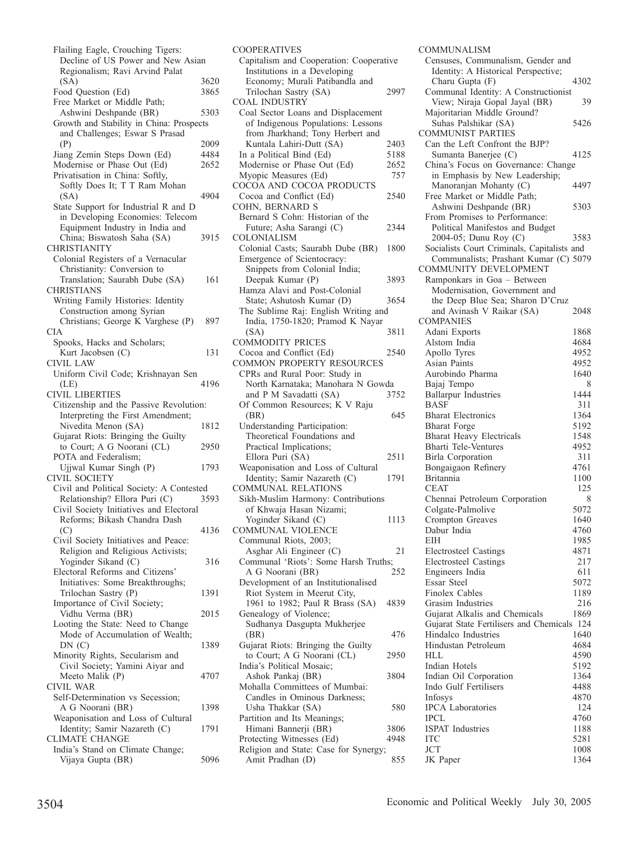| Flailing Eagle, Crouching Tigers:                                        |      |
|--------------------------------------------------------------------------|------|
| Decline of US Power and New Asian<br>Regionalism; Ravi Arvind Palat      |      |
| (SA)                                                                     | 3620 |
| Food Question (Ed)                                                       | 3865 |
| Free Market or Middle Path;                                              |      |
| Ashwini Deshpande (BR)                                                   | 5303 |
| Growth and Stability in China: Prospects                                 |      |
| and Challenges; Eswar S Prasad                                           |      |
| (P)                                                                      | 2009 |
| Jiang Zemin Steps Down (Ed)                                              | 4484 |
| Modernise or Phase Out (Ed)                                              | 2652 |
| Privatisation in China: Softly,                                          |      |
| Softly Does It; T T Ram Mohan                                            |      |
| (SA)                                                                     | 4904 |
| State Support for Industrial R and D                                     |      |
| in Developing Economies: Telecom                                         |      |
| Equipment Industry in India and                                          | 3915 |
| China; Biswatosh Saha (SA)<br><b>CHRISTIANITY</b>                        |      |
| Colonial Registers of a Vernacular                                       |      |
| Christianity: Conversion to                                              |      |
| Translation; Saurabh Dube (SA)                                           | 161  |
| <b>CHRISTIANS</b>                                                        |      |
| Writing Family Histories: Identity                                       |      |
| Construction among Syrian                                                |      |
| Christians; George K Varghese (P)                                        | 897  |
| <b>CIA</b>                                                               |      |
| Spooks, Hacks and Scholars;                                              |      |
| Kurt Jacobsen (C)                                                        | 131  |
| <b>CIVIL LAW</b>                                                         |      |
| Uniform Civil Code; Krishnayan Sen                                       | 4196 |
| (LE)<br><b>CIVIL LIBERTIES</b>                                           |      |
| Citizenship and the Passive Revolution:                                  |      |
| Interpreting the First Amendment;                                        |      |
| Nivedita Menon (SA)                                                      | 1812 |
| Gujarat Riots: Bringing the Guilty                                       |      |
| to Court; A G Noorani (CL)                                               | 2950 |
| POTA and Federalism;                                                     |      |
| Ujjwal Kumar Singh (P)                                                   | 1793 |
| <b>CIVIL SOCIETY</b>                                                     |      |
| Civil and Political Society: A Contested                                 |      |
| Relationship? Ellora Puri (C)<br>Civil Society Initiatives and Electoral | 3593 |
| Reforms; Bikash Chandra Dash                                             |      |
| (C)                                                                      | 4136 |
| Civil Society Initiatives and Peace:                                     |      |
| Religion and Religious Activists;                                        |      |
| Yoginder Sikand (C)                                                      | 316  |
| Electoral Reforms and Citizens'                                          |      |
| Initiatives: Some Breakthroughs;                                         |      |
| Trilochan Sastry (P)                                                     | 1391 |
| Importance of Civil Society;                                             |      |
| Vidhu Verma (BR)                                                         | 2015 |
| Looting the State: Need to Change                                        |      |
| Mode of Accumulation of Wealth;<br>DN(C)                                 | 1389 |
| Minority Rights, Secularism and                                          |      |
| Civil Society; Yamini Aiyar and                                          |      |
| Meeto Malik (P)                                                          | 4707 |
| CIVIL WAR                                                                |      |
| Self-Determination vs Secession;                                         |      |
| A G Noorani (BR)                                                         | 1398 |
| Weaponisation and Loss of Cultural                                       |      |
| Identity; Samir Nazareth (C)                                             |      |
|                                                                          | 1791 |
| <b>CLIMATE CHANGE</b>                                                    |      |
| India's Stand on Climate Change;<br>Vijaya Gupta (BR)                    | 5096 |

| <b>COOPERATIVES</b>                                                |      |
|--------------------------------------------------------------------|------|
| Capitalism and Cooperation: Cooperative                            |      |
| Institutions in a Developing                                       |      |
| Economy; Murali Patibandla and                                     |      |
| Trilochan Sastry (SA)                                              | 2997 |
| <b>COAL INDUSTRY</b>                                               |      |
| Coal Sector Loans and Displacement                                 |      |
| of Indigenous Populations: Lessons                                 |      |
| from Jharkhand; Tony Herbert and                                   |      |
| Kuntala Lahiri-Dutt (SA)                                           | 2403 |
| In a Political Bind (Ed)                                           | 5188 |
| Modernise or Phase Out (Ed)                                        | 2652 |
| Myopic Measures (Ed)                                               | 757  |
| COCOA AND COCOA PRODUCTS                                           |      |
| Cocoa and Conflict (Ed)                                            | 2540 |
| COHN, BERNARD S                                                    |      |
| Bernard S Cohn: Historian of the                                   |      |
| Future; Asha Sarangi (C)                                           | 2344 |
| COLONIALISM                                                        |      |
| Colonial Casts; Saurabh Dube (BR)                                  | 1800 |
| Emergence of Scientocracy:                                         |      |
| Snippets from Colonial India;                                      |      |
| Deepak Kumar (P)                                                   | 3893 |
| Hamza Alavi and Post-Colonial                                      |      |
| State; Ashutosh Kumar (D)                                          | 3654 |
| The Sublime Raj: English Writing and                               |      |
| India, 1750-1820; Pramod K Nayar                                   |      |
| (SA)                                                               | 3811 |
| <b>COMMODITY PRICES</b>                                            |      |
| Cocoa and Conflict (Ed)                                            | 2540 |
| <b>COMMON PROPERTY RESOURCES</b>                                   |      |
| CPRs and Rural Poor: Study in                                      |      |
| North Karnataka; Manohara N Gowda                                  |      |
|                                                                    |      |
| and P M Savadatti (SA)                                             | 3752 |
| Of Common Resources; K V Raju                                      |      |
| (BR)                                                               | 645  |
| Understanding Participation:                                       |      |
| Theoretical Foundations and                                        |      |
| Practical Implications;                                            |      |
| Ellora Puri (SA)                                                   | 2511 |
| Weaponisation and Loss of Cultural                                 |      |
| Identity; Samir Nazareth (C)                                       | 1791 |
| COMMUNAL RELATIONS                                                 |      |
| Sikh-Muslim Harmony: Contributions                                 |      |
| of Khwaja Hasan Nizami;                                            |      |
| Yoginder Sikand (C)                                                | 1113 |
| <b>COMMUNAL VIOLENCE</b>                                           |      |
| Communal Riots, 2003;                                              |      |
| Asghar Ali Engineer (C)                                            | 21   |
| Communal 'Riots': Some Harsh Truths;                               |      |
| A G Noorani (BR)                                                   | 252  |
| Development of an Institutionalised                                |      |
| Riot System in Meerut City,                                        |      |
| 1961 to 1982; Paul R Brass (SA)                                    | 4839 |
| Genealogy of Violence;                                             |      |
| Sudhanya Dasgupta Mukherjee                                        |      |
| (BR)                                                               | 476  |
| Gujarat Riots: Bringing the Guilty                                 |      |
| to Court; A G Noorani (CL)                                         | 2950 |
| India's Political Mosaic;                                          |      |
| Ashok Pankaj (BR)                                                  | 3804 |
| Mohalla Committees of Mumbai:                                      |      |
| Candles in Ominous Darkness;                                       |      |
| Usha Thakkar (SA)                                                  | 580  |
| Partition and Its Meanings;                                        | 3806 |
| Himani Bannerji (BR)                                               | 4948 |
| Protecting Witnesses (Ed)<br>Religion and State: Case for Synergy; |      |

COMMUNALISM Censuses, Communalism, Gender and Identity: A Historical Perspective; Charu Gupta (F) 4302 Communal Identity: A Constructionist View; Niraja Gopal Jayal (BR) 39 Majoritarian Middle Ground? Suhas Palshikar (SA) 5426 COMMUNIST PARTIES Can the Left Confront the BJP? Sumanta Banerjee (C) 4125 China's Focus on Governance: Change in Emphasis by New Leadership; Manoranjan Mohanty (C) 4497 Free Market or Middle Path; Ashwini Deshpande (BR) 5303 From Promises to Performance: Political Manifestos and Budget 2004-05; Dunu Roy (C) 3583 Socialists Court Criminals, Capitalists and Communalists; Prashant Kumar (C) 5079 COMMUNITY DEVELOPMENT Ramponkars in Goa – Between Modernisation, Government and the Deep Blue Sea; Sharon D'Cruz and Avinash V Raikar (SA) 2048 COMPANIES Adani Exports<br>Alstom India 1868 Alstom India 4684<br>Apollo Tyres 4952 Apollo Tyres 4952<br>Asian Paints 4952 Asian Paints 4952<br>Aurobindo Pharma 1640 Aurobindo Pharma 1640 Bajaj Tempo 8<br>Ballarpur Industries 1444 Ballarpur Industries 1444<br>BASF 111 BASF 311<br>Bharat Electronics 31364 Bharat Electronics 1364<br>Bharat Forge 5192 Bharat Forge 5192<br>Bharat Heavy Electricals 51548 Bharat Heavy Electricals 1548<br>Bharti Tele-Ventures 4952 Bharti Tele-Ventures 4952<br>Birla Corporation 311 Birla Corporation Bongaigaon Refinery 4761<br>Britannia 1100 Britannia 1100<br>CEAT 125 **CEAT** Chennai Petroleum Corporation 8<br>Colgate-Palmolive 5072 Colgate-Palmolive Crompton Greaves 1640<br>Dabur India 1760 Dabur India 4760 EIH 1985 Electrosteel Castings 4871 Electrosteel Castings 217<br>Engineers India 611 Engineers India 611<br>Essar Steel 5072 Essar Steel Finolex Cables 1189<br>Grasim Industries 216 Grasim Industries 216<br>Guiarat Alkalis and Chemicals 1869 Gujarat Alkalis and Chemicals Gujarat State Fertilisers and Chemicals 124<br>Hindalco Industries 1640 Hindalco Industries 1640<br>Hindustan Petroleum 1684 Hindustan Petroleum HLL 4590 Indian Hotels 5192<br>Indian Oil Corporation 51364 Indian Oil Corporation<br>Indo Gulf Fertilisers 4488 Indo Gulf Fertilisers 4488<br>Infosys 4870 Infosys 4870<br>IPCA Laboratories 124 IPCA Laboratories 124 IPCL 4760<br>ISPAT Industries 1188 ISPAT Industries<br>ITC  $\frac{5281}{1008}$  $JCT$  1008 JK Paper 1364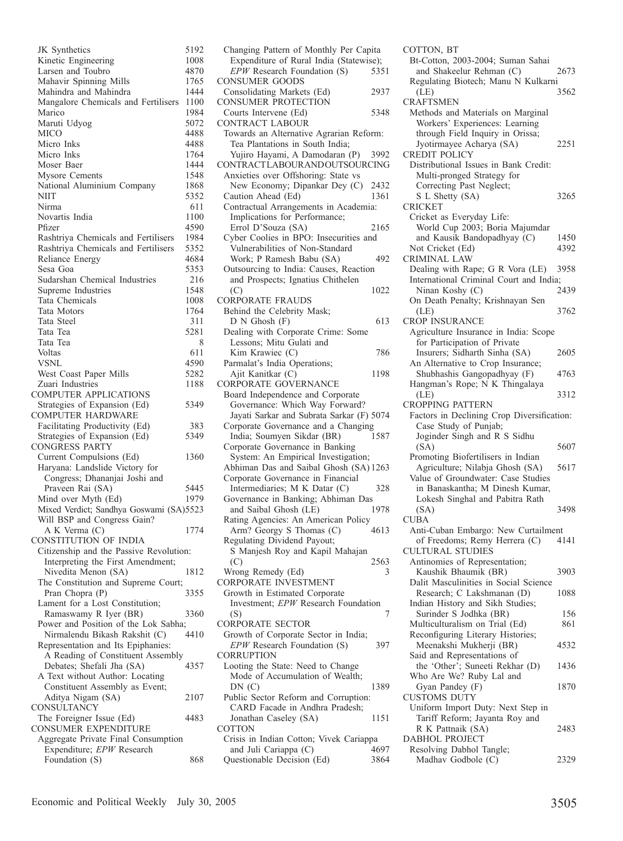JK Synthetics 5192<br>Kinetic Engineering 1008 Kinetic Engineering 1008<br>Larsen and Toubro 1870 Larsen and Toubro 1870<br>Mahavir Spinning Mills 1765 Mahavir Spinning Mills 1765<br>Mahindra and Mahindra 1444 Mahindra and Mahindra Mangalore Chemicals and Fertilisers 1100<br>Marico 1984 Marico 1984<br>Maruti Udvog 5072 Maruti Udvog MICO 4488<br>Micro Inks 4488 Micro Inks 4488<br>Micro Inks 1764 Micro Inks 1764<br>Moser Baer 1444 Moser Baer Mysore Cements 1548 National Aluminium Company 1868<br>NIIT 5352 NIIT 5352 Nirma 611 Novartis India 1100<br>Pfizer 1590 Pfizer 4590 Rashtriya Chemicals and Fertilisers 1984 Rashtriya Chemicals and Fertilisers 5352 Reliance Energy 4684<br>Sesa Goa 5353 Sesa Goa Sudarshan Chemical Industries 216<br>Supreme Industries 1548 Supreme Industries 1548<br>Tata Chemicals 1008 Tata Chemicals Tata Motors 1764 Tata Steel 311 Tata Tea 5281<br>Tata Tea 6281 Tata Tea 611 Voltas 611<br>VSNL 4590 VSNL 4590 West Coast Paper Mills 5282 Zuari Industries 1188 COMPUTER APPLICATIONS Strategies of Expansion (Ed) 5349 COMPUTER HARDWARE Facilitating Productivity (Ed) 383<br>Strategies of Expansion (Ed) 5349 Strategies of Expansion (Ed) CONGRESS PARTY Current Compulsions (Ed) 1360 Haryana: Landslide Victory for Congress; Dhananjai Joshi and Praveen Rai (SA) 5445 Mind over Myth (Ed) 1979 Mixed Verdict; Sandhya Goswami (SA)5523 Will BSP and Congress Gain? A K Verma (C) 1774 CONSTITUTION OF INDIA Citizenship and the Passive Revolution: Interpreting the First Amendment; Nivedita Menon (SA) 1812 The Constitution and Supreme Court; Pran Chopra (P) 3355 Lament for a Lost Constitution; Ramaswamy R Iyer (BR) 3360 Power and Position of the Lok Sabha;<br>Nirmalendu Bikash Rakshit (C) 4410 Nirmalendu Bikash Rakshit (C) Representation and Its Epiphanies: A Reading of Constituent Assembly Debates; Shefali Jha (SA) 4357 A Text without Author: Locating Constituent Assembly as Event; Aditya Nigam (SA) 2107 CONSULTANCY The Foreigner Issue (Ed) 4483 CONSUMER EXPENDITURE Aggregate Private Final Consumption Expenditure; *EPW* Research Foundation (S) 868

Changing Pattern of Monthly Per Capita Expenditure of Rural India (Statewise);<br>*EPW* Research Foundation (S) 5351 *EPW* Research Foundation (S) CONSUMER GOODS Consolidating Markets (Ed) 2937 CONSUMER PROTECTION Courts Intervene (Ed) 5348 CONTRACT LABOUR Towards an Alternative Agrarian Reform: Tea Plantations in South India; Yujiro Hayami, A Damodaran (P) 3992 CONTRACT LABOUR AND OUTSOURCING Anxieties over Offshoring: State vs New Economy; Dipankar Dey (C) 2432<br>aution Ahead (Ed) 1361 Caution Ahead (Ed) Contractual Arrangements in Academia: Implications for Performance; Errol D'Souza (SA) 2165 Cyber Coolies in BPO: Insecurities and Vulnerabilities of Non-Standard Work; P Ramesh Babu (SA) 492 Outsourcing to India: Causes, Reaction and Prospects; Ignatius Chithelen  $1022$ CORPORATE FRAUDS Behind the Celebrity Mask;  $D \text{ N Ghosh}$  (F) 613 Dealing with Corporate Crime: Some Lessons; Mitu Gulati and Kim Krawiec (C) 786 Parmalat's India Operations; Ajit Kanitkar (C) 1198 CORPORATE GOVERNANCE Board Independence and Corporate Governance: Which Way Forward? Jayati Sarkar and Subrata Sarkar (F) 5074 Corporate Governance and a Changing<br>India: Soumven Sikdar (BR) 1587 India; Soumyen Sikdar (BR) Corporate Governance in Banking System: An Empirical Investigation; Abhiman Das and Saibal Ghosh (SA) 1263 Corporate Governance in Financial Intermediaries; M K Datar (C) 328 Governance in Banking; Abhiman Das<br>and Saibal Ghosh (LE) 1978 and Saibal Ghosh (LE) Rating Agencies: An American Policy Arm? Georgy S Thomas (C) 4613 Regulating Dividend Payout; S Manjesh Roy and Kapil Mahajan (C) 2563 Wrong Remedy (Ed) 3 CORPORATE INVESTMENT Growth in Estimated Corporate Investment; *EPW* Research Foundation  $($ S $)$  7 CORPORATE SECTOR Growth of Corporate Sector in India; *EPW* Research Foundation (S) 397 CORRUPTION Looting the State: Need to Change Mode of Accumulation of Wealth; DN (C) 1389 Public Sector Reform and Corruption: CARD Facade in Andhra Pradesh; Jonathan Caseley (SA) 1151 **COTTON** Crisis in Indian Cotton; Vivek Cariappa and Juli Cariappa (C) 4697 Questionable Decision (Ed) 3864

COTTON, BT Bt-Cotton, 2003-2004; Suman Sahai and Shakeelur Rehman (C) 2673 Regulating Biotech; Manu N Kulkarni<br>(LE) 3562 (LE) 3562 CRAFTSMEN Methods and Materials on Marginal Workers' Experiences: Learning through Field Inquiry in Orissa; Jyotirmayee Acharya (SA) 2251 CREDIT POLICY Distributional Issues in Bank Credit: Multi-pronged Strategy for Correcting Past Neglect; S L Shetty (SA) 3265 CRICKET Cricket as Everyday Life: World Cup 2003; Boria Majumdar and Kausik Bandopadhyay (C) 1450 Not Cricket (Ed) 4392 CRIMINAL LAW Dealing with Rape; G R Vora (LE) 3958 International Criminal Court and India;<br>Ninan Koshy (C) 2439 Ninan Koshy (C) On Death Penalty; Krishnayan Sen (LE) 3762 CROP INSURANCE Agriculture Insurance in India: Scope for Participation of Private Insurers; Sidharth Sinha (SA) 2605 An Alternative to Crop Insurance; Shubhashis Gangopadhyay (F) 4763 Hangman's Rope; N K Thingalaya (LE) 3312 CROPPING PATTERN Factors in Declining Crop Diversification: Case Study of Punjab; Joginder Singh and R S Sidhu (SA) 5607 Promoting Biofertilisers in Indian Agriculture; Nilabja Ghosh (SA) 5617 Value of Groundwater: Case Studies in Banaskantha; M Dinesh Kumar, Lokesh Singhal and Pabitra Rath (SA) 3498 CUBA Anti-Cuban Embargo: New Curtailment of Freedoms; Remy Herrera (C) 4141 CULTURAL STUDIES Antinomies of Representation; Kaushik Bhaumik (BR) 3903 Dalit Masculinities in Social Science Research; C Lakshmanan (D) 1088 Indian History and Sikh Studies; Surinder S Jodhka (BR) 156 Multiculturalism on Trial (Ed) 861 Reconfiguring Literary Histories; Meenakshi Mukherji (BR) 4532 Said and Representations of the 'Other'; Suneeti Rekhar (D) 1436 Who Are We? Ruby Lal and Gyan Pandey (F) 1870 CUSTOMS DUTY Uniform Import Duty: Next Step in Tariff Reform; Jayanta Roy and R K Pattnaik (SA) 2483 DABHOL PROJECT Resolving Dabhol Tangle; Madhav Godbole (C) 2329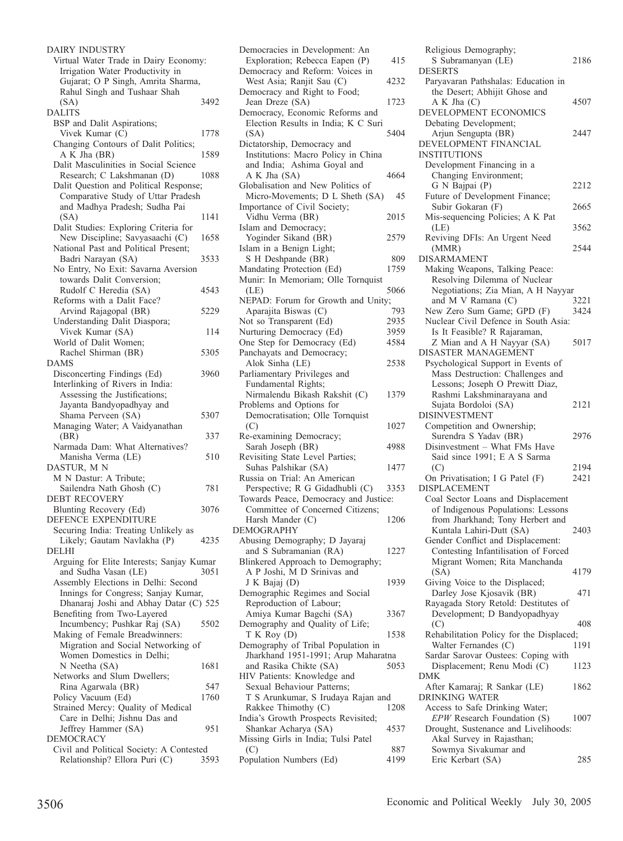| DAIRY INDUSTRY<br>Virtual Water Trade in Dairy Economy:<br>Irrigation Water Productivity in<br>Gujarat; O P Singh, Amrita Sharma, |      |
|-----------------------------------------------------------------------------------------------------------------------------------|------|
| Rahul Singh and Tushaar Shah                                                                                                      |      |
| (SA)<br><b>DALITS</b>                                                                                                             | 3492 |
| BSP and Dalit Aspirations;                                                                                                        |      |
| Vivek Kumar (C)                                                                                                                   | 1778 |
| Changing Contours of Dalit Politics;<br>A K Jha (BR)                                                                              | 1589 |
| Dalit Masculinities in Social Science                                                                                             |      |
| Research; C Lakshmanan (D)<br>Dalit Question and Political Response;                                                              | 1088 |
| Comparative Study of Uttar Pradesh                                                                                                |      |
| and Madhya Pradesh; Sudha Pai                                                                                                     |      |
| (SA)                                                                                                                              | 1141 |
| Dalit Studies: Exploring Criteria for<br>New Discipline; Savyasaachi (C)                                                          | 1658 |
| National Past and Political Present;                                                                                              |      |
| Badri Narayan (SA)                                                                                                                | 3533 |
| No Entry, No Exit: Savarna Aversion<br>towards Dalit Conversion;                                                                  |      |
| Rudolf C Heredia (SA)                                                                                                             | 4543 |
| Reforms with a Dalit Face?                                                                                                        |      |
| Arvind Rajagopal (BR)                                                                                                             | 5229 |
| Understanding Dalit Diaspora;                                                                                                     |      |
| Vivek Kumar (SA)<br>World of Dalit Women;                                                                                         | 114  |
| Rachel Shirman (BR)                                                                                                               | 5305 |
| DAMS                                                                                                                              |      |
| Disconcerting Findings (Ed)<br>Interlinking of Rivers in India:                                                                   | 3960 |
| Assessing the Justifications;                                                                                                     |      |
| Jayanta Bandyopadhyay and                                                                                                         |      |
| Shama Perveen (SA)                                                                                                                | 5307 |
| Managing Water; A Vaidyanathan                                                                                                    |      |
| (BR)<br>Narmada Dam: What Alternatives?                                                                                           | 337  |
| Manisha Verma (LE)                                                                                                                | 510  |
| DASTUR, MN                                                                                                                        |      |
| M N Dastur: A Tribute;                                                                                                            |      |
| Sailendra Nath Ghosh (C)<br><b>DEBT RECOVERY</b>                                                                                  | 781  |
| Blunting Recovery (Ed)                                                                                                            | 3076 |
| DEFENCE EXPENDITURE                                                                                                               |      |
| Securing India: Treating Unlikely as                                                                                              |      |
| Likely; Gautam Navlakha (P)<br>DELHI                                                                                              | 4235 |
| Arguing for Elite Interests; Sanjay Kumar                                                                                         |      |
| and Sudha Vasan (LE)                                                                                                              | 3051 |
| Assembly Elections in Delhi: Second                                                                                               |      |
| Innings for Congress; Sanjay Kumar,                                                                                               |      |
| Dhanaraj Joshi and Abhay Datar (C) 525<br>Benefiting from Two-Layered                                                             |      |
| Incumbency; Pushkar Raj (SA)                                                                                                      | 5502 |
| Making of Female Breadwinners:                                                                                                    |      |
| Migration and Social Networking of                                                                                                |      |
| Women Domestics in Delhi;<br>N Neetha (SA)                                                                                        | 1681 |
| Networks and Slum Dwellers;                                                                                                       |      |
| Rina Agarwala (BR)                                                                                                                | 547  |
| Policy Vacuum (Ed)                                                                                                                | 1760 |
| Strained Mercy: Quality of Medical<br>Care in Delhi; Jishnu Das and                                                               |      |
| Jeffrey Hammer (SA)                                                                                                               | 951  |
| DEMOCRACY                                                                                                                         |      |
| Civil and Political Society: A Contested                                                                                          |      |
| Relationship? Ellora Puri (C)                                                                                                     | 3593 |

| Democracies in Development: An                                                                    | 415  |
|---------------------------------------------------------------------------------------------------|------|
| Exploration; Rebecca Eapen (P)<br>Democracy and Reform: Voices in                                 |      |
| West Asia; Ranjit Sau (C)<br>Democracy and Right to Food;                                         | 4232 |
| Jean Dreze (SA)                                                                                   | 1723 |
| Democracy, Economic Reforms and<br>Election Results in India; K C Suri<br>(SA)                    | 5404 |
| Dictatorship, Democracy and<br>Institutions: Macro Policy in China<br>and India; Ashima Goyal and |      |
| A K Jha (SA)<br>Globalisation and New Politics of                                                 | 4664 |
| Micro-Movements; D L Sheth (SA)<br>Importance of Civil Society;                                   | 45   |
| Vidhu Verma (BR)                                                                                  | 2015 |
| Islam and Democracy;<br>Yoginder Sikand (BR)                                                      | 2579 |
| Islam in a Benign Light;                                                                          |      |
| S H Deshpande (BR)                                                                                | 809  |
| Mandating Protection (Ed)<br>Munir: In Memoriam; Olle Tornquist                                   | 1759 |
|                                                                                                   |      |
| (LE)<br>NEPAD: Forum for Growth and Unity;                                                        | 5066 |
| Aparajita Biswas (C)                                                                              | 793  |
| Not so Transparent (Ed)                                                                           | 2935 |
| Nurturing Democracy (Ed)                                                                          | 3959 |
| One Step for Democracy (Ed)                                                                       | 4584 |
| Panchayats and Democracy;                                                                         |      |
| Alok Sinha (LE)                                                                                   | 2538 |
| Parliamentary Privileges and                                                                      |      |
| Fundamental Rights;                                                                               |      |
| Nirmalendu Bikash Rakshit (C)                                                                     | 1379 |
| Problems and Options for                                                                          |      |
| Democratisation; Olle Tornquist                                                                   |      |
| (C)                                                                                               | 1027 |
| Re-examining Democracy;<br>Sarah Joseph (BR)                                                      |      |
| Revisiting State Level Parties;                                                                   | 4988 |
| Suhas Palshikar (SA)                                                                              | 1477 |
| Russia on Trial: An American                                                                      |      |
| Perspective; R G Gidadhubli (C)                                                                   | 3353 |
| Towards Peace, Democracy and Justice:                                                             |      |
| Committee of Concerned Citizens;                                                                  |      |
| Harsh Mander (C)                                                                                  | 1206 |
| <b>DEMOGRAPHY</b>                                                                                 |      |
| Abusing Demography; D Jayaraj                                                                     |      |
| and S Subramanian (RA)                                                                            | 1227 |
| Blinkered Approach to Demography;                                                                 |      |
| A P Joshi, M D Srinivas and                                                                       |      |
| J K Bajaj (D)                                                                                     | 1939 |
| Demographic Regimes and Social<br>Reproduction of Labour;                                         |      |
| Amiya Kumar Bagchi (SA)                                                                           | 3367 |
| Demography and Quality of Life;                                                                   |      |
| $TK$ Roy $(D)$                                                                                    | 1538 |
| Demography of Tribal Population in                                                                |      |
| Jharkhand 1951-1991; Arup Maharatna                                                               |      |
| and Rasika Chikte (SA)                                                                            | 5053 |
| HIV Patients: Knowledge and                                                                       |      |
| Sexual Behaviour Patterns;                                                                        |      |
| T S Arunkumar, S Irudaya Rajan and                                                                |      |
| Rakkee Thimothy (C)                                                                               | 1208 |
| India's Growth Prospects Revisited;                                                               |      |
| Shankar Acharya (SA)<br>Missing Girls in India; Tulsi Patel                                       | 4537 |
| (C)                                                                                               | 887  |
| Population Numbers (Ed)                                                                           | 4199 |
|                                                                                                   |      |

| Religious Demography;                                                  |      |
|------------------------------------------------------------------------|------|
| S Subramanyan (LE)                                                     | 2186 |
| <b>DESERTS</b><br>Paryavaran Pathshalas: Education in                  |      |
| the Desert; Abhijit Ghose and                                          |      |
| A K Jha (C)                                                            | 4507 |
| DEVELOPMENT ECONOMICS                                                  |      |
| Debating Development;                                                  |      |
| Arjun Sengupta (BR)<br>DEVELOPMENT FINANCIAL                           | 2447 |
| INSTITUTIONS                                                           |      |
| Development Financing in a                                             |      |
| Changing Environment;                                                  |      |
| G N Bajpai (P)                                                         | 2212 |
| Future of Development Finance;                                         |      |
| Subir Gokaran (F)<br>Mis-sequencing Policies; A K Pat                  | 2665 |
| (LE)                                                                   | 3562 |
| Reviving DFIs: An Urgent Need                                          |      |
| (MMR)                                                                  | 2544 |
| <b>DISARMAMENT</b>                                                     |      |
| Making Weapons, Talking Peace:                                         |      |
| Resolving Dilemma of Nuclear                                           |      |
| Negotiations; Zia Mian, A H Nayyar<br>and M V Ramana (C)               | 3221 |
| New Zero Sum Game; GPD (F)                                             | 3424 |
| Nuclear Civil Defence in South Asia:                                   |      |
| Is It Feasible? R Rajaraman,                                           |      |
| Z Mian and A H Nayyar (SA)                                             | 5017 |
| DISASTER MANAGEMENT                                                    |      |
| Psychological Support in Events of<br>Mass Destruction: Challenges and |      |
| Lessons; Joseph O Prewitt Diaz,                                        |      |
| Rashmi Lakshminarayana and                                             |      |
| Sujata Bordoloi (SA)                                                   | 2121 |
| <b>DISINVESTMENT</b>                                                   |      |
| Competition and Ownership;                                             |      |
| Surendra S Yadav (BR)                                                  | 2976 |
| Disinvestment - What FMs Have<br>Said since 1991; E A S Sarma          |      |
| (C)                                                                    | 2194 |
| On Privatisation; I G Patel (F)                                        | 2421 |
| <b>DISPLACEMENT</b>                                                    |      |
| Coal Sector Loans and Displacement                                     |      |
| of Indigenous Populations: Lessons<br>from Jharkhand; Tony Herbert and |      |
| Kuntala Lahiri-Dutt (SA)                                               | 2403 |
| Gender Conflict and Displacement:                                      |      |
| Contesting Infantilisation of Forced                                   |      |
| Migrant Women; Rita Manchanda                                          |      |
| (SA)                                                                   | 4179 |
| Giving Voice to the Displaced;<br>Darley Jose Kjosavik (BR)            |      |
| Rayagada Story Retold: Destitutes of                                   | 471  |
| Development; D Bandyopadhyay                                           |      |
| (C)                                                                    | 408  |
| Rehabilitation Policy for the Displaced;                               |      |
| Walter Fernandes (C)                                                   | 1191 |
| Sardar Sarovar Oustees: Coping with                                    |      |
|                                                                        | 1123 |
| Displacement; Renu Modi (C)                                            |      |
| DMK                                                                    | 1862 |
| After Kamaraj; R Sankar (LE)<br><b>DRINKING WATER</b>                  |      |
| Access to Safe Drinking Water;                                         |      |
| EPW Research Foundation (S)                                            | 1007 |
| Drought, Sustenance and Livelihoods:                                   |      |
| Akal Survey in Rajasthan;<br>Sowmya Sivakumar and                      |      |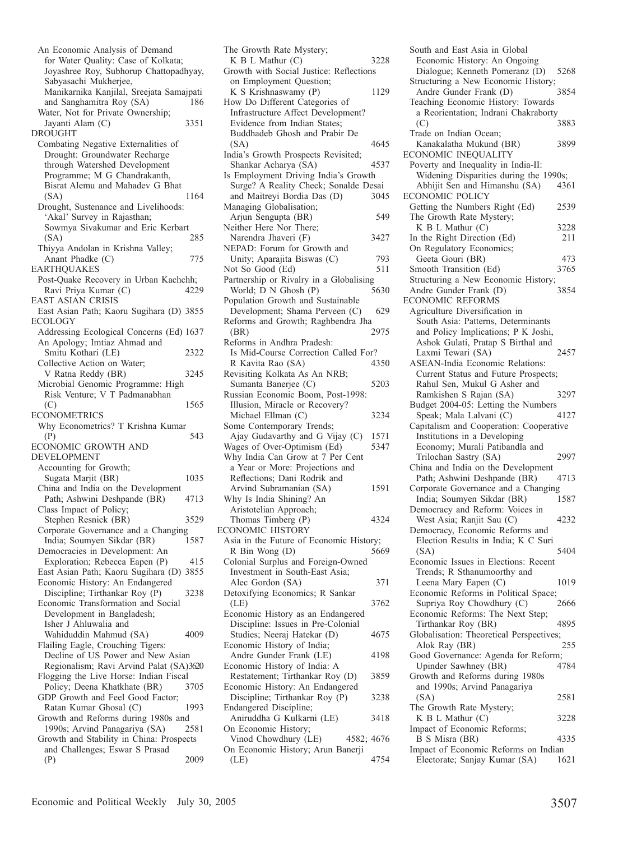| An Economic Analysis of Demand                    |      |
|---------------------------------------------------|------|
| for Water Quality: Case of Kolkata;               |      |
| Joyashree Roy, Subhorup Chattopadhyay,            |      |
| Sabyasachi Mukherjee,                             |      |
| Manikarnika Kanjilal, Sreejata Samajpati          |      |
| and Sanghamitra Roy (SA)                          | 186  |
| Water, Not for Private Ownership;                 |      |
| Jayanti Alam (C)                                  | 3351 |
| <b>DROUGHT</b>                                    |      |
| Combating Negative Externalities of               |      |
| Drought: Groundwater Recharge                     |      |
| through Watershed Development                     |      |
| Programme; M G Chandrakanth,                      |      |
| Bisrat Alemu and Mahadev G Bhat                   |      |
| (SA)                                              | 1164 |
| Drought, Sustenance and Livelihoods:              |      |
| 'Akal' Survey in Rajasthan;                       |      |
| Sowmya Sivakumar and Eric Kerbart                 |      |
| (SA)                                              | 285  |
| Thiyya Andolan in Krishna Valley;                 |      |
| Anant Phadke (C)                                  | 775  |
| <b>EARTHQUAKES</b>                                |      |
| Post-Quake Recovery in Urban Kachchh;             |      |
| Ravi Priya Kumar (C)                              | 4229 |
| EAST ASIAN CRISIS                                 |      |
| East Asian Path; Kaoru Sugihara (D) 3855          |      |
| ECOLOGY                                           |      |
| Addressing Ecological Concerns (Ed) 1637          |      |
| An Apology; Imtiaz Ahmad and                      |      |
| Smitu Kothari (LE)                                | 2322 |
| Collective Action on Water;<br>V Ratna Reddy (BR) | 3245 |
| Microbial Genomic Programme: High                 |      |
| Risk Venture; V T Padmanabhan                     |      |
|                                                   |      |
|                                                   |      |
| (C)                                               | 1565 |
| <b>ECONOMETRICS</b>                               |      |
| Why Econometrics? T Krishna Kumar                 | 543  |
| (P)                                               |      |
| ECONOMIC GROWTH AND<br>DEVELOPMENT                |      |
| Accounting for Growth;                            |      |
| Sugata Marjit (BR)                                | 1035 |
| China and India on the Development                |      |
| Path; Ashwini Deshpande (BR)                      | 4713 |
| Class Impact of Policy;                           |      |
| Stephen Resnick (BR)                              | 3529 |
| Corporate Governance and a Changing               |      |
| India; Soumyen Sikdar (BR)                        | 1587 |
| Democracies in Development: An                    |      |
| Exploration; Rebecca Eapen (P)                    | 415  |
| East Asian Path; Kaoru Sugihara (D) 3855          |      |
| Economic History: An Endangered                   |      |
| Discipline; Tirthankar Roy (P)                    | 3238 |
| Economic Transformation and Social                |      |
| Development in Bangladesh;                        |      |
| Isher J Ahluwalia and                             |      |
| Wahiduddin Mahmud (SA)                            | 4009 |
| Flailing Eagle, Crouching Tigers:                 |      |
| Decline of US Power and New Asian                 |      |
| Regionalism; Ravi Arvind Palat (SA)3620           |      |
| Flogging the Live Horse: Indian Fiscal            |      |
| Policy; Deena Khatkhate (BR)                      | 3705 |
| GDP Growth and Feel Good Factor;                  |      |
| Ratan Kumar Ghosal (C)                            | 1993 |
| Growth and Reforms during 1980s and               |      |
| 1990s; Arvind Panagariya (SA)                     | 2581 |
| Growth and Stability in China: Prospects          |      |
| and Challenges; Eswar S Prasad<br>(P)             | 2009 |

| The Growth Rate Mystery;                                             |      |
|----------------------------------------------------------------------|------|
| K B L Mathur (C)                                                     | 3228 |
| Growth with Social Justice: Reflections                              |      |
| on Employment Question;<br>K S Krishnaswamy (P)                      | 1129 |
| How Do Different Categories of                                       |      |
| Infrastructure Affect Development?                                   |      |
| Evidence from Indian States;                                         |      |
| Buddhadeb Ghosh and Prabir De                                        |      |
| (SA)                                                                 | 4645 |
| India's Growth Prospects Revisited;                                  |      |
| Shankar Acharya (SA)<br>Is Employment Driving India's Growth         | 4537 |
| Surge? A Reality Check; Sonalde Desai                                |      |
| and Maitreyi Bordia Das (D)                                          | 3045 |
| Managing Globalisation;                                              |      |
| Arjun Sengupta (BR)                                                  | 549  |
| Neither Here Nor There;                                              |      |
| Narendra Jhaveri (F)                                                 | 3427 |
| NEPAD: Forum for Growth and<br>Unity; Aparajita Biswas (C)           | 793  |
| Not So Good (Ed)                                                     | 511  |
| Partnership or Rivalry in a Globalising                              |      |
| World; D N Ghosh (P)                                                 | 5630 |
| Population Growth and Sustainable                                    |      |
| Development; Shama Perveen (C)                                       | 629  |
| Reforms and Growth; Raghbendra Jha                                   |      |
| (BR)<br>Reforms in Andhra Pradesh:                                   | 2975 |
| Is Mid-Course Correction Called For?                                 |      |
| R Kavita Rao (SA)                                                    | 4350 |
| Revisiting Kolkata As An NRB;                                        |      |
| Sumanta Banerjee (C)                                                 | 5203 |
| Russian Economic Boom, Post-1998:                                    |      |
| Illusion, Miracle or Recovery?                                       |      |
| Michael Ellman (C)<br>Some Contemporary Trends;                      | 3234 |
| Ajay Gudavarthy and G Vijay (C)                                      | 1571 |
| Wages of Over-Optimism (Ed)                                          | 5347 |
| Why India Can Grow at 7 Per Cent                                     |      |
| a Year or More: Projections and                                      |      |
| Reflections; Dani Rodrik and                                         |      |
| Arvind Subramanian (SA)<br>Why Is India Shining? An                  | 1591 |
| Aristotelian Approach;                                               |      |
| Thomas Timberg (P)                                                   | 4324 |
| ECONOMIC HISTORY<br>Asia in the Future of Economic History;          |      |
|                                                                      |      |
| R Bin Wong (D)                                                       | 5669 |
| Colonial Surplus and Foreign-Owned<br>Investment in South-East Asia; |      |
| Alec Gordon (SA)                                                     | 371  |
| Detoxifying Economics; R Sankar                                      |      |
| (LE)                                                                 | 3762 |
| Economic History as an Endangered                                    |      |
| Discipline: Issues in Pre-Colonial                                   |      |
| Studies; Neeraj Hatekar (D)                                          | 4675 |
| Economic History of India;<br>Andre Gunder Frank (LE)                | 4198 |
| Economic History of India: A                                         |      |
| Restatement; Tirthankar Roy (D)                                      | 3859 |
| Economic History: An Endangered                                      |      |
| Discipline; Tirthankar Roy (P)                                       | 3238 |
| Endangered Discipline;                                               |      |
| Aniruddha G Kulkarni (LE)                                            | 3418 |
| On Economic History;<br>Vinod Chowdhury (LE)<br>4582; 4676           |      |
| On Economic History; Arun Banerji                                    |      |
| (LE)                                                                 | 4754 |
|                                                                      |      |

| South and East Asia in Global                                         |        |
|-----------------------------------------------------------------------|--------|
| Economic History: An Ongoing                                          |        |
| Dialogue; Kenneth Pomeranz (D)<br>Structuring a New Economic History; | - 5268 |
| Andre Gunder Frank (D)                                                | 3854   |
| Teaching Economic History: Towards                                    |        |
| a Reorientation; Indrani Chakraborty                                  |        |
| (C)                                                                   | 3883   |
| Trade on Indian Ocean;                                                |        |
| Kanakalatha Mukund (BR)                                               | 3899   |
| ECONOMIC INEQUALITY<br>Poverty and Inequality in India-II:            |        |
| Widening Disparities during the 1990s;                                |        |
| Abhijit Sen and Himanshu (SA)                                         | 4361   |
| ECONOMIC POLICY                                                       |        |
| Getting the Numbers Right (Ed)                                        | 2539   |
| The Growth Rate Mystery;                                              |        |
| K B L Mathur (C)                                                      | 3228   |
| In the Right Direction (Ed)                                           | 211    |
| On Regulatory Economics;<br>Geeta Gouri (BR)                          | 473    |
| Smooth Transition (Ed)                                                | 3765   |
| Structuring a New Economic History;                                   |        |
| Andre Gunder Frank (D)                                                | 3854   |
| ECONOMIC REFORMS                                                      |        |
| Agriculture Diversification in                                        |        |
| South Asia: Patterns, Determinants                                    |        |
| and Policy Implications; P K Joshi,                                   |        |
| Ashok Gulati, Pratap S Birthal and<br>Laxmi Tewari (SA)               | 2457   |
| <b>ASEAN-India Economic Relations:</b>                                |        |
| Current Status and Future Prospects;                                  |        |
| Rahul Sen, Mukul G Asher and                                          |        |
| Ramkishen S Rajan (SA)                                                | 3297   |
|                                                                       |        |
| Budget 2004-05: Letting the Numbers                                   |        |
| Speak; Mala Lalvani (C)                                               | 4127   |
| Capitalism and Cooperation: Cooperative                               |        |
| Institutions in a Developing                                          |        |
| Economy; Murali Patibandla and                                        | 2997   |
| Trilochan Sastry (SA)<br>China and India on the Development           |        |
| Path; Ashwini Deshpande (BR)                                          | 4713   |
| Corporate Governance and a Changing                                   |        |
| India; Soumyen Sikdar (BR)                                            | 1587   |
| Democracy and Reform: Voices in                                       |        |
| West Asia; Ranjit Sau (C)                                             | 4232   |
| Democracy, Economic Reforms and                                       |        |
| Election Results in India; K C Suri<br>(SA)                           | 5404   |
| Economic Issues in Elections: Recent                                  |        |
| Trends; R Sthanumoorthy and                                           |        |
| Leena Mary Eapen (C)                                                  | 1019   |
| Economic Reforms in Political Space;                                  |        |
| Supriya Roy Chowdhury (C)                                             | 2666   |
| Economic Reforms: The Next Step;                                      | 4895   |
| Tirthankar Roy (BR)<br>Globalisation: Theoretical Perspectives;       |        |
| Alok Ray (BR)                                                         | 255    |
| Good Governance: Agenda for Reform;                                   |        |
| Upinder Sawhney (BR)                                                  | 4784   |
| Growth and Reforms during 1980s                                       |        |
| and 1990s; Arvind Panagariya                                          |        |
| (SA)                                                                  | 2581   |
| The Growth Rate Mystery;<br>K B L Mathur (C)                          | 3228   |
| Impact of Economic Reforms;                                           |        |
| B S Misra (BR)                                                        | 4335   |
| Impact of Economic Reforms on Indian<br>Electorate; Sanjay Kumar (SA) | 1621   |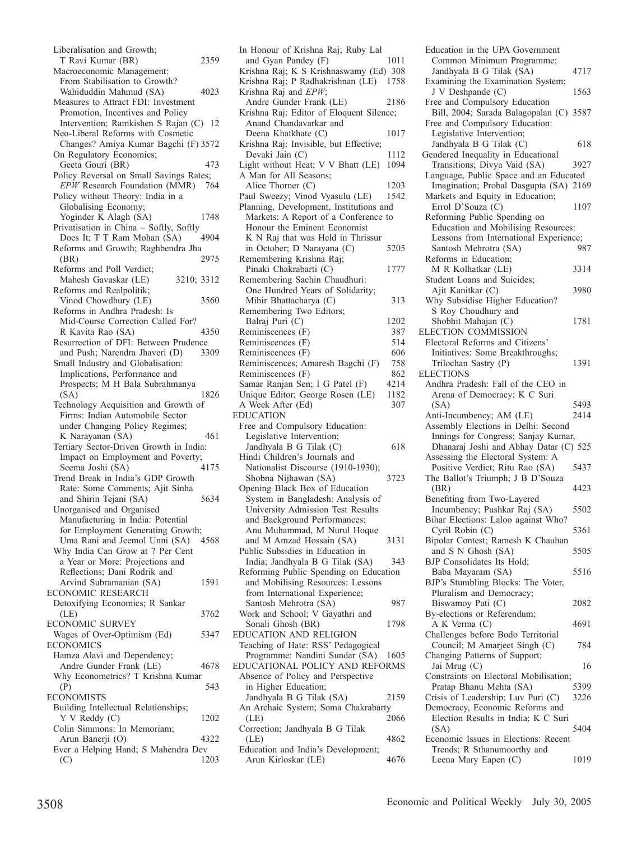| Liberalisation and Growth;                 |      |
|--------------------------------------------|------|
| T Ravi Kumar (BR)                          | 2359 |
| Macroeconomic Management:                  |      |
| From Stabilisation to Growth?              |      |
| Wahiduddin Mahmud (SA)                     | 4023 |
| Measures to Attract FDI: Investment        |      |
| Promotion, Incentives and Policy           |      |
| Intervention; Ramkishen S Rajan (C)        | -12  |
| Neo-Liberal Reforms with Cosmetic          |      |
| Changes? Amiya Kumar Bagchi (F) 3572       |      |
| On Regulatory Economics;                   |      |
| Geeta Gouri (BR)                           | 473  |
| Policy Reversal on Small Savings Rates;    |      |
| EPW Research Foundation (MMR)              | 764  |
| Policy without Theory: India in a          |      |
| Globalising Economy;                       |      |
| Yoginder K Alagh (SA)                      | 1748 |
| Privatisation in China - Softly, Softly    |      |
| Does It; T T Ram Mohan (SA)                | 4904 |
| Reforms and Growth; Raghbendra Jha         |      |
| (BR)                                       | 2975 |
| Reforms and Poll Verdict;                  |      |
| Mahesh Gavaskar (LE)<br>3210; 3312         |      |
| Reforms and Realpolitik;                   |      |
| Vinod Chowdhury (LE)                       | 3560 |
| Reforms in Andhra Pradesh: Is              |      |
| Mid-Course Correction Called For?          |      |
| R Kavita Rao (SA)                          | 4350 |
| Resurrection of DFI: Between Prudence      |      |
| and Push; Narendra Jhaveri (D)             | 3309 |
| Small Industry and Globalisation:          |      |
| Implications, Performance and              |      |
| Prospects; M H Bala Subrahmanya            |      |
| (SA)                                       | 1826 |
| Technology Acquisition and Growth of       |      |
|                                            |      |
| Firms: Indian Automobile Sector            |      |
| under Changing Policy Regimes;             |      |
| K Narayanan (SA)                           | 461  |
| Tertiary Sector-Driven Growth in India:    |      |
| Impact on Employment and Poverty;          |      |
| Seema Joshi (SA)                           | 4175 |
| Trend Break in India's GDP Growth          |      |
| Rate: Some Comments; Ajit Sinha            |      |
| and Shirin Tejani (SA)                     | 5634 |
| Unorganised and Organised                  |      |
| Manufacturing in India: Potential          |      |
| for Employment Generating Growth;          |      |
| Uma Rani and Jeemol Unni (SA) 4568         |      |
| Why India Can Grow at 7 Per Cent           |      |
| a Year or More: Projections and            |      |
| Reflections; Dani Rodrik and               |      |
| Arvind Subramanian (SA)                    | 1591 |
| ECONOMIC RESEARCH                          |      |
| Detoxifying Economics; R Sankar            |      |
| (LE)                                       | 3762 |
| ECONOMIC SURVEY                            |      |
| Wages of Over-Optimism (Ed)                | 5347 |
| <b>ECONOMICS</b>                           |      |
| Hamza Alavi and Dependency;                |      |
| Andre Gunder Frank (LE)                    | 4678 |
| Why Econometrics? T Krishna Kumar          |      |
| (P)                                        | 543  |
|                                            |      |
| Building Intellectual Relationships;       |      |
| <b>ECONOMISTS</b><br>Y V Reddy (C)         | 1202 |
| Colin Simmons: In Memoriam;                |      |
| Arun Banerji (O)                           | 4322 |
| Ever a Helping Hand; S Mahendra Dev<br>(C) | 1203 |

| In Honour of Krishna Raj; Ruby Lal       |      |
|------------------------------------------|------|
| and Gyan Pandey (F)                      | 1011 |
|                                          |      |
| Krishna Raj; K S Krishnaswamy (Ed) 308   |      |
| Krishna Raj; P Radhakrishnan (LE)        | 1758 |
| Krishna Raj and EPW;                     |      |
| Andre Gunder Frank (LE)                  | 2186 |
| Krishna Raj: Editor of Eloquent Silence; |      |
| Anand Chandavarkar and                   |      |
| Deena Khatkhate (C)                      | 1017 |
|                                          |      |
| Krishna Raj: Invisible, but Effective;   |      |
| Devaki Jain (C)                          | 1112 |
| Light without Heat; V V Bhatt (LE)       | 1094 |
| A Man for All Seasons;                   |      |
| Alice Thorner (C)                        | 1203 |
| Paul Sweezy; Vinod Vyasulu (LE)          | 1542 |
| Planning, Development, Institutions and  |      |
| Markets: A Report of a Conference to     |      |
|                                          |      |
| Honour the Eminent Economist             |      |
| K N Raj that was Held in Thrissur        |      |
| in October; D Narayana (C)               | 5205 |
| Remembering Krishna Raj;                 |      |
| Pinaki Chakrabarti (C)                   | 1777 |
| Remembering Sachin Chaudhuri:            |      |
| One Hundred Years of Solidarity;         |      |
|                                          |      |
| Mihir Bhattacharya (C)                   | 313  |
| Remembering Two Editors;                 |      |
| Balraj Puri (C)                          | 1202 |
| Reminiscences (F)                        | 387  |
| Reminiscences (F)                        | 514  |
|                                          | 606  |
| Reminiscences (F)                        |      |
| Reminiscences; Amaresh Bagchi (F)        | 758  |
| Reminiscences (F)                        | 862  |
| Samar Ranjan Sen; I G Patel (F)          | 4214 |
|                                          |      |
|                                          |      |
| Unique Editor; George Rosen (LE)         | 1182 |
| A Week After (Ed)                        | 307  |
| <b>EDUCATION</b>                         |      |
| Free and Compulsory Education:           |      |
| Legislative Intervention;                |      |
| Jandhyala B G Tilak (C)                  | 618  |
|                                          |      |
| Hindi Children's Journals and            |      |
| Nationalist Discourse (1910-1930);       |      |
| Shobna Nijhawan (SA)                     | 3723 |
| Opening Black Box of Education           |      |
| System in Bangladesh: Analysis of        |      |
| University Admission Test Results        |      |
| and Background Performances;             |      |
|                                          |      |
| Anu Muhammad, M Nurul Hoque              |      |
| and M Amzad Hossain (SA)                 | 3131 |
| Public Subsidies in Education in         |      |
| India; Jandhyala B G Tilak (SA)          | 343  |
| Reforming Public Spending on Education   |      |
| and Mobilising Resources: Lessons        |      |
|                                          |      |
| from International Experience;           |      |
| Santosh Mehrotra (SA)                    | 987  |
| Work and School; V Gayathri and          |      |
| Sonali Ghosh (BR)                        | 1798 |
| EDUCATION AND RELIGION                   |      |
| Teaching of Hate: RSS' Pedagogical       |      |
| Programme; Nandini Sundar (SA)           | 1605 |
| EDUCATIONAL POLICY AND REFORMS           |      |
|                                          |      |
| Absence of Policy and Perspective        |      |
| in Higher Education;                     |      |
| Jandhyala B G Tilak (SA)                 | 2159 |
| An Archaic System; Soma Chakrabarty      |      |
| (LE)                                     | 2066 |
| Correction; Jandhyala B G Tilak          |      |
| (LE)                                     | 4862 |
| Education and India's Development;       |      |

Education in the UPA Government Common Minimum Programme; Jandhyala B G Tilak (SA) 4717 Examining the Examination System; J V Deshpande (C) 1563 Free and Compulsory Education Bill, 2004; Sarada Balagopalan (C) 3587 Free and Compulsory Education: Legislative Intervention; Jandhyala B G Tilak (C) 618 Gendered Inequality in Educational Transitions; Divya Vaid (SA) 3927 Language, Public Space and an Educated Imagination; Probal Dasgupta (SA) 2169 Markets and Equity in Education; Errol D'Souza (C) 1107 Reforming Public Spending on Education and Mobilising Resources: Lessons from International Experience;<br>Santosh Mehrotra (SA) 987 Santosh Mehrotra (SA) Reforms in Education; M R Kolhatkar (LE) 3314 Student Loans and Suicides; Ajit Kanitkar (C) 3980 Why Subsidise Higher Education? S Roy Choudhury and Shobhit Mahajan (C) 1781 ELECTION COMMISSION Electoral Reforms and Citizens' Initiatives: Some Breakthroughs; Trilochan Sastry (P) 1391 **ELECTIONS** Andhra Pradesh: Fall of the CEO in Arena of Democracy; K C Suri (SA) 5493 Anti-Incumbency; AM (LE) 2414 Assembly Elections in Delhi: Second Innings for Congress; Sanjay Kumar, Dhanaraj Joshi and Abhay Datar (C) 525 Assessing the Electoral System: A Positive Verdict; Ritu Rao (SA) 5437 The Ballot's Triumph; J B D'Souza (BR) 4423 Benefiting from Two-Layered Incumbency; Pushkar Raj (SA) 5502 Bihar Elections: Laloo against Who? Cyril Robin (C) 5361 Bipolar Contest; Ramesh K Chauhan and S N Ghosh (SA) 5505 BJP Consolidates Its Hold; Baba Mayaram (SA) 5516 BJP's Stumbling Blocks: The Voter, Pluralism and Democracy; Biswamoy Pati (C) 2082 By-elections or Referendum; A K Verma (C) 4691 Challenges before Bodo Territorial Council; M Amarjeet Singh (C) 784 Changing Patterns of Support; Jai Mrug (C) 16 Constraints on Electoral Mobilisation;<br>Pratap Bhanu Mehta (SA) 5399 Pratap Bhanu Mehta (SA) Crisis of Leadership; Luv Puri (C) 3226 Democracy, Economic Reforms and Election Results in India; K C Suri (SA) 5404 Economic Issues in Elections: Recent Trends; R Sthanumoorthy and Leena Mary Eapen (C) 1019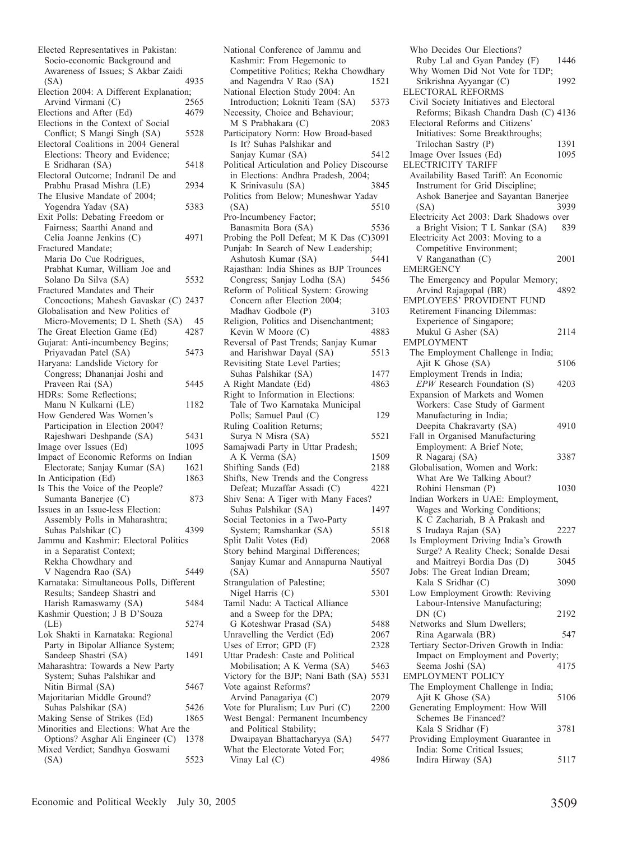| Elected Representatives in Pakistan:                                       |              |
|----------------------------------------------------------------------------|--------------|
| Socio-economic Background and                                              |              |
| Awareness of Issues; S Akbar Zaidi                                         |              |
| (SA)                                                                       | 4935         |
| Election 2004: A Different Explanation;                                    |              |
| Arvind Virmani (C)                                                         | 2565<br>4679 |
| Elections and After (Ed)<br>Elections in the Context of Social             |              |
| Conflict; S Mangi Singh (SA)                                               | 5528         |
| Electoral Coalitions in 2004 General                                       |              |
| Elections: Theory and Evidence;                                            |              |
| E Sridharan (SA)                                                           | 5418         |
| Electoral Outcome; Indranil De and                                         |              |
| Prabhu Prasad Mishra (LE)                                                  | 2934         |
| The Elusive Mandate of 2004;                                               |              |
| Yogendra Yadav (SA)                                                        | 5383         |
| Exit Polls: Debating Freedom or                                            |              |
| Fairness; Saarthi Anand and                                                |              |
| Celia Joanne Jenkins (C)                                                   | 4971         |
| Fractured Mandate;                                                         |              |
| Maria Do Cue Rodrigues,                                                    |              |
| Prabhat Kumar, William Joe and<br>Solano Da Silva (SA)                     | 5532         |
| Fractured Mandates and Their                                               |              |
| Concoctions; Mahesh Gavaskar (C) 2437                                      |              |
| Globalisation and New Politics of                                          |              |
| Micro-Movements; D L Sheth (SA)                                            | 45           |
| The Great Election Game (Ed)                                               | 4287         |
| Gujarat: Anti-incumbency Begins;                                           |              |
| Priyavadan Patel (SA)                                                      | 5473         |
| Haryana: Landslide Victory for                                             |              |
| Congress; Dhananjai Joshi and                                              |              |
| Praveen Rai (SA)                                                           | 5445         |
| HDRs: Some Reflections;                                                    |              |
| Manu N Kulkarni (LE)<br>How Gendered Was Women's                           | 1182         |
| Participation in Election 2004?                                            |              |
| Rajeshwari Deshpande (SA)                                                  | 5431         |
| Image over Issues (Ed)                                                     | 1095         |
| Impact of Economic Reforms on Indian                                       |              |
| Electorate; Sanjay Kumar (SA)                                              | 1621         |
| In Anticipation (Ed)                                                       | 1863         |
| Is This the Voice of the People?                                           |              |
| Sumanta Banerjee (C)                                                       | 873          |
| Issues in an Issue-less Election:                                          |              |
| Assembly Polls in Maharashtra;<br>Suhas Palshikar (C)                      | 4399         |
| Jammu and Kashmır: Electoral Politics                                      |              |
| in a Separatist Context;                                                   |              |
| Rekha Chowdhary and                                                        |              |
| V Nagendra Rao (SA)                                                        | 5449         |
| Karnataka: Simultaneous Polls, Different                                   |              |
| Results; Sandeep Shastri and                                               |              |
| Harish Ramaswamy (SA)                                                      | 5484         |
| Kashmir Question; J B D'Souza                                              |              |
| (LE)                                                                       | 5274         |
| Lok Shakti in Karnataka: Regional                                          |              |
| Party in Bipolar Alliance System;                                          |              |
| Sandeep Shastri (SA)                                                       |              |
| Maharashtra: Towards a New Party<br>System; Suhas Palshikar and            | 1491         |
|                                                                            |              |
|                                                                            |              |
| Nitin Birmal (SA)                                                          | 5467         |
| Majoritarian Middle Ground?                                                |              |
| Suhas Palshikar (SA)                                                       | 5426<br>1865 |
| Making Sense of Strikes (Ed)                                               |              |
| Minorities and Elections: What Are the<br>Options? Asghar Ali Engineer (C) | 1378         |
| Mixed Verdict; Sandhya Goswami<br>(SA)                                     |              |

| National Conference of Jammu and<br>Kashmir: From Hegemonic to            |              |
|---------------------------------------------------------------------------|--------------|
| Competitive Politics; Rekha Chowdhary<br>and Nagendra V Rao (SA)          | 1521         |
| National Election Study 2004: An<br>Introduction; Lokniti Team (SA)       | 5373         |
| Necessity, Choice and Behaviour;                                          |              |
| M S Prabhakara (C)<br>Participatory Norm: How Broad-based                 | 2083         |
| Is It? Suhas Palshikar and                                                |              |
| Sanjay Kumar (SA)<br>Political Articulation and Policy Discourse          | 5412         |
| in Elections: Andhra Pradesh, 2004;                                       |              |
| K Srinivasulu (SA)<br>Politics from Below; Muneshwar Yadav                | 3845         |
| (SA)                                                                      | 5510         |
| Pro-Incumbency Factor;<br>Banasmita Bora (SA)                             | 5536         |
| Probing the Poll Defeat; M K Das (C)3091                                  |              |
| Punjab: In Search of New Leadership;<br>Ashutosh Kumar (SA)               | 5441         |
| Rajasthan: India Shines as BJP Trounces                                   |              |
| Congress; Sanjay Lodha (SA)<br>Reform of Political System: Growing        | 5456         |
| Concern after Election 2004;                                              |              |
| Madhav Godbole (P)<br>Religion, Politics and Disenchantment;              | 3103         |
| Kevin W Moore (C)                                                         | 4883         |
| Reversal of Past Trends; Sanjay Kumar<br>and Harishwar Dayal (SA)         | 5513         |
| Revisiting State Level Parties;                                           | 1477         |
| Suhas Palshikar (SA)<br>A Right Mandate (Ed)                              | 4863         |
| Right to Information in Elections:<br>Tale of Two Karnataka Municipal     |              |
| Polls; Samuel Paul (C)                                                    | 129          |
| Ruling Coalition Returns;<br>Surya N Misra (SA)                           | 5521         |
| Samajwadi Party in Uttar Pradesh;                                         |              |
| A K Verma (SA)<br>Shifting Sands (Ed)                                     | 1509<br>2188 |
| Shifts, New Trends and the Congress                                       |              |
| Defeat; Muzaffar Assadi (C)<br>Shiv Sena: A Tiger with Many Faces?        | 4221         |
| Suhas Palshikar (SA)                                                      | 1497         |
| Social Tectonics in a Two-Party<br>System; Ramshankar (SA)                | 5518         |
| Split Dalit Votes (Ed)                                                    | 2068         |
| Story behind Marginal Differences;<br>Sanjay Kumar and Annapurna Nautiyal |              |
| (SA)                                                                      | 5507         |
| Strangulation of Palestine;<br>Nigel Harris (C)                           | 5301         |
| Tamil Nadu: A Tactical Alliance<br>and a Sweep for the DPA;               |              |
| G Koteshwar Prasad (SA)                                                   | 5488         |
| Unravelling the Verdict (Ed)<br>Uses of Error; GPD (F)                    | 2067<br>2328 |
| Uttar Pradesh: Caste and Political                                        |              |
| Mobilisation; A K Verma (SA)<br>Victory for the BJP; Nani Bath (SA)       | 5463<br>5531 |
| Vote against Reforms?                                                     |              |
| Arvind Panagariya (C)<br>Vote for Pluralism; Luv Puri (C)                 | 2079<br>2200 |
| West Bengal: Permanent Incumbency                                         |              |
| and Political Stability;<br>Dwaipayan Bhattacharyya (SA)                  |              |
|                                                                           | 5477         |
| What the Electorate Voted For;<br>Vinay Lal (C)                           | 4986         |

Who Decides Our Elections? Ruby Lal and Gyan Pandey (F) 1446 Why Women Did Not Vote for TDP; Srikrishna Ayyangar (C) 1992 ELECTORAL REFORMS Civil Society Initiatives and Electoral Reforms; Bikash Chandra Dash (C) 4136 Electoral Reforms and Citizens' Initiatives: Some Breakthroughs; Trilochan Sastry (P) 1391<br>mage Over Issues (Ed) 1095 Image Over Issues (Ed) ELECTRICITY TARIFF Availability Based Tariff: An Economic Instrument for Grid Discipline; Ashok Banerjee and Sayantan Banerjee (SA) 3939 Electricity Act 2003: Dark Shadows over<br>a Bright Vision: T L Sankar (SA) 839 a Bright Vision; T L Sankar (SA) Electricity Act 2003: Moving to a Competitive Environment; V Ranganathan (C) 2001 EMERGENCY The Emergency and Popular Memory;<br>Arvind Raiagonal (BR) 4892 Arvind Rajagopal (BR) EMPLOYEES' PROVIDENT FUND Retirement Financing Dilemmas: Experience of Singapore; Mukul G Asher (SA) 2114 EMPLOYMENT The Employment Challenge in India;<br>Ajit K Ghose (SA) 5106 Ajit K Ghose (SA) Employment Trends in India; *EPW* Research Foundation (S) 4203 Expansion of Markets and Women Workers: Case Study of Garment Manufacturing in India; Deepita Chakravarty (SA) 4910 Fall in Organised Manufacturing Employment: A Brief Note; R Nagaraj (SA) 3387 Globalisation, Women and Work: What Are We Talking About? Rohini Hensman (P) 1030 Indian Workers in UAE: Employment, Wages and Working Conditions; K C Zachariah, B A Prakash and S Irudaya Rajan (SA) 2227 Is Employment Driving India's Growth Surge? A Reality Check; Sonalde Desai and Maitreyi Bordia Das (D) 3045 Jobs: The Great Indian Dream; Kala S Sridhar (C) 3090 Low Employment Growth: Reviving Labour-Intensive Manufacturing; DN (C) 2192 Networks and Slum Dwellers; Rina Agarwala (BR) 547 Tertiary Sector-Driven Growth in India: Impact on Employment and Poverty;<br>Seema Joshi (SA) 4175 Seema Joshi (SA) EMPLOYMENT POLICY The Employment Challenge in India; Ajit K Ghose (SA) 5106 Generating Employment: How Will Schemes Be Financed? Kala S Sridhar (F) 3781 Providing Employment Guarantee in India: Some Critical Issues; Indira Hirway (SA) 5117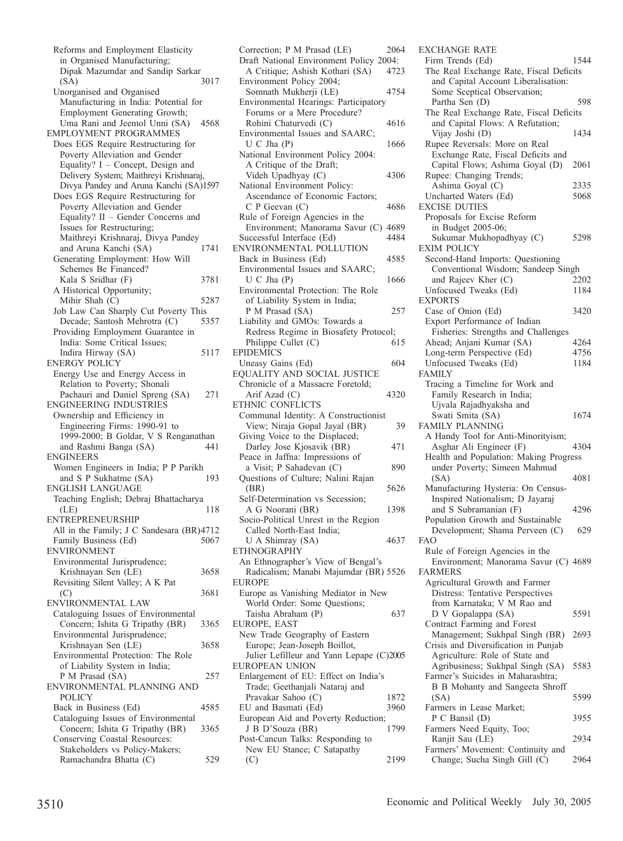Reforms and Employment Elasticity in Organised Manufacturing; Dipak Mazumdar and Sandip Sarkar (SA) 3017 Unorganised and Organised Manufacturing in India: Potential for Employment Generating Growth; Uma Rani and Jeemol Unni (SA) 4568 EMPLOYMENT PROGRAMMES Does EGS Require Restructuring for Poverty Alleviation and Gender Equality? I – Concept, Design and Delivery System; Maithreyi Krishnaraj, Divya Pandey and Aruna Kanchi (SA)1597 Does EGS Require Restructuring for Poverty Alleviation and Gender Equality? II – Gender Concerns and Issues for Restructuring; Maithreyi Krishnaraj, Divya Pandey and Aruna Kanchi (SA) Generating Employment: How Will Schemes Be Financed? Kala S Sridhar (F) 3781 A Historical Opportunity; Mihir Shah (C) 5287 Job Law Can Sharply Cut Poverty This Decade; Santosh Mehrotra (C) 5357 Providing Employment Guarantee in India: Some Critical Issues; Indira Hirway (SA) 5117 ENERGY POLICY Energy Use and Energy Access in Relation to Poverty; Shonali Pachauri and Daniel Spreng (SA) 271 ENGINEERING INDUSTRIES Ownership and Efficiency in Engineering Firms: 1990-91 to 1999-2000; B Goldar, V S Renganathan and Rashmi Banga (SA) 441 ENGINEERS Women Engineers in India; P P Parikh and S P Sukhatme (SA) 193 ENGLISH LANGUAGE Teaching English; Debraj Bhattacharya (LE) 118 ENTREPRENEURSHIP All in the Family; J C Sandesara (BR)4712 Family Business (Ed) 5067 ENVIRONMENT Environmental Jurisprudence; Krishnayan Sen (LE) 3658 Revisiting Silent Valley; A K Pat  $(C)$  3681 ENVIRONMENTAL LAW Cataloguing Issues of Environmental Concern; Ishita G Tripathy (BR) 3365 Environmental Jurisprudence; Krishnayan Sen (LE) 3658 Environmental Protection: The Role of Liability System in India; P M Prasad (SA) 257 ENVIRONMENTAL PLANNING AND POLICY Back in Business (Ed) 4585 Cataloguing Issues of Environmental Concern; Ishita G Tripathy (BR) 3365 Conserving Coastal Resources: Stakeholders vs Policy-Makers; Ramachandra Bhatta (C) 529

Correction; P M Prasad (LE) 2064 Draft National Environment Policy 2004:<br>A Critique: Ashish Kothari (SA) 4723 A Critique; Ashish Kothari (SA) Environment Policy 2004; Somnath Mukherji (LE) 4754 Environmental Hearings: Participatory Forums or a Mere Procedure? Rohini Chaturvedi (C) 4616 Environmental Issues and SAARC; U C Jha (P) 1666 National Environment Policy 2004: A Critique of the Draft; Videh Upadhyay (C) 4306 National Environment Policy: Ascendance of Economic Factors; C P Geevan (C) 4686 Rule of Foreign Agencies in the Environment; Manorama Savur (C) 4689 Successful Interface (Ed) 4484 ENVIRONMENTAL POLLUTION Back in Business (Ed) 4585 Environmental Issues and SAARC; U C Jha (P) 1666 Environmental Protection: The Role of Liability System in India; P M Prasad (SA) 257 Liability and GMOs: Towards a Redress Regime in Biosafety Protocol;<br>Philippe Cullet (C) 615 Philippe Cullet (C) EPIDEMICS Uneasy Gains (Ed) 604 EQUALITY AND SOCIAL JUSTICE Chronicle of a Massacre Foretold; Arif Azad (C) 4320 ETHNIC CONFLICTS Communal Identity: A Constructionist View; Niraja Gopal Jayal (BR) 39 Giving Voice to the Displaced; Darley Jose Kjosavik (BR) 471 Peace in Jaffna: Impressions of a Visit; P Sahadevan (C) 890 Questions of Culture; Nalini Rajan (BR) 5626 Self-Determination vs Secession; A G Noorani (BR) 1398 Socio-Political Unrest in the Region Called North-East India; U A Shimray (SA) 4637 ETHNOGRAPHY An Ethnographer's View of Bengal's Radicalism; Manabi Majumdar (BR) 5526 EUROPE Europe as Vanishing Mediator in New World Order: Some Questions; Taisha Abraham (P) 637 EUROPE, EAST New Trade Geography of Eastern Europe; Jean-Joseph Boillot, Julier Lefilleur and Yann Lepape (C)2005 EUROPEAN UNION Enlargement of EU: Effect on India's Trade; Geethanjali Nataraj and Pravakar Sahoo (C) 1872 EU and Basmati (Ed) 3960 European Aid and Poverty Reduction;<br>J B D'Souza (BR) 1799 J B D'Souza (BR) Post-Cancun Talks: Responding to New EU Stance; C Satapathy (C) 2199

EXCHANGE RATE Firm Trends (Ed) 1544 The Real Exchange Rate, Fiscal Deficits and Capital Account Liberalisation: Some Sceptical Observation; Partha Sen (D) 598 The Real Exchange Rate, Fiscal Deficits and Capital Flows: A Refutation; Vijay Joshi (D) 1434 Rupee Reversals: More on Real Exchange Rate, Fiscal Deficits and Capital Flows; Ashima Goyal (D) 2061 Rupee: Changing Trends; Ashima Goyal (C) 2335<br>
Incharted Waters (Ed) 5068 Uncharted Waters (Ed) EXCISE DUTIES Proposals for Excise Reform in Budget 2005-06; Sukumar Mukhopadhyay (C) 5298 EXIM POLICY Second-Hand Imports: Questioning Conventional Wisdom; Sandeep Singh and Rajeev Kher (C) 2202 Unfocused Tweaks (Ed) 1184 EXPORTS Case of Onion (Ed) 3420 Export Performance of Indian Fisheries: Strengths and Challenges Ahead; Anjani Kumar (SA) 4264<br>Long-term Perspective (Ed) 4756 Long-term Perspective (Ed) Unfocused Tweaks (Ed) 1184 FAMILY Tracing a Timeline for Work and Family Research in India; Ujvala Rajadhyaksha and Swati Smita (SA) 1674 FAMILY PLANNING A Handy Tool for Anti-Minorityism; Asghar Ali Engineer (F) 4304 Health and Population: Making Progress under Poverty; Simeen Mahmud (SA) 4081 Manufacturing Hysteria: On Census-Inspired Nationalism; D Jayaraj and S Subramanian (F) 4296 Population Growth and Sustainable Development; Shama Perveen (C) 629 FAO Rule of Foreign Agencies in the Environment; Manorama Savur (C) 4689 FARMERS Agricultural Growth and Farmer Distress: Tentative Perspectives from Karnataka; V M Rao and D V Gopalappa (SA) 5591 Contract Farming and Forest Management; Sukhpal Singh (BR) 2693 Crisis and Diversification in Punjab Agriculture: Role of State and Agribusiness; Sukhpal Singh (SA) 5583 Farmer's Suicides in Maharashtra; B B Mohanty and Sangeeta Shroff (SA) 5599 Farmers in Lease Market; P C Bansil (D) 3955 Farmers Need Equity, Too; Ranjit Sau (LE) 2934 Farmers' Movement: Continuity and Change; Sucha Singh Gill (C) 2964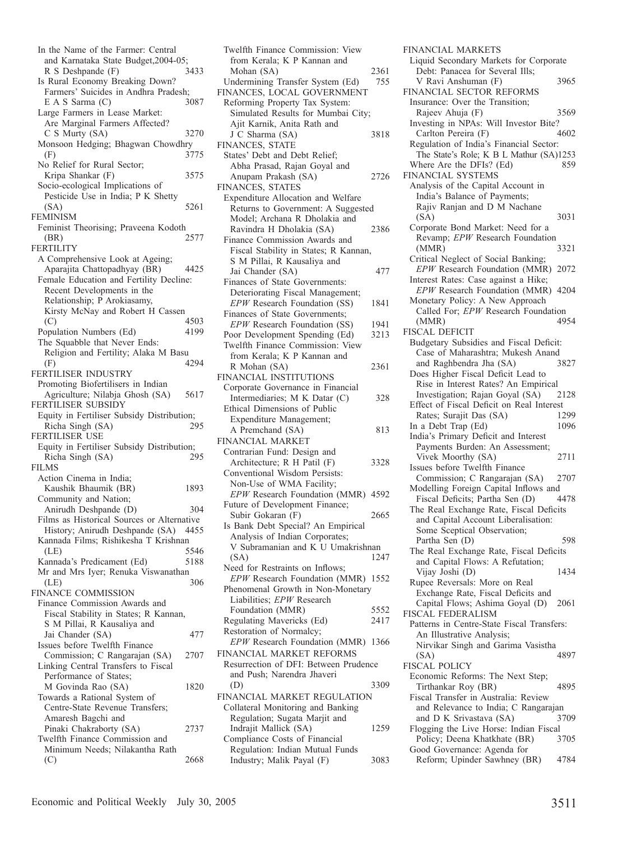In the Name of the Farmer: Central and Karnataka State Budget, 2004-05;<br>R S Deshpande (F) 3433  $R S$  Deshpande  $(F)$ Is Rural Economy Breaking Down? Farmers' Suicides in Andhra Pradesh;<br>E A S Sarma (C) 3087  $E A S Sarma (C)$ Large Farmers in Lease Market: Are Marginal Farmers Affected? C S Murty (SA) 3270 Monsoon Hedging; Bhagwan Chowdhry<br>(F) 3775 (F) 3775 No Relief for Rural Sector; Kripa Shankar (F) 3575 Socio-ecological Implications of Pesticide Use in India; P K Shetty (SA) 5261 FEMINISM Feminist Theorising; Praveena Kodoth (BR) 2577 FERTILITY A Comprehensive Look at Ageing; Aparajita Chattopadhyay (BR) 4425 Female Education and Fertility Decline: Recent Developments in the Relationship; P Arokiasamy, Kirsty McNay and Robert H Cassen (C) 4503 Population Numbers (Ed) 4199 The Squabble that Never Ends: Religion and Fertility; Alaka M Basu (F) 4294 FERTILISER INDUSTRY Promoting Biofertilisers in Indian Agriculture; Nilabja Ghosh (SA) 5617 FERTILISER SUBSIDY Equity in Fertiliser Subsidy Distribution; Richa Singh (SA) 295 FERTILISER USE Equity in Fertiliser Subsidy Distribution; Richa Singh (SA) 295 FILMS Action Cinema in India; Kaushik Bhaumik (BR) 1893 Community and Nation; Anirudh Deshpande (D) 304 Films as Historical Sources or Alternative History; Anirudh Deshpande (SA) 4455 Kannada Films; Rishikesha T Krishnan (LE) 5546<br>
Sannada's Predicament (Ed) 5188 Kannada's Predicament (Ed) Mr and Mrs Iyer; Renuka Viswanathan<br>(LE) 306 (LE) 306 FINANCE COMMISSION Finance Commission Awards and Fiscal Stability in States; R Kannan, S M Pillai, R Kausaliya and Jai Chander (SA) 477 Issues before Twelfth Finance Commission; C Rangarajan (SA) 2707 Linking Central Transfers to Fiscal Performance of States; M Govinda Rao (SA) 1820 Towards a Rational System of Centre-State Revenue Transfers; Amaresh Bagchi and Pinaki Chakraborty (SA) 2737 Twelfth Finance Commission and Minimum Needs; Nilakantha Rath (C) 2668

Twelfth Finance Commission: View from Kerala; K P Kannan and Mohan (SA) 2361<br>
ndermining Transfer System (Ed) 755 Undermining Transfer System (Ed) FINANCES, LOCAL GOVERNMENT Reforming Property Tax System: Simulated Results for Mumbai City; Ajit Karnik, Anita Rath and J C Sharma (SA) 3818 FINANCES, STATE States' Debt and Debt Relief; Abha Prasad, Rajan Goyal and Anupam Prakash (SA) 2726 FINANCES, STATES Expenditure Allocation and Welfare Returns to Government: A Suggested Model; Archana R Dholakia and Ravindra H Dholakia (SA) 2386 Finance Commission Awards and Fiscal Stability in States; R Kannan, S M Pillai, R Kausaliya and Jai Chander (SA) 477 Finances of State Governments: Deteriorating Fiscal Management; *EPW* Research Foundation (SS) 1841 Finances of State Governments; *EPW* Research Foundation (SS) 1941<br>oor Development Spending (Ed) 3213 Poor Development Spending (Ed) Twelfth Finance Commission: View from Kerala; K P Kannan and R Mohan (SA) 2361 FINANCIAL INSTITUTIONS Corporate Governance in Financial Intermediaries; M K Datar (C) 328 Ethical Dimensions of Public Expenditure Management; A Premchand (SA) 813 FINANCIAL MARKET Contrarian Fund: Design and Architecture; R H Patil (F) 3328 Conventional Wisdom Persists: Non-Use of WMA Facility; *EPW* Research Foundation (MMR) 4592 Future of Development Finance; Subir Gokaran (F) 2665 Is Bank Debt Special? An Empirical Analysis of Indian Corporates; V Subramanian and K U Umakrishnan (SA) 1247 Need for Restraints on Inflows; *EPW* Research Foundation (MMR) 1552 Phenomenal Growth in Non-Monetary Liabilities; *EPW* Research Foundation (MMR) 5552 Regulating Mavericks (Ed) 2417 Restoration of Normalcy; *EPW* Research Foundation (MMR) 1366 FINANCIAL MARKET REFORMS Resurrection of DFI: Between Prudence and Push; Narendra Jhaveri (D) 3309 FINANCIAL MARKET REGULATION Collateral Monitoring and Banking Regulation; Sugata Marjit and Indrajit Mallick (SA) 1259 Compliance Costs of Financial Regulation: Indian Mutual Funds Industry; Malik Payal (F) 3083

FINANCIAL MARKETS Liquid Secondary Markets for Corporate Debt: Panacea for Several Ills; V Ravi Anshuman (F) 3965 FINANCIAL SECTOR REFORMS Insurance: Over the Transition; Rajeev Ahuja (F) 3569 Investing in NPAs: Will Investor Bite? Carlton Pereira (F) 4602 Regulation of India's Financial Sector: The State's Role; K B L Mathur (SA)1253 Where Are the DFIs? (Ed) 859 FINANCIAL SYSTEMS Analysis of the Capital Account in India's Balance of Payments; Rajiv Ranjan and D M Nachane (SA) 3031 Corporate Bond Market: Need for a Revamp; *EPW* Research Foundation<br>(MMR) 3321  $(MMR)$ Critical Neglect of Social Banking; *EPW* Research Foundation (MMR) 2072 Interest Rates: Case against a Hike; *EPW* Research Foundation (MMR) 4204 Monetary Policy: A New Approach Called For; *EPW* Research Foundation (MMR) 4954 FISCAL DEFICIT Budgetary Subsidies and Fiscal Deficit: Case of Maharashtra; Mukesh Anand and Raghbendra Jha (SA) 3827 Does Higher Fiscal Deficit Lead to Rise in Interest Rates? An Empirical<br>Investigation; Rajan Goyal (SA) 2128 Investigation; Rajan Goyal (SA) Effect of Fiscal Deficit on Real Interest<br>Rates: Suraiit Das (SA) 1299 Rates; Surajit Das (SA) In a Debt Trap (Ed) 1096 India's Primary Deficit and Interest Payments Burden: An Assessment; Vivek Moorthy (SA) 2711 Issues before Twelfth Finance Commission; C Rangarajan (SA) 2707 Modelling Foreign Capital Inflows and Fiscal Deficits; Partha Sen (D) 4478 The Real Exchange Rate, Fiscal Deficits and Capital Account Liberalisation: Some Sceptical Observation; Partha Sen (D) 598 The Real Exchange Rate, Fiscal Deficits and Capital Flows: A Refutation; Vijay Joshi (D) 1434 Rupee Reversals: More on Real Exchange Rate, Fiscal Deficits and Capital Flows; Ashima Goyal (D) 2061 FISCAL FEDERALISM Patterns in Centre-State Fiscal Transfers: An Illustrative Analysis; Nirvikar Singh and Garima Vasistha (SA) 4897 FISCAL POLICY Economic Reforms: The Next Step; Tirthankar Roy (BR) 4895 Fiscal Transfer in Australia: Review and Relevance to India; C Rangarajan<br>and D K Srivastava (SA) 3709 and D K Srivastava (SA) Flogging the Live Horse: Indian Fiscal Policy; Deena Khatkhate (BR) 3705 Good Governance: Agenda for Reform; Upinder Sawhney (BR) 4784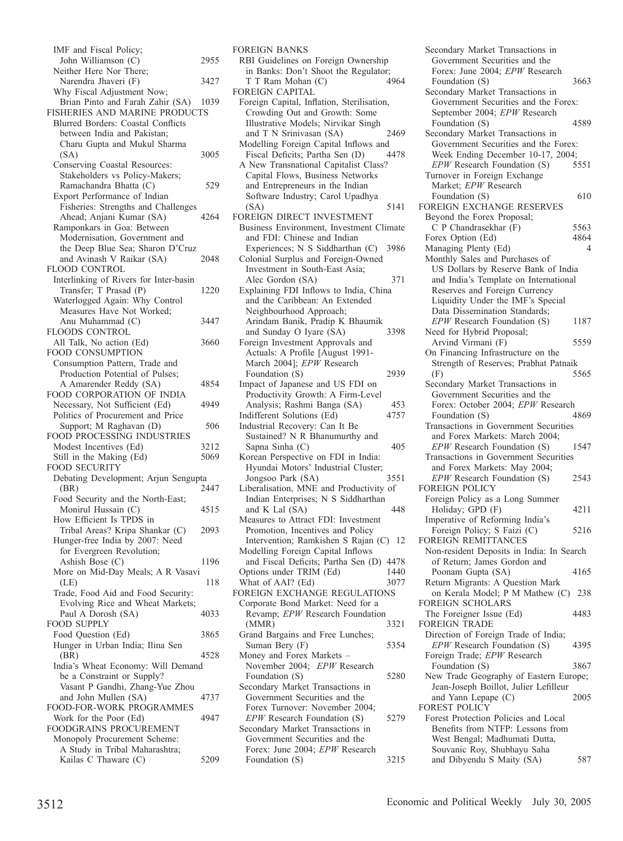| IMF and Fiscal Policy;                                 |      |
|--------------------------------------------------------|------|
| John Williamson (C)                                    | 2955 |
| Neither Here Nor There;                                |      |
| Narendra Jhaveri (F)                                   | 3427 |
| Why Fiscal Adjustment Now;                             |      |
| Brian Pinto and Farah Zahir (SA) 1039                  |      |
| FISHERIES AND MARINE PRODUCTS                          |      |
| Blurred Borders: Coastal Conflicts                     |      |
|                                                        |      |
| between India and Pakistan;                            |      |
| Charu Gupta and Mukul Sharma                           |      |
| (SA)                                                   | 3005 |
| Conserving Coastal Resources:                          |      |
| Stakeholders vs Policy-Makers;                         |      |
| Ramachandra Bhatta (C)                                 | 529  |
| Export Performance of Indian                           |      |
| Fisheries: Strengths and Challenges                    |      |
| Ahead; Anjani Kumar (SA)                               | 4264 |
| Ramponkars in Goa: Between                             |      |
| Modernisation, Government and                          |      |
| the Deep Blue Sea; Sharon D'Cruz                       |      |
| and Avinash V Raikar (SA)                              | 2048 |
| FLOOD CONTROL                                          |      |
| Interlinking of Rivers for Inter-basin                 |      |
| Transfer; T Prasad (P)                                 |      |
|                                                        | 1220 |
| Waterlogged Again: Why Control                         |      |
| Measures Have Not Worked;                              |      |
| Anu Muhammad (C)                                       | 3447 |
| FLOODS CONTROL                                         |      |
| All Talk, No action (Ed)                               | 3660 |
| FOOD CONSUMPTION                                       |      |
| Consumption Pattern, Trade and                         |      |
| Production Potential of Pulses;                        |      |
| A Amarender Reddy (SA)                                 | 4854 |
| FOOD CORPORATION OF INDIA                              |      |
| Necessary, Not Sufficient (Ed)                         | 4949 |
| Politics of Procurement and Price                      |      |
| Support; M Raghavan (D)                                | 506  |
| FOOD PROCESSING INDUSTRIES                             |      |
| Modest Incentives (Ed)                                 | 3212 |
| Still in the Making (Ed)                               | 5069 |
| <b>FOOD SECURITY</b>                                   |      |
| Debating Development; Arjun Sengupta                   |      |
| (BR)                                                   | 2447 |
| Food Security and the North-East;                      |      |
| Monirul Hussain (C)                                    | 4515 |
| How Efficient Is TPDS in                               |      |
| Tribal Areas? Kripa Shankar (C)                        | 2093 |
|                                                        |      |
| Hunger-free India by 2007: Need                        |      |
| for Evergreen Revolution;                              |      |
| Ashish Bose (C)                                        | 1196 |
| More on Mid-Day Meals; A R Vasavi                      |      |
| (LE)                                                   | 118  |
| Trade, Food Aid and Food Security:                     |      |
| Evolving Rice and Wheat Markets;                       |      |
| Paul A Dorosh (SA)                                     |      |
|                                                        | 4033 |
| <b>FOOD SUPPLY</b>                                     |      |
| Food Question (Ed)                                     | 3865 |
|                                                        |      |
| Hunger in Urban India; Ilina Sen                       | 4528 |
| (BR)                                                   |      |
| India's Wheat Economy: Will Demand                     |      |
| be a Constraint or Supply?                             |      |
| Vasant P Gandhi, Zhang-Yue Zhou                        |      |
| and John Mullen (SA)                                   | 4737 |
|                                                        |      |
| FOOD-FOR-WORK PROGRAMMES<br>Work for the Poor (Ed)     | 4947 |
| FOODGRAINS PROCUREMENT                                 |      |
| Monopoly Procurement Scheme:                           |      |
| A Study in Tribal Maharashtra;<br>Kailas C Thaware (C) | 5209 |

FOREIGN BANKS RBI Guidelines on Foreign Ownership in Banks: Don't Shoot the Regulator;<br>
T T Ram Mohan (C) 4964 T T Ram Mohan (C) FOREIGN CAPITAL Foreign Capital, Inflation, Sterilisation, Crowding Out and Growth: Some Illustrative Models; Nirvikar Singh and T N Srinivasan (SA) 2469 Modelling Foreign Capital Inflows and<br>Fiscal Deficits: Partha Sen (D) 4478 Fiscal Deficits; Partha Sen (D) A New Transnational Capitalist Class? Capital Flows, Business Networks and Entrepreneurs in the Indian Software Industry; Carol Upadhya (SA) 5141 FOREIGN DIRECT INVESTMENT Business Environment, Investment Climate and FDI: Chinese and Indian Experiences; N S Siddharthan (C) 3986 Colonial Surplus and Foreign-Owned Investment in South-East Asia; Alec Gordon (SA) 371 Explaining FDI Inflows to India, China and the Caribbean: An Extended Neighbourhood Approach; Arindam Banik, Pradip K Bhaumik and Sunday O Iyare (SA) 3398 Foreign Investment Approvals and Actuals: A Profile [August 1991- March 2004]; *EPW* Research Foundation (S) 2939 Impact of Japanese and US FDI on Productivity Growth: A Firm-Level Analysis; Rashmi Banga (SA) 453<br>different Solutions (Ed) 4757 Indifferent Solutions (Ed) 4757 Industrial Recovery: Can It Be Sustained? N R Bhanumurthy and Sapna Sinha (C) 405 Korean Perspective on FDI in India: Hyundai Motors' Industrial Cluster; Jongsoo Park (SA) 3551 Liberalisation, MNE and Productivity of Indian Enterprises; N S Siddharthan and K Lal  $(SA)$  448 Measures to Attract FDI: Investment Promotion, Incentives and Policy Intervention; Ramkishen S Rajan (C) 12 Modelling Foreign Capital Inflows and Fiscal Deficits; Partha Sen (D) 4478 Options under TRIM (Ed) 1440<br>What of AAI? (Ed) 3077 What of AAI? (Ed) FOREIGN EXCHANGE REGULATIONS Corporate Bond Market: Need for a Revamp; *EPW* Research Foundation (MMR) 3321 Grand Bargains and Free Lunches; Suman Bery (F) 5354 Money and Forex Markets – November 2004; *EPW* Research Foundation (S) 5280 Secondary Market Transactions in Government Securities and the Forex Turnover: November 2004; *EPW* Research Foundation (S) 5279 Secondary Market Transactions in Government Securities and the

Forex: June 2004; *EPW* Research Foundation (S) 3215

Secondary Market Transactions in Government Securities and the Forex: June 2004; *EPW* Research Foundation (S) 3663 Secondary Market Transactions in Government Securities and the Forex: September 2004; *EPW* Research Foundation (S) 4589 Secondary Market Transactions in Government Securities and the Forex: Week Ending December 10-17, 2004;<br>*EPW* Research Foundation (S) 5551 *EPW* Research Foundation (S) Turnover in Foreign Exchange Market; *EPW* Research Foundation (S) 610 FOREIGN EXCHANGE RESERVES Beyond the Forex Proposal; C P Chandrasekhar (F) 5563 Forex Option (Ed) 4864 Managing Plenty (Ed) 4 Monthly Sales and Purchases of US Dollars by Reserve Bank of India and India's Template on International Reserves and Foreign Currency Liquidity Under the IMF's Special Data Dissemination Standards; *EPW* Research Foundation (S) 1187 Need for Hybrid Proposal; Arvind Virmani (F) 5559 On Financing Infrastructure on the Strength of Reserves; Prabhat Patnaik<br>(F) 5565  $(F)$  5565 Secondary Market Transactions in Government Securities and the Forex: October 2004; *EPW* Research<br>Foundation (S) 4869 Foundation (S) Transactions in Government Securities and Forex Markets: March 2004; *EPW* Research Foundation (S) 1547 Transactions in Government Securities and Forex Markets: May 2004; *EPW* Research Foundation (S) 2543 FOREIGN POLICY Foreign Policy as a Long Summer Holiday; GPD (F) 4211 Imperative of Reforming India's Foreign Policy; S Faizi (C) 5216 FOREIGN REMITTANCES Non-resident Deposits in India: In Search of Return; James Gordon and Poonam Gupta (SA) 4165 Return Migrants: A Question Mark on Kerala Model; P M Mathew (C) 238 FOREIGN SCHOLARS The Foreigner Issue (Ed) 4483 FOREIGN TRADE Direction of Foreign Trade of India; *EPW* Research Foundation (S) 4395 Foreign Trade; *EPW* Research Foundation (S) 3867 New Trade Geography of Eastern Europe; Jean-Joseph Boillot, Julier Lefilleur and Yann Lepape (C) 2005 FOREST POLICY Forest Protection Policies and Local Benefits from NTFP: Lessons from West Bengal; Madhumati Dutta, Souvanic Roy, Shubhayu Saha and Dibyendu S Maity (SA) 587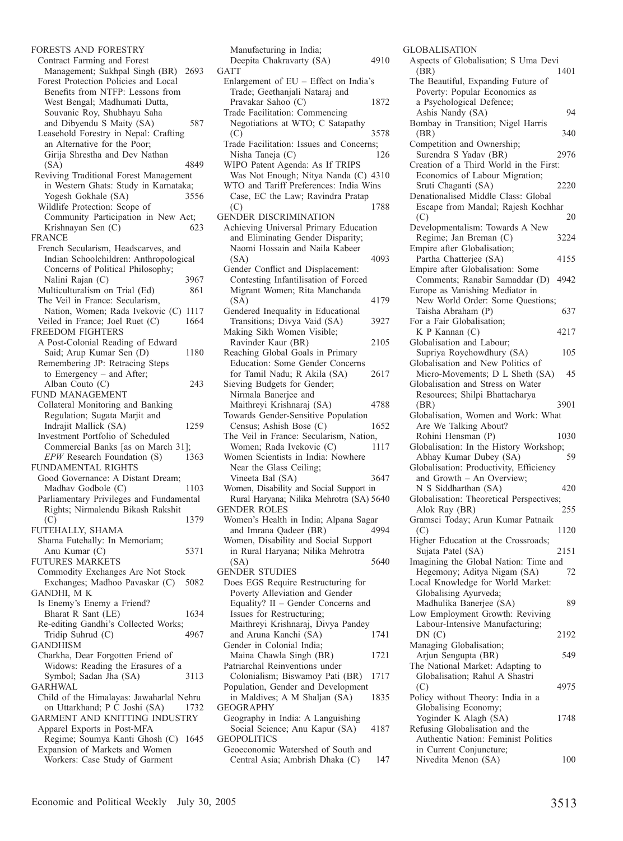FORESTS AND FORESTRY Contract Farming and Forest Management; Sukhpal Singh (BR) 2693 Forest Protection Policies and Local Benefits from NTFP: Lessons from West Bengal; Madhumati Dutta, Souvanic Roy, Shubhayu Saha and Dibyendu S Maity (SA) 587 Leasehold Forestry in Nepal: Crafting an Alternative for the Poor; Girija Shrestha and Dev Nathan (SA) 4849 Reviving Traditional Forest Management in Western Ghats: Study in Karnataka;<br>Yogesh Gokhale (SA) 3556 Yogesh Gokhale (SA) Wildlife Protection: Scope of Community Participation in New Act;<br>Krishnavan Sen (C) 623 Krishnayan Sen (C) FRANCE French Secularism, Headscarves, and Indian Schoolchildren: Anthropological Concerns of Political Philosophy; Nalini Rajan (C) 3967 Multiculturalism on Trial (Ed) 861 The Veil in France: Secularism, Nation, Women; Rada Ivekovic (C) 1117 Veiled in France; Joel Ruet (C) 1664 FREEDOM FIGHTERS A Post-Colonial Reading of Edward Said; Arup Kumar Sen (D) 1180 Remembering JP: Retracing Steps to Emergency – and After; Alban Couto (C) 243 FUND MANAGEMENT Collateral Monitoring and Banking Regulation; Sugata Marjit and Indrajit Mallick (SA) 1259 Investment Portfolio of Scheduled Commercial Banks [as on March 31]; *EPW* Research Foundation (S) 1363 FUNDAMENTAL RIGHTS Good Governance: A Distant Dream; Madhav Godbole (C) 1103 Parliamentary Privileges and Fundamental Rights; Nirmalendu Bikash Rakshit (C) 1379 FUTEHALLY, SHAMA Shama Futehally: In Memoriam; Anu Kumar (C) 5371 FUTURES MARKETS Commodity Exchanges Are Not Stock Exchanges; Madhoo Pavaskar (C) 5082 GANDHI, M K Is Enemy's Enemy a Friend? Bharat R Sant (LE) 1634 Re-editing Gandhi's Collected Works;<br>Tridip Suhrud (C) 4967 Tridip Suhrud (C) GANDHISM Charkha, Dear Forgotten Friend of Widows: Reading the Erasures of a Symbol; Sadan Jha (SA) 3113 GARHWAL Child of the Himalayas: Jawaharlal Nehru on Uttarkhand; P C Joshi (SA) 1732 GARMENT AND KNITTING INDUSTRY Apparel Exports in Post-MFA Regime; Soumya Kanti Ghosh (C) 1645 Expansion of Markets and Women Workers: Case Study of Garment

Manufacturing in India; Deepita Chakravarty (SA) 4910 **GATT** Enlargement of EU – Effect on India's Trade; Geethanjali Nataraj and Pravakar Sahoo (C) 1872 Trade Facilitation: Commencing Negotiations at WTO; C Satapathy (C) 3578 Trade Facilitation: Issues and Concerns;<br>Nisha Taneja (C) 126 Nisha Taneja (C) WIPO Patent Agenda: As If TRIPS Was Not Enough; Nitya Nanda (C) 4310 WTO and Tariff Preferences: India Wins Case, EC the Law; Ravindra Pratap<br>(C) 1788 (C) 1788 GENDER DISCRIMINATION Achieving Universal Primary Education and Eliminating Gender Disparity; Naomi Hossain and Naila Kabeer (SA) 4093 Gender Conflict and Displacement: Contesting Infantilisation of Forced Migrant Women; Rita Manchanda (SA) 4179 Gendered Inequality in Educational Transitions; Divya Vaid (SA) 3927 Making Sikh Women Visible; Ravinder Kaur (BR) 2105 Reaching Global Goals in Primary Education: Some Gender Concerns for Tamil Nadu; R Akila (SA) 2617 Sieving Budgets for Gender; Nirmala Banerjee and Maithreyi Krishnaraj (SA) 4788 Towards Gender-Sensitive Population Census; Ashish Bose (C) 1652 The Veil in France: Secularism, Nation,<br>Women; Rada Ivekovic (C) 1117 Women; Rada Ivekovic (C) Women Scientists in India: Nowhere Near the Glass Ceiling; Vineeta Bal (SA) 3647 Women, Disability and Social Support in Rural Haryana; Nilika Mehrotra (SA) 5640 GENDER ROLES Women's Health in India; Alpana Sagar and Imrana Qadeer (BR) 4994 Women, Disability and Social Support in Rural Haryana; Nilika Mehrotra (SA) 5640 GENDER STUDIES Does EGS Require Restructuring for Poverty Alleviation and Gender Equality? II – Gender Concerns and Issues for Restructuring; Maithreyi Krishnaraj, Divya Pandey and Aruna Kanchi (SA) Gender in Colonial India; Maina Chawla Singh (BR) 1721 Patriarchal Reinventions under Colonialism; Biswamoy Pati (BR) 1717 Population, Gender and Development in Maldives; A M Shaljan (SA) 1835 GEOGRAPHY Geography in India: A Languishing Social Science; Anu Kapur (SA) 4187 GEOPOLITICS Geoeconomic Watershed of South and Central Asia; Ambrish Dhaka (C) 147

GLOBALISATION Aspects of Globalisation; S Uma Devi (BR) 1401 The Beautiful, Expanding Future of Poverty: Popular Economics as a Psychological Defence; Ashis Nandy (SA) 94 Bombay in Transition; Nigel Harris (BR) 340 Competition and Ownership; Surendra S Yadav (BR) 2976 Creation of a Third World in the First: Economics of Labour Migration; Sruti Chaganti (SA) 2220 Denationalised Middle Class: Global Escape from Mandal; Rajesh Kochhar<br>(C) 20  $(C)$  20 Developmentalism: Towards A New Regime; Jan Breman (C) 3224 Empire after Globalisation; Partha Chatterjee (SA) 4155 Empire after Globalisation: Some Comments; Ranabir Samaddar (D) 4942 Europe as Vanishing Mediator in New World Order: Some Questions; Taisha Abraham (P) 637 For a Fair Globalisation; K P Kannan (C) 4217 Globalisation and Labour; Supriya Roychowdhury (SA) 105 Globalisation and New Politics of Micro-Movements; D L Sheth (SA) 45 Globalisation and Stress on Water Resources; Shilpi Bhattacharya (BR) 3901 Globalisation, Women and Work: What Are We Talking About? Rohini Hensman (P) 1030 Globalisation: In the History Workshop; Abhay Kumar Dubey (SA) 59 Globalisation: Productivity, Efficiency and Growth – An Overview; N S Siddharthan (SA) 420 Globalisation: Theoretical Perspectives;<br>Alok Ray (BR) 255 Alok Ray (BR) Gramsci Today; Arun Kumar Patnaik (C) 1120 Higher Education at the Crossroads; Sujata Patel (SA) 2151 Imagining the Global Nation: Time and Hegemony; Aditya Nigam (SA) 72 Local Knowledge for World Market: Globalising Ayurveda; Madhulika Banerjee (SA) 89 Low Employment Growth: Reviving Labour-Intensive Manufacturing; DN (C) 2192 Managing Globalisation; Arjun Sengupta (BR) 549 The National Market: Adapting to Globalisation; Rahul A Shastri (C) 4975 Policy without Theory: India in a Globalising Economy; Yoginder K Alagh (SA) 1748 Refusing Globalisation and the Authentic Nation: Feminist Politics in Current Conjuncture; Nivedita Menon (SA) 100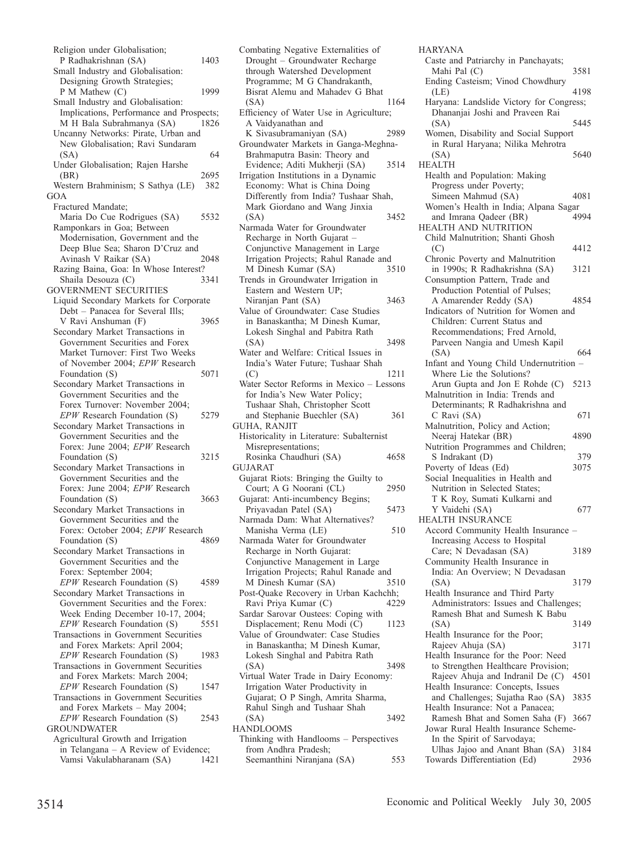Religion under Globalisation; P Radhakrishnan (SA) 1403 Small Industry and Globalisation: Designing Growth Strategies; P M Mathew (C) 1999 Small Industry and Globalisation: Implications, Performance and Prospects; M H Bala Subrahmanya (SA) 1826 Uncanny Networks: Pirate, Urban and New Globalisation; Ravi Sundaram  $(SA)$  64 Under Globalisation; Rajen Harshe (BR) 2695<br>Vestern Brahminism: S Sathva (LE) 382 Western Brahminism; S Sathya (LE) GOA Fractured Mandate; Maria Do Cue Rodrigues (SA) 5532 Ramponkars in Goa; Between Modernisation, Government and the Deep Blue Sea; Sharon D'Cruz and Avinash V Raikar (SA) Razing Baina, Goa: In Whose Interest? Shaila Desouza (C) 3341 GOVERNMENT SECURITIES Liquid Secondary Markets for Corporate Debt – Panacea for Several Ills; V Ravi Anshuman (F) 3965 Secondary Market Transactions in Government Securities and Forex Market Turnover: First Two Weeks of November 2004; *EPW* Research Foundation (S) 5071 Secondary Market Transactions in Government Securities and the Forex Turnover: November 2004; *EPW* Research Foundation (S) 5279 Secondary Market Transactions in Government Securities and the Forex: June 2004; *EPW* Research Foundation (S) 3215 Secondary Market Transactions in Government Securities and the Forex: June 2004; *EPW* Research Foundation (S) 3663 Secondary Market Transactions in Government Securities and the Forex: October 2004; *EPW* Research<br>Foundation (S) 4869 Foundation (S) Secondary Market Transactions in Government Securities and the Forex: September 2004; *EPW* Research Foundation (S) 4589 Secondary Market Transactions in Government Securities and the Forex: Week Ending December 10-17, 2004; *EPW* Research Foundation (S) 5551 Transactions in Government Securities and Forex Markets: April 2004; *EPW* Research Foundation (S) 1983 Transactions in Government Securities and Forex Markets: March 2004; *EPW* Research Foundation (S) 1547 Transactions in Government Securities and Forex Markets – May 2004; *EPW* Research Foundation (S) 2543 GROUNDWATER Agricultural Growth and Irrigation in Telangana – A Review of Evidence; Vamsi Vakulabharanam (SA) 1421

Combating Negative Externalities of Drought – Groundwater Recharge through Watershed Development Programme; M G Chandrakanth, Bisrat Alemu and Mahadev G Bhat (SA) 1164 Efficiency of Water Use in Agriculture; A Vaidyanathan and K Sivasubramaniyan (SA) 2989 Groundwater Markets in Ganga-Meghna-Brahmaputra Basin: Theory and Evidence; Aditi Mukherji (SA) 3514 Irrigation Institutions in a Dynamic Economy: What is China Doing Differently from India? Tushaar Shah, Mark Giordano and Wang Jinxia (SA) 3452 Narmada Water for Groundwater Recharge in North Gujarat – Conjunctive Management in Large Irrigation Projects; Rahul Ranade and<br>M Dinesh Kumar (SA) 3510 M Dinesh Kumar (SA) Trends in Groundwater Irrigation in Eastern and Western UP; Niranjan Pant (SA) 3463 Value of Groundwater: Case Studies in Banaskantha; M Dinesh Kumar, Lokesh Singhal and Pabitra Rath (SA) 3498 Water and Welfare: Critical Issues in India's Water Future; Tushaar Shah (C) 1211 Water Sector Reforms in Mexico – Lessons for India's New Water Policy; Tushaar Shah, Christopher Scott and Stephanie Buechler (SA) 361 GUHA, RANJIT Historicality in Literature: Subalternist Misrepresentations; Rosinka Chaudhuri (SA) 4658 GUJARAT Gujarat Riots: Bringing the Guilty to Court; A G Noorani (CL) 2950 Gujarat: Anti-incumbency Begins; Priyavadan Patel (SA) 5473 Narmada Dam: What Alternatives? Manisha Verma (LE) 510 Narmada Water for Groundwater Recharge in North Gujarat: Conjunctive Management in Large Irrigation Projects; Rahul Ranade and<br>M Dinesh Kumar (SA) 3510 M Dinesh Kumar (SA) Post-Quake Recovery in Urban Kachchh;<br>Ravi Priva Kumar (C) 4229 Ravi Priya Kumar (C) Sardar Sarovar Oustees: Coping with Displacement; Renu Modi (C) 1123 Value of Groundwater: Case Studies in Banaskantha; M Dinesh Kumar, Lokesh Singhal and Pabitra Rath (SA) 3498 Virtual Water Trade in Dairy Economy: Irrigation Water Productivity in Gujarat; O P Singh, Amrita Sharma, Rahul Singh and Tushaar Shah (SA) 3492 HANDLOOMS Thinking with Handlooms – Perspectives from Andhra Pradesh; Seemanthini Niranjana (SA) 553

HARYANA Caste and Patriarchy in Panchayats; Mahi Pal (C) 3581 Ending Casteism; Vinod Chowdhury (LE) 4198 Haryana: Landslide Victory for Congress; Dhananjai Joshi and Praveen Rai (SA) 5445 Women, Disability and Social Support in Rural Haryana; Nilika Mehrotra  $(SA)$  5640 HEALTH Health and Population: Making Progress under Poverty; Simeen Mahmud (SA) 4081 Women's Health in India; Alpana Sagar and Imrana Oadeer (BR) HEALTH AND NUTRITION Child Malnutrition; Shanti Ghosh  $(C)$  4412 Chronic Poverty and Malnutrition in 1990s; R Radhakrishna (SA) 3121 Consumption Pattern, Trade and Production Potential of Pulses; A Amarender Reddy (SA) 4854 Indicators of Nutrition for Women and Children: Current Status and Recommendations; Fred Arnold, Parveen Nangia and Umesh Kapil (SA) 664 Infant and Young Child Undernutrition – Where Lie the Solutions? Arun Gupta and Jon E Rohde (C) 5213 Malnutrition in India: Trends and Determinants; R Radhakrishna and  $C$  Ravi (SA) 671 Malnutrition, Policy and Action; Neeraj Hatekar (BR) 4890 Nutrition Programmes and Children; S Indrakant (D) 379 Poverty of Ideas (Ed) 3075 Social Inequalities in Health and Nutrition in Selected States; T K Roy, Sumati Kulkarni and Y Vaidehi (SA) 677 HEALTH INSURANCE Accord Community Health Insurance – Increasing Access to Hospital Care; N Devadasan (SA) 3189 Community Health Insurance in India: An Overview; N Devadasan (SA) 3179 Health Insurance and Third Party Administrators: Issues and Challenges; Ramesh Bhat and Sumesh K Babu (SA) 3149 Health Insurance for the Poor; Rajeev Ahuja (SA) 3171 Health Insurance for the Poor: Need to Strengthen Healthcare Provision;<br>Rajeev Ahuja and Indranil De (C) 4501 Rajeev Ahuja and Indranil De (C) Health Insurance: Concepts, Issues and Challenges; Sujatha Rao (SA) 3835 Health Insurance: Not a Panacea; Ramesh Bhat and Somen Saha (F) 3667 Jowar Rural Health Insurance Scheme-In the Spirit of Sarvodaya; Ulhas Jajoo and Anant Bhan (SA) 3184 Towards Differentiation (Ed) 2936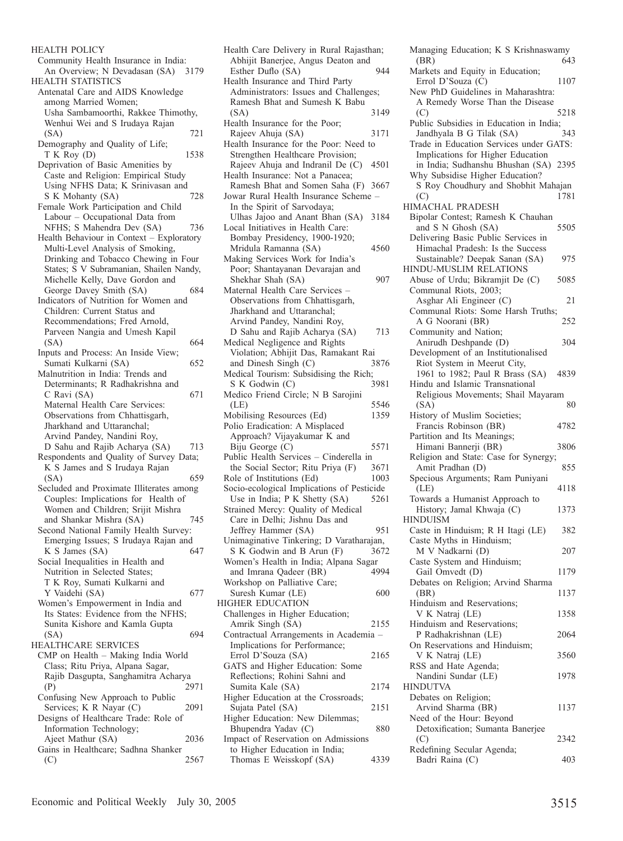HEALTH POLICY Community Health Insurance in India: An Overview; N Devadasan (SA) 3179 HEALTH STATISTICS Antenatal Care and AIDS Knowledge among Married Women; Usha Sambamoorthi, Rakkee Thimothy, Wenhui Wei and S Irudaya Rajan (SA) 721 Demography and Quality of Life; T K Roy (D) 1538 Deprivation of Basic Amenities by Caste and Religion: Empirical Study Using NFHS Data; K Srinivasan and<br>S K Mohanty (SA) 728 S K Mohanty (SA) Female Work Participation and Child Labour – Occupational Data from NFHS; S Mahendra Dev (SA) 736 Health Behaviour in Context – Exploratory Multi-Level Analysis of Smoking, Drinking and Tobacco Chewing in Four States; S V Subramanian, Shailen Nandy, Michelle Kelly, Dave Gordon and George Davey Smith (SA) 684 Indicators of Nutrition for Women and Children: Current Status and Recommendations; Fred Arnold, Parveen Nangia and Umesh Kapil  $(SA)$  664 Inputs and Process: An Inside View; Sumati Kulkarni (SA) 652 Malnutrition in India: Trends and Determinants; R Radhakrishna and  $C$  Ravi (SA) 671 Maternal Health Care Services: Observations from Chhattisgarh, Jharkhand and Uttaranchal; Arvind Pandey, Nandini Roy, D Sahu and Rajib Acharya (SA) 713 Respondents and Quality of Survey Data; K S James and S Irudaya Rajan (SA) 659 Secluded and Proximate Illiterates among Couples: Implications for Health of Women and Children; Srijit Mishra and Shankar Mishra (SA) 745 Second National Family Health Survey: Emerging Issues; S Irudaya Rajan and K S James  $(SA)$  647 Social Inequalities in Health and Nutrition in Selected States; T K Roy, Sumati Kulkarni and Y Vaidehi (SA) 677 Women's Empowerment in India and Its States: Evidence from the NFHS; Sunita Kishore and Kamla Gupta  $(SA)$  694 HEALTHCARE SERVICES CMP on Health – Making India World Class; Ritu Priya, Alpana Sagar, Rajib Dasgupta, Sanghamitra Acharya (P) 2971 Confusing New Approach to Public Services; K R Nayar (C) 2091 Designs of Healthcare Trade: Role of Information Technology; Ajeet Mathur (SA) 2036 Gains in Healthcare; Sadhna Shanker (C) 2567

Health Care Delivery in Rural Rajasthan; Abhijit Banerjee, Angus Deaton and Esther Duflo (SA) 944 Health Insurance and Third Party Administrators: Issues and Challenges; Ramesh Bhat and Sumesh K Babu (SA) 3149 Health Insurance for the Poor; Rajeev Ahuja (SA) 3171 Health Insurance for the Poor: Need to Strengthen Healthcare Provision; Rajeev Ahuja and Indranil De (C) 4501 Health Insurance: Not a Panacea; Ramesh Bhat and Somen Saha (F) 3667 Jowar Rural Health Insurance Scheme – In the Spirit of Sarvodaya; Ulhas Jajoo and Anant Bhan (SA) 3184 Local Initiatives in Health Care: Bombay Presidency, 1900-1920; Mridula Ramanna (SA) 4560 Making Services Work for India's Poor; Shantayanan Devarajan and Shekhar Shah (SA) 907 Maternal Health Care Services – Observations from Chhattisgarh, Jharkhand and Uttaranchal; Arvind Pandey, Nandini Roy, D Sahu and Rajib Acharya (SA) 713 Medical Negligence and Rights Violation; Abhijit Das, Ramakant Rai and Dinesh Singh (C) 3876 Medical Tourism: Subsidising the Rich; S K Godwin (C) 3981 Medico Friend Circle; N B Sarojini (LE) 5546<br>
dobilising Resources (Ed) 5546 Mobilising Resources (Ed) Polio Eradication: A Misplaced Approach? Vijayakumar K and Biju George (C) 5571 Public Health Services – Cinderella in the Social Sector; Ritu Priya (F) 3671 Role of Institutions (Ed) 1003 Socio-ecological Implications of Pesticide Use in India; P K Shetty (SA) 5261 Strained Mercy: Quality of Medical Care in Delhi; Jishnu Das and Jeffrey Hammer (SA) 951 Unimaginative Tinkering; D Varatharajan, S K Godwin and B Arun (F) 3672 Women's Health in India; Alpana Sagar<br>and Imrana Oadeer (BR) 4994 and Imrana Qadeer (BR) Workshop on Palliative Care; Suresh Kumar (LE) 600 HIGHER EDUCATION Challenges in Higher Education; Amrik Singh (SA) 2155 Contractual Arrangements in Academia – Implications for Performance; Errol D'Souza (SA) 2165 GATS and Higher Education: Some Reflections; Rohini Sahni and Sumita Kale (SA) 2174 Higher Education at the Crossroads; Sujata Patel (SA) 2151 Higher Education: New Dilemmas; Bhupendra Yadav (C) 880 Impact of Reservation on Admissions to Higher Education in India; Thomas E Weisskopf (SA) 4339

Managing Education; K S Krishnaswamy<br>(BR) 643 (BR) 643 Markets and Equity in Education; Errol D'Souza (C) 1107 New PhD Guidelines in Maharashtra: A Remedy Worse Than the Disease<br>(C) 5218  $(C)$  5218 Public Subsidies in Education in India; Jandhyala B G Tilak (SA) 343 Trade in Education Services under GATS: Implications for Higher Education in India; Sudhanshu Bhushan (SA) 2395 Why Subsidise Higher Education? S Roy Choudhury and Shobhit Mahajan<br>(C) 1781 (C) 1781 HIMACHAL PRADESH Bipolar Contest; Ramesh K Chauhan and S N Ghosh (SA) 5505 Delivering Basic Public Services in Himachal Pradesh: Is the Success Sustainable? Deepak Sanan (SA) 975 HINDU-MUSLIM RELATIONS Abuse of Urdu; Bikramjit De (C) 5085 Communal Riots, 2003; Asghar Ali Engineer (C) 21 Communal Riots: Some Harsh Truths; A G Noorani (BR) 252 Community and Nation; Anirudh Deshpande (D) 304 Development of an Institutionalised Riot System in Meerut City, 1961 to 1982; Paul R Brass (SA) 4839 Hindu and Islamic Transnational Religious Movements; Shail Mayaram (SA) 80  $(SA)$  80 History of Muslim Societies; Francis Robinson (BR) 4782 Partition and Its Meanings; Himani Bannerji (BR) 3806 Religion and State: Case for Synergy; Amit Pradhan (D) 855 Specious Arguments; Ram Puniyani (LE) 4118 Towards a Humanist Approach to History; Jamal Khwaja (C) 1373 HINDUISM Caste in Hinduism; R H Itagi (LE) 382 Caste Myths in Hinduism; M V Nadkarni (D) 207 Caste System and Hinduism; Gail Omvedt (D) 1179 Debates on Religion; Arvind Sharma (BR) 1137 Hinduism and Reservations; V K Natraj (LE) 1358 Hinduism and Reservations; P Radhakrishnan (LE) 2064 On Reservations and Hinduism; V K Natraj (LE) 3560 RSS and Hate Agenda; Nandini Sundar (LE) 1978 HINDUTVA Debates on Religion; Arvind Sharma (BR) 1137 Need of the Hour: Beyond Detoxification; Sumanta Banerjee (C) 2342 Redefining Secular Agenda; Badri Raina (C) 403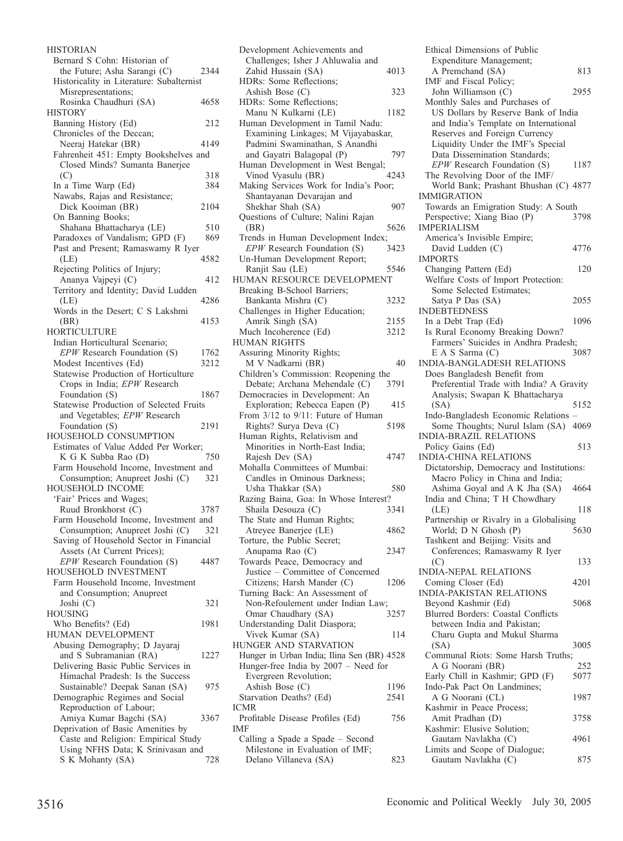HISTORIAN Bernard S Cohn: Historian of the Future; Asha Sarangi (C) 2344 Historicality in Literature: Subalternist Misrepresentations; Rosinka Chaudhuri (SA) 4658 **HISTORY** Banning History (Ed) 212 Chronicles of the Deccan; Neeraj Hatekar (BR) 4149 Fahrenheit 451: Empty Bookshelves and Closed Minds? Sumanta Banerjee  $(C)$  318 In a Time Warp (Ed) 384 Nawabs, Rajas and Resistance; Dick Kooiman (BR) 2104 On Banning Books; Shahana Bhattacharya (LE) 510 Paradoxes of Vandalism; GPD (F) 869 Past and Present; Ramaswamy R Iyer (LE) 4582 Rejecting Politics of Injury; Ananya Vajpeyi (C) 412 Territory and Identity; David Ludden (LE) 4286 Words in the Desert; C S Lakshmi (BR) 4153 **HORTICULTURE** Indian Horticultural Scenario; *EPW* Research Foundation (S) 1762 Modest Incentives (Ed) 3212 Statewise Production of Horticulture Crops in India; *EPW* Research Foundation (S) 1867 Statewise Production of Selected Fruits and Vegetables; *EPW* Research Foundation (S) 2191 HOUSEHOLD CONSUMPTION Estimates of Value Added Per Worker;<br>K G K Subba Rao (D) 750  $K$  G K Subba Rao  $(D)$ Farm Household Income, Investment and Consumption; Anupreet Joshi (C) 321 HOUSEHOLD INCOME 'Fair' Prices and Wages; Ruud Bronkhorst (C) 3787 Farm Household Income, Investment and Consumption; Anupreet Joshi (C) 321 Saving of Household Sector in Financial Assets (At Current Prices); *EPW* Research Foundation (S) 4487 HOUSEHOLD INVESTMENT Farm Household Income, Investment and Consumption; Anupreet Joshi  $(C)$  321 HOUSING Who Benefits? (Ed) 1981 HUMAN DEVELOPMENT Abusing Demography; D Jayaraj and S Subramanian (RA) 1227 Delivering Basic Public Services in Himachal Pradesh: Is the Success Sustainable? Deepak Sanan (SA) 975 Demographic Regimes and Social Reproduction of Labour; Amiya Kumar Bagchi (SA) 3367 Deprivation of Basic Amenities by Caste and Religion: Empirical Study Using NFHS Data; K Srinivasan and S K Mohanty (SA) 728

| Development Achievements and                                        |      |
|---------------------------------------------------------------------|------|
| Challenges; Isher J Ahluwalia and                                   |      |
| Zahid Hussain (SA)<br>HDRs: Some Reflections;                       | 4013 |
| Ashish Bose (C)                                                     | 323  |
| HDRs: Some Reflections;                                             |      |
| Manu N Kulkarni (LE)                                                | 1182 |
| Human Development in Tamil Nadu:                                    |      |
| Examining Linkages; M Vijayabaskar,                                 |      |
| Padmini Swaminathan, S Anandhi<br>and Gayatri Balagopal (P)         | 797  |
| Human Development in West Bengal;                                   |      |
| Vinod Vyasulu (BR)                                                  | 4243 |
| Making Services Work for India's Poor;                              |      |
| Shantayanan Devarajan and                                           |      |
| Shekhar Shah (SA)<br>Questions of Culture; Nalini Rajan             | 907  |
| (BR)                                                                | 5626 |
| Trends in Human Development Index;                                  |      |
| EPW Research Foundation (S)                                         | 3423 |
| Un-Human Development Report;                                        |      |
| Ranjit Sau (LE)                                                     | 5546 |
| HUMAN RESOURCE DEVELOPMENT                                          |      |
| Breaking B-School Barriers;<br>Bankanta Mishra (C)                  | 3232 |
| Challenges in Higher Education;                                     |      |
| Amrik Singh (SA)                                                    | 2155 |
| Much Incoherence (Ed)                                               | 3212 |
| <b>HUMAN RIGHTS</b>                                                 |      |
| Assuring Minority Rights;                                           |      |
| M V Nadkarni (BR)<br>Children's Commission: Reopening the           | 40   |
| Debate; Archana Mehendale (C)                                       | 3791 |
| Democracies in Development: An                                      |      |
| Exploration; Rebecca Eapen (P)                                      | 415  |
| From 3/12 to 9/11: Future of Human                                  |      |
| Rights? Surya Deva (C)                                              | 5198 |
| Human Rights, Relativism and                                        |      |
| Minorities in North-East India;<br>Rajesh Dev (SA)                  | 4747 |
| Mohalla Committees of Mumbai:                                       |      |
| Candles in Ominous Darkness;                                        |      |
| Usha Thakkar (SA)                                                   | 580  |
| Razing Baina, Goa: In Whose Interest?                               |      |
| Shaila Desouza (C)                                                  | 3341 |
| The State and Human Rights;<br>Atreyee Banerjee (LE)                | 4862 |
| Torture, the Public Secret;                                         |      |
| Anupama Rao (C)                                                     | 2347 |
| Towards Peace, Democracy and                                        |      |
| Justice - Committee of Concerned                                    |      |
| Citizens; Harsh Mander (C)                                          | 1206 |
| Turning Back: An Assessment of<br>Non-Refoulement under Indian Law; |      |
| Omar Chaudhary (SA)                                                 | 3257 |
| Understanding Dalit Diaspora;                                       |      |
| Vivek Kumar (SA)                                                    | 114  |
| HUNGER AND STARVATION                                               |      |
| Hunger in Urban India; Ilina Sen (BR) 4528                          |      |
| Hunger-free India by 2007 - Need for                                |      |
| Evergreen Revolution;<br>Ashish Bose (C)                            | 1196 |
| Starvation Deaths? (Ed)                                             | 2541 |
| ICMR                                                                |      |
| Profitable Disease Profiles (Ed)                                    | 756  |
| IMF                                                                 |      |
| Calling a Spade a Spade – Second                                    |      |
| Milestone in Evaluation of IMF;<br>Delano Villaneva (SA)            | 823  |
|                                                                     |      |

Ethical Dimensions of Public Expenditure Management; A Premchand (SA) 813 IMF and Fiscal Policy; John Williamson (C) 2955 Monthly Sales and Purchases of US Dollars by Reserve Bank of India and India's Template on International Reserves and Foreign Currency Liquidity Under the IMF's Special Data Dissemination Standards; *EPW* Research Foundation (S) 1187 The Revolving Door of the IMF/ World Bank; Prashant Bhushan (C) 4877 IMMIGRATION Towards an Emigration Study: A South<br>Perspective: Xiang Biao (P) 3798 Perspective; Xiang Biao (P) IMPERIALISM America's Invisible Empire; David Ludden (C) 4776 IMPORTS Changing Pattern (Ed) 120 Welfare Costs of Import Protection: Some Selected Estimates; Satya P Das (SA) 2055 INDEBTEDNESS In a Debt Trap (Ed) 1096 Is Rural Economy Breaking Down? Farmers' Suicides in Andhra Pradesh;<br>E A S Sarma (C) 3087  $E A S Sarma (C)$ INDIA-BANGLADESH RELATIONS Does Bangladesh Benefit from Preferential Trade with India? A Gravity Analysis; Swapan K Bhattacharya (SA) 5152 Indo-Bangladesh Economic Relations – Some Thoughts; Nurul Islam (SA) 4069 INDIA-BRAZIL RELATIONS Policy Gains (Ed) 513 INDIA-CHINA RELATIONS Dictatorship, Democracy and Institutions: Macro Policy in China and India; Ashima Goyal and A K Jha (SA) 4664 India and China; T H Chowdhary (LE) 118 Partnership or Rivalry in a Globalising World;  $\overline{D}$  N Ghosh (P) 5630 Tashkent and Beijing: Visits and Conferences; Ramaswamy R Iyer (C) 133 INDIA-NEPAL RELATIONS Coming Closer (Ed) 4201 INDIA-PAKISTAN RELATIONS Beyond Kashmir (Ed) 5068 Blurred Borders: Coastal Conflicts between India and Pakistan; Charu Gupta and Mukul Sharma (SA) 3005 Communal Riots: Some Harsh Truths; A G Noorani (BR) 252 Early Chill in Kashmir; GPD (F) 5077 Indo-Pak Pact On Landmines; A G Noorani (CL) 1987 Kashmir in Peace Process; Amit Pradhan (D) 3758 Kashmir: Elusive Solution; Gautam Navlakha (C) 4961 Limits and Scope of Dialogue; Gautam Navlakha (C) 875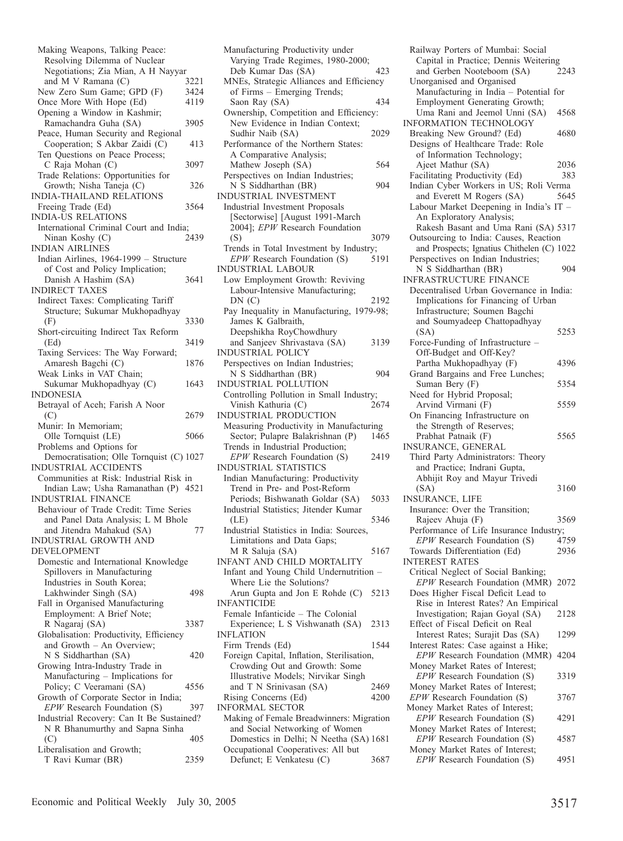| Making Weapons, Talking Peace:                                    |      |
|-------------------------------------------------------------------|------|
| Resolving Dilemma of Nuclear                                      |      |
| Negotiations; Zia Mian, A H Nayyar<br>and M V Ramana (C)          | 3221 |
| New Zero Sum Game; GPD (F)                                        | 3424 |
| Once More With Hope (Ed)                                          | 4119 |
| Opening a Window in Kashmir;                                      |      |
| Ramachandra Guha (SA)                                             | 3905 |
| Peace, Human Security and Regional                                |      |
| Cooperation; S Akbar Zaidi (C)                                    | 413  |
| Ten Questions on Peace Process;                                   |      |
| C Raja Mohan (C)                                                  | 3097 |
| Trade Relations: Opportunities for<br>Growth; Nisha Taneja (C)    | 326  |
| INDIA-THAILAND RELATIONS                                          |      |
| Freeing Trade (Ed)                                                | 3564 |
| <b>INDIA-US RELATIONS</b>                                         |      |
| International Criminal Court and India;                           |      |
| Ninan Koshy (C)                                                   | 2439 |
| <b>INDIAN AIRLINES</b>                                            |      |
| Indian Airlines, 1964-1999 - Structure                            |      |
| of Cost and Policy Implication;                                   |      |
| Danish A Hashim (SA)                                              | 3641 |
| <b>INDIRECT TAXES</b>                                             |      |
| Indirect Taxes: Complicating Tariff                               |      |
| Structure; Sukumar Mukhopadhyay                                   |      |
| (F)<br>Short-circuiting Indirect Tax Reform                       | 3330 |
| (Ed)                                                              | 3419 |
| Taxing Services: The Way Forward;                                 |      |
| Amaresh Bagchi (C)                                                | 1876 |
| Weak Links in VAT Chain;                                          |      |
| Sukumar Mukhopadhyay (C)                                          | 1643 |
| <b>INDONESIA</b>                                                  |      |
| Betrayal of Aceh; Farish A Noor                                   |      |
|                                                                   |      |
| (C)                                                               | 2679 |
| Munir: In Memoriam;                                               |      |
| Olle Tornquist (LE)                                               | 5066 |
| Problems and Options for                                          |      |
| Democratisation; Olle Tornquist (C) 1027                          |      |
| INDUSTRIAL ACCIDENTS                                              |      |
| Communities at Risk: Industrial Risk in                           |      |
| Indian Law; Usha Ramanathan (P) 4521<br><b>INDUSTRIAL FINANCE</b> |      |
| Behaviour of Trade Credit: Time Series                            |      |
| and Panel Data Analysis; L M Bhole                                |      |
| and Jitendra Mahakud (SA)                                         | 77   |
| INDUSTRIAL GROWTH AND                                             |      |
| DEVELOPMENT                                                       |      |
| Domestic and International Knowledge                              |      |
| Spillovers in Manufacturing                                       |      |
| Industries in South Korea;                                        |      |
| Lakhwinder Singh (SA)                                             | 498  |
| Fall in Organised Manufacturing                                   |      |
| Employment: A Brief Note;                                         |      |
| R Nagaraj (SA)                                                    | 3387 |
| Globalisation: Productivity, Efficiency                           |      |
| and Growth - An Overview;                                         | 420  |
| N S Siddharthan (SA)<br>Growing Intra-Industry Trade in           |      |
| Manufacturing - Implications for                                  |      |
| Policy; C Veeramani (SA)                                          | 4556 |
| Growth of Corporate Sector in India;                              |      |
| EPW Research Foundation (S)                                       | 397  |
| Industrial Recovery: Can It Be Sustained?                         |      |
| N R Bhanumurthy and Sapna Sinha                                   |      |
| (C)<br>Liberalisation and Growth;                                 | 405  |

| Manufacturing Productivity under                                            |      |
|-----------------------------------------------------------------------------|------|
| Varying Trade Regimes, 1980-2000;                                           |      |
| Deb Kumar Das (SA)                                                          | 423  |
| MNEs, Strategic Alliances and Efficiency                                    |      |
| of Firms - Emerging Trends;                                                 |      |
| Saon Ray (SA)                                                               | 434  |
| Ownership, Competition and Efficiency:<br>New Evidence in Indian Context;   |      |
| Sudhir Naib (SA)                                                            | 2029 |
| Performance of the Northern States:                                         |      |
| A Comparative Analysis;                                                     |      |
| Mathew Joseph (SA)                                                          | 564  |
| Perspectives on Indian Industries;                                          |      |
| N S Siddharthan (BR)                                                        | 904  |
| INDUSTRIAL INVESTMENT                                                       |      |
| <b>Industrial Investment Proposals</b>                                      |      |
| [Sectorwise] [August 1991-March                                             |      |
| 2004]; EPW Research Foundation                                              |      |
| (S)                                                                         | 3079 |
| Trends in Total Investment by Industry;                                     |      |
| EPW Research Foundation (S)                                                 | 5191 |
| <b>INDUSTRIAL LABOUR</b>                                                    |      |
| Low Employment Growth: Reviving                                             |      |
| Labour-Intensive Manufacturing;<br>DN(C)                                    |      |
| Pay Inequality in Manufacturing, 1979-98;                                   | 2192 |
| James K Galbraith,                                                          |      |
| Deepshikha RoyChowdhury                                                     |      |
| and Sanjeev Shrivastava (SA)                                                | 3139 |
| <b>INDUSTRIAL POLICY</b>                                                    |      |
| Perspectives on Indian Industries;                                          |      |
| N S Siddharthan (BR)                                                        | 904  |
| <b>INDUSTRIAL POLLUTION</b>                                                 |      |
| Controlling Pollution in Small Industry;                                    |      |
| Vinish Kathuria (C)                                                         | 2674 |
|                                                                             |      |
| INDUSTRIAL PRODUCTION                                                       |      |
| Measuring Productivity in Manufacturing                                     |      |
| Sector; Pulapre Balakrishnan (P)                                            | 1465 |
| Trends in Industrial Production;                                            |      |
| EPW Research Foundation (S)                                                 | 2419 |
| <b>INDUSTRIAL STATISTICS</b>                                                |      |
| Indian Manufacturing: Productivity                                          |      |
| Trend in Pre- and Post-Reform                                               |      |
| Periods; Bishwanath Goldar (SA)                                             | 5033 |
| Industrial Statistics; Jitender Kumar                                       | 5346 |
| (LE)<br>Industrial Statistics in India: Sources,                            |      |
| Limitations and Data Gaps;                                                  |      |
| M R Saluja (SA)                                                             | 5167 |
| INFANT AND CHILD MORTALITY                                                  |      |
| Infant and Young Child Undernutrition -                                     |      |
| Where Lie the Solutions?                                                    |      |
| Arun Gupta and Jon E Rohde (C)                                              | 5213 |
| <b>INFANTICIDE</b>                                                          |      |
| Female Infanticide - The Colonial                                           |      |
| Experience; L S Vishwanath (SA)                                             | 2313 |
| <b>INFLATION</b>                                                            |      |
| Firm Trends (Ed)                                                            | 1544 |
| Foreign Capital, Inflation, Sterilisation,<br>Crowding Out and Growth: Some |      |
| Illustrative Models; Nirvikar Singh                                         |      |
| and T N Srinivasan (SA)                                                     | 2469 |
| Rising Concerns (Ed)                                                        | 4200 |
| <b>INFORMAL SECTOR</b>                                                      |      |
| Making of Female Breadwinners: Migration                                    |      |
| and Social Networking of Women                                              |      |
| Domestics in Delhi; N Neetha (SA) 1681                                      |      |
| Occupational Cooperatives: All but<br>Defunct; E Venkatesu (C)              | 3687 |

Railway Porters of Mumbai: Social Capital in Practice; Dennis Weitering<br>and Gerben Nooteboom (SA) 2243 and Gerben Nooteboom (SA) Unorganised and Organised Manufacturing in India – Potential for Employment Generating Growth; Uma Rani and Jeemol Unni (SA) 4568 INFORMATION TECHNOLOGY Breaking New Ground? (Ed) 4680 Designs of Healthcare Trade: Role of Information Technology; Ajeet Mathur (SA) 2036<br>acilitating Productivity (Ed) 383 Facilitating Productivity (Ed) Indian Cyber Workers in US; Roli Verma and Everett M Rogers (SA) Labour Market Deepening in India's IT – An Exploratory Analysis; Rakesh Basant and Uma Rani (SA) 5317 Outsourcing to India: Causes, Reaction and Prospects; Ignatius Chithelen (C) 1022 Perspectives on Indian Industries; N S Siddharthan (BR) 904 INFRASTRUCTURE FINANCE Decentralised Urban Governance in India: Implications for Financing of Urban Infrastructure; Soumen Bagchi and Soumyadeep Chattopadhyay (SA) 5253 Force-Funding of Infrastructure – Off-Budget and Off-Key? Partha Mukhopadhyay (F) 4396 Grand Bargains and Free Lunches; Suman Bery (F) 5354 Need for Hybrid Proposal; Arvind Virmani (F) 5559 On Financing Infrastructure on the Strength of Reserves; Prabhat Patnaik (F) 5565 INSURANCE, GENERAL Third Party Administrators: Theory and Practice; Indrani Gupta, Abhijit Roy and Mayur Trivedi (SA) 3160 INSURANCE, LIFE Insurance: Over the Transition; Rajeev Ahuja (F) 3569 Performance of Life Insurance Industry;<br>*EPW* Research Foundation (S) 4759 *EPW* Research Foundation (S) Towards Differentiation (Ed) 2936 INTEREST RATES Critical Neglect of Social Banking; *EPW* Research Foundation (MMR) 2072 Does Higher Fiscal Deficit Lead to Rise in Interest Rates? An Empirical Investigation; Rajan Goyal (SA) 2128 Effect of Fiscal Deficit on Real Interest Rates; Surajit Das (SA) 1299 Interest Rates: Case against a Hike; *EPW* Research Foundation (MMR) 4204 Money Market Rates of Interest; *EPW* Research Foundation (S) 3319 Money Market Rates of Interest; *EPW* Research Foundation (S) 3767 Money Market Rates of Interest; *EPW* Research Foundation (S) 4291 Money Market Rates of Interest; *EPW* Research Foundation (S) 4587 Money Market Rates of Interest; *EPW* Research Foundation (S) 4951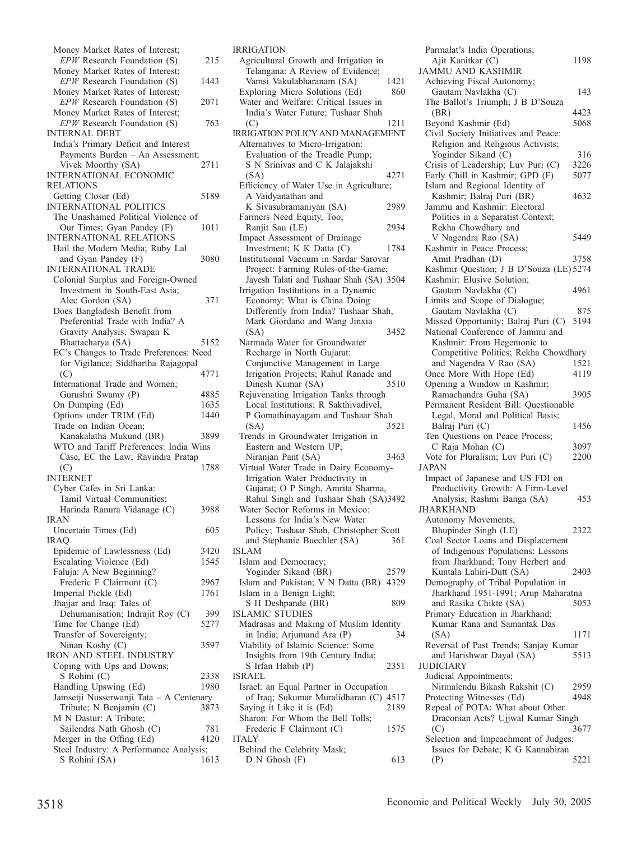| Money Market Rates of Interest;                                      |             |
|----------------------------------------------------------------------|-------------|
| $EPW$ Research Foundation (S)                                        | 215         |
| Money Market Rates of Interest;                                      |             |
| EPW Research Foundation (S)<br>Money Market Rates of Interest;       | 1443        |
| EPW Research Foundation (S)                                          | 2071        |
| Money Market Rates of Interest;                                      |             |
| $EPW$ Research Foundation (S)                                        | 763         |
| <b>INTERNAL DEBT</b>                                                 |             |
| India's Primary Deficit and Interest                                 |             |
| Payments Burden - An Assessment;                                     |             |
| Vivek Moorthy (SA)                                                   | 2711        |
| INTERNATIONAL ECONOMIC<br><b>RELATIONS</b>                           |             |
| Getting Closer (Ed)                                                  | 5189        |
| <b>INTERNATIONAL POLITICS</b>                                        |             |
| The Unashamed Political Violence of                                  |             |
| Our Times; Gyan Pandey (F)                                           | 1011        |
| <b>INTERNATIONAL RELATIONS</b>                                       |             |
| Hail the Modern Media; Ruby Lal                                      |             |
| and Gyan Pandey (F)                                                  | 3080        |
| INTERNATIONAL TRADE                                                  |             |
| Colonial Surplus and Foreign-Owned<br>Investment in South-East Asia; |             |
| Alec Gordon (SA)                                                     | 371         |
| Does Bangladesh Benefit from                                         |             |
| Preferential Trade with India? A                                     |             |
| Gravity Analysis; Swapan K                                           |             |
| Bhattacharya (SA)                                                    | 5152        |
| EC's Changes to Trade Preferences: Need                              |             |
| for Vigilance; Siddhartha Rajagopal                                  |             |
| (C)                                                                  | 4771        |
| International Trade and Women;<br>Gurushri Swamy (P)                 | 4885        |
| On Dumping (Ed)                                                      | 1635        |
| Options under TRIM (Ed)                                              |             |
|                                                                      |             |
|                                                                      | 1440        |
| Trade on Indian Ocean;<br>Kanakalatha Mukund (BR)                    | 3899        |
| WTO and Tariff Preferences: India Wins                               |             |
| Case, EC the Law; Ravindra Pratap                                    |             |
| (C)                                                                  | 1788        |
| <b>INTERNET</b>                                                      |             |
| Cyber Cafes in Sri Lanka:                                            |             |
| Tamil Virtual Communities;                                           |             |
| Harinda Ranura Vidanage (C)<br><b>IRAN</b>                           | 3988        |
| Uncertain Times (Ed)                                                 | 605         |
| <b>IRAQ</b>                                                          |             |
| Epidemic of Lawlessness (Ed)                                         | 3420        |
| Escalating Violence (Ed)                                             | 1545        |
| Faluja: A New Beginning?                                             |             |
| Frederic F Clairmont (C)                                             | 2967        |
| Imperial Pickle (Ed)                                                 | 1761        |
| Jhajjar and Iraq: Tales of                                           |             |
| Dehumanisation; Indrajit Roy (C)                                     | 399<br>5277 |
| Time for Change (Ed)<br>Transfer of Sovereignty;                     |             |
| Ninan Koshy (C)                                                      | 3597        |
| IRON AND STEEL INDUSTRY                                              |             |
| Coping with Ups and Downs;                                           |             |
| S Rohini (C)                                                         | 2338        |
| Handling Upswing (Ed)                                                | 1980        |
| Jamsetji Nusserwanji Tata - A Centenary                              |             |
| Tribute; N Benjamin (C)<br>M N Dastur: A Tribute;                    | 3873        |
| Sailendra Nath Ghosh (C)                                             | 781         |
| Merger in the Offing (Ed)                                            | 4120        |
| Steel Industry: A Performance Analysis;<br>S Rohini (SA)             | 1613        |

| IRRIGATION                                                                  |      |
|-----------------------------------------------------------------------------|------|
| Agricultural Growth and Irrigation in                                       |      |
| Telangana: A Review of Evidence;                                            |      |
| Vamsi Vakulabharanam (SA)                                                   | 1421 |
| Exploring Micro Solutions (Ed)                                              | 860  |
| Water and Welfare: Critical Issues in<br>India's Water Future; Tushaar Shah |      |
| (C)                                                                         | 1211 |
| <b>IRRIGATION POLICY AND MANAGEMENT</b>                                     |      |
| Alternatives to Micro-Irrigation:                                           |      |
| Evaluation of the Treadle Pump;                                             |      |
| S N Srinivas and C K Jalajakshi                                             |      |
| (SA)                                                                        | 4271 |
| Efficiency of Water Use in Agriculture;                                     |      |
| A Vaidvanathan and                                                          |      |
| K Sivasubramaniyan (SA)<br>Farmers Need Equity, Too;                        | 2989 |
| Ranjit Sau (LE)                                                             | 2934 |
| Impact Assessment of Drainage                                               |      |
| Investment; K K Datta (C)                                                   | 1784 |
| Institutional Vacuum in Sardar Sarovar                                      |      |
| Project: Farming Rules-of-the-Game;                                         |      |
| Jayesh Talati and Tushaar Shah (SA) 3504                                    |      |
| Irrigation Institutions in a Dynamic                                        |      |
| Economy: What is China Doing                                                |      |
| Differently from India? Tushaar Shah,                                       |      |
| Mark Giordano and Wang Jinxia<br>(SA)                                       | 3452 |
| Narmada Water for Groundwater                                               |      |
| Recharge in North Gujarat:                                                  |      |
| Conjunctive Management in Large                                             |      |
| Irrigation Projects; Rahul Ranade and                                       |      |
| Dinesh Kumar (SA)                                                           | 3510 |
| Rejuvenating Irrigation Tanks through                                       |      |
|                                                                             |      |
| Local Institutions; R Sakthivadivel,                                        |      |
| P Gomathinayagam and Tushaar Shah                                           |      |
| (SA)                                                                        | 3521 |
| Trends in Groundwater Irrigation in                                         |      |
| Eastern and Western UP;<br>Niranjan Pant (SA)                               | 3463 |
| Virtual Water Trade in Dairy Economy-                                       |      |
| Irrigation Water Productivity in                                            |      |
| Gujarat; O P Singh, Amrita Sharma,                                          |      |
| Rahul Singh and Tushaar Shah (SA)3492                                       |      |
| Water Sector Reforms in Mexico:                                             |      |
| Lessons for India's New Water                                               |      |
| Policy; Tushaar Shah, Christopher Scott                                     |      |
| and Stephanie Buechler (SA)<br>ISLAM                                        | 361  |
| Islam and Democracy;                                                        |      |
| Yoginder Sikand (BR)                                                        | 2579 |
| Islam and Pakistan; V N Datta (BR) 4329                                     |      |
| Islam in a Benign Light;                                                    |      |
| S H Deshpande (BR)                                                          | 809  |
| <b>ISLAMIC STUDIES</b>                                                      |      |
| Madrasas and Making of Muslim Identity                                      |      |
| in India; Arjumand Ara (P)<br>Viability of Islamic Science: Some            | 34   |
| Insights from 19th Century India;                                           |      |
| S Irfan Habib (P)                                                           | 2351 |
| <b>ISRAEL</b>                                                               |      |
| Israel: an Equal Partner in Occupation                                      |      |
| of Iraq; Sukumar Muralidharan (C) 4517                                      |      |
| Saying it Like it is (Ed)                                                   | 2189 |
| Sharon: For Whom the Bell Tolls;                                            | 1575 |
| Frederic F Clairmont (C)<br><b>ITALY</b>                                    |      |
| Behind the Celebrity Mask;<br>D N Ghosh (F)                                 |      |

| Parmalat's India Operations;                                              |      |
|---------------------------------------------------------------------------|------|
| Ajit Kanitkar (C)                                                         | 1198 |
| <b>JAMMU AND KASHMIR</b>                                                  |      |
| Achieving Fiscal Autonomy;                                                |      |
| Gautam Navlakha (C)                                                       | 143  |
| The Ballot's Triumph; J B D'Souza                                         | 4423 |
| (BR)<br>Beyond Kashmir (Ed)                                               | 5068 |
| Civil Society Initiatives and Peace:                                      |      |
| Religion and Religious Activists;                                         |      |
| Yoginder Sikand (C)                                                       | 316  |
| Crisis of Leadership; Luv Puri (C)                                        | 3226 |
| Early Chill in Kashmir; GPD (F)                                           | 5077 |
| Islam and Regional Identity of                                            |      |
| Kashmir; Balraj Puri (BR)                                                 | 4632 |
| Jammu and Kashmir: Electoral                                              |      |
| Politics in a Separatist Context;                                         |      |
| Rekha Chowdhary and                                                       |      |
| V Nagendra Rao (SA)<br>Kashmir in Peace Process;                          | 5449 |
| Amit Pradhan (D)                                                          | 3758 |
| Kashmir Question; J B D'Souza (LE) 5274                                   |      |
| Kashmir: Elusive Solution;                                                |      |
| Gautam Navlakha (C)                                                       | 4961 |
| Limits and Scope of Dialogue;                                             |      |
| Gautam Navlakha (C)                                                       | 875  |
| Missed Opportunity; Balraj Puri (C)                                       | 5194 |
| National Conference of Jammu and                                          |      |
| Kashmir: From Hegemonic to                                                |      |
| Competitive Politics; Rekha Chowdhary                                     |      |
| and Nagendra V Rao (SA)                                                   | 1521 |
| Once More With Hope (Ed)                                                  | 4119 |
| Opening a Window in Kashmir;<br>Ramachandra Guha (SA)                     | 3905 |
| Permanent Resident Bill: Questionable                                     |      |
| Legal, Moral and Political Basis;                                         |      |
| Balraj Puri (C)                                                           | 1456 |
| Ten Questions on Peace Process;                                           |      |
| C Raja Mohan (C)                                                          | 3097 |
| Vote for Pluralism; Luv Puri (C)                                          |      |
|                                                                           | 2200 |
| JAPAN                                                                     |      |
| Impact of Japanese and US FDI on                                          |      |
| Productivity Growth: A Firm-Level                                         |      |
| Analysis; Rashmi Banga (SA)                                               | 453  |
| JHARKHAND                                                                 |      |
| Autonomy Movements;                                                       | 2322 |
| Bhupinder Singh (LE)                                                      |      |
| Coal Sector Loans and Displacement<br>of Indigenous Populations: Lessons  |      |
| from Jharkhand; Tony Herbert and                                          |      |
| Kuntala Lahiri-Dutt (SA)                                                  | 2403 |
| Demography of Tribal Population in                                        |      |
| Jharkhand 1951-1991; Arup Maharatna                                       |      |
| and Rasika Chikte (SA)                                                    | 5053 |
| Primary Education in Jharkhand;                                           |      |
| Kumar Rana and Samantak Das                                               |      |
| (SA)                                                                      | 1171 |
| Reversal of Past Trends; Sanjay Kumar                                     | 5513 |
| and Harishwar Dayal (SA)<br><b>JUDICIARY</b>                              |      |
| Judicial Appointments;                                                    |      |
| Nirmalendu Bikash Rakshit (C)                                             | 2959 |
| Protecting Witnesses (Ed)                                                 | 4948 |
| Repeal of POTA: What about Other                                          |      |
| Draconian Acts? Ujjwal Kumar Singh                                        |      |
| (C)                                                                       | 3677 |
| Selection and Impeachment of Judges:<br>Issues for Debate; K G Kannabiran |      |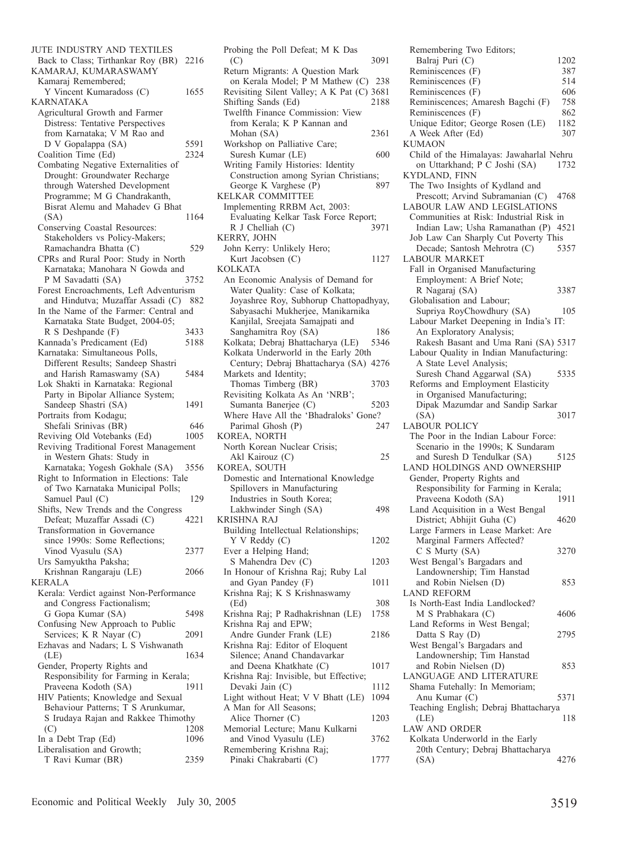JUTE INDUSTRY AND TEXTILES Back to Class; Tirthankar Roy (BR) 2216 KAMARAJ, KUMARASWAMY Kamaraj Remembered; Y Vincent Kumaradoss (C) 1655 KARNATAKA Agricultural Growth and Farmer Distress: Tentative Perspectives from Karnataka; V M Rao and D V Gopalappa (SA) 5591<br>
balition Time (Ed) 2324 Coalition Time (Ed) Combating Negative Externalities of Drought: Groundwater Recharge through Watershed Development Programme; M G Chandrakanth, Bisrat Alemu and Mahadev G Bhat (SA) 1164 Conserving Coastal Resources: Stakeholders vs Policy-Makers; Ramachandra Bhatta (C) 529 CPRs and Rural Poor: Study in North Karnataka; Manohara N Gowda and P M Savadatti (SA) 3752 Forest Encroachments, Left Adventurism and Hindutva; Muzaffar Assadi (C) 882 In the Name of the Farmer: Central and Karnataka State Budget, 2004-05; R S Deshpande (F) 3433<br>
Sannada's Predicament (Ed) 5188 Kannada's Predicament (Ed) Karnataka: Simultaneous Polls, Different Results; Sandeep Shastri and Harish Ramaswamy (SA) 5484 Lok Shakti in Karnataka: Regional Party in Bipolar Alliance System; Sandeep Shastri (SA) 1491 Portraits from Kodagu; Shefali Srinivas (BR) 646<br>eviving Old Votebanks (Ed) 1005 Reviving Old Votebanks (Ed) Reviving Traditional Forest Management in Western Ghats: Study in Karnataka; Yogesh Gokhale (SA) 3556 Right to Information in Elections: Tale of Two Karnataka Municipal Polls; Samuel Paul (C) 129 Shifts, New Trends and the Congress<br>Defeat; Muzaffar Assadi (C) 4221 Defeat; Muzaffar Assadi (C) Transformation in Governance since 1990s: Some Reflections; Vinod Vyasulu (SA) 2377 Urs Samyuktha Paksha; Krishnan Rangaraju (LE) 2066 KERALA Kerala: Verdict against Non-Performance and Congress Factionalism; G Gopa Kumar (SA) 5498 Confusing New Approach to Public Services; K R Nayar (C) 2091 Ezhavas and Nadars; L S Vishwanath (LE) 1634 Gender, Property Rights and Responsibility for Farming in Kerala; Praveena Kodoth (SA) 1911 HIV Patients; Knowledge and Sexual Behaviour Patterns; T S Arunkumar, S Irudaya Rajan and Rakkee Thimothy (C) 1208 In a Debt Trap (Ed) 1096 Liberalisation and Growth; T Ravi Kumar (BR) 2359

| Probing the Poll Defeat; M K Das                   |      |
|----------------------------------------------------|------|
| (C)                                                | 3091 |
| Return Migrants: A Question Mark                   |      |
| on Kerala Model; P M Mathew (C)                    | 238  |
| Revisiting Silent Valley; A K Pat (C) 3681         |      |
| Shifting Sands (Ed)                                | 2188 |
| Twelfth Finance Commission: View                   |      |
| from Kerala; K P Kannan and                        |      |
| Mohan (SA)                                         | 2361 |
| Workshop on Palliative Care;                       |      |
| Suresh Kumar (LE)                                  | 600  |
| Writing Family Histories: Identity                 |      |
|                                                    |      |
| Construction among Syrian Christians;              |      |
| George K Varghese (P)                              | 897  |
| KELKAR COMMITTEE                                   |      |
| Implementing RRBM Act, 2003:                       |      |
| Evaluating Kelkar Task Force Report;               |      |
| $R$ J Chelliah $(C)$                               | 3971 |
| KERRY, JOHN                                        |      |
| John Kerry: Unlikely Hero;                         |      |
| Kurt Jacobsen (C)                                  | 1127 |
| KOLKATA                                            |      |
| An Economic Analysis of Demand for                 |      |
| Water Quality: Case of Kolkata;                    |      |
|                                                    |      |
| Joyashree Roy, Subhorup Chattopadhyay,             |      |
| Sabyasachi Mukherjee, Manikarnika                  |      |
| Kanjilal, Sreejata Samajpati and                   |      |
| Sanghamitra Roy (SA)                               | 186  |
| Kolkata; Debraj Bhattacharya (LE)                  | 5346 |
| Kolkata Underworld in the Early 20th               |      |
| Century; Debraj Bhattacharya (SA) 4276             |      |
| Markets and Identity;                              |      |
| Thomas Timberg (BR)                                | 3703 |
| Revisiting Kolkata As An 'NRB';                    |      |
|                                                    |      |
|                                                    |      |
| Sumanta Banerjee (C)                               | 5203 |
| Where Have All the 'Bhadraloks' Gone?              |      |
| Parimal Ghosh (P)                                  | 247  |
| KOREA, NORTH                                       |      |
| North Korean Nuclear Crisis;                       |      |
| Akl Kairouz (C)                                    | 25   |
| KOREA, SOUTH                                       |      |
| Domestic and International Knowledge               |      |
| Spillovers in Manufacturing                        |      |
| Industries in South Korea;                         |      |
|                                                    | 498  |
| Lakhwinder Singh (SA)<br>KRISHNA RAJ               |      |
|                                                    |      |
| Building Intellectual Relationships;               |      |
| Y V Reddy (C)                                      | 1202 |
| Ever a Helping Hand;                               |      |
| S Mahendra Dev (C)                                 | 1203 |
| In Honour of Krishna Raj; Ruby Lal                 |      |
| and Gyan Pandey (F)                                | 1011 |
| Krishna Raj; K S Krishnaswamy                      |      |
| (Ed)                                               | 308  |
| Krishna Raj; P Radhakrishnan (LE)                  | 1758 |
| Krishna Raj and EPW;                               |      |
| Andre Gunder Frank (LE)                            | 2186 |
| Krishna Raj: Editor of Eloquent                    |      |
| Silence; Anand Chandavarkar                        |      |
|                                                    | 1017 |
| and Deena Khatkhate (C)                            |      |
| Krishna Raj: Invisible, but Effective;             |      |
| Devaki Jain (C)                                    | 1112 |
| Light without Heat; V V Bhatt (LE)                 | 1094 |
| A Man for All Seasons;                             |      |
| Alice Thorner (C)                                  | 1203 |
| Memorial Lecture; Manu Kulkarni                    |      |
| and Vinod Vyasulu (LE)                             | 3762 |
| Remembering Krishna Raj;<br>Pinaki Chakrabarti (C) | 1777 |

| Remembering Two Editors;                  |      |
|-------------------------------------------|------|
| Balraj Puri (C)                           | 1202 |
| Reminiscences (F)                         | 387  |
| Reminiscences (F)                         | 514  |
| Reminiscences (F)                         | 606  |
| Reminiscences; Amaresh Bagchi (F)         | 758  |
| Reminiscences (F)                         | 862  |
|                                           |      |
| Unique Editor; George Rosen (LE)          | 1182 |
| A Week After (Ed)                         | 307  |
| KUMAON                                    |      |
| Child of the Himalayas: Jawaharlal Nehru  |      |
| on Uttarkhand; P C Joshi (SA)             | 1732 |
| KYDLAND, FINN                             |      |
| The Two Insights of Kydland and           |      |
| Prescott; Arvind Subramanian (C)          | 4768 |
| LABOUR LAW AND LEGISLATIONS               |      |
| Communities at Risk: Industrial Risk in   |      |
| Indian Law; Usha Ramanathan (P) 4521      |      |
| Job Law Can Sharply Cut Poverty This      |      |
| Decade; Santosh Mehrotra (C)              | 5357 |
| <b>LABOUR MARKET</b>                      |      |
| Fall in Organised Manufacturing           |      |
| Employment: A Brief Note;                 |      |
| R Nagaraj (SA)                            | 3387 |
| Globalisation and Labour;                 |      |
| Supriya RoyChowdhury (SA)                 | 105  |
| Labour Market Deepening in India's IT:    |      |
| An Exploratory Analysis;                  |      |
| Rakesh Basant and Uma Rani (SA) 5317      |      |
| Labour Quality in Indian Manufacturing:   |      |
| A State Level Analysis;                   |      |
| Suresh Chand Aggarwal (SA)                | 5335 |
| Reforms and Employment Elasticity         |      |
| in Organised Manufacturing;               |      |
| Dipak Mazumdar and Sandip Sarkar          |      |
| (SA)                                      | 3017 |
| <b>LABOUR POLICY</b>                      |      |
| The Poor in the Indian Labour Force:      |      |
| Scenario in the 1990s; K Sundaram         |      |
| and Suresh D Tendulkar (SA)               | 5125 |
| LAND HOLDINGS AND OWNERSHIP               |      |
| Gender, Property Rights and               |      |
| Responsibility for Farming in Kerala;     |      |
| Praveena Kodoth (SA)                      | 1911 |
| Land Acquisition in a West Bengal         |      |
| District; Abhijit Guha (C)                | 4620 |
| Large Farmers in Lease Market: Are        |      |
| Marginal Farmers Affected?                |      |
| C S Murty (SA)                            | 3270 |
| West Bengal's Bargadars and               |      |
| Landownership; Tim Hanstad                |      |
| and Robin Nielsen (D)                     | 853  |
| <b>LAND REFORM</b>                        |      |
| Is North-East India Landlocked?           |      |
|                                           |      |
|                                           |      |
| M S Prabhakara (C)                        | 4606 |
| Land Reforms in West Bengal;              |      |
| Datta S Ray (D)                           | 2795 |
| West Bengal's Bargadars and               |      |
| Landownership; Tim Hanstad                |      |
| and Robin Nielsen (D)                     | 853  |
| LANGUAGE AND LITERATURE                   |      |
| Shama Futehally: In Memoriam;             |      |
| Anu Kumar (C)                             | 5371 |
| Teaching English; Debraj Bhattacharya     |      |
| (LE)                                      | 118  |
| <b>LAW AND ORDER</b>                      |      |
| Kolkata Underworld in the Early           |      |
| 20th Century; Debraj Bhattacharya<br>(SA) | 4276 |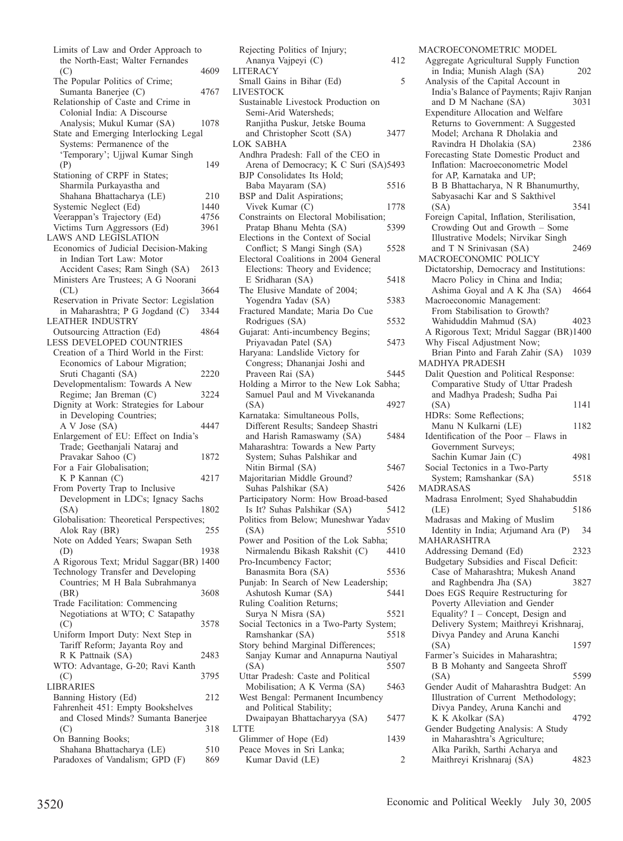| Limits of Law and Order Approach to                       |        |
|-----------------------------------------------------------|--------|
| the North-East; Walter Fernandes                          |        |
| (C)                                                       | 4609   |
| The Popular Politics of Crime;                            |        |
| Sumanta Banerjee (C)                                      | 4767   |
| Relationship of Caste and Crime in                        |        |
| Colonial India: A Discourse                               |        |
| Analysis; Mukul Kumar (SA)                                | 1078   |
| State and Emerging Interlocking Legal                     |        |
| Systems: Permanence of the                                |        |
| 'Temporary'; Ujjwal Kumar Singh                           |        |
| (P)                                                       | 149    |
| Stationing of CRPF in States;                             |        |
| Sharmila Purkayastha and                                  |        |
| Shahana Bhattacharya (LE)                                 | 210    |
| Systemic Neglect (Ed)                                     | 1440   |
| Veerappan's Trajectory (Ed)                               | 4756   |
| Victims Turn Aggressors (Ed)                              | 3961   |
| <b>LAWS AND LEGISLATION</b>                               |        |
| Economics of Judicial Decision-Making                     |        |
| in Indian Tort Law: Motor                                 |        |
| Accident Cases; Ram Singh (SA)                            | 2613   |
| Ministers Are Trustees; A G Noorani                       |        |
| (CL)                                                      | 3664   |
| Reservation in Private Sector: Legislation                |        |
| in Maharashtra; P G Jogdand (C)                           | - 3344 |
|                                                           |        |
| <b>LEATHER INDUSTRY</b>                                   |        |
| Outsourcing Attraction (Ed)                               | 4864   |
| LESS DEVELOPED COUNTRIES                                  |        |
| Creation of a Third World in the First:                   |        |
| Economics of Labour Migration;                            |        |
| Sruti Chaganti (SA)                                       | 2220   |
| Developmentalism: Towards A New                           |        |
| Regime; Jan Breman (C)                                    | 3224   |
| Dignity at Work: Strategies for Labour                    |        |
| in Developing Countries;                                  |        |
| A V Jose (SA)                                             | 4447   |
| Enlargement of EU: Effect on India's                      |        |
| Trade; Geethanjali Nataraj and                            |        |
| Pravakar Sahoo (C)                                        | 1872   |
| For a Fair Globalisation;                                 |        |
| K P Kannan (C)                                            | 4217   |
| From Poverty Trap to Inclusive                            |        |
| Development in LDCs; Ignacy Sachs                         |        |
| (SA)                                                      | 1802   |
| Globalisation: Theoretical Perspectives;                  |        |
| Alok Ray (BR)                                             | 255    |
| Note on Added Years; Swapan Seth                          |        |
| (D)                                                       | 1938   |
| A Rigorous Text; Mridul Saggar (BR) 1400                  |        |
| Technology Transfer and Developing                        |        |
| Countries; M H Bala Subrahmanya                           |        |
| (BR)                                                      | 3608   |
| Trade Facilitation: Commencing                            |        |
| Negotiations at WTO; C Satapathy                          |        |
| (C)                                                       | 3578   |
| Uniform Import Duty: Next Step in                         |        |
| Tariff Reform; Jayanta Roy and                            |        |
| R K Pattnaik (SA)                                         | 2483   |
| WTO: Advantage, G-20; Ravi Kanth                          |        |
| (C)                                                       | 3795   |
| LIBRARIES                                                 |        |
|                                                           |        |
| Banning History (Ed)<br>Fahrenheit 451: Empty Bookshelves | 212    |
|                                                           |        |
| and Closed Minds? Sumanta Banerjee                        |        |
| (C)                                                       | 318    |
| On Banning Books;                                         |        |
| Shahana Bhattacharya (LE)                                 | 510    |
| Paradoxes of Vandalism; GPD (F)                           | 869    |

| Ananya Vajpeyi (C)                                                 | 412  |
|--------------------------------------------------------------------|------|
| LITERACY                                                           |      |
| Small Gains in Bihar (Ed)                                          | 5    |
| LIVESTOCK                                                          |      |
| Sustainable Livestock Production on                                |      |
| Semi-Arid Watersheds;<br>Ranjitha Puskur, Jetske Bouma             |      |
| and Christopher Scott (SA)                                         | 3477 |
| LOK SABHA                                                          |      |
| Andhra Pradesh: Fall of the CEO in                                 |      |
| Arena of Democracy; K C Suri (SA)5493                              |      |
| BJP Consolidates Its Hold;                                         |      |
| Baba Mayaram (SA)                                                  | 5516 |
| BSP and Dalit Aspirations;                                         |      |
| Vivek Kumar (C)                                                    | 1778 |
| Constraints on Electoral Mobilisation;                             |      |
| Pratap Bhanu Mehta (SA)                                            | 5399 |
| Elections in the Context of Social                                 |      |
| Conflict; S Mangi Singh (SA)                                       | 5528 |
| Electoral Coalitions in 2004 General                               |      |
| Elections: Theory and Evidence;                                    |      |
| E Sridharan (SA)                                                   | 5418 |
| The Elusive Mandate of 2004;                                       |      |
| Yogendra Yadav (SA)                                                | 5383 |
| Fractured Mandate; Maria Do Cue                                    |      |
| Rodrigues (SA)                                                     | 5532 |
| Gujarat: Anti-incumbency Begins;                                   |      |
| Priyavadan Patel (SA)                                              | 5473 |
| Haryana: Landslide Victory for                                     |      |
| Congress; Dhananjai Joshi and                                      |      |
| Praveen Rai (SA)                                                   | 5445 |
| Holding a Mirror to the New Lok Sabha;                             |      |
| Samuel Paul and M Vivekananda                                      |      |
| (SA)                                                               | 4927 |
| Karnataka: Simultaneous Polls,                                     |      |
| Different Results; Sandeep Shastri                                 |      |
| and Harish Ramaswamy (SA)                                          | 5484 |
| Maharashtra: Towards a New Party                                   |      |
| System; Suhas Palshikar and                                        |      |
| Nitin Birmal (SA)                                                  | 5467 |
| Majoritarian Middle Ground?                                        |      |
| Suhas Palshikar (SA)                                               | 5426 |
| Participatory Norm: How Broad-based<br>Is It? Suhas Palshikar (SA) |      |
| Politics from Below; Muneshwar Yadav                               | 5412 |
| (SA)                                                               | 5510 |
| Power and Position of the Lok Sabha;                               |      |
| Nirmalendu Bikash Rakshit (C) 4410                                 |      |
| Pro-Incumbency Factor;                                             |      |
| Banasmita Bora (SA)                                                | 5536 |
| Punjab: In Search of New Leadership;                               |      |
| Ashutosh Kumar (SA)                                                | 5441 |
| Ruling Coalition Returns;                                          |      |
| Surya N Misra (SA)                                                 | 5521 |
| Social Tectonics in a Two-Party System;                            |      |
| Ramshankar (SA)                                                    | 5518 |
| Story behind Marginal Differences;                                 |      |
| Sanjay Kumar and Annapurna Nautiyal                                |      |
| (SA)                                                               | 5507 |
| Uttar Pradesh: Caste and Political                                 |      |
| Mobilisation; A K Verma (SA)                                       | 5463 |
| West Bengal: Permanent Incumbency                                  |      |
| and Political Stability;                                           |      |
| Dwaipayan Bhattacharyya (SA)                                       | 5477 |
| LTTE                                                               |      |
| Glimmer of Hope (Ed)                                               | 1439 |
| Peace Moves in Sri Lanka;                                          |      |
| Kumar David (LE)                                                   | 2    |

Rejecting Politics of Injury;

MACROECONOMETRIC MODEL Aggregate Agricultural Supply Function<br>in India; Munish Alagh (SA) 202 in India; Munish Alagh (SA) Analysis of the Capital Account in India's Balance of Payments; Rajiv Ranjan<br>and D M Nachane (SA) 3031 and D M Nachane (SA) Expenditure Allocation and Welfare Returns to Government: A Suggested Model; Archana R Dholakia and Ravindra H Dholakia (SA) 2386 Forecasting State Domestic Product and Inflation: Macroeconometric Model for AP, Karnataka and UP; B B Bhattacharya, N R Bhanumurthy, Sabyasachi Kar and S Sakthivel (SA) 3541 Foreign Capital, Inflation, Sterilisation, Crowding Out and Growth – Some Illustrative Models; Nirvikar Singh and T N Srinivasan (SA) 2469 MACROECONOMIC POLICY Dictatorship, Democracy and Institutions: Macro Policy in China and India; Ashima Goyal and A K Jha (SA) 4664 Macroeconomic Management: From Stabilisation to Growth? Wahiduddin Mahmud (SA) 4023 A Rigorous Text; Mridul Saggar (BR)1400 Why Fiscal Adjustment Now; Brian Pinto and Farah Zahir (SA) 1039 MADHYA PRADESH Dalit Question and Political Response: Comparative Study of Uttar Pradesh and Madhya Pradesh; Sudha Pai (SA) 1141 HDRs: Some Reflections; Manu N Kulkarni (LE) 1182 Identification of the Poor – Flaws in Government Surveys; Sachin Kumar Jain (C) 4981 Social Tectonics in a Two-Party System; Ramshankar (SA) 5518 MADRASAS Madrasa Enrolment; Syed Shahabuddin (LE) 5186 Madrasas and Making of Muslim Identity in India; Arjumand Ara (P) 34 MAHARASHTRA Addressing Demand (Ed) 2323 Budgetary Subsidies and Fiscal Deficit: Case of Maharashtra; Mukesh Anand and Raghbendra Jha (SA) Does EGS Require Restructuring for Poverty Alleviation and Gender Equality? I – Concept, Design and Delivery System; Maithreyi Krishnaraj, Divya Pandey and Aruna Kanchi (SA) 1597 Farmer's Suicides in Maharashtra; B B Mohanty and Sangeeta Shroff (SA) 5599 Gender Audit of Maharashtra Budget: An Illustration of Current Methodology; Divya Pandey, Aruna Kanchi and K K Akolkar (SA) 4792 Gender Budgeting Analysis: A Study in Maharashtra's Agriculture; Alka Parikh, Sarthi Acharya and Maithreyi Krishnaraj (SA) 4823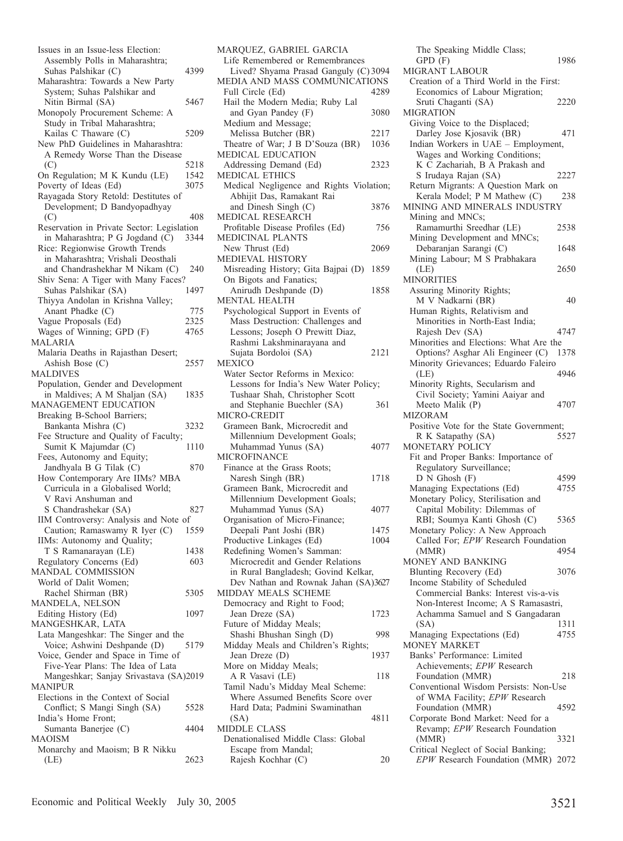| Issues in an Issue-less Election:                     |      |
|-------------------------------------------------------|------|
| Assembly Polls in Maharashtra;                        |      |
| Suhas Palshikar (C)                                   | 4399 |
| Maharashtra: Towards a New Party                      |      |
| System; Suhas Palshikar and                           |      |
| Nitin Birmal (SA)                                     | 5467 |
| Monopoly Procurement Scheme: A                        |      |
| Study in Tribal Maharashtra;                          |      |
| Kailas C Thaware (C)                                  | 5209 |
| New PhD Guidelines in Maharashtra:                    |      |
|                                                       |      |
| A Remedy Worse Than the Disease                       |      |
| (C)                                                   | 5218 |
| On Regulation; M K Kundu (LE)                         | 1542 |
| Poverty of Ideas (Ed)                                 | 3075 |
| Rayagada Story Retold: Destitutes of                  |      |
| Development; D Bandyopadhyay                          |      |
| (C)                                                   | 408  |
| Reservation in Private Sector: Legislation            |      |
| in Maharashtra; P G Jogdand (C)                       | 3344 |
| Rice: Regionwise Growth Trends                        |      |
| in Maharashtra; Vrishali Deosthali                    |      |
| and Chandrashekhar M Nikam (C)                        | 240  |
| Shiv Sena: A Tiger with Many Faces?                   |      |
|                                                       | 1497 |
| Suhas Palshikar (SA)                                  |      |
| Thiyya Andolan in Krishna Valley;                     |      |
| Anant Phadke (C)                                      | 775  |
| Vague Proposals (Ed)                                  | 2325 |
| Wages of Winning; GPD (F)                             | 4765 |
| MALARIA                                               |      |
| Malaria Deaths in Rajasthan Desert;                   |      |
| Ashish Bose (C)                                       | 2557 |
| MALDIVES                                              |      |
| Population, Gender and Development                    |      |
| in Maldives; A M Shaljan (SA)                         | 1835 |
| MANAGEMENT EDUCATION                                  |      |
| Breaking B-School Barriers;                           |      |
| Bankanta Mishra (C)                                   | 3232 |
| Fee Structure and Quality of Faculty;                 |      |
| Sumit K Majumdar (C)                                  | 1110 |
|                                                       |      |
| Fees, Autonomy and Equity;<br>Jandhyala B G Tilak (C) | 870  |
|                                                       |      |
| How Contemporary Are IIMs? MBA                        |      |
| Curricula in a Globalised World;                      |      |
| V Ravi Anshuman and                                   |      |
| S Chandrashekar (SA)                                  | 827  |
| IIM Controversy: Analysis and Note of                 |      |
| Caution; Ramaswamy R Iyer (C)                         | 1559 |
| IIMs: Autonomy and Quality;                           |      |
| T S Ramanarayan (LE)                                  | 1438 |
| Regulatory Concerns (Ed)                              | 603  |
| MANDAL COMMISSION                                     |      |
| World of Dalit Women;                                 |      |
| Rachel Shirman (BR)                                   | 5305 |
| MANDELA, NELSON                                       |      |
| Editing History (Ed)                                  | 1097 |
| MANGESHKAR, LATA                                      |      |
|                                                       |      |
| Lata Mangeshkar: The Singer and the                   |      |
| Voice; Ashwini Deshpande (D)                          | 5179 |
| Voice, Gender and Space in Time of                    |      |
| Five-Year Plans: The Idea of Lata                     |      |
| Mangeshkar; Sanjay Srivastava (SA)2019                |      |
| MANIPUR                                               |      |
| Elections in the Context of Social                    |      |
| Conflict; S Mangi Singh (SA)                          | 5528 |
| India's Home Front;                                   |      |
| Sumanta Banerjee (C)                                  | 4404 |
| MAOISM                                                |      |
| Monarchy and Maoism; B R Nikku                        |      |
| (LE)                                                  | 2623 |
|                                                       |      |

| MARQUEZ, GABRIEL GARCIA                   |      |
|-------------------------------------------|------|
| Life Remembered or Remembrances           |      |
| Lived? Shyama Prasad Ganguly (C) 3094     |      |
| MEDIA AND MASS COMMUNICATIONS             |      |
| Full Circle (Ed)                          | 4289 |
| Hail the Modern Media; Ruby Lal           |      |
| and Gyan Pandey (F)                       | 3080 |
| Medium and Message;                       |      |
| Melissa Butcher (BR)                      | 2217 |
| Theatre of War; J B D'Souza (BR)          | 1036 |
| MEDICAL EDUCATION                         |      |
| Addressing Demand (Ed)                    | 2323 |
| MEDICAL ETHICS                            |      |
|                                           |      |
| Medical Negligence and Rights Violation;  |      |
| Abhijit Das, Ramakant Rai                 |      |
| and Dinesh Singh (C)                      | 3876 |
| MEDICAL RESEARCH                          |      |
| Profitable Disease Profiles (Ed)          | 756  |
| MEDICINAL PLANTS                          |      |
| New Thrust (Ed)                           | 2069 |
| MEDIEVAL HISTORY                          |      |
| Misreading History; Gita Bajpai (D)       | 1859 |
| On Bigots and Fanatics;                   |      |
| Anirudh Deshpande (D)                     | 1858 |
|                                           |      |
| <b>MENTAL HEALTH</b>                      |      |
| Psychological Support in Events of        |      |
| Mass Destruction: Challenges and          |      |
| Lessons; Joseph O Prewitt Diaz,           |      |
| Rashmi Lakshminarayana and                |      |
| Sujata Bordoloi (SA)                      | 2121 |
| MEXICO                                    |      |
| Water Sector Reforms in Mexico:           |      |
| Lessons for India's New Water Policy;     |      |
| Tushaar Shah, Christopher Scott           |      |
|                                           |      |
|                                           |      |
| and Stephanie Buechler (SA)               | 361  |
| MICRO-CREDIT                              |      |
| Grameen Bank, Microcredit and             |      |
| Millennium Development Goals;             |      |
| Muhammad Yunus (SA)                       | 4077 |
| <b>MICROFINANCE</b>                       |      |
| Finance at the Grass Roots;               |      |
| Naresh Singh (BR)                         | 1718 |
| Grameen Bank, Microcredit and             |      |
|                                           |      |
| Millennium Development Goals;             | 4077 |
| Muhammad Yunus (SA)                       |      |
| Organisation of Micro-Finance;            |      |
| Deepali Pant Joshi (BR)                   | 1475 |
| Productive Linkages (Ed)                  | 1004 |
| Redefining Women's Samman:                |      |
| Microcredit and Gender Relations          |      |
| in Rural Bangladesh; Govind Kelkar,       |      |
| Dev Nathan and Rownak Jahan (SA)3627      |      |
| MIDDAY MEALS SCHEME                       |      |
| Democracy and Right to Food;              |      |
| Jean Dreze (SA)                           | 1723 |
| Future of Midday Meals;                   |      |
|                                           | 998  |
| Shashi Bhushan Singh (D)                  |      |
| Midday Meals and Children's Rights;       |      |
| Jean Dreze (D)                            | 1937 |
| More on Midday Meals;                     |      |
| A R Vasavi (LE)                           | 118  |
| Tamil Nadu's Midday Meal Scheme:          |      |
| Where Assumed Benefits Score over         |      |
| Hard Data; Padmini Swaminathan            |      |
| (SA)                                      | 4811 |
| <b>MIDDLE CLASS</b>                       |      |
| Denationalised Middle Class: Global       |      |
| Escape from Mandal;<br>Rajesh Kochhar (C) | 20   |

The Speaking Middle Class; GPD (F) 1986 MIGRANT LABOUR Creation of a Third World in the First: Economics of Labour Migration; Sruti Chaganti (SA) 2220 MIGRATION Giving Voice to the Displaced; Darley Jose Kjosavik (BR) 471 Indian Workers in UAE – Employment, Wages and Working Conditions; K C Zachariah, B A Prakash and S Irudaya Rajan (SA) 2227 Return Migrants: A Question Mark on<br>Kerala Model; P M Mathew (C) 238 Kerala Model; P M Mathew (C) MINING AND MINERALS INDUSTRY Mining and MNCs; Ramamurthi Sreedhar (LE) 2538 Mining Development and MNCs; Debaranjan Sarangi (C) 1648 Mining Labour; M S Prabhakara (LE) 2650 MINORITIES Assuring Minority Rights; M V Nadkarni (BR) 40 Human Rights, Relativism and Minorities in North-East India; Rajesh Dev (SA) 4747 Minorities and Elections: What Are the Options? Asghar Ali Engineer (C) 1378 Minority Grievances; Eduardo Faleiro<br>(LE) 4946 (LE) 4946 Minority Rights, Secularism and Civil Society; Yamini Aaiyar and Meeto Malik (P) 4707 MIZORAM Positive Vote for the State Government; R K Satapathy (SA) 5527 MONETARY POLICY Fit and Proper Banks: Importance of Regulatory Surveillance; D N Ghosh (F) 4599<br> **Tanaging Expectations (Ed)** 4755 Managing Expectations (Ed) Monetary Policy, Sterilisation and Capital Mobility: Dilemmas of RBI; Soumya Kanti Ghosh (C) 5365 Monetary Policy: A New Approach Called For; *EPW* Research Foundation (MMR) 4954 MONEY AND BANKING Blunting Recovery (Ed) 3076 Income Stability of Scheduled Commercial Banks: Interest vis-a-vis Non-Interest Income; A S Ramasastri, Achamma Samuel and S Gangadaran (SA) 1311<br>
1311 Tanaging Expectations (Ed) 4755 Managing Expectations (Ed) MONEY MARKET Banks' Performance: Limited Achievements; *EPW* Research Foundation (MMR) 218 Conventional Wisdom Persists: Non-Use of WMA Facility; *EPW* Research Foundation (MMR) 4592 Corporate Bond Market: Need for a Revamp; *EPW* Research Foundation (MMR) 3321 Critical Neglect of Social Banking; *EPW* Research Foundation (MMR) 2072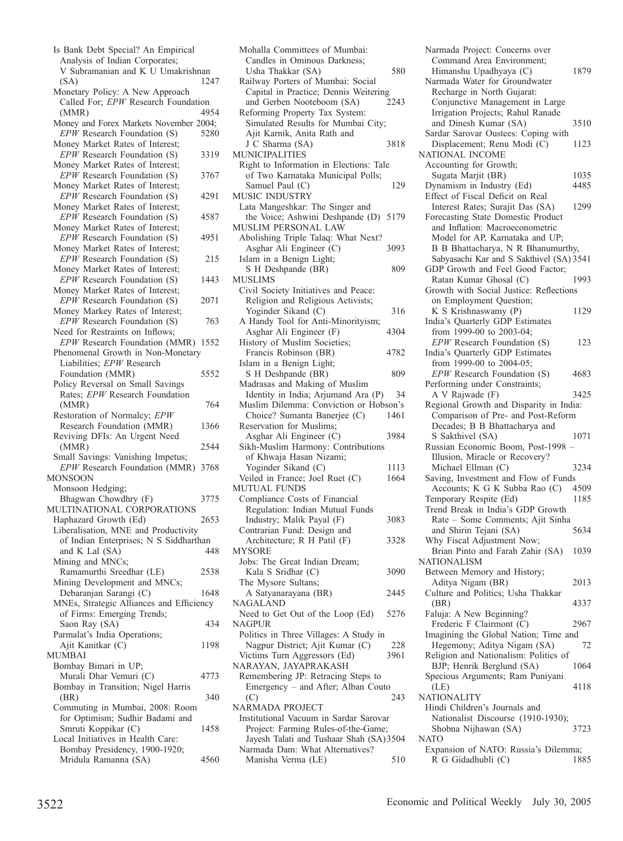| Is Bank Debt Special? An Empirical                                  |      |
|---------------------------------------------------------------------|------|
| Analysis of Indian Corporates;<br>V Subramanian and K U Umakrishnan |      |
| (SA)                                                                | 1247 |
| Monetary Policy: A New Approach                                     |      |
| Called For; EPW Research Foundation                                 |      |
| (MMR)                                                               | 4954 |
| Money and Forex Markets November 2004;                              |      |
| EPW Research Foundation (S)                                         | 5280 |
| Money Market Rates of Interest;                                     |      |
| EPW Research Foundation (S)                                         | 3319 |
| Money Market Rates of Interest;                                     |      |
| EPW Research Foundation (S)                                         | 3767 |
| Money Market Rates of Interest;                                     |      |
| EPW Research Foundation (S)                                         | 4291 |
| Money Market Rates of Interest;<br>$EPW$ Research Foundation (S)    |      |
| Money Market Rates of Interest;                                     | 4587 |
| $EPW$ Research Foundation (S)                                       | 4951 |
| Money Market Rates of Interest;                                     |      |
| EPW Research Foundation (S)                                         | 215  |
| Money Market Rates of Interest;                                     |      |
| $EPW$ Research Foundation (S)                                       | 1443 |
| Money Market Rates of Interest;                                     |      |
| EPW Research Foundation (S)                                         | 2071 |
| Money Markey Rates of Interest;                                     |      |
| EPW Research Foundation (S)                                         | 763  |
| Need for Restraints on Inflows;                                     |      |
| EPW Research Foundation (MMR) 1552                                  |      |
| Phenomenal Growth in Non-Monetary                                   |      |
| Liabilities; EPW Research                                           |      |
| Foundation (MMR)                                                    | 5552 |
| Policy Reversal on Small Savings<br>Rates; EPW Research Foundation  |      |
| (MMR)                                                               | 764  |
| Restoration of Normalcy; EPW                                        |      |
| Research Foundation (MMR)                                           | 1366 |
| Reviving DFIs: An Urgent Need                                       |      |
| (MMR)                                                               | 2544 |
| Small Savings: Vanishing Impetus;                                   |      |
| EPW Research Foundation (MMR) 3768                                  |      |
| MONSOON                                                             |      |
| Monsoon Hedging;                                                    |      |
| Bhagwan Chowdhry (F)                                                | 3775 |
| MULTINATIONAL CORPORATIONS                                          |      |
| Haphazard Growth (Ed)<br>Liberalisation, MNE and Productivity       | 2653 |
| of Indian Enterprises; N S Siddharthan                              |      |
| and K Lal (SA)                                                      | 448  |
| Mining and MNCs;                                                    |      |
| Ramamurthi Sreedhar (LE)                                            | 2538 |
| Mining Development and MNCs;                                        |      |
| Debaranjan Sarangi (C)                                              | 1648 |
| MNEs, Strategic Alliances and Efficiency                            |      |
| of Firms: Emerging Trends;                                          |      |
| Saon Ray (SA)                                                       | 434  |
| Parmalat's India Operations;                                        |      |
| Ajit Kanitkar (C)                                                   | 1198 |
| MUMBAI                                                              |      |
| Bombay Bimari in UP;                                                |      |
| Murali Dhar Vemuri (C)                                              | 4773 |
| Bombay in Transition; Nigel Harris<br>(BR)                          | 340  |
| Commuting in Mumbai, 2008: Room                                     |      |
| for Optimism; Sudhir Badami and                                     |      |
| Smruti Koppikar (C)                                                 | 1458 |
| Local Initiatives in Health Care:                                   |      |
| Bombay Presidency, 1900-1920;                                       |      |
| Mridula Ramanna (SA)                                                | 4560 |
|                                                                     |      |

| Usha Thakkar (SA)                       | 580  |
|-----------------------------------------|------|
| Railway Porters of Mumbai: Social       |      |
| Capital in Practice; Dennis Weitering   |      |
| and Gerben Nooteboom (SA)               | 2243 |
| Reforming Property Tax System:          |      |
| Simulated Results for Mumbai City;      |      |
| Ajit Karnik, Anita Rath and             |      |
|                                         |      |
| J C Sharma (SA)                         | 3818 |
| MUNICIPALITIES                          |      |
| Right to Information in Elections: Tale |      |
| of Two Karnataka Municipal Polls;       |      |
| Samuel Paul (C)                         | 129  |
| MUSIC INDUSTRY                          |      |
| Lata Mangeshkar: The Singer and         |      |
| the Voice; Ashwini Deshpande (D) 5179   |      |
| MUSLIM PERSONAL LAW                     |      |
|                                         |      |
| Abolishing Triple Talaq: What Next?     |      |
| Asghar Ali Engineer (C)                 | 3093 |
| Islam in a Benign Light;                |      |
| S H Deshpande (BR)                      | 809  |
| MUSLIMS                                 |      |
| Civil Society Initiatives and Peace:    |      |
| Religion and Religious Activists;       |      |
| Yoginder Sikand (C)                     | 316  |
| A Handy Tool for Anti-Minorityism;      |      |
|                                         |      |
| Asghar Ali Engineer (F)                 | 4304 |
| History of Muslim Societies;            |      |
| Francis Robinson (BR)                   | 4782 |
| Islam in a Benign Light;                |      |
| S H Deshpande (BR)                      | 809  |
| Madrasas and Making of Muslim           |      |
| Identity in India; Arjumand Ara (P)     | 34   |
| Muslim Dilemma: Conviction or Hobson's  |      |
| Choice? Sumanta Banerjee (C)            | 1461 |
|                                         |      |
|                                         |      |
| Reservation for Muslims;                |      |
| Asghar Ali Engineer (C)                 | 3984 |
| Sikh-Muslim Harmony: Contributions      |      |
| of Khwaja Hasan Nizami;                 |      |
| Yoginder Sikand (C)                     | 1113 |
| Veiled in France; Joel Ruet (C)         | 1664 |
| <b>MUTUAL FUNDS</b>                     |      |
|                                         |      |
| Compliance Costs of Financial           |      |
| Regulation: Indian Mutual Funds         |      |
| Industry; Malik Payal (F)               | 3083 |
| Contrarian Fund: Design and             |      |
| Architecture; R H Patil (F)             | 3328 |
| <b>MYSORE</b>                           |      |
| Jobs: The Great Indian Dream;           |      |
| Kala S Sridhar (C)                      | 3090 |
| The Mysore Sultans;                     |      |
| A Satyanarayana (BR)                    | 2445 |
| <b>NAGALAND</b>                         |      |
|                                         |      |
| Need to Get Out of the Loop (Ed)        | 5276 |
| NAGPUR                                  |      |
| Politics in Three Villages: A Study in  |      |
| Nagpur District; Ajit Kumar (C)         | 228  |
| Victims Turn Aggressors (Ed)            | 3961 |
| NARAYAN, JAYAPRAKASH                    |      |
| Remembering JP: Retracing Steps to      |      |
| Emergency - and After; Alban Couto      |      |
| (C)                                     | 243  |
| NARMADA PROJECT                         |      |
|                                         |      |
| Institutional Vacuum in Sardar Sarovar  |      |
| Project: Farming Rules-of-the-Game;     |      |
| Jayesh Talati and Tushaar Shah (SA)3504 |      |
| Narmada Dam: What Alternatives?         |      |
| Manisha Verma (LE)                      | 510  |

Mohalla Committees of Mumbai: Candles in Ominous Darkness;

Narmada Project: Concerns over Command Area Environment; Himanshu Upadhyaya (C) 1879 Narmada Water for Groundwater Recharge in North Gujarat: Conjunctive Management in Large Irrigation Projects; Rahul Ranade and Dinesh Kumar (SA) 3510 Sardar Sarovar Oustees: Coping with Displacement; Renu Modi (C) 1123 NATIONAL INCOME Accounting for Growth; Sugata Marjit (BR) 1035<br>
1035<br>
1485 Yunamism in Industry (Ed) 4485 Dynamism in Industry (Ed) Effect of Fiscal Deficit on Real Interest Rates; Surajit Das (SA) 1299 Forecasting State Domestic Product and Inflation: Macroeconometric Model for AP, Karnataka and UP; B B Bhattacharya, N R Bhanumurthy, Sabyasachi Kar and S Sakthivel (SA) 3541 GDP Growth and Feel Good Factor; Ratan Kumar Ghosal (C) 1993 Growth with Social Justice: Reflections on Employment Question; K S Krishnaswamy (P) 1129 India's Quarterly GDP Estimates from 1999-00 to 2003-04; *EPW* Research Foundation (S) 123 India's Quarterly GDP Estimates from 1999-00 to 2004-05; *EPW* Research Foundation (S) 4683 Performing under Constraints; A V Rajwade (F) 3425 Regional Growth and Disparity in India: Comparison of Pre- and Post-Reform Decades; B B Bhattacharya and S Sakthivel (SA) 1071 Russian Economic Boom, Post-1998 – Illusion, Miracle or Recovery? Michael Ellman (C) 3234 Saving, Investment and Flow of Funds<br>Accounts: K G K Subba Rao (C) 4509 Accounts; K G K Subba Rao (C) Temporary Respite (Ed) 1185 Trend Break in India's GDP Growth Rate – Some Comments; Ajit Sinha and Shirin Tejani (SA) 5634 Why Fiscal Adjustment Now; Brian Pinto and Farah Zahir (SA) 1039 NATIONALISM Between Memory and History; Aditya Nigam (BR) 2013 Culture and Politics; Usha Thakkar (BR) 4337 Faluja: A New Beginning? Frederic F Clairmont (C) 2967 Imagining the Global Nation; Time and<br>Hegemony: Aditya Nigam (SA) 72 Hegemony; Aditya Nigam (SA) Religion and Nationalism: Politics of BJP; Henrik Berglund (SA) 1064 Specious Arguments; Ram Puniyani (LE) 4118 NATIONALITY Hindi Children's Journals and Nationalist Discourse (1910-1930); Shobna Nijhawan (SA) 3723 NATO Expansion of NATO: Russia's Dilemma; R G Gidadhubli (C) 1885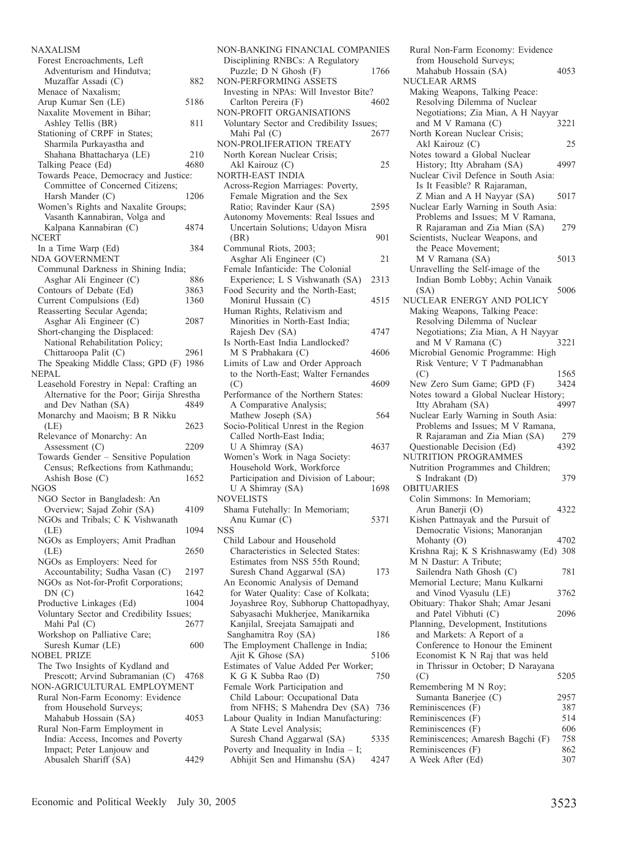NAXALISM Forest Encroachments, Left Adventurism and Hindutva; Muzaffar Assadi (C) 882 Menace of Naxalism; Arup Kumar Sen (LE) 5186 Naxalite Movement in Bihar; Ashley Tellis (BR) 811 Stationing of CRPF in States; Sharmila Purkayastha and Shahana Bhattacharya (LE) 210<br>alking Peace (Ed) 4680 Talking Peace (Ed) Towards Peace, Democracy and Justice: Committee of Concerned Citizens; Harsh Mander (C) 1206 Women's Rights and Naxalite Groups; Vasanth Kannabiran, Volga and Kalpana Kannabiran (C) 4874 **NCERT** In a Time Warp (Ed) 384 NDA GOVERNMENT Communal Darkness in Shining India; Asghar Ali Engineer (C) 886<br>
Sontours of Debate (Ed) 3863 Contours of Debate (Ed) 3863<br>Current Compulsions (Ed) 1360 Current Compulsions (Ed) Reasserting Secular Agenda; Asghar Ali Engineer (C) 2087 Short-changing the Displaced: National Rehabilitation Policy; Chittaroopa Palit (C) 2961 The Speaking Middle Class; GPD (F) 1986 NEPAL Leasehold Forestry in Nepal: Crafting an Alternative for the Poor; Girija Shrestha and Dev Nathan (SA) Monarchy and Maoism; B R Nikku (LE) 2623 Relevance of Monarchy: An Assessment (C) 2209 Towards Gender – Sensitive Population Census; Refkections from Kathmandu; Ashish Bose (C) 1652 **NGOS** NGO Sector in Bangladesh: An Overview; Sajad Zohir (SA) 4109 NGOs and Tribals; C K Vishwanath (LE) 1094 NGOs as Employers; Amit Pradhan (LE) 2650 NGOs as Employers: Need for Accountability; Sudha Vasan (C) 2197 NGOs as Not-for-Profit Corporations; DN (C) 1642<br>roductive Linkages (Ed) 1004 Productive Linkages (Ed) Voluntary Sector and Credibility Issues; Mahi Pal (C) 2677 Workshop on Palliative Care; Suresh Kumar (LE) 600 NOBEL PRIZE The Two Insights of Kydland and Prescott; Arvind Subramanian (C) 4768 NON-AGRICULTURAL EMPLOYMENT Rural Non-Farm Economy: Evidence from Household Surveys; Mahabub Hossain (SA) 4053 Rural Non-Farm Employment in India: Access, Incomes and Poverty Impact; Peter Lanjouw and Abusaleh Shariff (SA) 4429

| NON-BANKING FINANCIAL COMPANIES                                         |      |
|-------------------------------------------------------------------------|------|
| Disciplining RNBCs: A Regulatory                                        |      |
| Puzzle; D N Ghosh (F)                                                   | 1766 |
| NON-PERFORMING ASSETS                                                   |      |
| Investing in NPAs: Will Investor Bite?                                  |      |
| Carlton Pereira (F)                                                     | 4602 |
| NON-PROFIT ORGANISATIONS                                                |      |
| Voluntary Sector and Credibility Issues;                                |      |
| Mahi Pal (C)                                                            | 2677 |
| NON-PROLIFERATION TREATY                                                |      |
|                                                                         |      |
| North Korean Nuclear Crisis;                                            |      |
| Akl Kairouz (C)                                                         | 25   |
| NORTH-EAST INDIA                                                        |      |
| Across-Region Marriages: Poverty,                                       |      |
| Female Migration and the Sex                                            |      |
| Ratio; Ravinder Kaur (SA)                                               | 2595 |
| Autonomy Movements: Real Issues and                                     |      |
| Uncertain Solutions; Udayon Misra                                       |      |
| (BR)                                                                    | 901  |
| Communal Riots, 2003;                                                   |      |
| Asghar Ali Engineer (C)                                                 | 21   |
| Female Infanticide: The Colonial                                        |      |
|                                                                         | 2313 |
| Experience; L S Vishwanath (SA)                                         |      |
| Food Security and the North-East;                                       |      |
| Monirul Hussain (C)                                                     | 4515 |
| Human Rights, Relativism and                                            |      |
| Minorities in North-East India;                                         |      |
| Rajesh Dev (SA)                                                         | 4747 |
| Is North-East India Landlocked?                                         |      |
| M S Prabhakara (C)                                                      | 4606 |
| Limits of Law and Order Approach                                        |      |
| to the North-East; Walter Fernandes                                     |      |
| (C)                                                                     | 4609 |
|                                                                         |      |
| Performance of the Northern States:                                     |      |
|                                                                         |      |
| A Comparative Analysis;                                                 |      |
| Mathew Joseph (SA)                                                      | 564  |
| Socio-Political Unrest in the Region                                    |      |
| Called North-East India;                                                |      |
| U A Shimray (SA)                                                        | 4637 |
|                                                                         |      |
| Women's Work in Naga Society:                                           |      |
| Household Work, Workforce                                               |      |
| Participation and Division of Labour;                                   |      |
| U A Shimray (SA)                                                        | 1698 |
| <b>NOVELISTS</b>                                                        |      |
| Shama Futehally: In Memoriam;                                           |      |
| Anu Kumar (C)                                                           | 5371 |
| NSS                                                                     |      |
| Child Labour and Household                                              |      |
| Characteristics in Selected States:                                     |      |
| Estimates from NSS 55th Round;                                          |      |
|                                                                         | 173  |
| Suresh Chand Aggarwal (SA)                                              |      |
| An Economic Analysis of Demand                                          |      |
| for Water Quality: Case of Kolkata;                                     |      |
| Joyashree Roy, Subhorup Chattopadhyay,                                  |      |
| Sabyasachi Mukherjee, Manikarnika                                       |      |
| Kanjilal, Sreejata Samajpati and                                        |      |
| Sanghamitra Roy (SA)                                                    | 186  |
| The Employment Challenge in India;                                      |      |
| Ajit K Ghose (SA)                                                       | 5106 |
| Estimates of Value Added Per Worker;                                    |      |
| K G K Subba Rao (D)                                                     | 750  |
| Female Work Participation and                                           |      |
| Child Labour: Occupational Data                                         |      |
| from NFHS; S Mahendra Dev (SA)                                          | 736  |
|                                                                         |      |
| Labour Quality in Indian Manufacturing:                                 |      |
| A State Level Analysis;                                                 |      |
| Suresh Chand Aggarwal (SA)                                              | 5335 |
| Poverty and Inequality in India $-$ I;<br>Abhijit Sen and Himanshu (SA) | 4247 |

| Rural Non-Farm Economy: Evidence                                         |            |
|--------------------------------------------------------------------------|------------|
| from Household Surveys;                                                  |            |
| Mahabub Hossain (SA)<br>NUCLEAR ARMS                                     | 4053       |
| Making Weapons, Talking Peace:                                           |            |
| Resolving Dilemma of Nuclear                                             |            |
| Negotiations; Zia Mian, A H Nayyar                                       |            |
| and M V Ramana (C)                                                       | 3221       |
| North Korean Nuclear Crisis;                                             |            |
| Akl Kairouz (C)<br>Notes toward a Global Nuclear                         | 25         |
| History; Itty Abraham (SA)                                               | 4997       |
| Nuclear Civil Defence in South Asia:                                     |            |
| Is It Feasible? R Rajaraman,                                             |            |
| Z Mian and A H Nayyar (SA)                                               | 5017       |
| Nuclear Early Warning in South Asia:<br>Problems and Issues; M V Ramana, |            |
| R Rajaraman and Zia Mian (SA)                                            | 279        |
| Scientists, Nuclear Weapons, and                                         |            |
| the Peace Movement;                                                      |            |
| M V Ramana (SA)                                                          | 5013       |
| Unravelling the Self-image of the<br>Indian Bomb Lobby; Achin Vanaik     |            |
| (SA)                                                                     | 5006       |
| NUCLEAR ENERGY AND POLICY                                                |            |
| Making Weapons, Talking Peace:                                           |            |
| Resolving Dilemma of Nuclear                                             |            |
| Negotiations; Zia Mian, A H Nayyar                                       |            |
| and M V Ramana (C)<br>Microbial Genomic Programme: High                  | 3221       |
| Risk Venture; V T Padmanabhan                                            |            |
| (C)                                                                      | 1565       |
| New Zero Sum Game; GPD (F)                                               | 3424       |
| Notes toward a Global Nuclear History;                                   |            |
| Itty Abraham (SA)<br>Nuclear Early Warning in South Asia:                | 4997       |
| Problems and Issues; M V Ramana,                                         |            |
| R Rajaraman and Zia Mian (SA)                                            | 279        |
| Questionable Decision (Ed)                                               | 4392       |
| NUTRITION PROGRAMMES                                                     |            |
| Nutrition Programmes and Children;<br>S Indrakant (D)                    | 379        |
| <b>OBITUARIES</b>                                                        |            |
| Colin Simmons: In Memoriam;                                              |            |
| Arun Banerji (O)                                                         | 4322       |
| Kishen Pattnayak and the Pursuit of                                      |            |
| Democratic Visions; Manoranjan                                           |            |
| Mohanty (O)<br>Krishna Raj; K S Krishnaswamy (Ed) 308                    | 4702       |
| M N Dastur: A Tribute;                                                   |            |
| Sailendra Nath Ghosh (C)                                                 | 781        |
| Memorial Lecture; Manu Kulkarni                                          |            |
| and Vinod Vyasulu (LE)<br>Obituary: Thakor Shah; Amar Jesani             | 3762       |
| and Patel Vibhuti (C)                                                    | 2096       |
| Planning, Development, Institutions                                      |            |
| and Markets: A Report of a                                               |            |
| Conference to Honour the Eminent                                         |            |
| Economist K N Raj that was held<br>in Thrissur in October; D Narayana    |            |
| (C)                                                                      | 5205       |
| Remembering M N Roy;                                                     |            |
| Sumanta Banerjee (C)                                                     | 2957       |
| Reminiscences (F)                                                        | 387        |
| Reminiscences (F)                                                        | 514<br>606 |
| Reminiscences (F)<br>Reminiscences; Amaresh Bagchi (F)                   | 758        |
| Reminiscences (F)                                                        | 862        |
| A Week After (Ed)                                                        | 307        |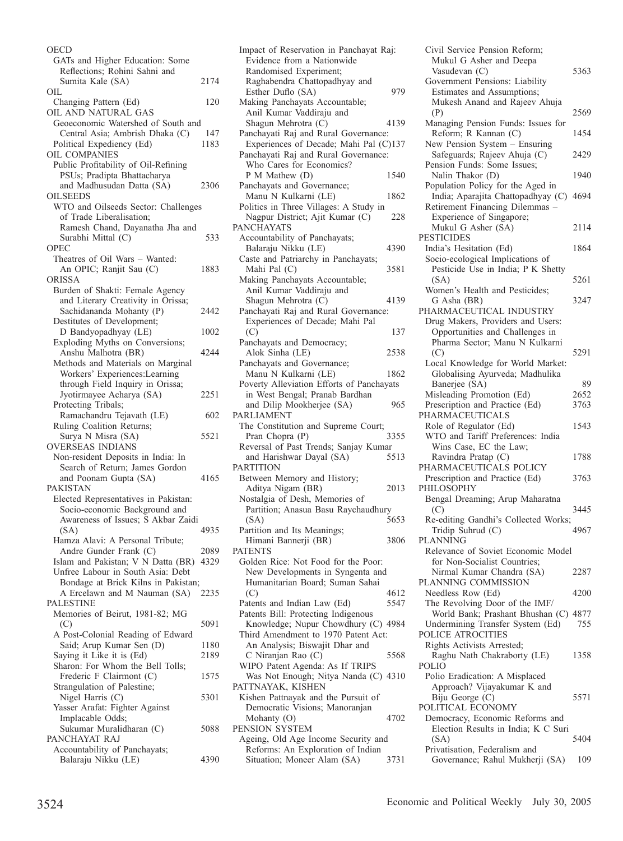**OECD** GATs and Higher Education: Some Reflections; Rohini Sahni and Sumita Kale (SA) 2174  $\Omega$ IL Changing Pattern (Ed) 120 OIL AND NATURAL GAS Geoeconomic Watershed of South and Central Asia; Ambrish Dhaka (C) 147 Political Expediency (Ed) 1183 OIL COMPANIES Public Profitability of Oil-Refining PSUs; Pradipta Bhattacharya and Madhusudan Datta (SA) 2306 **OILSEEDS** WTO and Oilseeds Sector: Challenges of Trade Liberalisation; Ramesh Chand, Dayanatha Jha and Surabhi Mittal (C) 533 OPEC Theatres of Oil Wars – Wanted: An OPIC; Ranjit Sau (C) 1883 ORISSA Burden of Shakti: Female Agency and Literary Creativity in Orissa; Sachidananda Mohanty (P) 2442 Destitutes of Development; D Bandyopadhyay (LE) 1002 Exploding Myths on Conversions; Anshu Malhotra (BR) 4244 Methods and Materials on Marginal Workers' Experiences:Learning through Field Inquiry in Orissa; Jyotirmayee Acharya (SA) 2251 Protecting Tribals; Ramachandru Tejavath (LE) 602 Ruling Coalition Returns; Surya N Misra (SA) 5521 OVERSEAS INDIANS Non-resident Deposits in India: In Search of Return; James Gordon and Poonam Gupta (SA) 4165 PAKISTAN Elected Representatives in Pakistan: Socio-economic Background and Awareness of Issues; S Akbar Zaidi (SA) 4935 Hamza Alavi: A Personal Tribute; Andre Gunder Frank (C) 2089 Islam and Pakistan; V N Datta (BR) 4329 Unfree Labour in South Asia: Debt Bondage at Brick Kilns in Pakistan; A Ercelawn and M Nauman (SA) 2235 PALESTINE Memories of Beirut, 1981-82; MG  $(C)$  5091 A Post-Colonial Reading of Edward Said; Arup Kumar Sen (D) 1180 Saying it Like it is (Ed) 2189 Sharon: For Whom the Bell Tolls; Frederic F Clairmont (C) 1575 Strangulation of Palestine; Nigel Harris (C) 5301 Yasser Arafat: Fighter Against Implacable Odds; Sukumar Muralidharan (C) 5088 PANCHAYAT RAJ Accountability of Panchayats; Balaraju Nikku (LE) 4390

Impact of Reservation in Panchayat Raj: Evidence from a Nationwide Randomised Experiment; Raghabendra Chattopadhyay and Esther Duflo (SA) 979 Making Panchayats Accountable; Anil Kumar Vaddiraju and Shagun Mehrotra (C) 4139 Panchayati Raj and Rural Governance: Experiences of Decade; Mahi Pal (C)137 Panchayati Raj and Rural Governance: Who Cares for Economics? P M Mathew (D) 1540 Panchayats and Governance; Manu N Kulkarni (LE) 1862 Politics in Three Villages: A Study in Nagpur District; Ajit Kumar (C) 228 **PANCHAYATS** Accountability of Panchayats; Balaraju Nikku (LE) 4390 Caste and Patriarchy in Panchayats; Mahi Pal (C) 3581 Making Panchayats Accountable; Anil Kumar Vaddiraju and Shagun Mehrotra (C) 4139 Panchayati Raj and Rural Governance: Experiences of Decade; Mahi Pal (C) 137 Panchayats and Democracy; Alok Sinha (LE) 2538 Panchayats and Governance; Manu N Kulkarni (LE) 1862 Poverty Alleviation Efforts of Panchayats in West Bengal; Pranab Bardhan and Dilip Mookherjee (SA) 965 PARLIAMENT The Constitution and Supreme Court;<br>Pran Chopra (P) 3355 Pran Chopra (P) Reversal of Past Trends; Sanjay Kumar and Harishwar Dayal (SA) 5513 PARTITION Between Memory and History; Aditya Nigam (BR) 2013 Nostalgia of Desh, Memories of Partition; Anasua Basu Raychaudhury (SA) 5653 Partition and Its Meanings; Himani Bannerji (BR) 3806 PATENTS Golden Rice: Not Food for the Poor: New Developments in Syngenta and Humanitarian Board; Suman Sahai  $($ C $)$  4612<br>atents and Indian Law  $($ Ed $)$  5547 Patents and Indian Law (Ed) Patents Bill: Protecting Indigenous Knowledge; Nupur Chowdhury (C) 4984 Third Amendment to 1970 Patent Act: An Analysis; Biswajit Dhar and C Niranjan Rao (C) 5568 WIPO Patent Agenda: As If TRIPS Was Not Enough; Nitya Nanda (C) 4310 PATTNAYAK, KISHEN Kishen Pattnayak and the Pursuit of Democratic Visions; Manoranjan Mohanty (O) 4702 PENSION SYSTEM Ageing, Old Age Income Security and Reforms: An Exploration of Indian Situation; Moneer Alam (SA) 3731

Civil Service Pension Reform; Mukul G Asher and Deepa Vasudevan  $(C)$  5363 Government Pensions: Liability Estimates and Assumptions; Mukesh Anand and Rajeev Ahuja (P) 2569 Managing Pension Funds: Issues for Reform; R Kannan (C) 1454 New Pension System – Ensuring Safeguards; Rajeev Ahuja (C) 2429 Pension Funds: Some Issues; Nalin Thakor (D) 1940 Population Policy for the Aged in India; Aparajita Chattopadhyay (C) 4694 Retirement Financing Dilemmas – Experience of Singapore; Mukul G Asher (SA) 2114 PESTICIDES India's Hesitation (Ed) 1864 Socio-ecological Implications of Pesticide Use in India; P K Shetty (SA) 5261 Women's Health and Pesticides; G Asha (BR) 3247 PHARMACEUTICAL INDUSTRY Drug Makers, Providers and Users: Opportunities and Challenges in Pharma Sector; Manu N Kulkarni  $(C)$  5291 Local Knowledge for World Market: Globalising Ayurveda; Madhulika Banerjee (SA) 89<br>
1sleading Promotion (Ed) 2652 Misleading Promotion (Ed) 2652<br>Prescription and Practice (Ed) 3763 Prescription and Practice (Ed) PHARMACEUTICALS Role of Regulator (Ed) 1543 WTO and Tariff Preferences: India Wins Case, EC the Law; Ravindra Pratap (C) 1788 PHARMACEUTICALS POLICY Prescription and Practice (Ed) 3763 PHILOSOPHY Bengal Dreaming; Arup Maharatna  $(C)$  3445 Re-editing Gandhi's Collected Works;<br>Tridip Suhrud (C) 4967 Tridip Suhrud (C) PLANNING Relevance of Soviet Economic Model for Non-Socialist Countries; Nirmal Kumar Chandra (SA) 2287 PLANNING COMMISSION Needless Row (Ed) 4200 The Revolving Door of the IMF/ World Bank; Prashant Bhushan (C) 4877 Undermining Transfer System (Ed) 755 POLICE ATROCITIES Rights Activists Arrested; Raghu Nath Chakraborty (LE) 1358 POLIO Polio Eradication: A Misplaced Approach? Vijayakumar K and Biju George (C) 5571 POLITICAL ECONOMY Democracy, Economic Reforms and Election Results in India; K C Suri (SA) 5404 Privatisation, Federalism and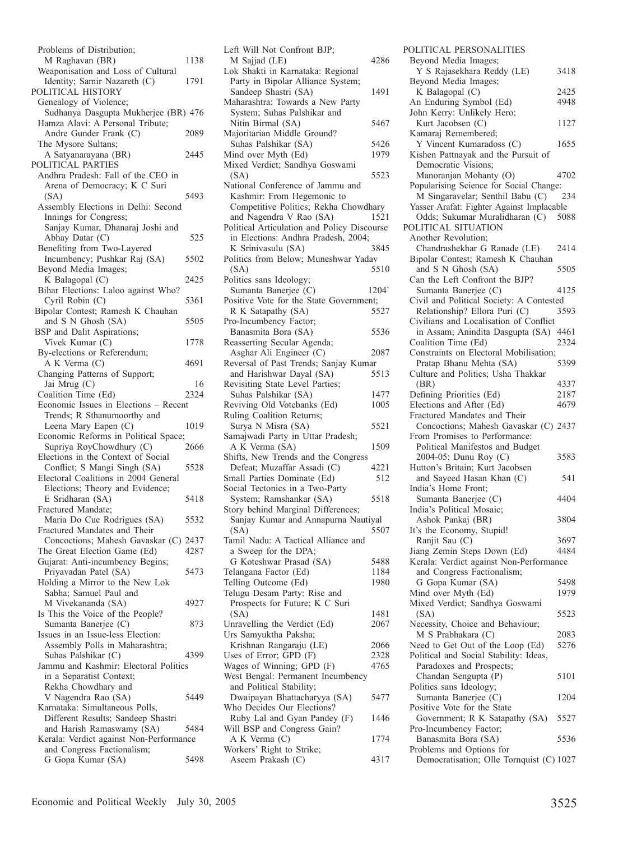| Problems of Distribution;                                                |      |
|--------------------------------------------------------------------------|------|
| M Raghavan (BR)                                                          | 1138 |
| Weaponisation and Loss of Cultural                                       |      |
| Identity; Samir Nazareth (C)                                             | 1791 |
| POLITICAL HISTORY                                                        |      |
| Genealogy of Violence;                                                   |      |
|                                                                          |      |
| Sudhanya Dasgupta Mukherjee (BR) 476<br>Hamza Alavi: A Personal Tribute; |      |
|                                                                          |      |
| Andre Gunder Frank (C)                                                   | 2089 |
| The Mysore Sultans;                                                      |      |
| A Satyanarayana (BR)                                                     | 2445 |
| POLITICAL PARTIES                                                        |      |
| Andhra Pradesh: Fall of the CEO in                                       |      |
| Arena of Democracy; K C Suri                                             |      |
| (SA)                                                                     | 5493 |
| Assembly Elections in Delhi: Second                                      |      |
| Innings for Congress;                                                    |      |
|                                                                          |      |
| Sanjay Kumar, Dhanaraj Joshi and<br>Abhay Datar (C)                      | 525  |
| Benefiting from Two-Layered                                              |      |
| Incumbency; Pushkar Raj (SA)                                             | 5502 |
| Beyond Media Images;                                                     |      |
| K Balagopal (C)                                                          | 2425 |
| Bihar Elections: Laloo against Who?                                      |      |
| Cyril Robin (C)                                                          | 5361 |
| Bipolar Contest; Ramesh K Chauhan                                        |      |
| and S N Ghosh (SA)                                                       | 5505 |
| BSP and Dalit Aspirations;                                               |      |
| Vivek Kumar (C)                                                          | 1778 |
| By-elections or Referendum;                                              |      |
| A K Verma (C)                                                            | 4691 |
| Changing Patterns of Support;                                            |      |
|                                                                          |      |
| Jai Mrug (C)                                                             | 16   |
| Coalition Time (Ed)                                                      | 2324 |
| Economic Issues in Elections - Recent                                    |      |
| Trends; R Sthanumoorthy and                                              |      |
| Leena Mary Eapen (C)                                                     | 1019 |
| Economic Reforms in Political Space;                                     |      |
| Supriya RoyChowdhury (C)                                                 | 2666 |
| Elections in the Context of Social                                       |      |
| Conflict; S Mangi Singh (SA)                                             | 5528 |
| Electoral Coalitions in 2004 General                                     |      |
| Elections; Theory and Evidence;                                          |      |
| E Sridharan (SA)                                                         | 5418 |
| Fractured Mandate;                                                       |      |
| Maria Do Cue Rodrigues (SA)                                              | 5532 |
| Fractured Mandates and Their                                             |      |
| Concoctions; Mahesh Gavaskar (C) 2437                                    |      |
| The Great Election Game (Ed)                                             | 4287 |
| Gujarat: Anti-incumbency Begins;                                         |      |
| Priyavadan Patel (SA)                                                    | 5473 |
| Holding a Mirror to the New Lok                                          |      |
| Sabha; Samuel Paul and                                                   |      |
| M Vivekananda (SA)                                                       |      |
| Is This the Voice of the People?                                         |      |
|                                                                          | 4927 |
|                                                                          |      |
| Sumanta Banerjee (C)                                                     | 873  |
| Issues in an Issue-less Election:                                        |      |
| Assembly Polls in Maharashtra;                                           |      |
| Suhas Palshikar (C)                                                      | 4399 |
| Jammu and Kashmir: Electoral Politics                                    |      |
| in a Separatist Context;                                                 |      |
| Rekha Chowdhary and                                                      |      |
| V Nagendra Rao (SA)                                                      | 5449 |
| Karnataka: Simultaneous Polls,                                           |      |
| Different Results; Sandeep Shastri                                       |      |
| and Harish Ramaswamy (SA)                                                | 5484 |
| Kerala: Verdict against Non-Performance                                  |      |
| and Congress Factionalism;                                               |      |
| G Gopa Kumar (SA)                                                        | 5498 |

| Left Will Not Confront BJP;                                        |              |
|--------------------------------------------------------------------|--------------|
| M Sajjad (LE)                                                      | 4286         |
| Lok Shakti in Karnataka: Regional                                  |              |
| Party in Bipolar Alliance System;<br>Sandeep Shastri (SA)          | 1491         |
| Maharashtra: Towards a New Party                                   |              |
| System; Suhas Palshikar and                                        |              |
| Nitin Birmal (SA)                                                  | 5467         |
| Majoritarian Middle Ground?                                        |              |
| Suhas Palshikar (SA)<br>Mind over Myth (Ed)                        | 5426<br>1979 |
| Mixed Verdict; Sandhya Goswami                                     |              |
| (SA)                                                               | 5523         |
| National Conference of Jammu and                                   |              |
| Kashmir: From Hegemonic to                                         |              |
| Competitive Politics; Rekha Chowdhary<br>and Nagendra V Rao (SA)   | 1521         |
| Political Articulation and Policy Discourse                        |              |
| in Elections: Andhra Pradesh, 2004;                                |              |
| K Srinivasulu (SA)                                                 | 3845         |
| Politics from Below; Muneshwar Yadav                               |              |
| (SA)<br>Politics sans Ideology;                                    | 5510         |
| Sumanta Banerjee (C)                                               | 1204`        |
| Positive Vote for the State Government;                            |              |
| R K Satapathy (SA)                                                 | 5527         |
| Pro-Incumbency Factor;                                             |              |
| Banasmita Bora (SA)<br>Reasserting Secular Agenda;                 | 5536         |
| Asghar Ali Engineer (C)                                            | 2087         |
| Reversal of Past Trends; Sanjay Kumar                              |              |
| and Harishwar Dayal (SA)                                           | 5513         |
| Revisiting State Level Parties;                                    |              |
| Suhas Palshikar (SA)<br>Reviving Old Votebanks (Ed)                | 1477<br>1005 |
| Ruling Coalition Returns;                                          |              |
| Surya N Misra (SA)                                                 | 5521         |
| Samajwadi Party in Uttar Pradesh;                                  |              |
| A K Verma (SA)                                                     | 1509         |
| Shifts, New Trends and the Congress<br>Defeat; Muzaffar Assadi (C) | 4221         |
| Small Parties Dominate (Ed)                                        | 512          |
| Social Tectonics in a Two-Party                                    |              |
| System; Ramshankar (SA)                                            | 5518         |
| Story behind Marginal Differences;                                 |              |
| Sanjay Kumar and Annapurna Nautiyal<br>(SA)                        | 5507         |
| Tamil Nadu: A Tactical Alliance and                                |              |
| a Sweep for the DPA;                                               |              |
| G Koteshwar Prasad (SA)                                            | 5488         |
| Telangana Factor (Ed)<br>Telling Outcome (Ed)                      | 1184<br>1980 |
| Telugu Desam Party: Rise and                                       |              |
| Prospects for Future; K C Suri                                     |              |
| (SA)                                                               | 1481         |
| Unravelling the Verdict (Ed)                                       | 2067         |
| Urs Samyuktha Paksha;<br>Krishnan Rangaraju (LE)                   | 2066         |
| Uses of Error; GPD (F)                                             | 2328         |
| Wages of Winning; GPD (F)                                          | 4765         |
| West Bengal: Permanent Incumbency                                  |              |
| and Political Stability;                                           |              |
| Dwaipayan Bhattacharyya (SA)<br>Who Decides Our Elections?         | 5477         |
| Ruby Lal and Gyan Pandey (F)                                       | 1446         |
| Will BSP and Congress Gain?                                        |              |
| A K Verma (C)                                                      | 1774         |
| Workers' Right to Strike;                                          |              |
| Aseem Prakash (C)                                                  | 4317         |

| POLITICAL PERSONALITIES                                                     |      |
|-----------------------------------------------------------------------------|------|
| Beyond Media Images;<br>Y S Rajasekhara Reddy (LE)                          | 3418 |
| Beyond Media Images;                                                        |      |
| K Balagopal (C)                                                             | 2425 |
| An Enduring Symbol (Ed)<br>John Kerry: Unlikely Hero;                       | 4948 |
| Kurt Jacobsen (C)                                                           | 1127 |
| Kamaraj Remembered;                                                         |      |
| Y Vincent Kumaradoss (C)<br>Kishen Pattnayak and the Pursuit of             | 1655 |
| Democratic Visions;                                                         |      |
| Manoranjan Mohanty (O)                                                      | 4702 |
| Popularising Science for Social Change:<br>M Singaravelar; Senthil Babu (C) | 234  |
| Yasser Arafat: Fighter Against Implacable                                   |      |
| Odds; Sukumar Muralidharan (C)                                              | 5088 |
| POLITICAL SITUATION<br>Another Revolution;                                  |      |
| Chandrashekhar G Ranade (LE)                                                | 2414 |
| Bipolar Contest; Ramesh K Chauhan                                           |      |
| and S N Ghosh (SA)<br>Can the Left Confront the BJP?                        | 5505 |
| Sumanta Banerjee (C)                                                        | 4125 |
| Civil and Political Society: A Contested                                    |      |
| Relationship? Ellora Puri (C)                                               | 3593 |
| Civilians and Localisation of Conflict<br>in Assam; Anindita Dasgupta (SA)  | 4461 |
| Coalition Time (Ed)                                                         | 2324 |
| Constraints on Electoral Mobilisation;                                      |      |
| Pratap Bhanu Mehta (SA)<br>Culture and Politics; Usha Thakkar               | 5399 |
| (BR)                                                                        | 4337 |
| Defining Priorities (Ed)                                                    | 2187 |
| Elections and After (Ed)<br>Fractured Mandates and Their                    | 4679 |
| Concoctions; Mahesh Gavaskar (C) 2437                                       |      |
| From Promises to Performance:                                               |      |
| Political Manifestos and Budget<br>2004-05; Dunu Roy (C)                    | 3583 |
| Hutton's Britain; Kurt Jacobsen                                             |      |
| and Sayeed Hasan Khan (C)                                                   | 541  |
| India's Home Front;<br>Sumanta Banerjee (C)                                 | 4404 |
| India's Political Mosaic;                                                   |      |
| Ashok Pankaj (BR)                                                           | 3804 |
| It's the Economy, Stupid!<br>Ranjit Sau (C)                                 | 3697 |
| Jiang Zemin Steps Down (Ed)                                                 | 4484 |
| Kerala: Verdict against Non-Performance<br>and Congress Factionalism;       |      |
| G Gopa Kumar (SA)                                                           | 5498 |
| Mind over Myth (Ed)                                                         | 1979 |
| Mixed Verdict; Sandhya Goswami                                              |      |
| (SA)<br>Necessity, Choice and Behaviour;                                    | 5523 |
| M S Prabhakara (C)                                                          | 2083 |
| Need to Get Out of the Loop (Ed)<br>Political and Social Stability: Ideas,  | 5276 |
| Paradoxes and Prospects;                                                    |      |
| Chandan Sengupta (P)                                                        | 5101 |
| Politics sans Ideology;                                                     |      |
| Sumanta Banerjee (C)<br>Positive Vote for the State                         | 1204 |
| Government; R K Satapathy (SA)                                              | 5527 |
| Pro-Incumbency Factor;<br>Banasmita Bora (SA)                               | 5536 |
| Problems and Options for                                                    |      |
| Democratisation; Olle Tornquist (C) 1027                                    |      |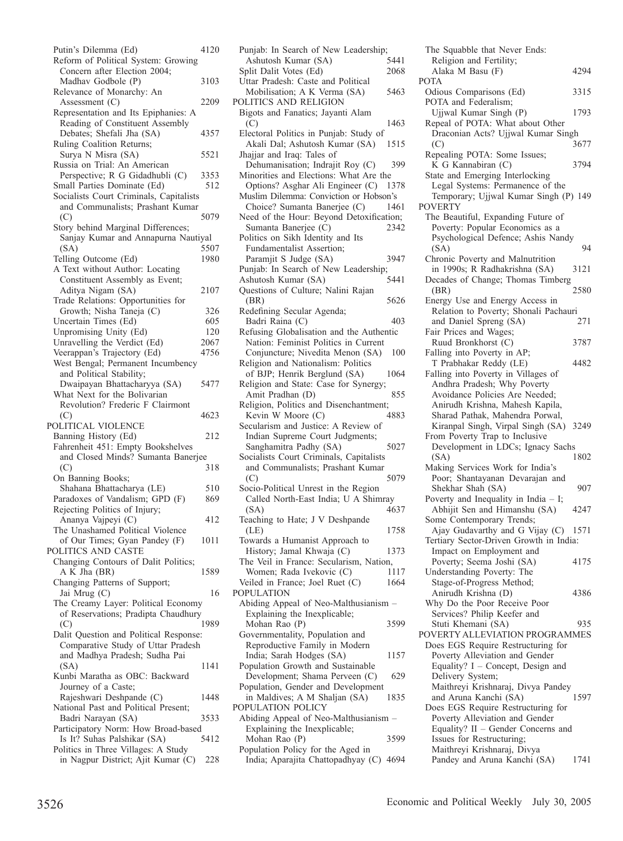| Putin's Dilemma (Ed)                                                                                     | 4120 |
|----------------------------------------------------------------------------------------------------------|------|
| Reform of Political System: Growing                                                                      |      |
| Concern after Election 2004;                                                                             |      |
| Madhav Godbole (P)                                                                                       | 3103 |
| Relevance of Monarchy: An                                                                                |      |
| Assessment $(C)$                                                                                         | 2209 |
| Representation and Its Epiphanies: A                                                                     |      |
| Reading of Constituent Assembly                                                                          |      |
| Debates; Shefali Jha (SA)                                                                                | 4357 |
| Ruling Coalition Returns;                                                                                |      |
| Surya N Misra (SA)                                                                                       | 5521 |
| Russia on Trial: An American                                                                             |      |
| Perspective; R G Gidadhubli (C)                                                                          | 3353 |
| Small Parties Dominate (Ed)                                                                              | 512  |
| Socialists Court Criminals, Capitalists                                                                  |      |
| and Communalists; Prashant Kumar                                                                         |      |
| (C)                                                                                                      | 5079 |
| Story behind Marginal Differences;                                                                       |      |
| Sanjay Kumar and Annapurna Nautiyal                                                                      |      |
| (SA)                                                                                                     | 5507 |
| Telling Outcome (Ed)                                                                                     | 1980 |
| A Text without Author: Locating                                                                          |      |
| Constituent Assembly as Event;                                                                           |      |
| Aditya Nigam (SA)                                                                                        | 2107 |
| Trade Relations: Opportunities for                                                                       |      |
| Growth; Nisha Taneja (C)                                                                                 | 326  |
| Uncertain Times (Ed)                                                                                     | 605  |
| Unpromising Unity (Ed)                                                                                   | 120  |
| Unravelling the Verdict (Ed)                                                                             | 2067 |
| Veerappan's Trajectory (Ed)<br>West Bengal; Permanent Incumbency                                         | 4756 |
| and Political Stability;                                                                                 |      |
| Dwaipayan Bhattacharyya (SA)                                                                             | 5477 |
|                                                                                                          |      |
|                                                                                                          |      |
| What Next for the Bolivarian                                                                             |      |
| Revolution? Frederic F Clairmont                                                                         |      |
| (C)                                                                                                      | 4623 |
| POLITICAL VIOLENCE                                                                                       |      |
| Banning History (Ed)                                                                                     | 212  |
| Fahrenheit 451: Empty Bookshelves                                                                        |      |
| and Closed Minds? Sumanta Banerjee                                                                       | 318  |
| (C)<br>On Banning Books;                                                                                 |      |
| Shahana Bhattacharya (LE)                                                                                | 510  |
| Paradoxes of Vandalism; GPD (F)                                                                          | 869  |
| Rejecting Politics of Injury;                                                                            |      |
| Ananya Vajpeyi (C)                                                                                       | 412  |
| The Unashamed Political Violence                                                                         |      |
|                                                                                                          | 1011 |
| of Our Times; Gyan Pandey (F)<br>POLITICS AND CASTE                                                      |      |
| Changing Contours of Dalit Politics;                                                                     |      |
| A K Jha (BR)                                                                                             | 1589 |
| Changing Patterns of Support;                                                                            |      |
| Jai Mrug (C)                                                                                             | 16   |
| The Creamy Layer: Political Economy                                                                      |      |
| of Reservations; Pradipta Chaudhury                                                                      |      |
| (C)                                                                                                      | 1989 |
| Dalit Question and Political Response:                                                                   |      |
| Comparative Study of Uttar Pradesh                                                                       |      |
| and Madhya Pradesh; Sudha Pai                                                                            |      |
| (SA)                                                                                                     | 1141 |
| Kunbi Maratha as OBC: Backward                                                                           |      |
| Journey of a Caste;                                                                                      |      |
| Rajeshwari Deshpande (C)                                                                                 | 1448 |
| National Past and Political Present;                                                                     | 3533 |
| Badri Narayan (SA)                                                                                       |      |
| Participatory Norm: How Broad-based                                                                      | 5412 |
| Is It? Suhas Palshikar (SA)<br>Politics in Three Villages: A Study<br>in Nagpur District; Ajit Kumar (C) |      |

| Punjab: In Search of New Leadership;                        |      |
|-------------------------------------------------------------|------|
| Ashutosh Kumar (SA)                                         | 5441 |
| Split Dalit Votes (Ed)                                      | 2068 |
| Uttar Pradesh: Caste and Political                          |      |
| Mobilisation; A K Verma (SA)                                | 5463 |
| POLITICS AND RELIGION                                       |      |
| Bigots and Fanatics; Jayanti Alam                           |      |
| (C)                                                         | 1463 |
| Electoral Politics in Punjab: Study of                      |      |
| Akali Dal; Ashutosh Kumar (SA)                              | 1515 |
| Jhajjar and Iraq: Tales of                                  |      |
| Dehumanisation; Indrajit Roy (C)                            | 399  |
| Minorities and Elections: What Are the                      |      |
| Options? Asghar Ali Engineer (C)                            | 1378 |
| Muslim Dilemma: Conviction or Hobson's                      |      |
| Choice? Sumanta Banerjee (C)                                | 1461 |
| Need of the Hour: Beyond Detoxification;                    |      |
| Sumanta Banerjee (C)                                        | 2342 |
| Politics on Sikh Identity and Its                           |      |
| Fundamentalist Assertion;                                   |      |
| Paramjit S Judge (SA)                                       | 3947 |
| Punjab: In Search of New Leadership;                        | 5441 |
| Ashutosh Kumar (SA)                                         |      |
| Questions of Culture; Nalini Rajan                          |      |
| (BR)                                                        | 5626 |
| Redefining Secular Agenda;                                  |      |
| Badri Raina (C)<br>Refusing Globalisation and the Authentic | 403  |
| Nation: Feminist Politics in Current                        |      |
| Conjuncture; Nivedita Menon (SA)                            | 100  |
| Religion and Nationalism: Politics                          |      |
| of BJP; Henrik Berglund (SA)                                | 1064 |
| Religion and State: Case for Synergy;                       |      |
| Amit Pradhan (D)                                            | 855  |
| Religion, Politics and Disenchantment;                      |      |
| Kevin W Moore (C)                                           | 4883 |
| Secularism and Justice: A Review of                         |      |
| Indian Supreme Court Judgments;                             |      |
| Sanghamitra Padhy (SA)                                      | 5027 |
| Socialists Court Criminals, Capitalists                     |      |
| and Communalists; Prashant Kumar                            |      |
| (C)                                                         | 5079 |
| Socio-Political Unrest in the Region                        |      |
| Called North-East India; U A Shimray                        |      |
| (SA)                                                        | 4637 |
| Teaching to Hate; J V Deshpande                             |      |
| (LE)                                                        | 1758 |
| Towards a Humanist Approach to                              |      |
| History; Jamal Khwaja (C)                                   | 1373 |
| The Veil in France: Secularism, Nation,                     |      |
| Women; Rada Ivekovic (C)                                    | 1117 |
| Veiled in France; Joel Ruet (C)                             | 1664 |
| <b>POPULATION</b>                                           |      |
| Abiding Appeal of Neo-Malthusianism -                       |      |
| Explaining the Inexplicable;                                |      |
| Mohan Rao (P)                                               | 3599 |
| Governmentality, Population and                             |      |
| Reproductive Family in Modern                               |      |
| India; Sarah Hodges (SA)                                    | 1157 |
| Population Growth and Sustainable                           |      |
| Development; Shama Perveen (C)                              | 629  |
| Population, Gender and Development                          |      |
| in Maldives; A M Shaljan (SA)                               | 1835 |
| POPULATION POLICY                                           |      |
| Abiding Appeal of Neo-Malthusianism                         |      |
| Explaining the Inexplicable;<br>Mohan Rao (P)               | 3599 |
| Population Policy for the Aged in                           |      |
| India; Aparajita Chattopadhyay (C) 4694                     |      |
|                                                             |      |

| The Squabble that Never Ends:                                             |      |
|---------------------------------------------------------------------------|------|
| Religion and Fertility;                                                   |      |
| Alaka M Basu (F)<br><b>POTA</b>                                           | 4294 |
| Odious Comparisons (Ed)                                                   | 3315 |
| POTA and Federalism;                                                      |      |
| Ujjwal Kumar Singh (P)                                                    | 1793 |
| Repeal of POTA: What about Other                                          |      |
| Draconian Acts? Ujjwal Kumar Singh                                        |      |
| (C)                                                                       | 3677 |
| Repealing POTA: Some Issues;                                              |      |
| K G Kannabiran (C)                                                        | 3794 |
| State and Emerging Interlocking                                           |      |
| Legal Systems: Permanence of the<br>Temporary; Ujjwal Kumar Singh (P) 149 |      |
| <b>POVERTY</b>                                                            |      |
| The Beautiful, Expanding Future of                                        |      |
| Poverty: Popular Economics as a                                           |      |
| Psychological Defence; Ashis Nandy                                        |      |
| (SA)                                                                      | 94   |
| Chronic Poverty and Malnutrition                                          |      |
| in 1990s; R Radhakrishna (SA)                                             | 3121 |
| Decades of Change; Thomas Timberg                                         |      |
| (BR)                                                                      | 2580 |
| Energy Use and Energy Access in<br>Relation to Poverty; Shonali Pachauri  |      |
| and Daniel Spreng (SA)                                                    | 271  |
| Fair Prices and Wages;                                                    |      |
| Ruud Bronkhorst (C)                                                       | 3787 |
| Falling into Poverty in AP;                                               |      |
| T Prabhakar Reddy (LE)                                                    | 4482 |
| Falling into Poverty in Villages of                                       |      |
| Andhra Pradesh; Why Poverty                                               |      |
| Avoidance Policies Are Needed;                                            |      |
| Anirudh Krishna, Mahesh Kapila,                                           |      |
| Sharad Pathak, Mahendra Porwal,<br>Kiranpal Singh, Virpal Singh (SA)      | 3249 |
| From Poverty Trap to Inclusive                                            |      |
| Development in LDCs; Ignacy Sachs                                         |      |
| (SA)                                                                      | 1802 |
| Making Services Work for India's                                          |      |
| Poor; Shantayanan Devarajan and                                           |      |
| Shekhar Shah (SA)                                                         | 907  |
| Poverty and Inequality in India $-$ I;                                    |      |
| Abhijit Sen and Himanshu (SA)                                             | 4247 |
| Some Contemporary Trends;<br>Ajay Gudavarthy and G Vijay (C)              | 1571 |
| Tertiary Sector-Driven Growth in India:                                   |      |
| Impact on Employment and                                                  |      |
| Poverty; Seema Joshi (SA)                                                 | 4175 |
| Understanding Poverty: The                                                |      |
| Stage-of-Progress Method;                                                 |      |
| Anirudh Krishna (D)                                                       | 4386 |
| Why Do the Poor Receive Poor                                              |      |
| Services? Philip Keefer and                                               |      |
| Stuti Khemani (SA)                                                        | 935  |
| POVERTY ALLEVIATION PROGRAMMES<br>Does EGS Require Restructuring for      |      |
| Poverty Alleviation and Gender                                            |      |
| Equality? I - Concept, Design and                                         |      |
| Delivery System;                                                          |      |
| Maithreyi Krishnaraj, Divya Pandey                                        |      |
| and Aruna Kanchi (SA)                                                     | 1597 |
| Does EGS Require Restructuring for                                        |      |
| Poverty Alleviation and Gender                                            |      |
| Equality? II - Gender Concerns and                                        |      |
| Issues for Restructuring;                                                 |      |
| Maithreyi Krishnaraj, Divya<br>Pandey and Aruna Kanchi (SA)               | 1741 |
|                                                                           |      |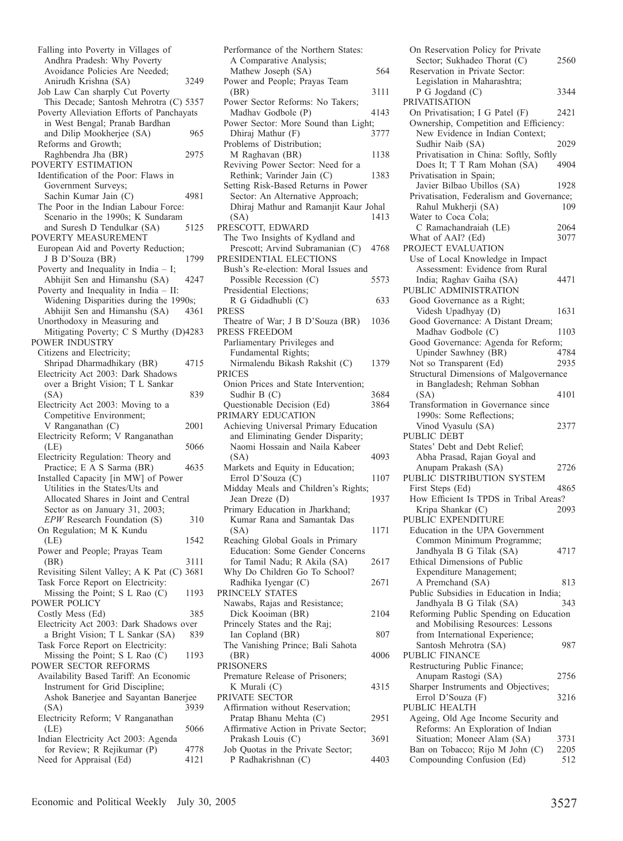Falling into Poverty in Villages of Andhra Pradesh: Why Poverty Avoidance Policies Are Needed; Anirudh Krishna (SA) 3249 Job Law Can sharply Cut Poverty This Decade; Santosh Mehrotra (C) 5357 Poverty Alleviation Efforts of Panchayats in West Bengal; Pranab Bardhan and Dilip Mookherjee (SA) 965 Reforms and Growth; Raghbendra Jha (BR) 2975 POVERTY ESTIMATION Identification of the Poor: Flaws in Government Surveys; Sachin Kumar Jain (C) 4981 The Poor in the Indian Labour Force: Scenario in the 1990s; K Sundaram<br>and Suresh D Tendulkar (SA) 5125 and Suresh D Tendulkar (SA) POVERTY MEASUREMENT European Aid and Poverty Reduction;<br>J B D'Souza (BR) 1799 J B D'Souza (BR) Poverty and Inequality in India – I; Abhijit Sen and Himanshu (SA) 4247 Poverty and Inequality in India – II: Widening Disparities during the 1990s; Abhijit Sen and Himanshu (SA) 4361 Unorthodoxy in Measuring and Mitigating Poverty; C S Murthy (D)4283 POWER INDUSTRY Citizens and Electricity; Shripad Dharmadhikary (BR) 4715 Electricity Act 2003: Dark Shadows over a Bright Vision; T L Sankar (SA) 839 Electricity Act 2003: Moving to a Competitive Environment; V Ranganathan (C) 2001 Electricity Reform; V Ranganathan (LE) 5066 Electricity Regulation: Theory and Practice; E A S Sarma (BR) 4635 Installed Capacity [in MW] of Power Utilities in the States/Uts and Allocated Shares in Joint and Central Sector as on January 31, 2003; *EPW* Research Foundation (S) 310 On Regulation; M K Kundu (LE) 1542 Power and People; Prayas Team (BR) 3111 Revisiting Silent Valley; A K Pat (C) 3681 Task Force Report on Electricity: Missing the Point; S L Rao (C) 1193 POWER POLICY Costly Mess (Ed) 385 Electricity Act 2003: Dark Shadows over<br>a Bright Vision: T L Sankar (SA) 839 a Bright Vision; T L Sankar (SA) Task Force Report on Electricity: Missing the Point; S L Rao (C) 1193 POWER SECTOR REFORMS Availability Based Tariff: An Economic Instrument for Grid Discipline; Ashok Banerjee and Sayantan Banerjee  $(SA)$ Electricity Reform; V Ranganathan (LE) 5066 Indian Electricity Act 2003: Agenda for Review; R Rejikumar (P)  $4778$ <br>leed for Appraisal (Ed)  $4121$ Need for Appraisal (Ed)

| Performance of the Northern States:                                       |      |
|---------------------------------------------------------------------------|------|
| A Comparative Analysis;                                                   |      |
| Mathew Joseph (SA)<br>Power and People; Prayas Team                       | 564  |
| (BR)                                                                      | 3111 |
| Power Sector Reforms: No Takers;<br>Madhav Godbole (P)                    | 4143 |
| Power Sector: More Sound than Light;                                      |      |
| Dhiraj Mathur (F)                                                         | 3777 |
| Problems of Distribution;                                                 |      |
| M Raghavan (BR)                                                           | 1138 |
| Reviving Power Sector: Need for a                                         |      |
| Rethink; Varinder Jain (C)                                                | 1383 |
| Setting Risk-Based Returns in Power                                       |      |
| Sector: An Alternative Approach;<br>Dhiraj Mathur and Ramanjit Kaur Johal |      |
| (SA)                                                                      | 1413 |
| PRESCOTT, EDWARD                                                          |      |
| The Two Insights of Kydland and                                           |      |
| Prescott; Arvind Subramanian (C)                                          | 4768 |
| PRESIDENTIAL ELECTIONS                                                    |      |
| Bush's Re-election: Moral Issues and                                      |      |
| Possible Recession (C)                                                    | 5573 |
| Presidential Elections:                                                   |      |
| R G Gidadhubli (C)                                                        | 633  |
| <b>PRESS</b>                                                              |      |
| Theatre of War; J B D'Souza (BR)                                          | 1036 |
| PRESS FREEDOM<br>Parliamentary Privileges and                             |      |
| Fundamental Rights;                                                       |      |
| Nirmalendu Bikash Rakshit (C)                                             | 1379 |
| PRICES                                                                    |      |
| Onion Prices and State Intervention;                                      |      |
| Sudhir B (C)                                                              | 3684 |
|                                                                           |      |
|                                                                           | 3864 |
| Questionable Decision (Ed)<br>PRIMARY EDUCATION                           |      |
| Achieving Universal Primary Education                                     |      |
| and Eliminating Gender Disparity;                                         |      |
| Naomi Hossain and Naila Kabeer                                            |      |
| (SA)                                                                      | 4093 |
| Markets and Equity in Education;                                          |      |
| Errol D'Souza (C)                                                         | 1107 |
| Midday Meals and Children's Rights;                                       |      |
| Jean Dreze (D)                                                            | 1937 |
| Primary Education in Jharkhand;<br>Kumar Rana and Samantak Das            |      |
| (SA)                                                                      | 1171 |
| Reaching Global Goals in Primary                                          |      |
| Education: Some Gender Concerns                                           |      |
| for Tamil Nadu; R Akila (SA)                                              | 2617 |
| Why Do Children Go To School?                                             |      |
| Radhika Iyengar (C)                                                       | 2671 |
| PRINCELY STATES                                                           |      |
| Nawabs, Rajas and Resistance;                                             |      |
| Dick Kooiman (BR)                                                         | 2104 |
| Princely States and the Raj;                                              |      |
| Ian Copland (BR)                                                          | 807  |
| The Vanishing Prince; Bali Sahota                                         | 4006 |
| (BR)<br><b>PRISONERS</b>                                                  |      |
| Premature Release of Prisoners;                                           |      |
| K Murali (C)                                                              | 4315 |
| PRIVATE SECTOR                                                            |      |
| Affirmation without Reservation;                                          |      |
| Pratap Bhanu Mehta (C)                                                    | 2951 |
| Affirmative Action in Private Sector;                                     |      |
| Prakash Louis (C)                                                         | 3691 |
| Job Quotas in the Private Sector;<br>P Radhakrishnan (C)                  | 4403 |

| On Reservation Policy for Private<br>Sector; Sukhadeo Thorat (C)<br>Reservation in Private Sector: | 2560 |
|----------------------------------------------------------------------------------------------------|------|
|                                                                                                    |      |
| Legislation in Maharashtra;<br>P G Jogdand (C)<br><b>PRIVATISATION</b>                             | 3344 |
| On Privatisation; I G Patel (F)<br>Ownership, Competition and Efficiency:                          | 2421 |
| New Evidence in Indian Context;<br>Sudhir Naib (SA)                                                | 2029 |
| Privatisation in China: Softly, Softly                                                             |      |
| Does It; T T Ram Mohan (SA)<br>Privatisation in Spain;                                             | 4904 |
| Javier Bilbao Ubillos (SA)                                                                         | 1928 |
| Privatisation, Federalism and Governance;                                                          |      |
| Rahul Mukherji (SA)                                                                                | 109  |
| Water to Coca Cola;                                                                                |      |
| C Ramachandraiah (LE)                                                                              | 2064 |
| What of AAI? (Ed)                                                                                  | 3077 |
| PROJECT EVALUATION                                                                                 |      |
| Use of Local Knowledge in Impact                                                                   |      |
| Assessment: Evidence from Rural<br>India; Raghav Gaiha (SA)                                        | 4471 |
| PUBLIC ADMINISTRATION                                                                              |      |
| Good Governance as a Right;                                                                        |      |
| Videsh Upadhyay (D)                                                                                | 1631 |
| Good Governance: A Distant Dream;                                                                  |      |
| Madhav Godbole (C)                                                                                 | 1103 |
| Good Governance: Agenda for Reform;                                                                |      |
| Upinder Sawhney (BR)                                                                               | 4784 |
| Not so Transparent (Ed)                                                                            | 2935 |
| Structural Dimensions of Malgovernance                                                             |      |
| in Bangladesh; Rehman Sobhan                                                                       |      |
| (SA)                                                                                               | 4101 |
| Transformation in Governance since                                                                 |      |
| 1990s: Some Reflections;                                                                           |      |
| Vinod Vyasulu (SA)                                                                                 | 2377 |
| PUBLIC DEBT                                                                                        |      |
| States' Debt and Debt Relief;                                                                      |      |
| Abha Prasad, Rajan Goyal and<br>Anupam Prakash (SA)                                                | 2726 |
| PUBLIC DISTRIBUTION SYSTEM                                                                         |      |
| First Steps (Ed)                                                                                   | 4865 |
| How Efficient Is TPDS in Tribal Areas?                                                             |      |
| Kripa Shankar (C)                                                                                  | 2093 |
| PUBLIC EXPENDITURE                                                                                 |      |
| Education in the UPA Government                                                                    |      |
| Common Minimum Programme;                                                                          |      |
| Jandhyala B G Tilak (SA)                                                                           | 4717 |
| Ethical Dimensions of Public                                                                       |      |
| Expenditure Management;                                                                            |      |
| A Premchand (SA)                                                                                   | 813  |
| Public Subsidies in Education in India;<br>Jandhyala B G Tilak (SA)                                | 343  |
| Reforming Public Spending on Education                                                             |      |
| and Mobilising Resources: Lessons                                                                  |      |
| from International Experience;                                                                     |      |
| Santosh Mehrotra (SA)                                                                              | 987  |
| PUBLIC FINANCE                                                                                     |      |
| Restructuring Public Finance;                                                                      |      |
| Anupam Rastogi (SA)                                                                                | 2756 |
| Sharper Instruments and Objectives;                                                                |      |
| Errol D'Souza (F)                                                                                  | 3216 |
| PUBLIC HEALTH                                                                                      |      |
| Ageing, Old Age Income Security and                                                                |      |
| Reforms: An Exploration of Indian<br>Situation; Moneer Alam (SA)                                   | 3731 |
| Ban on Tobacco; Rijo M John (C)                                                                    | 2205 |
| Compounding Confusion (Ed)                                                                         | 512  |
|                                                                                                    |      |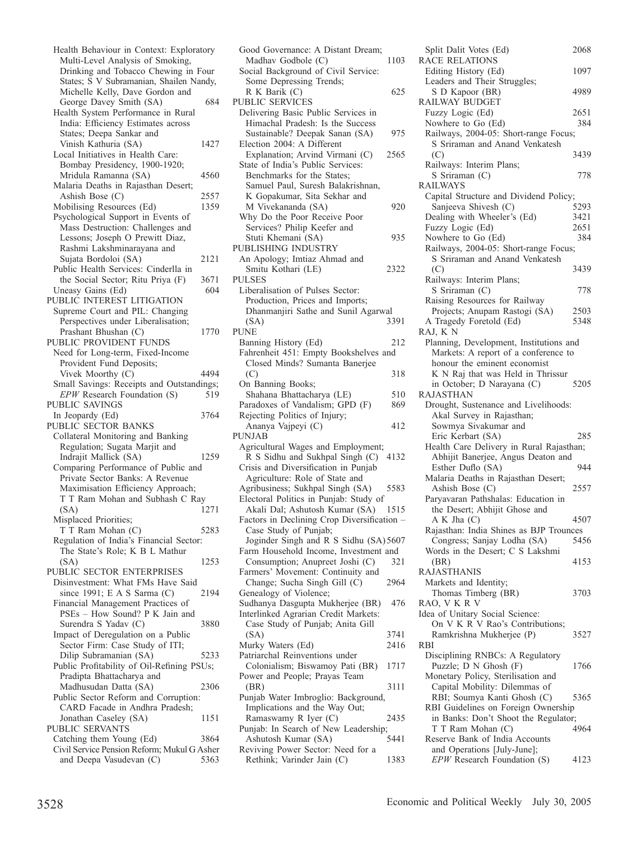Health Behaviour in Context: Exploratory Multi-Level Analysis of Smoking, Drinking and Tobacco Chewing in Four States; S V Subramanian, Shailen Nandy, Michelle Kelly, Dave Gordon and George Davey Smith (SA) 684 Health System Performance in Rural India: Efficiency Estimates across States; Deepa Sankar and Vinish Kathuria (SA) 1427 Local Initiatives in Health Care: Bombay Presidency, 1900-1920; Mridula Ramanna (SA) 4560 Malaria Deaths in Rajasthan Desert; Ashish Bose (C) 2557<br>
Iobilising Resources (Ed) 2559 Mobilising Resources (Ed) Psychological Support in Events of Mass Destruction: Challenges and Lessons; Joseph O Prewitt Diaz, Rashmi Lakshminarayana and Sujata Bordoloi (SA) 2121 Public Health Services: Cinderlla in the Social Sector; Ritu Priya (F) 3671<br>neasy Gains (Ed) 604 Uneasy Gains (Ed) PUBLIC INTEREST LITIGATION Supreme Court and PIL: Changing Perspectives under Liberalisation; Prashant Bhushan (C) 1770 PUBLIC PROVIDENT FUNDS Need for Long-term, Fixed-Income Provident Fund Deposits; Vivek Moorthy (C) 4494 Small Savings: Receipts and Outstandings; *EPW* Research Foundation (S) 519 PUBLIC SAVINGS In Jeopardy (Ed) 3764 PUBLIC SECTOR BANKS Collateral Monitoring and Banking Regulation; Sugata Marjit and Indrajit Mallick (SA) 1259 Comparing Performance of Public and Private Sector Banks: A Revenue Maximisation Efficiency Approach; T T Ram Mohan and Subhash C Ray (SA) 1271 Misplaced Priorities; T T Ram Mohan (C) 5283 Regulation of India's Financial Sector: The State's Role; K B L Mathur (SA) 1253 PUBLIC SECTOR ENTERPRISES Disinvestment: What FMs Have Said since 1991; E A S Sarma (C) 2194 Financial Management Practices of PSEs – How Sound? P K Jain and Surendra S Yadav (C) 3880 Impact of Deregulation on a Public Sector Firm: Case Study of ITI; Dilip Subramanian (SA) 5233 Public Profitability of Oil-Refining PSUs; Pradipta Bhattacharya and Madhusudan Datta (SA) 2306 Public Sector Reform and Corruption: CARD Facade in Andhra Pradesh; Jonathan Caseley (SA) 1151 PUBLIC SERVANTS Catching them Young (Ed) 3864 Civil Service Pension Reform; Mukul G Asher and Deepa Vasudevan (C) 5363

| Good Governance: A Distant Dream;                                       |      |
|-------------------------------------------------------------------------|------|
| Madhav Godbole (C)                                                      | 1103 |
| Social Background of Civil Service:                                     |      |
| Some Depressing Trends;                                                 |      |
| R K Barik (C)                                                           | 625  |
| <b>PUBLIC SERVICES</b>                                                  |      |
| Delivering Basic Public Services in<br>Himachal Pradesh: Is the Success |      |
| Sustainable? Deepak Sanan (SA)                                          | 975  |
| Election 2004: A Different                                              |      |
| Explanation; Arvind Virmani (C)                                         | 2565 |
| State of India's Public Services:                                       |      |
| Benchmarks for the States;                                              |      |
| Samuel Paul, Suresh Balakrishnan,                                       |      |
| K Gopakumar, Sita Sekhar and                                            |      |
| M Vivekananda (SA)                                                      | 920  |
| Why Do the Poor Receive Poor                                            |      |
| Services? Philip Keefer and                                             |      |
| Stuti Khemani (SA)                                                      | 935  |
| PUBLISHING INDUSTRY                                                     |      |
| An Apology; Imtiaz Ahmad and                                            |      |
| Smitu Kothari (LE)<br><b>PULSES</b>                                     | 2322 |
| Liberalisation of Pulses Sector:                                        |      |
| Production, Prices and Imports;                                         |      |
| Dhanmanjiri Sathe and Sunil Agarwal                                     |      |
| (SA)                                                                    | 3391 |
| PUNE                                                                    |      |
| Banning History (Ed)                                                    | 212  |
| Fahrenheit 451: Empty Bookshelves and                                   |      |
| Closed Minds? Sumanta Banerjee                                          |      |
| (C)                                                                     | 318  |
| On Banning Books;                                                       |      |
| Shahana Bhattacharya (LE)                                               | 510  |
|                                                                         |      |
| Paradoxes of Vandalism; GPD (F)                                         | 869  |
| Rejecting Politics of Injury;                                           |      |
| Ananya Vajpeyi (C)                                                      | 412  |
| <b>PUNJAB</b>                                                           |      |
| Agricultural Wages and Employment;                                      |      |
| R S Sidhu and Sukhpal Singh (C)                                         | 4132 |
| Crisis and Diversification in Punjab                                    |      |
| Agriculture: Role of State and<br>Agribusiness; Sukhpal Singh (SA)      | 5583 |
| Electoral Politics in Punjab: Study of                                  |      |
| Akali Dal; Ashutosh Kumar (SA)                                          | 1515 |
| Factors in Declining Crop Diversification -                             |      |
| Case Study of Punjab;                                                   |      |
| Joginder Singh and R S Sidhu (SA) 5607                                  |      |
| Farm Household Income, Investment and                                   |      |
| Consumption; Anupreet Joshi (C)                                         | 321  |
| Farmers' Movement: Continuity and                                       |      |
| Change; Sucha Singh Gill (C)                                            | 2964 |
| Genealogy of Violence;                                                  |      |
| Sudhanya Dasgupta Mukherjee (BR)                                        | 476  |
| Interlinked Agrarian Credit Markets:                                    |      |
| Case Study of Punjab; Anita Gill<br>(SA)                                | 3741 |
| Murky Waters (Ed)                                                       | 2416 |
| Patriarchal Reinventions under                                          |      |
| Colonialism; Biswamoy Pati (BR)                                         | 1717 |
| Power and People; Prayas Team                                           |      |
| (BR)                                                                    | 3111 |
| Punjab Water Imbroglio: Background,                                     |      |
| Implications and the Way Out;                                           |      |
| Ramaswamy R Iyer (C)                                                    | 2435 |
| Punjab: In Search of New Leadership;                                    | 5441 |
| Ashutosh Kumar (SA)<br>Reviving Power Sector: Need for a                |      |

| Split Dalit Votes (Ed)                                      | 2068 |
|-------------------------------------------------------------|------|
| <b>RACE RELATIONS</b>                                       |      |
| Editing History (Ed)                                        | 1097 |
| Leaders and Their Struggles;                                |      |
| S D Kapoor (BR)<br>RAILWAY BUDGET                           | 4989 |
| Fuzzy Logic (Ed)                                            | 2651 |
| Nowhere to Go (Ed)                                          | 384  |
| Railways, 2004-05: Short-range Focus;                       |      |
| S Sriraman and Anand Venkatesh                              |      |
| (C)                                                         | 3439 |
| Railways: Interim Plans;                                    |      |
| S Sriraman (C)                                              | 778  |
| RAILWAYS                                                    |      |
| Capital Structure and Dividend Policy;                      |      |
| Sanjeeva Shivesh (C)                                        | 5293 |
| Dealing with Wheeler's (Ed)                                 | 3421 |
| Fuzzy Logic (Ed)                                            | 2651 |
| Nowhere to Go (Ed)                                          | 384  |
| Railways, 2004-05: Short-range Focus;                       |      |
| S Sriraman and Anand Venkatesh                              |      |
| (C)                                                         | 3439 |
| Railways: Interim Plans;                                    |      |
| S Sriraman (C)<br>Raising Resources for Railway             | 778  |
| Projects; Anupam Rastogi (SA)                               | 2503 |
| A Tragedy Foretold (Ed)                                     | 5348 |
| RAJ, KN                                                     |      |
| Planning, Development, Institutions and                     |      |
| Markets: A report of a conference to                        |      |
| honour the eminent economist                                |      |
| K N Raj that was Held in Thrissur                           |      |
| in October; D Narayana (C)                                  | 5205 |
| RAJASTHAN                                                   |      |
| Drought, Sustenance and Livelihoods:                        |      |
| Akal Survey in Rajasthan;                                   |      |
| Sowmya Sivakumar and                                        |      |
| Eric Kerbart (SA)                                           | 285  |
| Health Care Delivery in Rural Rajasthan;                    |      |
| Abhijit Banerjee, Angus Deaton and<br>Esther Duflo (SA)     | 944  |
| Malaria Deaths in Rajasthan Desert;                         |      |
| Ashish Bose (C)                                             | 2557 |
| Paryavaran Pathshalas: Education in                         |      |
| the Desert; Abhijit Ghose and                               |      |
| A K Jha (C)                                                 | 4507 |
| Rajasthan: India Shines as BJP Trounces                     |      |
| Congress; Sanjay Lodha (SA) 5456                            |      |
| Words in the Desert; C S Lakshmi                            |      |
| (BR)                                                        | 4153 |
| <b>RAJASTHANIS</b>                                          |      |
| Markets and Identity;                                       |      |
| Thomas Timberg (BR)<br>RAO, VKRV                            | 3703 |
| Idea of Unitary Social Science:                             |      |
| On V K R V Rao's Contributions;                             |      |
| Ramkrishna Mukherjee (P)                                    |      |
| RBI                                                         |      |
|                                                             | 3527 |
|                                                             |      |
| Disciplining RNBCs: A Regulatory                            | 1766 |
| Puzzle; D N Ghosh (F)<br>Monetary Policy, Sterilisation and |      |
| Capital Mobility: Dilemmas of                               |      |
| RBI; Soumya Kanti Ghosh (C)                                 | 5365 |
| RBI Guidelines on Foreign Ownership                         |      |
| in Banks: Don't Shoot the Regulator;                        |      |
| T T Ram Mohan (C)                                           | 4964 |
| Reserve Bank of India Accounts                              |      |
| and Operations [July-June];<br>EPW Research Foundation (S)  | 4123 |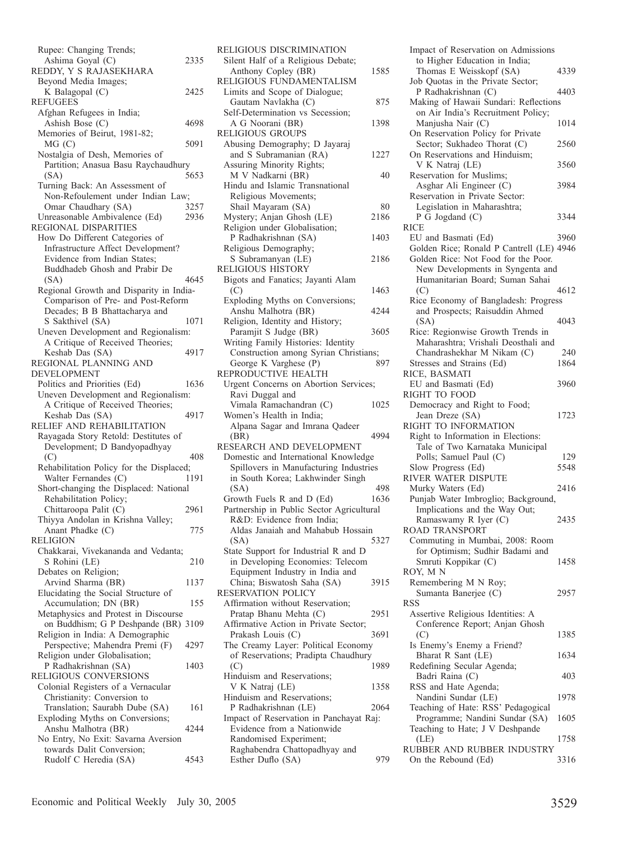| Rupee: Changing Trends;                            |      |
|----------------------------------------------------|------|
| Ashima Goyal (C)                                   | 2335 |
| REDDY, Y S RAJASEKHARA                             |      |
| Beyond Media Images;                               |      |
| K Balagopal (C)                                    | 2425 |
| <b>REFUGEES</b>                                    |      |
| Afghan Refugees in India;                          |      |
| Ashish Bose (C)                                    | 4698 |
| Memories of Beirut, 1981-82;                       |      |
| MG (C)                                             | 5091 |
| Nostalgia of Desh, Memories of                     |      |
| Partition; Anasua Basu Raychaudhury                |      |
| (SA)                                               | 5653 |
| Turning Back: An Assessment of                     |      |
| Non-Refoulement under Indian Law;                  |      |
| Omar Chaudhary (SA)                                | 3257 |
| Unreasonable Ambivalence (Ed)                      | 2936 |
| REGIONAL DISPARITIES                               |      |
| How Do Different Categories of                     |      |
| Infrastructure Affect Development?                 |      |
| Evidence from Indian States;                       |      |
| Buddhadeb Ghosh and Prabir De                      |      |
| (SA)                                               | 4645 |
| Regional Growth and Disparity in India-            |      |
| Comparison of Pre- and Post-Reform                 |      |
| Decades; B B Bhattacharya and                      |      |
| S Sakthivel (SA)                                   | 1071 |
| Uneven Development and Regionalism:                |      |
| A Critique of Received Theories;                   |      |
| Keshab Das (SA)                                    | 4917 |
| REGIONAL PLANNING AND                              |      |
| DEVELOPMENT                                        |      |
| Politics and Priorities (Ed)                       | 1636 |
| Uneven Development and Regionalism:                |      |
|                                                    |      |
| A Critique of Received Theories;                   |      |
| Keshab Das (SA)                                    | 4917 |
| RELIEF AND REHABILITATION                          |      |
| Rayagada Story Retold: Destitutes of               |      |
| Development; D Bandyopadhyay                       |      |
| (C)                                                | 408  |
| Rehabilitation Policy for the Displaced;           |      |
| Walter Fernandes (C)                               | 1191 |
| Short-changing the Displaced: National             |      |
| Rehabilitation Policy;                             |      |
| Chittaroopa Palit (C)                              | 2961 |
| Thiyya Andolan in Krishna Valley;                  |      |
| Anant Phadke (C)                                   | 775  |
| <b>RELIGION</b>                                    |      |
| Chakkarai, Vivekananda and Vedanta;                |      |
| S Rohini (LE)                                      | 210  |
| Debates on Religion;                               |      |
| Arvind Sharma (BR)                                 | 1137 |
| Elucidating the Social Structure of                |      |
| Accumulation; DN (BR)                              | 155  |
| Metaphysics and Protest in Discourse               |      |
| on Buddhism; G P Deshpande (BR) 3109               |      |
| Religion in India: A Demographic                   |      |
| Perspective; Mahendra Premi (F)                    | 4297 |
| Religion under Globalisation;                      |      |
| P Radhakrishnan (SA)                               | 1403 |
| RELIGIOUS CONVERSIONS                              |      |
| Colonial Registers of a Vernacular                 |      |
| Christianity: Conversion to                        |      |
| Translation; Saurabh Dube (SA)                     | 161  |
| Exploding Myths on Conversions;                    |      |
| Anshu Malhotra (BR)                                | 4244 |
| No Entry, No Exit: Savarna Aversion                |      |
| towards Dalit Conversion;<br>Rudolf C Heredia (SA) | 4543 |

| Silent Half of a Religious Debate;                            |      |
|---------------------------------------------------------------|------|
| Anthony Copley (BR)                                           | 1585 |
| RELIGIOUS FUNDAMENTALISM                                      |      |
| Limits and Scope of Dialogue;                                 |      |
| Gautam Navlakha (C)                                           | 875  |
| Self-Determination vs Secession;                              | 1398 |
| A G Noorani (BR)<br><b>RELIGIOUS GROUPS</b>                   |      |
| Abusing Demography; D Jayaraj                                 |      |
| and S Subramanian (RA)                                        | 1227 |
| Assuring Minority Rights;                                     |      |
| M V Nadkarni (BR)                                             | 40   |
| Hindu and Islamic Transnational                               |      |
| Religious Movements;                                          |      |
| Shail Mayaram (SA)                                            | 80   |
| Mystery; Anjan Ghosh (LE)                                     | 2186 |
| Religion under Globalisation;                                 |      |
| P Radhakrishnan (SA)                                          | 1403 |
| Religious Demography;                                         |      |
| S Subramanyan (LE)                                            | 2186 |
| RELIGIOUS HISTORY                                             |      |
| Bigots and Fanatics; Jayanti Alam                             |      |
| (C)                                                           | 1463 |
| Exploding Myths on Conversions;                               |      |
| Anshu Malhotra (BR)                                           | 4244 |
| Religion, Identity and History;<br>Paramjit S Judge (BR)      | 3605 |
| Writing Family Histories: Identity                            |      |
| Construction among Syrian Christians;                         |      |
| George K Varghese (P)                                         | 897  |
| REPRODUCTIVE HEALTH                                           |      |
| Urgent Concerns on Abortion Services;                         |      |
| Ravi Duggal and                                               |      |
| Vimala Ramachandran (C)                                       | 1025 |
| Women's Health in India;                                      |      |
| Alpana Sagar and Imrana Qadeer                                |      |
| (BR)                                                          | 4994 |
| RESEARCH AND DEVELOPMENT                                      |      |
|                                                               |      |
| Domestic and International Knowledge                          |      |
| Spillovers in Manufacturing Industries                        |      |
| in South Korea; Lakhwinder Singh                              |      |
| (SA)                                                          | 498  |
| Growth Fuels R and D (Ed)                                     | 1636 |
| Partnership in Public Sector Agricultural                     |      |
| R&D: Evidence from India;                                     |      |
| Aldas Janaiah and Mahabub Hossain                             |      |
| (SA)                                                          | 5327 |
| State Support for Industrial R and D                          |      |
| in Developing Economies: Telecom                              |      |
| Equipment Industry in India and<br>China; Biswatosh Saha (SA) | 3915 |
| RESERVATION POLICY                                            |      |
| Affirmation without Reservation;                              |      |
| Pratap Bhanu Mehta (C)                                        | 2951 |
| Affirmative Action in Private Sector;                         |      |
| Prakash Louis (C)                                             | 3691 |
| The Creamy Layer: Political Economy                           |      |
| of Reservations; Pradipta Chaudhury                           |      |
| (C)                                                           | 1989 |
| Hinduism and Reservations;                                    |      |
| V K Natraj (LE)                                               | 1358 |
| Hinduism and Reservations;                                    |      |
| P Radhakrishnan (LE)                                          | 2064 |
| Impact of Reservation in Panchayat Raj:                       |      |
| Evidence from a Nationwide                                    |      |
| Randomised Experiment;<br>Raghabendra Chattopadhyay and       |      |
| Esther Duflo (SA)                                             | 979  |

| Impact of Reservation on Admissions                                                           |      |
|-----------------------------------------------------------------------------------------------|------|
| to Higher Education in India;<br>Thomas E Weisskopf (SA)<br>Job Quotas in the Private Sector; | 4339 |
| P Radhakrishnan (C)<br>Making of Hawaii Sundari: Reflections                                  | 4403 |
| on Air India's Recruitment Policy;                                                            |      |
| Manjusha Nair (C)<br>On Reservation Policy for Private                                        | 1014 |
| Sector; Sukhadeo Thorat (C)<br>On Reservations and Hinduism;                                  | 2560 |
| V K Natraj (LE)                                                                               | 3560 |
| Reservation for Muslims;<br>Asghar Ali Engineer (C)                                           | 3984 |
| Reservation in Private Sector:                                                                |      |
| Legislation in Maharashtra;<br>P G Jogdand (C)                                                | 3344 |
| <b>RICE</b>                                                                                   |      |
| EU and Basmati (Ed)                                                                           | 3960 |
| Golden Rice; Ronald P Cantrell (LE) 4946                                                      |      |
| Golden Rice: Not Food for the Poor.<br>New Developments in Syngenta and                       |      |
| Humanitarian Board; Suman Sahai                                                               |      |
| (C)                                                                                           | 4612 |
| Rice Economy of Bangladesh: Progress                                                          |      |
| and Prospects; Raisuddin Ahmed                                                                |      |
| (SA)<br>Rice: Regionwise Growth Trends in                                                     | 4043 |
| Maharashtra; Vrishali Deosthali and                                                           |      |
| Chandrashekhar M Nikam (C)                                                                    | 240  |
| Stresses and Strains (Ed)                                                                     | 1864 |
| RICE, BASMATI<br>EU and Basmati (Ed)                                                          | 3960 |
| RIGHT TO FOOD                                                                                 |      |
| Democracy and Right to Food;                                                                  |      |
| Jean Dreze (SA)<br>RIGHT TO INFORMATION                                                       | 1723 |
| Right to Information in Elections:                                                            |      |
| Tale of Two Karnataka Municipal<br>Polls; Samuel Paul (C)                                     | 129  |
| Slow Progress (Ed)                                                                            | 5548 |
| RIVER WATER DISPUTE                                                                           |      |
| Murky Waters (Ed)                                                                             | 2416 |
| Punjab Water Imbroglio; Background,<br>Implications and the Way Out;                          |      |
| Ramaswamy R Iyer (C)                                                                          | 2435 |
| ROAD TRANSPORT                                                                                |      |
| Commuting in Mumbai, 2008: Room<br>for Optimism; Sudhir Badami and                            |      |
| Smruti Koppikar (C)                                                                           | 1458 |
| ROY, MN                                                                                       |      |
| Remembering M N Roy;                                                                          |      |
| Sumanta Banerjee (C)<br><b>RSS</b>                                                            | 2957 |
| Assertive Religious Identities: A                                                             |      |
| Conference Report; Anjan Ghosh                                                                |      |
| (C)<br>Is Enemy's Enemy a Friend?                                                             | 1385 |
| Bharat R Sant (LE)                                                                            | 1634 |
| Redefining Secular Agenda;                                                                    |      |
| Badri Raina (C)                                                                               | 403  |
| RSS and Hate Agenda;<br>Nandini Sundar (LE)                                                   | 1978 |
| Teaching of Hate: RSS' Pedagogical                                                            |      |
| Programme; Nandini Sundar (SA)                                                                | 1605 |
| Teaching to Hate; J V Deshpande<br>(LE)                                                       | 1758 |
| RUBBER AND RUBBER INDUSTRY                                                                    |      |
| On the Rebound (Ed)                                                                           | 3316 |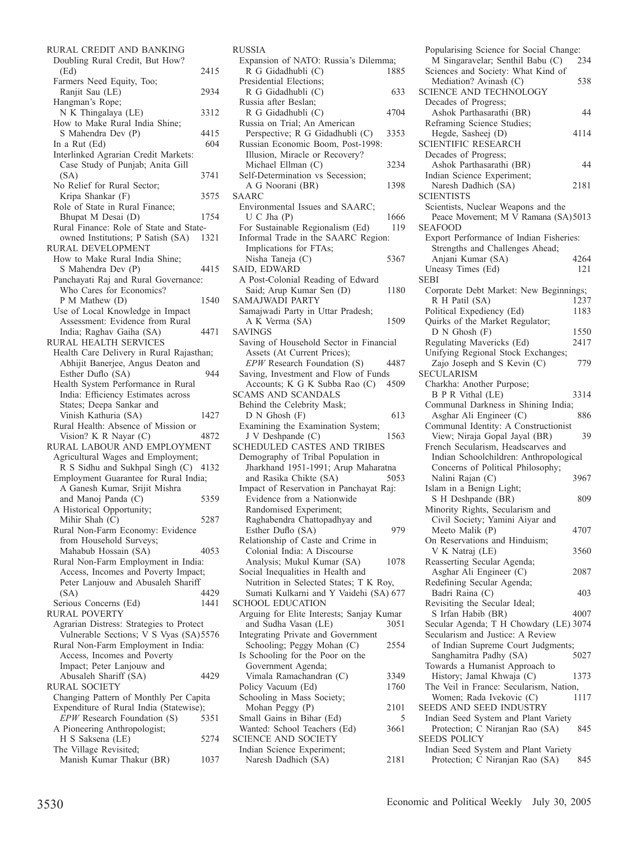| RURAL CREDIT AND BANKING                                |      |
|---------------------------------------------------------|------|
| Doubling Rural Credit, But How?                         |      |
| (Ed)                                                    | 2415 |
| Farmers Need Equity, Too;                               |      |
| Ranjit Sau (LE)                                         | 2934 |
| Hangman's Rope;                                         |      |
| N K Thingalaya (LE)                                     | 3312 |
| How to Make Rural India Shine;                          |      |
| S Mahendra Dev (P)                                      | 4415 |
| In a Rut (Ed)                                           | 604  |
| Interlinked Agrarian Credit Markets:                    |      |
| Case Study of Punjab; Anita Gill                        |      |
| (SA)                                                    | 3741 |
| No Relief for Rural Sector;                             |      |
| Kripa Shankar (F)                                       | 3575 |
| Role of State in Rural Finance;                         |      |
| Bhupat M Desai (D)                                      | 1754 |
| Rural Finance: Role of State and State-                 |      |
| owned Institutions; P Satish (SA)                       | 1321 |
| RURAL DEVELOPMENT                                       |      |
| How to Make Rural India Shine;                          |      |
| S Mahendra Dev (P)                                      | 4415 |
| Panchayati Raj and Rural Governance:                    |      |
| Who Cares for Economics?                                |      |
| P M Mathew (D)                                          | 1540 |
| Use of Local Knowledge in Impact                        |      |
| Assessment: Evidence from Rural                         |      |
| India; Raghav Gaiha (SA)                                | 4471 |
| RURAL HEALTH SERVICES                                   |      |
| Health Care Delivery in Rural Rajasthan;                |      |
| Abhijit Banerjee, Angus Deaton and                      |      |
| Esther Duflo (SA)                                       | 944  |
| Health System Performance in Rural                      |      |
| India: Efficiency Estimates across                      |      |
| States; Deepa Sankar and                                |      |
| Vinish Kathuria (SA)                                    |      |
|                                                         | 1427 |
| Rural Health: Absence of Mission or                     |      |
|                                                         | 4872 |
| Vision? K R Nayar (C)<br>RURAL LABOUR AND EMPLOYMENT    |      |
|                                                         |      |
| Agricultural Wages and Employment;                      |      |
| R S Sidhu and Sukhpal Singh (C) 4132                    |      |
| Employment Guarantee for Rural India;                   |      |
| A Ganesh Kumar, Srijit Mishra                           | 5359 |
| and Manoj Panda (C)<br>A Historical Opportunity;        |      |
|                                                         | 5287 |
| Mihir Shah (C)<br>Rural Non-Farm Economy: Evidence      |      |
|                                                         |      |
| from Household Surveys;                                 | 4053 |
| Mahabub Hossain (SA)                                    |      |
| Rural Non-Farm Employment in India:                     |      |
| Access, Incomes and Poverty Impact;                     |      |
| Peter Lanjouw and Abusaleh Shariff<br>(SA)              | 4429 |
|                                                         | 1441 |
| Serious Concerns (Ed)                                   |      |
|                                                         |      |
| Agrarian Distress: Strategies to Protect                |      |
| RURAL POVERTY<br>Vulnerable Sections; V S Vyas (SA)5576 |      |
| Rural Non-Farm Employment in India:                     |      |
| Access, Incomes and Poverty                             |      |
| Impact; Peter Lanjouw and                               | 4429 |
| Abusaleh Shariff (SA)                                   |      |
| Changing Pattern of Monthly Per Capita                  |      |
| Expenditure of Rural India (Statewise);                 |      |
| RURAL SOCIETY<br>EPW Research Foundation (S)            | 5351 |
| A Pioneering Anthropologist;                            |      |
|                                                         | 5274 |
| H S Saksena (LE)<br>The Village Revisited;              |      |
| Manish Kumar Thakur (BR)                                | 1037 |

| <b>RUSSIA</b>                                                         |      |
|-----------------------------------------------------------------------|------|
| Expansion of NATO: Russia's Dilemma;                                  |      |
| R G Gidadhubli (C)                                                    | 1885 |
| Presidential Elections;                                               |      |
| R G Gidadhubli (C)                                                    | 633  |
| Russia after Beslan;<br>R G Gidadhubli (C)                            | 4704 |
| Russia on Trial; An American                                          |      |
| Perspective; R G Gidadhubli (C)                                       | 3353 |
| Russian Economic Boom, Post-1998:                                     |      |
| Illusion, Miracle or Recovery?                                        |      |
| Michael Ellman (C)                                                    | 3234 |
| Self-Determination vs Secession;                                      |      |
| A G Noorani (BR)                                                      | 1398 |
| <b>SAARC</b><br>Environmental Issues and SAARC;                       |      |
| U C Jha (P)                                                           | 1666 |
| For Sustainable Regionalism (Ed)                                      | 119  |
| Informal Trade in the SAARC Region:                                   |      |
| Implications for FTAs;                                                |      |
| Nisha Taneja (C)                                                      | 5367 |
| SAID, EDWARD                                                          |      |
| A Post-Colonial Reading of Edward                                     |      |
| Said; Arup Kumar Sen (D)                                              | 1180 |
| <b>SAMAJWADI PARTY</b>                                                |      |
| Samajwadi Party in Uttar Pradesh;                                     |      |
| A K Verma (SA)                                                        | 1509 |
| SAVINGS<br>Saving of Household Sector in Financial                    |      |
| Assets (At Current Prices);                                           |      |
| EPW Research Foundation (S)                                           | 4487 |
| Saving, Investment and Flow of Funds                                  |      |
| Accounts; K G K Subba Rao (C)                                         | 4509 |
| <b>SCAMS AND SCANDALS</b>                                             |      |
| Behind the Celebrity Mask;                                            |      |
|                                                                       |      |
| D N Ghosh (F)                                                         | 613  |
| Examining the Examination System;                                     |      |
| J V Deshpande (C)                                                     | 1563 |
| SCHEDULED CASTES AND TRIBES                                           |      |
| Demography of Tribal Population in                                    |      |
| Jharkhand 1951-1991; Arup Maharatna                                   |      |
| and Rasika Chikte (SA)                                                | 5053 |
| Impact of Reservation in Panchayat Raj:<br>Evidence from a Nationwide |      |
| Randomised Experiment;                                                |      |
| Raghabendra Chattopadhyay and                                         |      |
| Esther Duflo (SA)                                                     | 979  |
| Relationship of Caste and Crime in                                    |      |
| Colonial India: A Discourse                                           |      |
| Analysis; Mukul Kumar (SA)                                            | 1078 |
| Social Inequalities in Health and                                     |      |
| Nutrition in Selected States; T K Roy,                                |      |
| Sumati Kulkarni and Y Vaidehi (SA) 677<br><b>SCHOOL EDUCATION</b>     |      |
| Arguing for Elite Interests; Sanjay Kumar                             |      |
| and Sudha Vasan (LE)                                                  | 3051 |
| Integrating Private and Government                                    |      |
| Schooling; Peggy Mohan (C)                                            | 2554 |
| Is Schooling for the Poor on the                                      |      |
| Government Agenda;                                                    |      |
| Vimala Ramachandran (C)                                               | 3349 |
| Policy Vacuum (Ed)                                                    | 1760 |
| Schooling in Mass Society;                                            | 2101 |
| Mohan Peggy (P)                                                       | 5    |
| Small Gains in Bihar (Ed)<br>Wanted: School Teachers (Ed)             | 3661 |
| <b>SCIENCE AND SOCIETY</b>                                            |      |
| Indian Science Experiment;<br>Naresh Dadhich (SA)                     |      |

| Popularising Science for Social Change:<br>M Singaravelar; Senthil Babu (C) | 234          |
|-----------------------------------------------------------------------------|--------------|
| Sciences and Society: What Kind of<br>Mediation? Avinash (C)                | 538          |
| SCIENCE AND TECHNOLOGY                                                      |              |
| Decades of Progress;<br>Ashok Parthasarathi (BR)                            | 44           |
| Reframing Science Studies;                                                  | 4114         |
| Hegde, Sasheej (D)<br><b>SCIENTIFIC RESEARCH</b>                            |              |
| Decades of Progress;<br>Ashok Parthasarathi (BR)                            | 44           |
| Indian Science Experiment;<br>Naresh Dadhich (SA)                           | 2181         |
| <b>SCIENTISTS</b>                                                           |              |
| Scientists, Nuclear Weapons and the<br>Peace Movement; M V Ramana (SA)5013  |              |
| <b>SEAFOOD</b><br>Export Performance of Indian Fisheries:                   |              |
| Strengths and Challenges Ahead;                                             |              |
| Anjani Kumar (SA)                                                           | 4264         |
| Uneasy Times (Ed)<br><b>SEBI</b>                                            | 121          |
| Corporate Debt Market: New Beginnings;                                      |              |
| R H Patil (SA)<br>Political Expediency (Ed)                                 | 1237<br>1183 |
| Quirks of the Market Regulator;                                             |              |
| $D N$ Ghosh $(F)$                                                           | 1550         |
| Regulating Mavericks (Ed)<br>Unifying Regional Stock Exchanges;             | 2417         |
| Zajo Joseph and S Kevin (C)                                                 | 779          |
| <b>SECULARISM</b>                                                           |              |
| Charkha: Another Purpose;<br><b>B</b> P R Vithal (LE)                       | 3314         |
| Communal Darkness in Shining India;                                         |              |
| Asghar Ali Engineer (C)                                                     |              |
|                                                                             | 886          |
| Communal Identity: A Constructionist<br>View; Niraja Gopal Jayal (BR)       | 39           |
| French Secularism, Headscarves and                                          |              |
| Indian Schoolchildren: Anthropological                                      |              |
| Concerns of Political Philosophy;<br>Nalini Rajan (C)                       | 3967         |
| Islam in a Benign Light;                                                    |              |
| S H Deshpande (BR)                                                          | 809          |
| Minority Rights, Secularism and<br>Civil Society; Yamini Aiyar and          |              |
| Meeto Malik (P)                                                             | 4707         |
| On Reservations and Hinduism;<br>V K Natraj (LE)                            | 3560         |
| Reasserting Secular Agenda;                                                 |              |
| Asghar Ali Engineer (C)                                                     | 2087         |
| Redefining Secular Agenda;<br>Badri Raina (C)                               | 403          |
| Revisiting the Secular Ideal;                                               |              |
| S Irfan Habib (BR)                                                          | 4007         |
| Secular Agenda; T H Chowdary (LE) 3074<br>Secularism and Justice: A Review  |              |
| of Indian Supreme Court Judgments;                                          |              |
| Sanghamitra Padhy (SA)<br>Towards a Humanist Approach to                    | 5027         |
| History; Jamal Khwaja (C)                                                   | 1373         |
| The Veil in France: Secularism, Nation,                                     | 1117         |
| Women; Rada Ivekovic (C)<br>SEEDS AND SEED INDUSTRY                         |              |
| Indian Seed System and Plant Variety                                        |              |
| Protection; C Niranjan Rao (SA)<br><b>SEEDS POLICY</b>                      | 845          |
| Indian Seed System and Plant Variety<br>Protection; C Niranjan Rao (SA)     | 845          |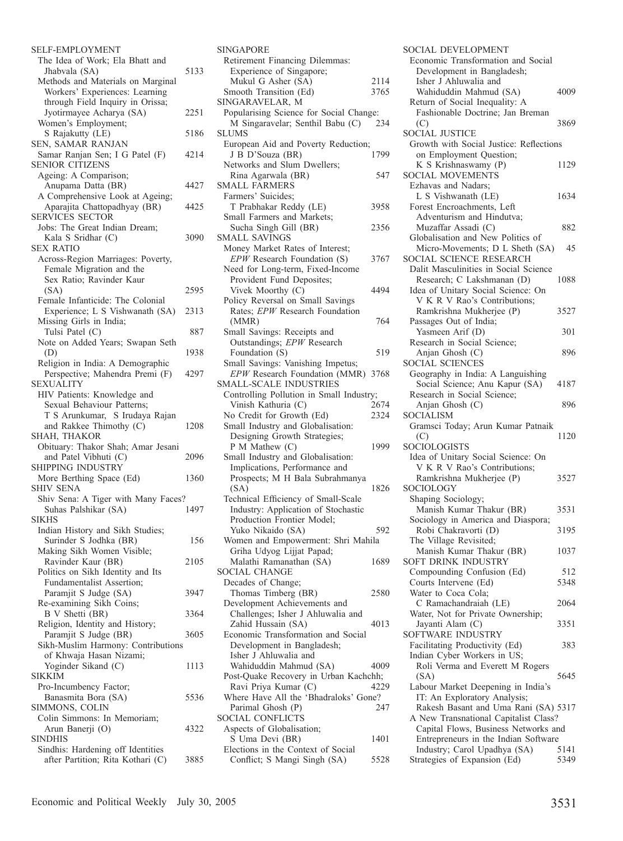| SELF-EMPLOYMENT                                             |      |
|-------------------------------------------------------------|------|
| The Idea of Work; Ela Bhatt and                             |      |
| Jhabvala (SA)<br>Methods and Materials on Marginal          | 5133 |
| Workers' Experiences: Learning                              |      |
| through Field Inquiry in Orissa;                            |      |
| Jyotirmayee Acharya (SA)                                    | 2251 |
| Women's Employment;<br>S Rajakutty (LE)                     | 5186 |
| SEN, SAMAR RANJAN                                           |      |
| Samar Ranjan Sen; I G Patel (F)                             | 4214 |
| <b>SENIOR CITIZENS</b>                                      |      |
| Ageing: A Comparison;                                       |      |
| Anupama Datta (BR)<br>A Comprehensive Look at Ageing;       | 4427 |
| Aparajita Chattopadhyay (BR)                                | 4425 |
| <b>SERVICES SECTOR</b>                                      |      |
| Jobs: The Great Indian Dream;                               |      |
| Kala S Sridhar (C)                                          | 3090 |
| <b>SEX RATIO</b><br>Across-Region Marriages: Poverty,       |      |
| Female Migration and the                                    |      |
| Sex Ratio; Ravinder Kaur                                    |      |
| (SA)                                                        | 2595 |
| Female Infanticide: The Colonial                            |      |
| Experience; L S Vishwanath (SA)<br>Missing Girls in India;  | 2313 |
| Tulsi Patel (C)                                             | 887  |
| Note on Added Years; Swapan Seth                            |      |
| (D)                                                         | 1938 |
| Religion in India: A Demographic                            |      |
| Perspective; Mahendra Premi (F)<br><b>SEXUALITY</b>         | 4297 |
| HIV Patients: Knowledge and                                 |      |
| Sexual Behaviour Patterns;                                  |      |
| T S Arunkumar, S Irudaya Rajan                              |      |
| and Rakkee Thimothy (C)                                     | 1208 |
| SHAH, THAKOR<br>Obituary: Thakor Shah; Amar Jesani          |      |
| and Patel Vibhuti (C)                                       | 2096 |
| SHIPPING INDUSTRY                                           |      |
| More Berthing Space (Ed)                                    | 1360 |
| <b>SHIV SENA</b>                                            |      |
| Shiv Sena: A Tiger with Many Faces?<br>Suhas Palshikar (SA) | 1497 |
| <b>SIKHS</b>                                                |      |
| Indian History and Sikh Studies;                            |      |
| Surinder S Jodhka (BR)                                      | 156  |
| Making Sikh Women Visible;                                  | 2105 |
| Ravinder Kaur (BR)<br>Politics on Sikh Identity and Its     |      |
| <b>Fundamentalist Assertion;</b>                            |      |
| Paramjit S Judge (SA)                                       | 3947 |
| Re-examining Sikh Coins;                                    |      |
| B V Shetti (BR)                                             | 3364 |
| Religion, Identity and History;<br>Paramjit S Judge (BR)    | 3605 |
| Sikh-Muslim Harmony: Contributions                          |      |
| of Khwaja Hasan Nizami;                                     |      |
| Yoginder Sikand (C)                                         | 1113 |
| <b>SIKKIM</b><br>Pro-Incumbency Factor;                     |      |
| Banasmita Bora (SA)                                         | 5536 |
| SIMMONS, COLIN                                              |      |
| Colin Simmons: In Memoriam;                                 |      |
| Arun Banerji (O)                                            | 4322 |
| SINDHIS<br>Sindhis: Hardening off Identities                |      |
| after Partition; Rita Kothari (C)                           | 3885 |
|                                                             |      |

| <b>SINGAPORE</b>                                                           |              |
|----------------------------------------------------------------------------|--------------|
| Retirement Financing Dilemmas:                                             |              |
| Experience of Singapore;                                                   |              |
| Mukul G Asher (SA)<br>Smooth Transition (Ed)                               | 2114<br>3765 |
| SINGARAVELAR, M                                                            |              |
| Popularising Science for Social Change:                                    |              |
| M Singaravelar; Senthil Babu (C)                                           | 234          |
| SLUMS                                                                      |              |
| European Aid and Poverty Reduction;                                        |              |
| J B D'Souza (BR)<br>Networks and Slum Dwellers;                            | 1799         |
| Rina Agarwala (BR)                                                         | 547          |
| <b>SMALL FARMERS</b>                                                       |              |
| Farmers' Suicides;                                                         |              |
| T Prabhakar Reddy (LE)                                                     | 3958         |
| Small Farmers and Markets;                                                 |              |
| Sucha Singh Gill (BR)                                                      | 2356         |
| SMALL SAVINGS<br>Money Market Rates of Interest;                           |              |
| EPW Research Foundation (S)                                                | 3767         |
| Need for Long-term, Fixed-Income                                           |              |
| Provident Fund Deposites;                                                  |              |
| Vivek Moorthy (C)                                                          | 4494         |
| Policy Reversal on Small Savings                                           |              |
| Rates; EPW Research Foundation<br>(MMR)                                    | 764          |
| Small Savings: Receipts and                                                |              |
| Outstandings; EPW Research                                                 |              |
| Foundation (S)                                                             | 519          |
| Small Savings: Vanishing Impetus;<br>EPW Research Foundation (MMR)         |              |
| <b>SMALL-SCALE INDUSTRIES</b>                                              | 3768         |
| Controlling Pollution in Small Industry;                                   |              |
| Vinish Kathuria (C)                                                        | 2674         |
| No Credit for Growth (Ed)                                                  | 2324         |
| Small Industry and Globalisation:                                          |              |
| Designing Growth Strategies;<br>P M Mathew (C)                             | 1999         |
| Small Industry and Globalisation:                                          |              |
| Implications, Performance and                                              |              |
| Prospects; M H Bala Subrahmanya                                            |              |
| (SA)                                                                       | 1826         |
| Technical Efficiency of Small-Scale<br>Industry: Application of Stochastic |              |
| Production Frontier Model;                                                 |              |
| Yuko Nikaido (SA)                                                          | 592          |
| Women and Empowerment: Shri Mahila                                         |              |
| Griha Udyog Lijjat Papad;                                                  |              |
| Malathi Ramanathan (SA)<br><b>SOCIAL CHANGE</b>                            | 1689         |
| Decades of Change;                                                         |              |
| Thomas Timberg (BR)                                                        | 2580         |
| Development Achievements and                                               |              |
| Challenges; Isher J Ahluwalia and                                          |              |
| Zahid Hussain (SA)                                                         | 4013         |
| Economic Transformation and Social<br>Development in Bangladesh;           |              |
| Isher J Ahluwalia and                                                      |              |
| Wahiduddin Mahmud (SA)                                                     |              |
|                                                                            | 4009         |
| Post-Quake Recovery in Urban Kachchh;                                      |              |
| Ravi Priya Kumar (C)                                                       | 4229         |
| Where Have All the 'Bhadraloks' Gone?                                      |              |
| Parimal Ghosh (P)                                                          | 247          |
| <b>SOCIAL CONFLICTS</b>                                                    |              |
| Aspects of Globalisation;<br>S Uma Devi (BR)                               | 1401         |
| Elections in the Context of Social                                         |              |
| Conflict; S Mangi Singh (SA)                                               | 5528         |

| SOCIAL DEVELOPMENT                      |      |
|-----------------------------------------|------|
| Economic Transformation and Social      |      |
| Development in Bangladesh;              |      |
| Isher J Ahluwalia and                   |      |
| Wahiduddin Mahmud (SA)                  | 4009 |
| Return of Social Inequality: A          |      |
| Fashionable Doctrine; Jan Breman        |      |
| (C)                                     | 3869 |
| <b>SOCIAL JUSTICE</b>                   |      |
| Growth with Social Justice: Reflections |      |
|                                         |      |
| on Employment Question;                 |      |
| K S Krishnaswamy (P)                    | 1129 |
| <b>SOCIAL MOVEMENTS</b>                 |      |
| Ezhavas and Nadars;                     |      |
| L S Vishwanath (LE)                     | 1634 |
| Forest Encroachments, Left              |      |
| Adventurism and Hindutva;               |      |
| Muzaffar Assadi (C)                     | 882  |
| Globalisation and New Politics of       |      |
| Micro-Movements; D L Sheth (SA)         | 45   |
| SOCIAL SCIENCE RESEARCH                 |      |
| Dalit Masculinities in Social Science   |      |
| Research; C Lakshmanan (D)              | 1088 |
|                                         |      |
| Idea of Unitary Social Science: On      |      |
| V K R V Rao's Contributions;            |      |
| Ramkrishna Mukherjee (P)                | 3527 |
| Passages Out of India;                  |      |
| Yasmeen Arif (D)                        | 301  |
| Research in Social Science;             |      |
| Anjan Ghosh (C)                         | 896  |
| <b>SOCIAL SCIENCES</b>                  |      |
| Geography in India: A Languishing       |      |
| Social Science; Anu Kapur (SA)          | 4187 |
| Research in Social Science;             |      |
| Anjan Ghosh (C)                         | 896  |
| SOCIALISM                               |      |
| Gramsci Today; Arun Kumar Patnaik       |      |
| (C)                                     | 1120 |
| <b>SOCIOLOGISTS</b>                     |      |
| Idea of Unitary Social Science: On      |      |
|                                         |      |
| V K R V Rao's Contributions;            |      |
| Ramkrishna Mukherjee (P)                | 3527 |
| SOCIOLOGY                               |      |
| Shaping Sociology;                      |      |
| Manish Kumar Thakur (BR)                | 3531 |
| Sociology in America and Diaspora;      |      |
| Robi Chakravorti (D)                    | 3195 |
| The Village Revisited;                  |      |
| Manish Kumar Thakur (BR)                | 1037 |
| SOFT DRINK INDUSTRY                     |      |
| Compounding Confusion (Ed)              | 512  |
| Courts Intervene (Ed)                   | 5348 |
| Water to Coca Cola;                     |      |
| C Ramachandraiah (LE)                   | 2064 |
| Water, Not for Private Ownership;       |      |
| Jayanti Alam (C)                        | 3351 |
|                                         |      |
| SOFTWARE INDUSTRY                       |      |
| Facilitating Productivity (Ed)          | 383  |
| Indian Cyber Workers in US;             |      |
| Roli Verma and Everett M Rogers         |      |
| (SA)                                    | 5645 |
| Labour Market Deepening in India's      |      |
| IT: An Exploratory Analysis;            |      |
| Rakesh Basant and Uma Rani (SA) 5317    |      |
| A New Transnational Capitalist Class?   |      |
| Capital Flows, Business Networks and    |      |
| Entrepreneurs in the Indian Software    |      |
| Industry; Carol Upadhya (SA)            | 5141 |
| Strategies of Expansion (Ed)            | 5349 |
|                                         |      |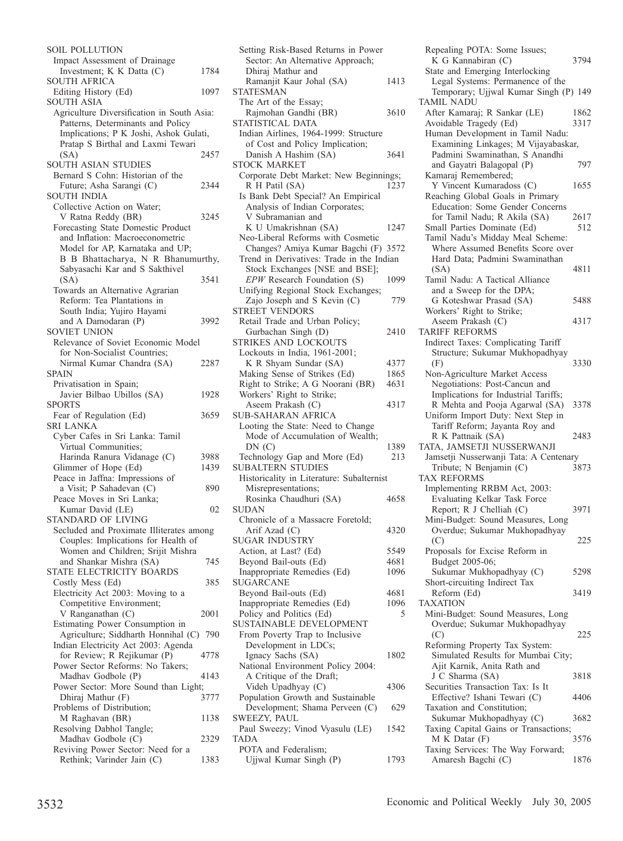| <b>SOIL POLLUTION</b>                                           |      |
|-----------------------------------------------------------------|------|
| Impact Assessment of Drainage                                   |      |
| Investment; K K Datta (C)                                       | 1784 |
| <b>SOUTH AFRICA</b>                                             | 1097 |
| Editing History (Ed)<br><b>SOUTH ASIA</b>                       |      |
| Agriculture Diversification in South Asia:                      |      |
| Patterns, Determinants and Policy                               |      |
| Implications; P K Joshi, Ashok Gulati,                          |      |
| Pratap S Birthal and Laxmi Tewari                               |      |
| (SA)                                                            | 2457 |
| SOUTH ASIAN STUDIES                                             |      |
| Bernard S Cohn: Historian of the                                |      |
| Future; Asha Sarangi (C)<br><b>SOUTH INDIA</b>                  | 2344 |
| Collective Action on Water;                                     |      |
| V Ratna Reddy (BR)                                              | 3245 |
| Forecasting State Domestic Product                              |      |
| and Inflation: Macroeconometric                                 |      |
| Model for AP, Karnataka and UP;                                 |      |
| B B Bhattacharya, N R Bhanumurthy,                              |      |
| Sabyasachi Kar and S Sakthivel                                  |      |
| (SA)                                                            | 3541 |
| Towards an Alternative Agrarian<br>Reform: Tea Plantations in   |      |
| South India; Yujiro Hayami                                      |      |
| and A Damodaran (P)                                             | 3992 |
| <b>SOVIET UNION</b>                                             |      |
| Relevance of Soviet Economic Model                              |      |
| for Non-Socialist Countries;                                    |      |
| Nirmal Kumar Chandra (SA)                                       | 2287 |
| SPAIN                                                           |      |
| Privatisation in Spain;                                         |      |
| Javier Bilbao Ubillos (SA)                                      | 1928 |
|                                                                 |      |
| <b>SPORTS</b>                                                   |      |
| Fear of Regulation (Ed)                                         | 3659 |
| <b>SRI LANKA</b><br>Cyber Cafes in Sri Lanka: Tamil             |      |
| Virtual Communities;                                            |      |
| Harinda Ranura Vidanage (C)                                     | 3988 |
| Glimmer of Hope (Ed)                                            | 1439 |
| Peace in Jaffna: Impressions of                                 |      |
| a Visit; P Sahadevan (C)                                        | 890  |
| Peace Moves in Sri Lanka;                                       | 02   |
| Kumar David (LE)<br>STANDARD OF LIVING                          |      |
| Secluded and Proximate Illiterates among                        |      |
| Couples: Implications for Health of                             |      |
| Women and Children; Srijit Mishra                               |      |
| and Shankar Mishra (SA)                                         | 745  |
| STATE ELECTRICITY BOARDS                                        |      |
| Costly Mess (Ed)                                                | 385  |
| Electricity Act 2003: Moving to a                               |      |
| Competitive Environment;                                        | 2001 |
| V Ranganathan (C)<br>Estimating Power Consumption in            |      |
| Agriculture; Siddharth Honnihal (C)                             | 790  |
| Indian Electricity Act 2003: Agenda                             |      |
| for Review; R Rejikumar (P)                                     | 4778 |
| Power Sector Reforms: No Takers;                                |      |
| Madhav Godbole (P)                                              | 4143 |
| Power Sector: More Sound than Light;                            | 3777 |
| Dhiraj Mathur (F)<br>Problems of Distribution;                  |      |
| M Raghavan (BR)                                                 | 1138 |
| Resolving Dabhol Tangle;                                        |      |
| Madhav Godbole (C)                                              | 2329 |
| Reviving Power Sector: Need for a<br>Rethink; Varinder Jain (C) | 1383 |

| Setting Risk-Based Returns in Power                                  |      |
|----------------------------------------------------------------------|------|
| Sector: An Alternative Approach;                                     |      |
| Dhiraj Mathur and                                                    |      |
| Ramanjit Kaur Johal (SA)<br><b>STATESMAN</b>                         | 1413 |
| The Art of the Essay;                                                |      |
| Rajmohan Gandhi (BR)                                                 | 3610 |
| STATISTICAL DATA                                                     |      |
| Indian Airlines, 1964-1999: Structure                                |      |
| of Cost and Policy Implication;                                      |      |
| Danish A Hashim (SA)                                                 | 3641 |
| <b>STOCK MARKET</b>                                                  |      |
| Corporate Debt Market: New Beginnings;                               |      |
| R H Patil (SA)                                                       | 1237 |
| Is Bank Debt Special? An Empirical<br>Analysis of Indian Corporates; |      |
| V Subramanian and                                                    |      |
| K U Umakrishnan (SA)                                                 | 1247 |
| Neo-Liberal Reforms with Cosmetic                                    |      |
| Changes? Amiya Kumar Bagchi (F) 3572                                 |      |
| Trend in Derivatives: Trade in the Indian                            |      |
| Stock Exchanges [NSE and BSE];                                       |      |
| EPW Research Foundation (S)                                          | 1099 |
| Unifying Regional Stock Exchanges;                                   |      |
| Zajo Joseph and S Kevin (C)<br><b>STREET VENDORS</b>                 | 779  |
| Retail Trade and Urban Policy;                                       |      |
| Gurbachan Singh (D)                                                  | 2410 |
| STRIKES AND LOCKOUTS                                                 |      |
| Lockouts in India, 1961-2001;                                        |      |
| K R Shyam Sundar (SA)                                                | 4377 |
| Making Sense of Strikes (Ed)                                         | 1865 |
| Right to Strike; A G Noorani (BR)                                    | 4631 |
| Workers' Right to Strike;                                            |      |
| Aseem Prakash (C)                                                    | 4317 |
| <b>SUB-SAHARAN AFRICA</b><br>Looting the State: Need to Change       |      |
| Mode of Accumulation of Wealth;                                      |      |
| DN(C)                                                                | 1389 |
| Technology Gap and More (Ed)                                         | 213  |
| <b>SUBALTERN STUDIES</b>                                             |      |
| Historicality in Literature: Subalternist                            |      |
| Misrepresentations;                                                  |      |
| Rosinka Chaudhuri (SA)                                               | 4658 |
| <b>SUDAN</b>                                                         |      |
| Chronicle of a Massacre Foretold;<br>Arif Azad (C)                   | 4320 |
| SUGAR INDUSTRY                                                       |      |
| Action, at Last? (Ed)                                                | 5549 |
| Beyond Bail-outs (Ed)                                                | 4681 |
| Inappropriate Remedies (Ed)                                          | 1096 |
| SUGARCANE                                                            |      |
| Beyond Bail-outs (Ed)                                                | 4681 |
| Inappropriate Remedies (Ed)                                          | 1096 |
| Policy and Politics (Ed)                                             | 5    |
| SUSTAINABLE DEVELOPMENT                                              |      |
| From Poverty Trap to Inclusive<br>Development in LDCs;               |      |
| Ignacy Sachs (SA)                                                    | 1802 |
| National Environment Policy 2004:                                    |      |
| A Critique of the Draft;                                             |      |
| Videh Upadhyay (C)                                                   | 4306 |
| Population Growth and Sustainable                                    |      |
| Development; Shama Perveen (C)                                       | 629  |
| SWEEZY, PAUL                                                         |      |
| Paul Sweezy; Vinod Vyasulu (LE)                                      | 1542 |
| TADA<br>POTA and Federalism;                                         |      |
| Ujjwal Kumar Singh (P)                                               | 1793 |
|                                                                      |      |

Repealing POTA: Some Issues; K G Kannabiran (C) 3794 State and Emerging Interlocking Legal Systems: Permanence of the Temporary; Ujjwal Kumar Singh (P) 149 TAMIL NADU After Kamaraj; R Sankar (LE) 1862<br>Avoidable Tragedy (Ed) 3317 Avoidable Tragedy (Ed) 3317 Human Development in Tamil Nadu: Examining Linkages; M Vijayabaskar, Padmini Swaminathan, S Anandhi and Gayatri Balagopal (P) 797 Kamaraj Remembered; Y Vincent Kumaradoss (C) 1655 Reaching Global Goals in Primary Education: Some Gender Concerns for Tamil Nadu; R Akila (SA) 2617<br>mall Parties Dominate (Ed) 512 Small Parties Dominate (Ed) Tamil Nadu's Midday Meal Scheme: Where Assumed Benefits Score over Hard Data; Padmini Swaminathan (SA) 4811 Tamil Nadu: A Tactical Alliance and a Sweep for the DPA; G Koteshwar Prasad (SA) 5488 Workers' Right to Strike; Aseem Prakash (C) 4317 TARIFF REFORMS Indirect Taxes: Complicating Tariff Structure; Sukumar Mukhopadhyay (F) 3330 Non-Agriculture Market Access Negotiations: Post-Cancun and Implications for Industrial Tariffs; R Mehta and Pooja Agarwal (SA) 3378 Uniform Import Duty: Next Step in Tariff Reform; Jayanta Roy and R K Pattnaik (SA) 2483 TATA, JAMSETJI NUSSERWANJI Jamsetji Nusserwanji Tata: A Centenary Tribute; N Benjamin (C) 3873 TAX REFORMS Implementing RRBM Act, 2003: Evaluating Kelkar Task Force Report; R J Chelliah (C) 3971 Mini-Budget: Sound Measures, Long Overdue; Sukumar Mukhopadhyay (C) 225 Proposals for Excise Reform in Budget 2005-06; Sukumar Mukhopadhyay (C) 5298 Short-circuiting Indirect Tax Reform (Ed) 3419 TAXATION Mini-Budget: Sound Measures, Long Overdue; Sukumar Mukhopadhyay (C) 225 Reforming Property Tax System: Simulated Results for Mumbai City; Ajit Karnik, Anita Rath and J C Sharma (SA) 3818 Securities Transaction Tax: Is It Effective? Ishani Tewari (C) 4406 Taxation and Constitution; Sukumar Mukhopadhyay (C) 3682 Taxing Capital Gains or Transactions; M K Datar (F) 3576 Taxing Services: The Way Forward; Amaresh Bagchi (C) 1876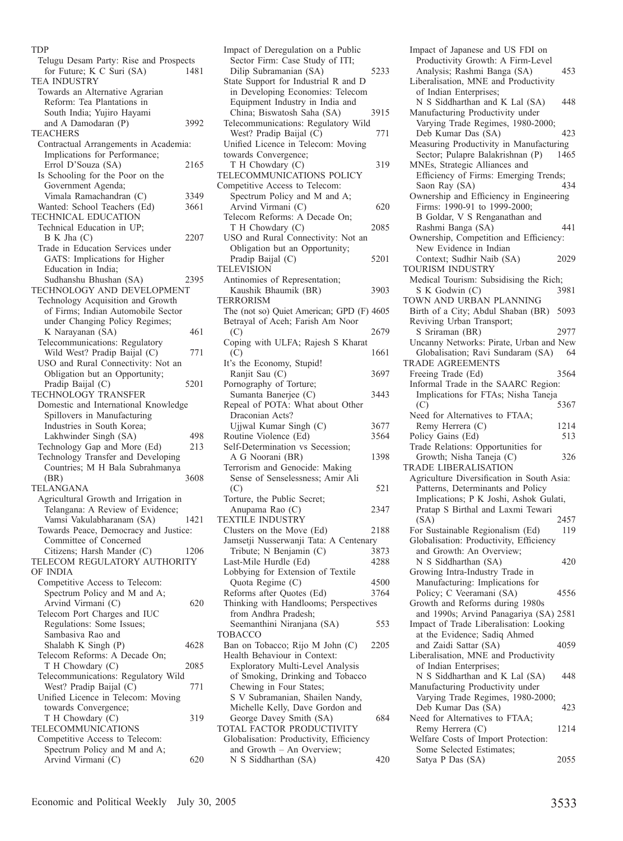TDP

| Telugu Desam Party: Rise and Prospects   |      |
|------------------------------------------|------|
| for Future; K C Suri (SA)                | 1481 |
| <b>TEA INDUSTRY</b>                      |      |
| Towards an Alternative Agrarian          |      |
| Reform: Tea Plantations in               |      |
| South India; Yujiro Hayami               |      |
| and A Damodaran (P)                      | 3992 |
| <b>TEACHERS</b>                          |      |
| Contractual Arrangements in Academia:    |      |
| Implications for Performance;            |      |
| Errol D'Souza (SA)                       | 2165 |
| Is Schooling for the Poor on the         |      |
| Government Agenda;                       |      |
| Vimala Ramachandran (C)                  | 3349 |
| Wanted: School Teachers (Ed)             | 3661 |
| <b>TECHNICAL EDUCATION</b>               |      |
| Technical Education in UP;               |      |
| B K Jha (C)                              |      |
| Trade in Education Services under        | 2207 |
|                                          |      |
| GATS: Implications for Higher            |      |
| Education in India;                      |      |
| Sudhanshu Bhushan (SA)                   | 2395 |
| TECHNOLOGY AND DEVELOPMENT               |      |
| Technology Acquisition and Growth        |      |
| of Firms; Indian Automobile Sector       |      |
| under Changing Policy Regimes;           |      |
| K Narayanan (SA)                         | 461  |
| Telecommunications: Regulatory           |      |
| Wild West? Pradip Baijal (C)             | 771  |
| USO and Rural Connectivity: Not an       |      |
| Obligation but an Opportunity;           |      |
| Pradip Baijal (C)<br>TECHNOLOGY TRANSFER | 5201 |
|                                          |      |
| Domestic and International Knowledge     |      |
| Spillovers in Manufacturing              |      |
| Industries in South Korea;               |      |
| Lakhwinder Singh (SA)                    | 498  |
| Technology Gap and More (Ed)             | 213  |
| Technology Transfer and Developing       |      |
| Countries; M H Bala Subrahmanya          |      |
|                                          |      |
|                                          |      |
| (BR)                                     | 3608 |
| TELANGANA                                |      |
| Agricultural Growth and Irrigation in    |      |
| Telangana: A Review of Evidence;         |      |
| Vamsi Vakulabharanam (SA)                | 1421 |
| Towards Peace, Democracy and Justice:    |      |
| Committee of Concerned                   |      |
| Citizens; Harsh Mander (C)               | 1206 |
| TELECOM REGULATORY AUTHORITY             |      |
| OF INDIA                                 |      |
| Competitive Access to Telecom:           |      |
| Spectrum Policy and M and A;             |      |
| Arvind Virmani (C)                       | 620  |
| Telecom Port Charges and IUC             |      |
| Regulations: Some Issues;                |      |
| Sambasiva Rao and                        |      |
| Shalabh K Singh (P)                      | 4628 |
| Telecom Reforms: A Decade On;            |      |
| T H Chowdary (C)                         | 2085 |
| Telecommunications: Regulatory Wild      |      |
| West? Pradip Baijal (C)                  | 771  |
| Unified Licence in Telecom: Moving       |      |
| towards Convergence;                     |      |
| T H Chowdary (C)                         | 319  |
| TELECOMMUNICATIONS                       |      |
| Competitive Access to Telecom:           |      |
| Spectrum Policy and M and A;             |      |
| Arvind Virmani (C)                       | 620  |

| Impact of Deregulation on a Public                                  |              |
|---------------------------------------------------------------------|--------------|
| Sector Firm: Case Study of ITI;                                     |              |
| Dilip Subramanian (SA)                                              | 5233         |
| State Support for Industrial R and D                                |              |
| in Developing Economies: Telecom<br>Equipment Industry in India and |              |
| China; Biswatosh Saha (SA)                                          | 3915         |
| Telecommunications: Regulatory Wild                                 |              |
| West? Pradip Baijal (C)                                             | 771          |
| Unified Licence in Telecom: Moving                                  |              |
| towards Convergence;                                                |              |
| T H Chowdary (C)                                                    | 319          |
| TELECOMMUNICATIONS POLICY                                           |              |
| Competitive Access to Telecom:                                      |              |
| Spectrum Policy and M and A;                                        |              |
| Arvind Virmani (C)                                                  | 620          |
| Telecom Reforms: A Decade On;                                       |              |
| T H Chowdary (C)                                                    | 2085         |
| USO and Rural Connectivity: Not an                                  |              |
| Obligation but an Opportunity;                                      |              |
| Pradip Baijal (C)                                                   | 5201         |
| TELEVISION                                                          |              |
| Antinomies of Representation;                                       |              |
| Kaushik Bhaumik (BR)<br><b>TERRORISM</b>                            | 3903         |
| The (not so) Quiet American; GPD (F) 4605                           |              |
| Betrayal of Aceh; Farish Am Noor                                    |              |
| (C)                                                                 | 2679         |
| Coping with ULFA; Rajesh S Kharat                                   |              |
| (C)                                                                 | 1661         |
| It's the Economy, Stupid!                                           |              |
| Ranjit Sau (C)                                                      | 3697         |
| Pornography of Torture;                                             |              |
| Sumanta Banerjee (C)                                                | 3443         |
| Repeal of POTA: What about Other                                    |              |
| Draconian Acts?                                                     |              |
|                                                                     |              |
| Ujjwal Kumar Singh (C)                                              | 3677         |
| Routine Violence (Ed)                                               | 3564         |
| Self-Determination vs Secession;                                    |              |
| A G Noorani (BR)                                                    | 1398         |
| Terrorism and Genocide: Making                                      |              |
| Sense of Senselessness; Amir Ali                                    |              |
| (C)                                                                 | 521          |
| Torture, the Public Secret;                                         |              |
| Anupama Rao (C)                                                     | 2347         |
| <b>TEXTILE INDUSTRY</b>                                             |              |
| Clusters on the Move (Ed)                                           | 2188         |
| Jamsetji Nusserwanji Tata: A Centenary                              |              |
| Tribute; N Benjamin (C)                                             | 3873<br>4288 |
| Last-Mile Hurdle (Ed)<br>Lobbying for Extension of Textile          |              |
| Quota Regime (C)                                                    | 4500         |
| Reforms after Quotes (Ed)                                           | 3764         |
| Thinking with Handlooms; Perspectives                               |              |
| from Andhra Pradesh;                                                |              |
| Seemanthini Niranjana (SA)                                          | 553          |
| TOBACCO                                                             |              |
| Ban on Tobacco; Rijo M John (C)                                     | 2205         |
| Health Behaviour in Context:                                        |              |
| Exploratory Multi-Level Analysis                                    |              |
| of Smoking, Drinking and Tobacco                                    |              |
| Chewing in Four States;                                             |              |
| S V Subramanian, Shailen Nandy,                                     |              |
| Michelle Kelly, Dave Gordon and<br>George Davey Smith (SA)          | 684          |
| TOTAL FACTOR PRODUCTIVITY                                           |              |
| Globalisation: Productivity, Efficiency                             |              |
| and Growth - An Overview;<br>N S Siddharthan (SA)                   | 420          |

Impact of Japanese and US FDI on Productivity Growth: A Firm-Level Analysis; Rashmi Banga (SA) 453 Liberalisation, MNE and Productivity of Indian Enterprises; N S Siddharthan and K Lal (SA) 448 Manufacturing Productivity under Varying Trade Regimes, 1980-2000; Deb Kumar Das (SA) 423 Measuring Productivity in Manufacturing<br>Sector: Pulapre Balakrishnan (P) 1465 Sector; Pulapre Balakrishnan (P) MNEs, Strategic Alliances and Efficiency of Firms: Emerging Trends;<br>Saon Ray (SA) 434 Saon Ray (SA) Ownership and Efficiency in Engineering Firms: 1990-91 to 1999-2000; B Goldar, V S Renganathan and Rashmi Banga (SA) 441 Ownership, Competition and Efficiency: New Evidence in Indian Context; Sudhir Naib (SA) 2029 TOURISM INDUSTRY Medical Tourism: Subsidising the Rich;<br>S K Godwin (C) 3981 S K Godwin (C) TOWN AND URBAN PLANNING Birth of a City; Abdul Shaban (BR) 5093 Reviving Urban Transport; S Sriraman (BR) 2977 Uncanny Networks: Pirate, Urban and New Globalisation; Ravi Sundaram (SA) 64 TRADE AGREEMENTS Freeing Trade (Ed) 3564 Informal Trade in the SAARC Region: Implications for FTAs; Nisha Taneja  $( C)$  5367 Need for Alternatives to FTAA; Remy Herrera (C) 1214<br>olicy Gains (Ed) 513 Policy Gains (Ed) Trade Relations: Opportunities for Growth: Nisha Taneja (C) 326 TRADE LIBERALISATION Agriculture Diversification in South Asia: Patterns, Determinants and Policy Implications; P K Joshi, Ashok Gulati, Pratap S Birthal and Laxmi Tewari (SA) 2457 For Sustainable Regionalism (Ed) 119 Globalisation: Productivity, Efficiency and Growth: An Overview; N S Siddharthan (SA) 420 Growing Intra-Industry Trade in Manufacturing: Implications for Policy; C Veeramani (SA) 4556 Growth and Reforms during 1980s and 1990s; Arvind Panagariya (SA) 2581 Impact of Trade Liberalisation: Looking at the Evidence; Sadiq Ahmed and Zaidi Sattar (SA) 4059 Liberalisation, MNE and Productivity of Indian Enterprises; N S Siddharthan and K Lal (SA) 448 Manufacturing Productivity under Varying Trade Regimes, 1980-2000; Deb Kumar Das (SA) 423 Need for Alternatives to FTAA; Remy Herrera (C) 1214 Welfare Costs of Import Protection: Some Selected Estimates; Satya P Das (SA) 2055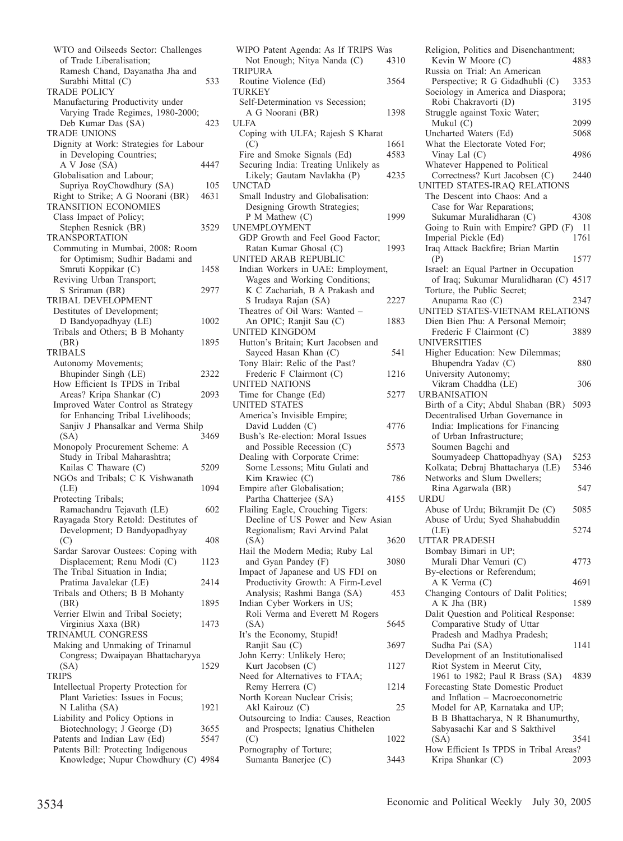WTO and Oilseeds Sector: Challenges of Trade Liberalisation; Ramesh Chand, Dayanatha Jha and Surabhi Mittal (C) 533 TRADE POLICY Manufacturing Productivity under Varying Trade Regimes, 1980-2000; Deb Kumar Das (SA) 423 TRADE UNIONS Dignity at Work: Strategies for Labour in Developing Countries; A V Jose (SA) 4447 Globalisation and Labour; Supriya RoyChowdhury (SA) 105<br>ight to Strike: A G Noorani (BR) 4631 Right to Strike; A G Noorani (BR) TRANSITION ECONOMIES Class Impact of Policy; Stephen Resnick (BR) 3529 TRANSPORTATION Commuting in Mumbai, 2008: Room for Optimism; Sudhir Badami and Smruti Koppikar (C) 1458 Reviving Urban Transport; S Sriraman (BR) 2977 TRIBAL DEVELOPMENT Destitutes of Development; D Bandyopadhyay (LE) 1002 Tribals and Others; B B Mohanty (BR) 1895 TRIBALS Autonomy Movements; Bhupinder Singh (LE) 2322 How Efficient Is TPDS in Tribal Areas? Kripa Shankar (C) 2093 Improved Water Control as Strategy for Enhancing Tribal Livelihoods; Sanjiv J Phansalkar and Verma Shilp (SA) 3469 Monopoly Procurement Scheme: A Study in Tribal Maharashtra; Kailas C Thaware (C) 5209 NGOs and Tribals; C K Vishwanath (LE) 1094 Protecting Tribals; Ramachandru Tejavath (LE) 602 Rayagada Story Retold: Destitutes of Development; D Bandyopadhyay  $( C)$  408 Sardar Sarovar Oustees: Coping with Displacement; Renu Modi (C) 1123 The Tribal Situation in India; Pratima Javalekar (LE) 2414 Tribals and Others; B B Mohanty (BR) 1895 Verrier Elwin and Tribal Society; Virginius Xaxa (BR) 1473 TRINAMUL CONGRESS Making and Unmaking of Trinamul Congress; Dwaipayan Bhattacharyya  $(SA)$ **TRIPS** Intellectual Property Protection for Plant Varieties: Issues in Focus; N Lalitha (SA) 1921 Liability and Policy Options in Biotechnology; J George (D) 3655 Patents and Indian Law (Ed) 5547 Patents Bill: Protecting Indigenous Knowledge; Nupur Chowdhury (C) 4984

| WIPO Patent Agenda: As If TRIPS Was             |      |
|-------------------------------------------------|------|
| Not Enough; Nitya Nanda (C)                     | 4310 |
| TRIPURA                                         |      |
| Routine Violence (Ed)                           | 3564 |
| TURKEY                                          |      |
| Self-Determination vs Secession;                |      |
| A G Noorani (BR)                                | 1398 |
| <b>ULFA</b>                                     |      |
| Coping with ULFA; Rajesh S Kharat               |      |
| (C)                                             | 1661 |
| Fire and Smoke Signals (Ed)                     | 4583 |
| Securing India: Treating Unlikely as            |      |
| Likely; Gautam Navlakha (P)                     | 4235 |
| <b>UNCTAD</b>                                   |      |
| Small Industry and Globalisation:               |      |
| Designing Growth Strategies;                    |      |
| P M Mathew (C)                                  | 1999 |
| <b>UNEMPLOYMENT</b>                             |      |
| GDP Growth and Feel Good Factor;                |      |
| Ratan Kumar Ghosal (C)                          | 1993 |
| UNITED ARAB REPUBLIC                            |      |
|                                                 |      |
| Indian Workers in UAE: Employment,              |      |
| Wages and Working Conditions;                   |      |
| K C Zachariah, B A Prakash and                  |      |
| S Irudaya Rajan (SA)                            | 2227 |
| Theatres of Oil Wars: Wanted -                  |      |
| An OPIC; Ranjit Sau (C)                         | 1883 |
| UNITED KINGDOM                                  |      |
| Hutton's Britain; Kurt Jacobsen and             |      |
| Sayeed Hasan Khan (C)                           | 541  |
| Tony Blair: Relic of the Past?                  |      |
| Frederic F Clairmont (C)                        | 1216 |
| <b>UNITED NATIONS</b>                           |      |
| Time for Change (Ed)                            | 5277 |
|                                                 |      |
|                                                 |      |
| <b>UNITED STATES</b>                            |      |
| America's Invisible Empire;                     |      |
| David Ludden (C)                                | 4776 |
| Bush's Re-election: Moral Issues                |      |
| and Possible Recession (C)                      | 5573 |
| Dealing with Corporate Crime:                   |      |
| Some Lessons; Mitu Gulati and                   |      |
| Kim Krawiec (C)                                 | 786  |
| Empire after Globalisation;                     |      |
| Partha Chatterjee (SA)                          | 4155 |
| Flailing Eagle, Crouching Tigers:               |      |
| Decline of US Power and New Asian               |      |
| Regionalism; Ravi Arvind Palat                  |      |
| (SA)                                            | 3620 |
| Hail the Modern Media; Ruby Lal                 |      |
| and Gyan Pandey (F)                             | 3080 |
| Impact of Japanese and US FDI on                |      |
|                                                 |      |
| Productivity Growth: A Firm-Level               | 453  |
| Analysis; Rashmi Banga (SA)                     |      |
| Indian Cyber Workers in US;                     |      |
| Roli Verma and Everett M Rogers                 |      |
| (SA)                                            | 5645 |
| It's the Economy, Stupid!                       |      |
| Ranjit Sau (C)                                  | 3697 |
| John Kerry: Unlikely Hero;                      |      |
| Kurt Jacobsen (C)                               | 1127 |
| Need for Alternatives to FTAA;                  |      |
| Remy Herrera (C)                                | 1214 |
| North Korean Nuclear Crisis;                    |      |
| Akl Kairouz (C)                                 | 25   |
| Outsourcing to India: Causes, Reaction          |      |
| and Prospects; Ignatius Chithelen               |      |
| (C)                                             | 1022 |
| Pornography of Torture;<br>Sumanta Banerjee (C) | 3443 |

Religion, Politics and Disenchantment;<br>Kevin W Moore (C) 4883 Kevin W Moore (C) Russia on Trial: An American Perspective: R G Gidadhubli (C) 3353 Sociology in America and Diaspora; Robi Chakravorti (D) 3195 Struggle against Toxic Water; Mukul (C) 2099 Uncharted Waters (Ed) 5068 What the Electorate Voted For; Vinay Lal  $(C)$  4986 Whatever Happened to Political Correctness? Kurt Jacobsen (C) 2440 UNITED STATES-IRAQ RELATIONS The Descent into Chaos: And a Case for War Reparations; Sukumar Muralidharan (C) 4308 Going to Ruin with Empire? GPD (F) 11 Imperial Pickle (Ed) 1761 Iraq Attack Backfire; Brian Martin (P) 1577 Israel: an Equal Partner in Occupation of Iraq; Sukumar Muralidharan (C) 4517 Torture, the Public Secret; Anupama Rao (C) 2347 UNITED STATES-VIETNAM RELATIONS Dien Bien Phu: A Personal Memoir; Frederic F Clairmont (C) 3889 UNIVERSITIES Higher Education: New Dilemmas; Bhupendra Yadav (C) 880 University Autonomy; Vikram Chaddha (LE) 306 URBANISATION Birth of a City; Abdul Shaban (BR) 5093 Decentralised Urban Governance in India: Implications for Financing of Urban Infrastructure; Soumen Bagchi and Soumyadeep Chattopadhyay (SA) 5253 Kolkata; Debraj Bhattacharya (LE) 5346 Networks and Slum Dwellers; Rina Agarwala (BR) 547 URDU Abuse of Urdu; Bikramjit De (C) 5085 Abuse of Urdu; Syed Shahabuddin (LE) 5274 UTTAR PRADESH Bombay Bimari in UP; Murali Dhar Vemuri (C) 4773 By-elections or Referendum; A K Verma (C) 4691 Changing Contours of Dalit Politics; A K Jha (BR) 1589 Dalit Question and Political Response: Comparative Study of Uttar Pradesh and Madhya Pradesh; Sudha Pai (SA) 1141 Development of an Institutionalised Riot System in Meerut City, 1961 to 1982; Paul R Brass (SA) 4839 Forecasting State Domestic Product and Inflation – Macroeconometric Model for AP, Karnataka and UP; B B Bhattacharya, N R Bhanumurthy, Sabyasachi Kar and S Sakthivel (SA) 3541 How Efficient Is TPDS in Tribal Areas? Kripa Shankar (C) 2093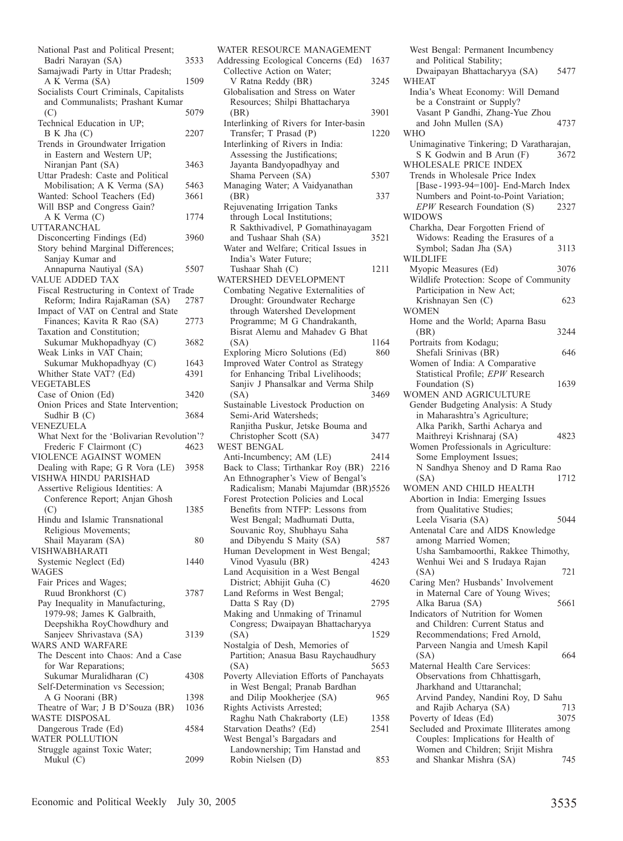| National Past and Political Present;                   |      |
|--------------------------------------------------------|------|
| Badri Narayan (SA)                                     | 3533 |
| Samajwadi Party in Uttar Pradesh;                      |      |
| A K Verma (SA)                                         | 1509 |
| Socialists Court Criminals, Capitalists                |      |
| and Communalists; Prashant Kumar                       |      |
| (C)                                                    | 5079 |
| Technical Education in UP;                             |      |
| B K Jha (C)<br>Trends in Groundwater Irrigation        | 2207 |
| in Eastern and Western UP;                             |      |
| Niranjan Pant (SA)                                     | 3463 |
| Uttar Pradesh: Caste and Political                     |      |
| Mobilisation; A K Verma (SA)                           | 5463 |
| Wanted: School Teachers (Ed)                           | 3661 |
| Will BSP and Congress Gain?                            |      |
| A K Verma (C)                                          | 1774 |
| <b>UTTARANCHAL</b>                                     |      |
| Disconcerting Findings (Ed)                            | 3960 |
| Story behind Marginal Differences;                     |      |
| Sanjay Kumar and                                       |      |
| Annapurna Nautiyal (SA)<br>VALUE ADDED TAX             | 5507 |
| Fiscal Restructuring in Context of Trade               |      |
| Reform; Indira RajaRaman (SA)                          | 2787 |
| Impact of VAT on Central and State                     |      |
| Finances; Kavita R Rao (SA)                            | 2773 |
| Taxation and Constitution;                             |      |
| Sukumar Mukhopadhyay (C)                               | 3682 |
| Weak Links in VAT Chain;                               |      |
| Sukumar Mukhopadhyay (C)                               | 1643 |
| Whither State VAT? (Ed)                                | 4391 |
| <b>VEGETABLES</b>                                      | 3420 |
| Case of Onion (Ed)                                     |      |
|                                                        |      |
| Onion Prices and State Intervention;                   |      |
| Sudhir B (C)<br>VENEZUELA                              | 3684 |
| What Next for the 'Bolivarian Revolution'?             |      |
| Frederic F Clairmont (C)                               | 4623 |
| VIOLENCE AGAINST WOMEN                                 |      |
| Dealing with Rape; G R Vora (LE)                       | 3958 |
| VISHWA HINDU PARISHAD                                  |      |
| Assertive Religious Identities: A                      |      |
| Conference Report; Anjan Ghosh                         |      |
| (C)                                                    | 1385 |
| Hindu and Islamic Transnational                        |      |
| Religious Movements;                                   |      |
| Shail Mayaram (SA)<br>VISHWABHARATI                    | 80   |
| Systemic Neglect (Ed)                                  | 1440 |
| <b>WAGES</b>                                           |      |
| Fair Prices and Wages;                                 |      |
| Ruud Bronkhorst (C)                                    | 3787 |
| Pay Inequality in Manufacturing,                       |      |
| 1979-98; James K Galbraith,                            |      |
| Deepshikha RoyChowdhury and                            |      |
| Sanjeev Shrivastava (SA)                               | 3139 |
| WARS AND WARFARE<br>The Descent into Chaos: And a Case |      |
| for War Reparations;                                   |      |
| Sukumar Muralidharan (C)                               | 4308 |
| Self-Determination vs Secession;                       |      |
| A G Noorani (BR)                                       | 1398 |
| Theatre of War; J B D'Souza (BR)                       | 1036 |
| <b>WASTE DISPOSAL</b>                                  |      |
| Dangerous Trade (Ed)                                   | 4584 |
| WATER POLLUTION<br>Struggle against Toxic Water;       |      |

| WATER RESOURCE MANAGEMENT                                      |      |
|----------------------------------------------------------------|------|
| Addressing Ecological Concerns (Ed)                            | 1637 |
| Collective Action on Water;                                    |      |
| V Ratna Reddy (BR)                                             | 3245 |
| Globalisation and Stress on Water                              |      |
| Resources; Shilpi Bhattacharya                                 |      |
| (BR)                                                           | 3901 |
| Interlinking of Rivers for Inter-basin                         |      |
| Transfer; T Prasad (P)                                         | 1220 |
| Interlinking of Rivers in India:                               |      |
| Assessing the Justifications;                                  |      |
| Jayanta Bandyopadhyay and                                      |      |
| Shama Perveen (SA)                                             | 5307 |
| Managing Water; A Vaidyanathan                                 |      |
| (BR)                                                           | 337  |
| Rejuvenating Irrigation Tanks                                  |      |
| through Local Institutions;                                    |      |
| R Sakthivadivel, P Gomathinayagam                              |      |
| and Tushaar Shah (SA)                                          | 3521 |
| Water and Welfare; Critical Issues in                          |      |
| India's Water Future;                                          |      |
| Tushaar Shah (C)                                               | 1211 |
| WATERSHED DEVELOPMENT                                          |      |
| Combating Negative Externalities of                            |      |
| Drought: Groundwater Recharge                                  |      |
| through Watershed Development                                  |      |
| Programme; M G Chandrakanth,                                   |      |
| Bisrat Alemu and Mahadev G Bhat                                |      |
| (SA)                                                           | 1164 |
| Exploring Micro Solutions (Ed)                                 | 860  |
| Improved Water Control as Strategy                             |      |
| for Enhancing Tribal Livelihoods;                              |      |
| Sanjiv J Phansalkar and Verma Shilp                            |      |
| (SA)                                                           | 3469 |
| Sustainable Livestock Production on                            |      |
| Semi-Arid Watersheds;                                          |      |
|                                                                |      |
|                                                                |      |
| Ranjitha Puskur, Jetske Bouma and                              | 3477 |
| Christopher Scott (SA)<br><b>WEST BENGAL</b>                   |      |
|                                                                | 2414 |
| Anti-Incumbency; AM (LE)<br>Back to Class; Tirthankar Roy (BR) | 2216 |
| An Ethnographer's View of Bengal's                             |      |
| Radicalism; Manabi Majumdar (BR)5526                           |      |
| Forest Protection Policies and Local                           |      |
| Benefits from NTFP: Lessons from                               |      |
| West Bengal; Madhumati Dutta,                                  |      |
| Souvanic Roy, Shubhayu Saha                                    |      |
| and Dibyendu S Maity (SA)                                      | 587  |
| Human Development in West Bengal;                              |      |
| Vinod Vyasulu (BR)                                             | 4243 |
| Land Acquisition in a West Bengal                              |      |
| District; Abhijit Guha (C)                                     | 4620 |
| Land Reforms in West Bengal;                                   |      |
| Datta S Ray (D)                                                | 2795 |
| Making and Unmaking of Trinamul                                |      |
| Congress; Dwaipayan Bhattacharyya                              |      |
| (SA)                                                           | 1529 |
| Nostalgia of Desh, Memories of                                 |      |
| Partition; Anasua Basu Raychaudhury                            |      |
| (SA)                                                           | 5653 |
| Poverty Alleviation Efforts of Panchayats                      |      |
| in West Bengal; Pranab Bardhan                                 |      |
| and Dilip Mookherjee (SA)                                      | 965  |
| Rights Activists Arrested;                                     |      |
| Raghu Nath Chakraborty (LE)                                    | 1358 |
| Starvation Deaths? (Ed)                                        | 2541 |
| West Bengal's Bargadars and                                    |      |
| Landownership; Tim Hanstad and<br>Robin Nielsen (D)            | 853  |

| West Bengal: Permanent Incumbency<br>and Political Stability;         |      |
|-----------------------------------------------------------------------|------|
| Dwaipayan Bhattacharyya (SA)<br><b>WHEAT</b>                          | 5477 |
| India's Wheat Economy: Will Demand<br>be a Constraint or Supply?      |      |
| Vasant P Gandhi, Zhang-Yue Zhou                                       |      |
| and John Mullen (SA)                                                  | 4737 |
| <b>WHO</b>                                                            |      |
| Unimaginative Tinkering; D Varatharajan,<br>S K Godwin and B Arun (F) | 3672 |
| WHOLESALE PRICE INDEX                                                 |      |
| Trends in Wholesale Price Index                                       |      |
| [Base-1993-94=100]- End-March Index                                   |      |
| Numbers and Point-to-Point Variation;                                 |      |
| EPW Research Foundation (S)                                           | 2327 |
| WIDOWS                                                                |      |
| Charkha, Dear Forgotten Friend of                                     |      |
| Widows: Reading the Erasures of a                                     |      |
| Symbol; Sadan Jha (SA)                                                | 3113 |
| <b>WILDLIFE</b>                                                       |      |
| Myopic Measures (Ed)                                                  | 3076 |
| Wildlife Protection: Scope of Community                               |      |
| Participation in New Act;                                             |      |
| Krishnayan Sen (C)                                                    | 623  |
| WOMEN                                                                 |      |
| Home and the World; Aparna Basu                                       |      |
| (BR)                                                                  | 3244 |
| Portraits from Kodagu;                                                |      |
| Shefali Srinivas (BR)                                                 | 646  |
| Women of India: A Comparative                                         |      |
| Statistical Profile; EPW Research                                     |      |
| Foundation (S)                                                        | 1639 |
| WOMEN AND AGRICULTURE                                                 |      |
| Gender Budgeting Analysis: A Study                                    |      |
| in Maharashtra's Agriculture;                                         |      |
| Alka Parikh, Sarthi Acharya and<br>Maithreyi Krishnaraj (SA)          | 4823 |
| Women Professionals in Agriculture:                                   |      |
| Some Employment Issues;                                               |      |
| N Sandhya Shenoy and D Rama Rao                                       |      |
| (SA)                                                                  | 1712 |
| WOMEN AND CHILD HEALTH                                                |      |
| Abortion in India: Emerging Issues                                    |      |
| from Qualitative Studies;                                             |      |
| Leela Visaria (SA)                                                    | 5044 |
| Antenatal Care and AIDS Knowledge                                     |      |
| among Married Women;                                                  |      |
| Usha Sambamoorthi, Rakkee Thimothy,                                   |      |
| Wenhui Wei and S Irudaya Rajan                                        |      |
| (SA)                                                                  | 721  |
| Caring Men? Husbands' Involvement                                     |      |
| in Maternal Care of Young Wives;                                      |      |
| Alka Barua (SA)                                                       | 5661 |
| Indicators of Nutrition for Women                                     |      |
| and Children: Current Status and                                      |      |
| Recommendations; Fred Arnold,                                         |      |
| Parveen Nangia and Umesh Kapil                                        |      |
| (SA)                                                                  | 664  |
| Maternal Health Care Services:                                        |      |
| Observations from Chhattisgarh,                                       |      |
| Jharkhand and Uttaranchal;                                            |      |
| Arvind Pandey, Nandini Roy, D Sahu                                    |      |
| and Rajib Acharya (SA)                                                | 713  |
| Poverty of Ideas (Ed)                                                 | 3075 |
| Secluded and Proximate Illiterates among                              |      |
| Couples: Implications for Health of                                   |      |
| Women and Children; Srijit Mishra                                     |      |

and Shankar Mishra (SA) 745